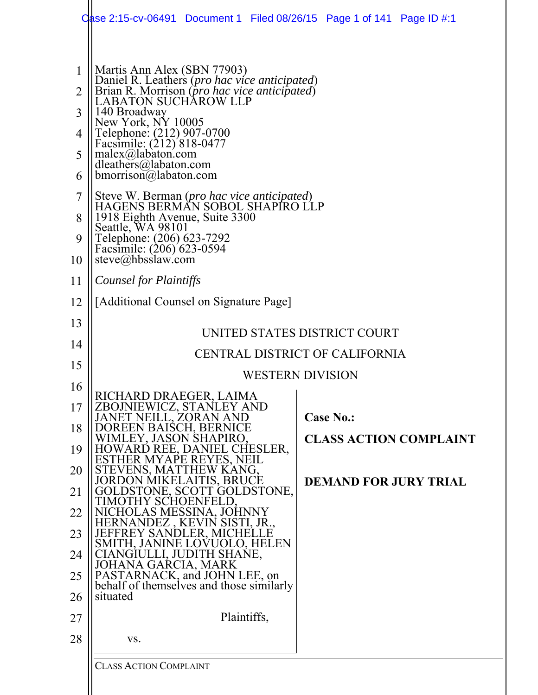|                                                 | Case 2:15-cv-06491 Document 1 Filed 08/26/15 Page 1 of 141 Page ID #:1                                                                                                                                                                                                                                                                                                                                                                                                                                                                                                        |  |                              |                               |
|-------------------------------------------------|-------------------------------------------------------------------------------------------------------------------------------------------------------------------------------------------------------------------------------------------------------------------------------------------------------------------------------------------------------------------------------------------------------------------------------------------------------------------------------------------------------------------------------------------------------------------------------|--|------------------------------|-------------------------------|
| 1<br>2<br>3<br>4<br>5<br>6<br>7<br>8<br>9<br>10 | Martis Ann Alex (SBN 77903)<br>Daniel R. Leather's (pro hac vice anticipated)<br>Brian R. Morrison (pro hac vice anticipated)<br>LABATON SUCHAROW LLP<br>140 Broadway<br>New York, NY 10005<br>Telephone: (212) 907-0700<br>Facsimile: (212) 818-0477<br>$malex(\omega)$ abaton.com<br>dleathers@labaton.com<br>$b$ morrison $\omega$ labaton.com<br>Steve W. Berman (pro hac vice anticipated)<br>HAGENS BERMAN SOBOL SHAPIRO LLP<br>1918 Eighth Avenue, Suite 3300<br>Seattle, WA 98101<br>Telephone: (206) 623-7292<br>Facsimile: (206) 623-0594<br>$steve(a)$ hbsslaw.com |  |                              |                               |
| 11                                              | Counsel for Plaintiffs                                                                                                                                                                                                                                                                                                                                                                                                                                                                                                                                                        |  |                              |                               |
| 12                                              | [Additional Counsel on Signature Page]                                                                                                                                                                                                                                                                                                                                                                                                                                                                                                                                        |  |                              |                               |
| 13                                              | UNITED STATES DISTRICT COURT                                                                                                                                                                                                                                                                                                                                                                                                                                                                                                                                                  |  |                              |                               |
| 14                                              | CENTRAL DISTRICT OF CALIFORNIA                                                                                                                                                                                                                                                                                                                                                                                                                                                                                                                                                |  |                              |                               |
| 15                                              | <b>WESTERN DIVISION</b>                                                                                                                                                                                                                                                                                                                                                                                                                                                                                                                                                       |  |                              |                               |
| 16                                              | RICHARD DRAEGER, LAIMA                                                                                                                                                                                                                                                                                                                                                                                                                                                                                                                                                        |  |                              |                               |
| 17                                              | <b>IEWICZ, STANLEY AND</b><br>ZBOJN<br>EILL, ZORAN AND                                                                                                                                                                                                                                                                                                                                                                                                                                                                                                                        |  | <b>Case No.:</b>             |                               |
| 18                                              | )REEN BAISCH, BERNICE<br>EY, JASON SHAPIRO                                                                                                                                                                                                                                                                                                                                                                                                                                                                                                                                    |  |                              | <b>CLASS ACTION COMPLAINT</b> |
| 19<br>20<br>21                                  | HOWARD REE, DANIEL CHESLER,<br>ESTHER MYAPE REYES, NEIL<br>STEVENS, MATTHEW KANG,<br><b>JORDON MIKELAITIS, BRUCE</b><br>)LDSTONE, SCOTT GOLDSTONE,                                                                                                                                                                                                                                                                                                                                                                                                                            |  | <b>DEMAND FOR JURY TRIAL</b> |                               |
| 22                                              | IOTHY SCHOENFELD<br>NICHOLAS MESSINA, JOHNNY                                                                                                                                                                                                                                                                                                                                                                                                                                                                                                                                  |  |                              |                               |
| 23                                              | ERNANDEZ , KEVIN SISTI, JR<br>JEFFREY SANDLER, MICHELLE                                                                                                                                                                                                                                                                                                                                                                                                                                                                                                                       |  |                              |                               |
| 24                                              | SMITH, JANINE LOVUOLO, HELEN<br>CIANGIULLI, JUDITH SHANE,                                                                                                                                                                                                                                                                                                                                                                                                                                                                                                                     |  |                              |                               |
| 25                                              | JOHANA GARCIA, MARK<br>PASTARNACK, and JOHN LEE, on<br>behalf of themselves and those similarly                                                                                                                                                                                                                                                                                                                                                                                                                                                                               |  |                              |                               |
| 26                                              | situated                                                                                                                                                                                                                                                                                                                                                                                                                                                                                                                                                                      |  |                              |                               |
| 27                                              | Plaintiffs,                                                                                                                                                                                                                                                                                                                                                                                                                                                                                                                                                                   |  |                              |                               |
| 28                                              | VS.                                                                                                                                                                                                                                                                                                                                                                                                                                                                                                                                                                           |  |                              |                               |
|                                                 | <b>CLASS ACTION COMPLAINT</b>                                                                                                                                                                                                                                                                                                                                                                                                                                                                                                                                                 |  |                              |                               |
|                                                 |                                                                                                                                                                                                                                                                                                                                                                                                                                                                                                                                                                               |  |                              |                               |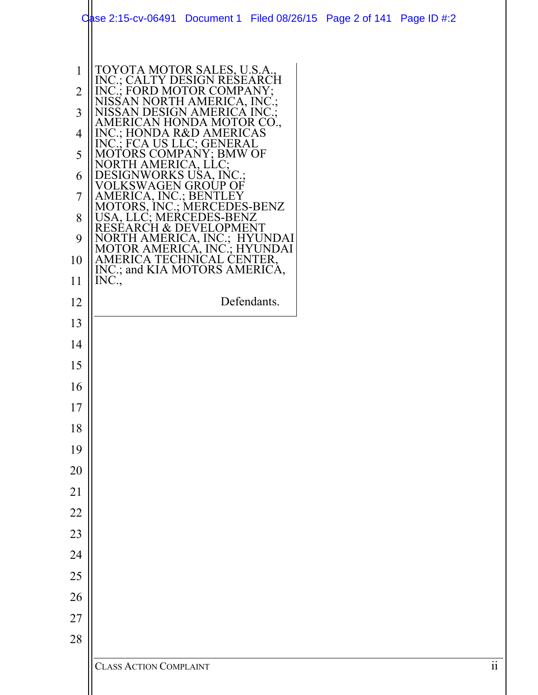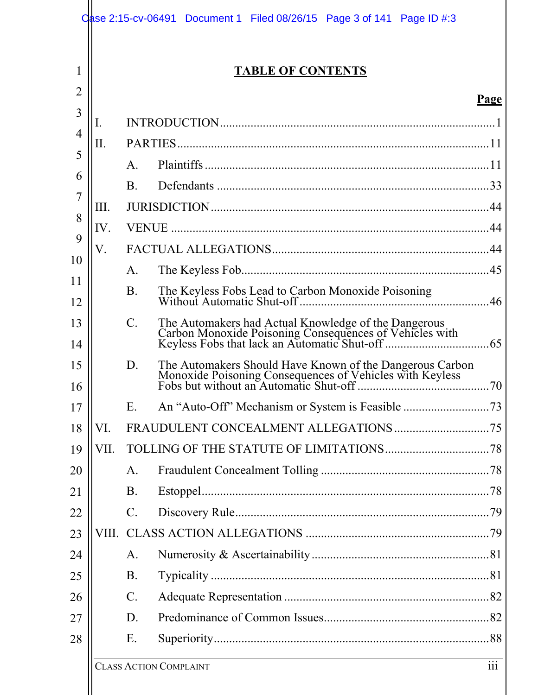|          |       |                 | <b>TABLE OF CONTENTS</b> |             |
|----------|-------|-----------------|--------------------------|-------------|
| 2        |       |                 |                          | <u>Page</u> |
| 3        | I.    |                 |                          |             |
| 4        | Π.    |                 |                          |             |
| 5        |       | $\mathsf{A}$ .  |                          |             |
| 6        |       | <b>B.</b>       |                          |             |
| 7        | Ш.    |                 |                          |             |
| 8        | IV.   |                 |                          |             |
| 9        | V.    |                 |                          |             |
| 10       |       | $\mathsf{A}.$   |                          |             |
| 11<br>12 |       | <b>B.</b>       |                          |             |
| 13<br>14 |       | $C$ .           |                          | .65         |
| 15<br>16 |       | D.              |                          |             |
| 17       |       | E.              |                          |             |
| 18       | VI.   |                 |                          |             |
| 19       | VII.  |                 |                          |             |
| 20       |       | A.              |                          |             |
| 21       |       | <b>B.</b>       |                          |             |
| 22       |       | $\mathcal{C}$ . |                          |             |
| 23       | VIII. |                 |                          |             |
| 24       |       | A.              |                          |             |
| 25       |       | <b>B.</b>       |                          |             |
| 26       |       | $C$ .           |                          |             |
| 27       |       | D.              |                          |             |
| 28       |       | Ε.              |                          |             |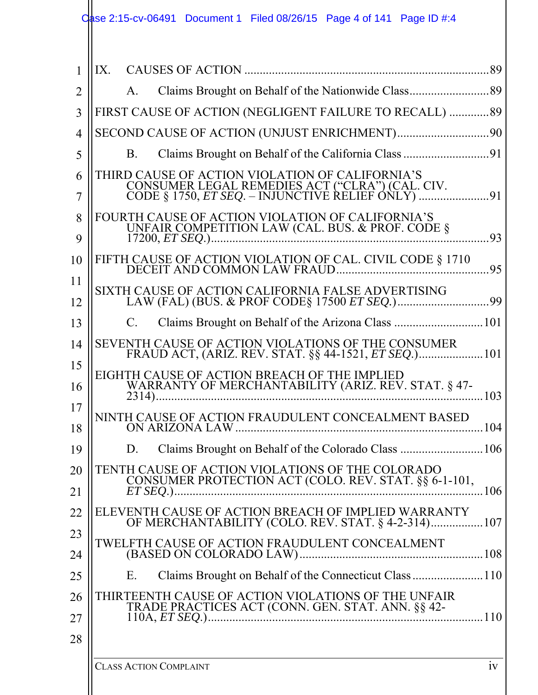| 1              | IX. CAUSES OF ACTION                                                                                        |      |
|----------------|-------------------------------------------------------------------------------------------------------------|------|
| $\overline{2}$ | A.                                                                                                          |      |
| 3              | FIRST CAUSE OF ACTION (NEGLIGENT FAILURE TO RECALL)  89                                                     |      |
| $\overline{4}$ |                                                                                                             |      |
| 5              | B.                                                                                                          |      |
| 6              | THIRD CAUSE OF ACTION VIOLATION OF CALIFORNIA'S                                                             |      |
| 7              | CONSUMER LEGAL REMEDIES ACT ("CLRA") (CAL. CIV.<br>CODE § 1750, <i>ET SEQ.</i> – INJUNCTIVE RELIEF ONLY) 91 |      |
| 8              | FOURTH CAUSE OF ACTION VIOLATION OF CALIFORNIA'S<br>UNFAIR COMPETITION LAW (CAL. BUS. & PROF. CODE §        |      |
| 9              |                                                                                                             | .93  |
| 10             |                                                                                                             | 95   |
| 11             | SIXTH CAUSE OF ACTION CALIFORNIA FALSE ADVERTISING                                                          |      |
| 12             |                                                                                                             |      |
| 13             | Claims Brought on Behalf of the Arizona Class 101<br>$C_{\cdot}$                                            |      |
| 14             | SEVENTH CAUSE OF ACTION VIOLATIONS OF THE CONSUMER                                                          |      |
| 15             | EIGHTH CAUSE OF ACTION BREACH OF THE IMPLIED                                                                |      |
| 16             | WARRANTY OF MERCHANTABILITY (ARIZ. REV. STAT. § 47-<br>$2314$                                               | 103  |
| 17             | NINTH CAUSE OF ACTION FRAUDULENT CONCEALMENT BASED                                                          |      |
| 18             | ON ARIZONA LAW                                                                                              | 104  |
| 19             | D. Claims Brought on Behalf of the Colorado Class                                                           | .106 |
| 20             | TENTH CAUSE OF ACTION VIOLATIONS OF THE COLORADO<br>CONSUMER PROTECTION ACT (COLO. REV. STAT. §§ 6-1-101,   |      |
| 21             | $\ldots \ldots \ldots 106$                                                                                  |      |
| 22             | ELEVENTH CAUSE OF ACTION BREACH OF IMPLIED WARRANTY<br>OF MERCHANTABILITY (COLO. REV. STAT. § 4-2-314)107   |      |
| 23             | TWELFTH CAUSE OF ACTION FRAUDULENT CONCEALMENT                                                              |      |
| 24             |                                                                                                             |      |
| 25             | Е.                                                                                                          |      |
| 26             | THIRTEENTH CAUSE OF ACTION VIOLATIONS OF THE UNFAIR<br>TRADE PRACTICES ACT (CONN. GEN. STAT. ANN. §§ 42-    |      |
| 27             |                                                                                                             |      |
| 28             |                                                                                                             |      |
|                |                                                                                                             |      |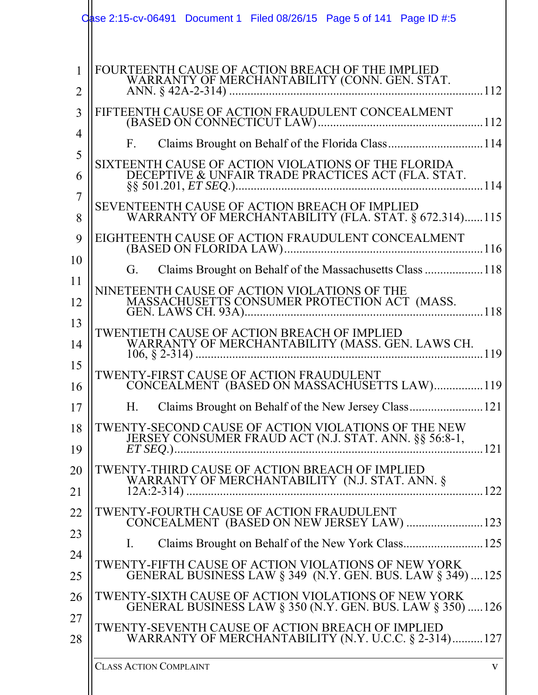|                     | Case 2:15-cv-06491 Document 1 Filed 08/26/15 Page 5 of 141 Page ID #:5                                                                                                                                                       |
|---------------------|------------------------------------------------------------------------------------------------------------------------------------------------------------------------------------------------------------------------------|
| 1<br>$\overline{2}$ | FOURTEENTH CAUSE OF ACTION BREACH OF THE IMPLIED                                                                                                                                                                             |
| 3<br>4              | FIFTEENTH CAUSE OF ACTION FRAUDULENT CONCEALMENT<br>Claims Brought on Behalf of the Florida Class114<br>$F_{\rm{L}}$                                                                                                         |
| 5<br>6              | SIXTEENTH CAUSE OF ACTION VIOLATIONS OF THE FLORIDA                                                                                                                                                                          |
| 7<br>8<br>9         | SEVENTEENTH CAUSE OF ACTION BREACH OF IMPLIED<br>WARRANTY OF MERCHANTABILITY (FLA. STAT. § 672.314)115<br>EIGHTEENTH CAUSE OF ACTION FRAUDULENT CONCEALMENT                                                                  |
| 10<br>11            | Claims Brought on Behalf of the Massachusetts Class  118<br>G.<br>NINETEENTH CAUSE OF ACTION VIOLATIONS OF THE                                                                                                               |
| 12<br>13<br>14      | TWENTIETH CAUSE OF ACTION BREACH OF IMPLIED                                                                                                                                                                                  |
| 15<br>16            | $\frac{1}{2}$ 119<br>TWENTY-FIRST CAUSE OF ACTION FRAUDULENT<br>CONCEALMENT (BASED ON MASSACHUSETTS LAW)119                                                                                                                  |
| 17<br>18            | H.<br>TWENTY-SECOND CAUSE OF ACTION VIOLATIONS OF THE NEW<br>JERSEY CONSUMER FRAUD ACT (N.J. STAT. ANN. §§ 56:8-1,                                                                                                           |
| 19<br>20            | .121<br>TWENTY-THIRD CAUSE OF ACTION BREACH OF IMPLIED<br>WARRANTY OF MERCHANTABILITY (N.J. STAT. ANN. §                                                                                                                     |
| 21<br>22<br>23      | TWENTY-FOURTH CAUSE OF ACTION FRAUDULENT<br>CONCEALMENT (BASED ON NEW JERSEY LAW)  123                                                                                                                                       |
| 24<br>25            | Claims Brought on Behalf of the New York Class 125<br>$\mathbf{I}$ .<br>TWENTY-FIFTH CAUSE OF ACTION VIOLATIONS OF NEW YORK<br>GENERAL BUSINESS LAW $\S 349$ (N.Y. GEN. BUS. LAW $\S 349$ ) 125                              |
| 26<br>27<br>28      | TWENTY-SIXTH CAUSE OF ACTION VIOLATIONS OF NEW YORK<br>GENERAL BUSINESS LAW § 350 (N.Y. GEN. BUS. LAW § 350) 126<br>TWENTY-SEVENTH CAUSE OF ACTION BREACH OF IMPLIED<br>WARRANTY OF MERCHANTABILITY (N.Y. U.C.C. § 2-314)127 |
|                     | <b>CLASS ACTION COMPLAINT</b><br>$\mathbf{V}$                                                                                                                                                                                |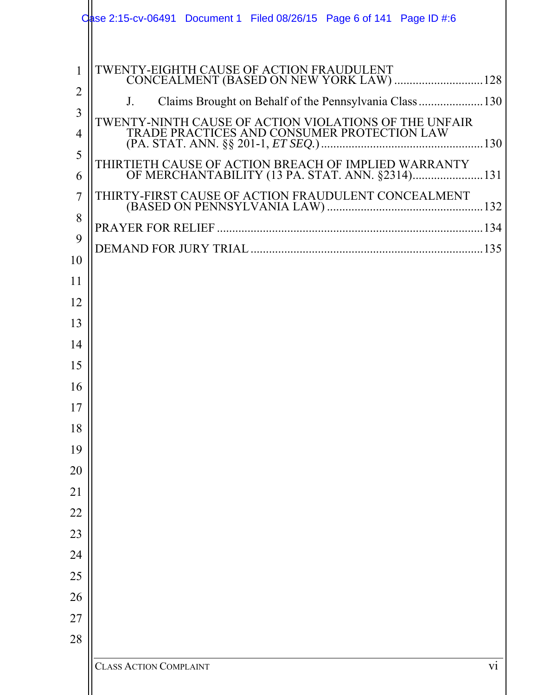|                                                                                                                                                                    | ase 2:15-cv-06491 Document 1 Filed 08/26/15 Page 6 of 141 Page ID #:6                                                                                                                                                                                                                                                       |
|--------------------------------------------------------------------------------------------------------------------------------------------------------------------|-----------------------------------------------------------------------------------------------------------------------------------------------------------------------------------------------------------------------------------------------------------------------------------------------------------------------------|
| 1<br>$\overline{2}$<br>3<br>4<br>5<br>6<br>7<br>8<br>9<br>10<br>11<br>12<br>13<br>14<br>15<br>16<br>17<br>18<br>19<br>20<br>21<br>22<br>23<br>24<br>25<br>26<br>27 | TWENTY-EIGHTH CAUSE OF ACTION FRAUDULENT<br>CONCEALMENT (BASED ON NEW YORK LAW)  128<br>Claims Brought on Behalf of the Pennsylvania Class  130<br>$J_{\cdot}$<br>TWENTY-NINTH CAUSE OF ACTION VIOLATIONS OF THE UNFAIR TRADE PRACTICES AND CONSUMER PROTECTION LAW<br>THIRTIETH CAUSE OF ACTION BREACH OF IMPLIED WARRANTY |
| 28                                                                                                                                                                 | $\overline{vi}$<br><b>CLASS ACTION COMPLAINT</b>                                                                                                                                                                                                                                                                            |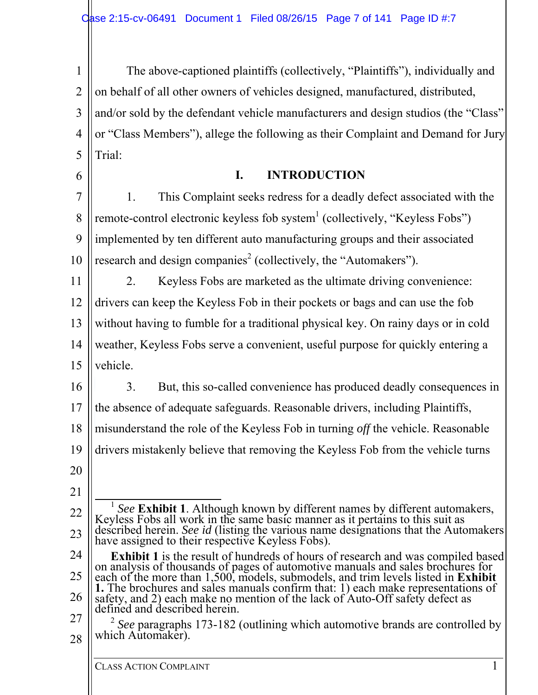1 2 3 4 5 6 The above-captioned plaintiffs (collectively, "Plaintiffs"), individually and on behalf of all other owners of vehicles designed, manufactured, distributed, and/or sold by the defendant vehicle manufacturers and design studios (the "Class" or "Class Members"), allege the following as their Complaint and Demand for Jury Trial: **I. INTRODUCTION** 

7 8 9 10 1. This Complaint seeks redress for a deadly defect associated with the remote-control electronic keyless fob system $^1$  (collectively, "Keyless Fobs") implemented by ten different auto manufacturing groups and their associated research and design companies<sup>2</sup> (collectively, the "Automakers").

11 12 13 14 2. Keyless Fobs are marketed as the ultimate driving convenience: drivers can keep the Keyless Fob in their pockets or bags and can use the fob without having to fumble for a traditional physical key. On rainy days or in cold weather, Keyless Fobs serve a convenient, useful purpose for quickly entering a

15 vehicle.

16 3. But, this so-called convenience has produced deadly consequences in

17 the absence of adequate safeguards. Reasonable drivers, including Plaintiffs,

18 misunderstand the role of the Keyless Fob in turning *off* the vehicle. Reasonable

19 drivers mistakenly believe that removing the Keyless Fob from the vehicle turns

- 20
- 21

22

23

24 25 26 27 **Exhibit 1** is the result of hundreds of hours of research and was compiled based on analysis of thousands of pages of automotive manuals and sales brochures for each of the more than 1,500, models, submodels, and trim levels listed in **Exhibit 1.** The brochures and sales manuals confirm that: 1) each make representations of safety, and 2) each make no mention of the lack of Auto-Off safety defect as defined and described herein.

<sup>&</sup>lt;sup>1</sup> *See* **Exhibit 1**. Although known by different names by different automakers, Keyless Fobs all work in the same basic manner as it pertains to this suit as described herein. *See id* (listing the various name designations that the Automakers have assigned to their respective Keyless Fobs).

<sup>28</sup> <sup>2</sup> See paragraphs 173-182 (outlining which automotive brands are controlled by which Automaker).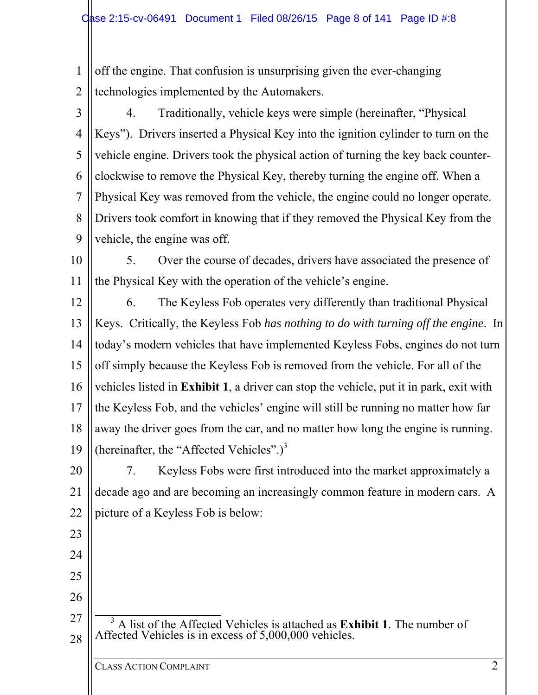1 2 off the engine. That confusion is unsurprising given the ever-changing technologies implemented by the Automakers.

3 4 5 6 7 8 9 4. Traditionally, vehicle keys were simple (hereinafter, "Physical Keys"). Drivers inserted a Physical Key into the ignition cylinder to turn on the vehicle engine. Drivers took the physical action of turning the key back counterclockwise to remove the Physical Key, thereby turning the engine off. When a Physical Key was removed from the vehicle, the engine could no longer operate. Drivers took comfort in knowing that if they removed the Physical Key from the vehicle, the engine was off.

10 11 5. Over the course of decades, drivers have associated the presence of the Physical Key with the operation of the vehicle's engine.

12 13 14 15 16 17 18 19 6. The Keyless Fob operates very differently than traditional Physical Keys. Critically, the Keyless Fob *has nothing to do with turning off the engine*. In today's modern vehicles that have implemented Keyless Fobs, engines do not turn off simply because the Keyless Fob is removed from the vehicle. For all of the vehicles listed in **Exhibit 1**, a driver can stop the vehicle, put it in park, exit with the Keyless Fob, and the vehicles' engine will still be running no matter how far away the driver goes from the car, and no matter how long the engine is running. (hereinafter, the "Affected Vehicles".) $3^3$ 

20 21 22 7. Keyless Fobs were first introduced into the market approximately a decade ago and are becoming an increasingly common feature in modern cars. A picture of a Keyless Fob is below:

27 28 <sup>3</sup> A list of the Affected Vehicles is attached as **Exhibit 1**. The number of Affected Vehicles is in excess of 5,000,000 vehicles.

23

24

25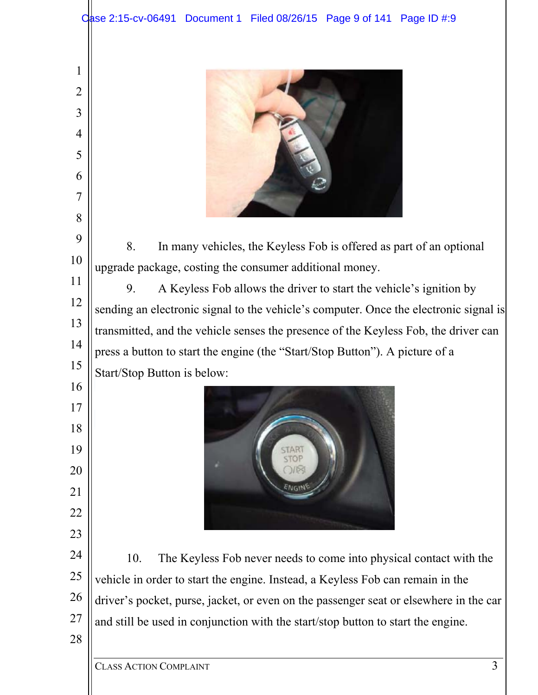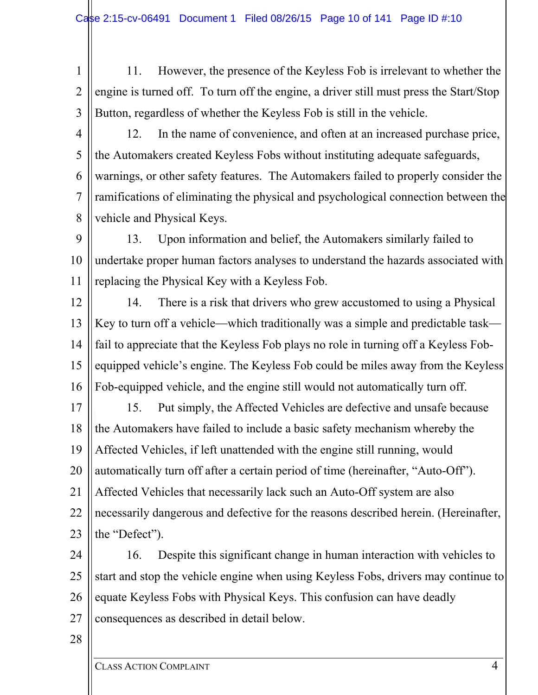- 1 2 3 11. However, the presence of the Keyless Fob is irrelevant to whether the engine is turned off. To turn off the engine, a driver still must press the Start/Stop Button, regardless of whether the Keyless Fob is still in the vehicle.
- 4

5

6

7

8

12. In the name of convenience, and often at an increased purchase price, the Automakers created Keyless Fobs without instituting adequate safeguards, warnings, or other safety features. The Automakers failed to properly consider the ramifications of eliminating the physical and psychological connection between the vehicle and Physical Keys.

9 10 11 13. Upon information and belief, the Automakers similarly failed to undertake proper human factors analyses to understand the hazards associated with replacing the Physical Key with a Keyless Fob.

12 13 14 15 16 14. There is a risk that drivers who grew accustomed to using a Physical Key to turn off a vehicle—which traditionally was a simple and predictable task fail to appreciate that the Keyless Fob plays no role in turning off a Keyless Fobequipped vehicle's engine. The Keyless Fob could be miles away from the Keyless Fob-equipped vehicle, and the engine still would not automatically turn off.

17 18 19 20 21 22 23 15. Put simply, the Affected Vehicles are defective and unsafe because the Automakers have failed to include a basic safety mechanism whereby the Affected Vehicles, if left unattended with the engine still running, would automatically turn off after a certain period of time (hereinafter, "Auto-Off"). Affected Vehicles that necessarily lack such an Auto-Off system are also necessarily dangerous and defective for the reasons described herein. (Hereinafter, the "Defect").

24 25 26 27 16. Despite this significant change in human interaction with vehicles to start and stop the vehicle engine when using Keyless Fobs, drivers may continue to equate Keyless Fobs with Physical Keys. This confusion can have deadly consequences as described in detail below.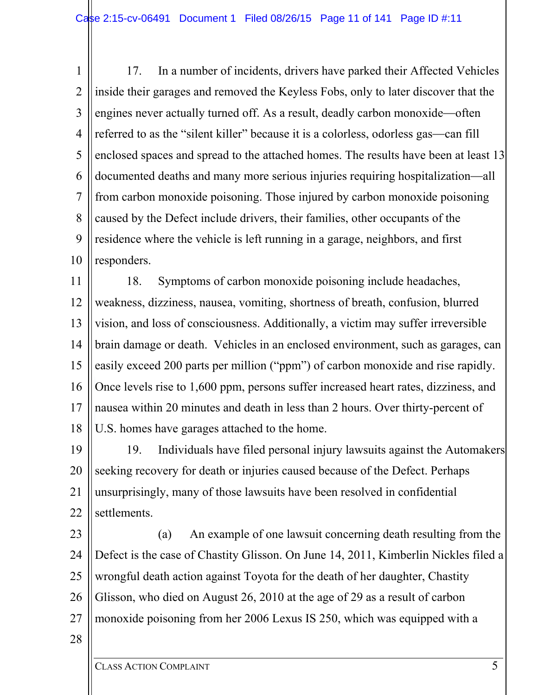1 2 3 4 5 6 7 8 9 10 17. In a number of incidents, drivers have parked their Affected Vehicles inside their garages and removed the Keyless Fobs, only to later discover that the engines never actually turned off. As a result, deadly carbon monoxide—often referred to as the "silent killer" because it is a colorless, odorless gas—can fill enclosed spaces and spread to the attached homes. The results have been at least 13 documented deaths and many more serious injuries requiring hospitalization—all from carbon monoxide poisoning. Those injured by carbon monoxide poisoning caused by the Defect include drivers, their families, other occupants of the residence where the vehicle is left running in a garage, neighbors, and first responders.

11 12 13 14 15 16 17 18 18. Symptoms of carbon monoxide poisoning include headaches, weakness, dizziness, nausea, vomiting, shortness of breath, confusion, blurred vision, and loss of consciousness. Additionally, a victim may suffer irreversible brain damage or death. Vehicles in an enclosed environment, such as garages, can easily exceed 200 parts per million ("ppm") of carbon monoxide and rise rapidly. Once levels rise to 1,600 ppm, persons suffer increased heart rates, dizziness, and nausea within 20 minutes and death in less than 2 hours. Over thirty-percent of U.S. homes have garages attached to the home.

19 20 21 22 19. Individuals have filed personal injury lawsuits against the Automakers seeking recovery for death or injuries caused because of the Defect. Perhaps unsurprisingly, many of those lawsuits have been resolved in confidential settlements.

23 24 25 26 27 (a) An example of one lawsuit concerning death resulting from the Defect is the case of Chastity Glisson. On June 14, 2011, Kimberlin Nickles filed a wrongful death action against Toyota for the death of her daughter, Chastity Glisson, who died on August 26, 2010 at the age of 29 as a result of carbon monoxide poisoning from her 2006 Lexus IS 250, which was equipped with a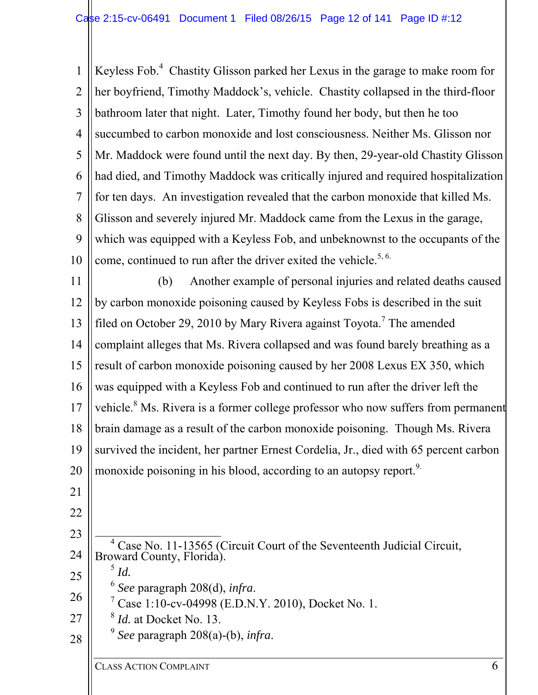1 2 3 4 5 6 7 8 9 10 Keyless Fob.<sup>4</sup> Chastity Glisson parked her Lexus in the garage to make room for her boyfriend, Timothy Maddock's, vehicle. Chastity collapsed in the third-floor bathroom later that night. Later, Timothy found her body, but then he too succumbed to carbon monoxide and lost consciousness. Neither Ms. Glisson nor Mr. Maddock were found until the next day. By then, 29-year-old Chastity Glisson had died, and Timothy Maddock was critically injured and required hospitalization for ten days. An investigation revealed that the carbon monoxide that killed Ms. Glisson and severely injured Mr. Maddock came from the Lexus in the garage, which was equipped with a Keyless Fob, and unbeknownst to the occupants of the come, continued to run after the driver exited the vehicle.<sup>5, 6.</sup>

11 12 13 14 15 16 17 18 19 20 (b) Another example of personal injuries and related deaths caused by carbon monoxide poisoning caused by Keyless Fobs is described in the suit filed on October 29, 2010 by Mary Rivera against Toyota.<sup>7</sup> The amended complaint alleges that Ms. Rivera collapsed and was found barely breathing as a result of carbon monoxide poisoning caused by her 2008 Lexus EX 350, which was equipped with a Keyless Fob and continued to run after the driver left the vehicle.<sup>8</sup> Ms. Rivera is a former college professor who now suffers from permanent brain damage as a result of the carbon monoxide poisoning. Though Ms. Rivera survived the incident, her partner Ernest Cordelia, Jr., died with 65 percent carbon monoxide poisoning in his blood, according to an autopsy report.<sup>9.</sup>

- 21
- 22 23

25

- 24  $\overline{4}$ <sup>4</sup> Case No. 11-13565 (Circuit Court of the Seventeenth Judicial Circuit, Broward County, Florida).
	- $^5$  *Id.*
	- <sup>6</sup> *See* paragraph 208(d), *infra*. 7
	- $\frac{7}{1}$  Case 1:10-cv-04998 (E.D.N.Y. 2010), Docket No. 1.
- 27 <sup>8</sup> *Id.* at Docket No. 13.
- 28 <sup>9</sup> *See* paragraph 208(a)-(b), *infra*.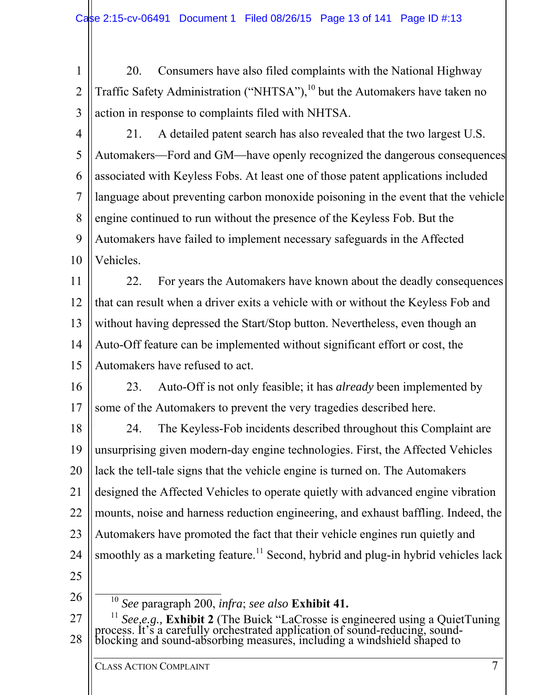1 2 3 20. Consumers have also filed complaints with the National Highway Traffic Safety Administration ("NHTSA"),<sup>10</sup> but the Automakers have taken no action in response to complaints filed with NHTSA.

4 5 6 7 8 9 10 21. A detailed patent search has also revealed that the two largest U.S. Automakers—Ford and GM—have openly recognized the dangerous consequences associated with Keyless Fobs. At least one of those patent applications included language about preventing carbon monoxide poisoning in the event that the vehicle engine continued to run without the presence of the Keyless Fob. But the Automakers have failed to implement necessary safeguards in the Affected Vehicles.

11 12 13 14 15 22. For years the Automakers have known about the deadly consequences that can result when a driver exits a vehicle with or without the Keyless Fob and without having depressed the Start/Stop button. Nevertheless, even though an Auto-Off feature can be implemented without significant effort or cost, the Automakers have refused to act.

16 17 23. Auto-Off is not only feasible; it has *already* been implemented by some of the Automakers to prevent the very tragedies described here.

18 19 20 21 22 23 24 25 24. The Keyless-Fob incidents described throughout this Complaint are unsurprising given modern-day engine technologies. First, the Affected Vehicles lack the tell-tale signs that the vehicle engine is turned on. The Automakers designed the Affected Vehicles to operate quietly with advanced engine vibration mounts, noise and harness reduction engineering, and exhaust baffling. Indeed, the Automakers have promoted the fact that their vehicle engines run quietly and smoothly as a marketing feature.<sup>11</sup> Second, hybrid and plug-in hybrid vehicles lack

26

10 *See* paragraph 200, *infra*; *see also* **Exhibit 41.**

27 28 <sup>11</sup> See, e.g., **Exhibit 2** (The Buick "LaCrosse is engineered using a QuietTuning process. It's a carefully orchestrated application of sound-reducing, sound-blocking and sound-absorbing measures, including a windshield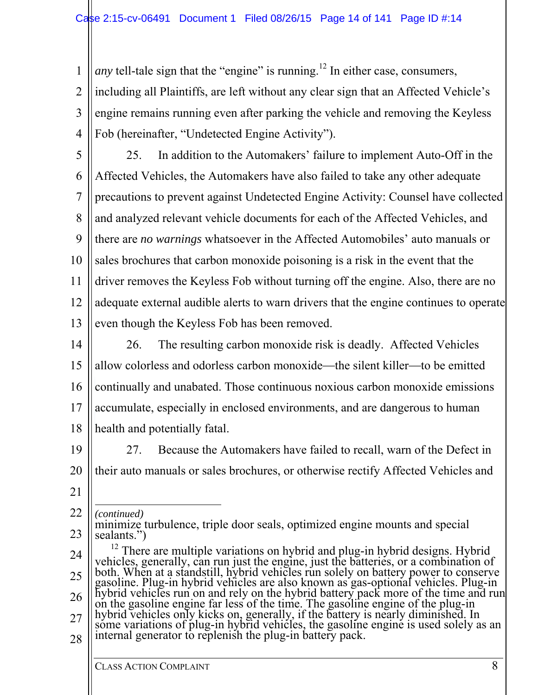*any* tell-tale sign that the "engine" is running.<sup>12</sup> In either case, consumers,

2 3 4 including all Plaintiffs, are left without any clear sign that an Affected Vehicle's engine remains running even after parking the vehicle and removing the Keyless Fob (hereinafter, "Undetected Engine Activity").

5 6 7 8 9 10 11 12 13 25. In addition to the Automakers' failure to implement Auto-Off in the Affected Vehicles, the Automakers have also failed to take any other adequate precautions to prevent against Undetected Engine Activity: Counsel have collected and analyzed relevant vehicle documents for each of the Affected Vehicles, and there are *no warnings* whatsoever in the Affected Automobiles' auto manuals or sales brochures that carbon monoxide poisoning is a risk in the event that the driver removes the Keyless Fob without turning off the engine. Also, there are no adequate external audible alerts to warn drivers that the engine continues to operate even though the Keyless Fob has been removed.

14 15 16 17 18 26. The resulting carbon monoxide risk is deadly. Affected Vehicles allow colorless and odorless carbon monoxide—the silent killer—to be emitted continually and unabated. Those continuous noxious carbon monoxide emissions accumulate, especially in enclosed environments, and are dangerous to human health and potentially fatal.

19

1

27. Because the Automakers have failed to recall, warn of the Defect in their auto manuals or sales brochures, or otherwise rectify Affected Vehicles and

21

20

22  $\overline{a}$ *(continued)* 

- 23 minimize turbulence, triple door seals, optimized engine mounts and special sealants.")
- 24 25 26 27 28 <sup>12</sup> There are multiple variations on hybrid and plug-in hybrid designs. Hybrid vehicles, generally, can run just the engine, just the batteries, or a combination of both. When at a standstill, hybrid vehicles run solely on the gasoline engine far less of the time. The gasoline engine of the plug-in<br>hybrid vehicles only kicks on, generally, if the battery is nearly diminished. In<br>some variations of plug-in hybrid vehicles, the gasoline eng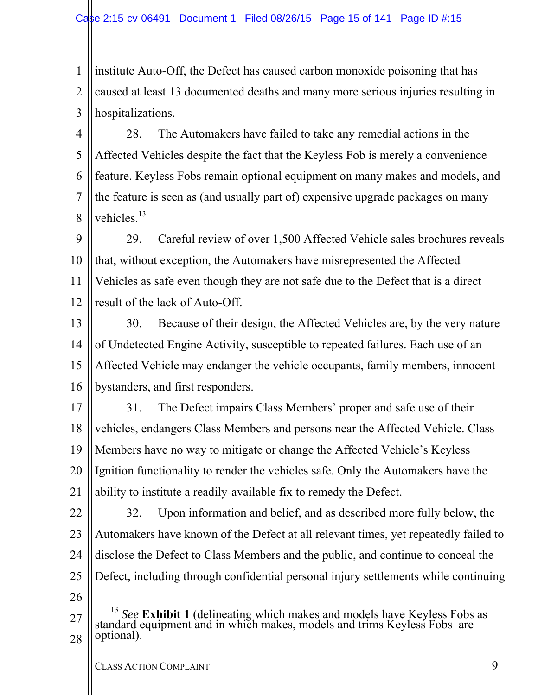1 2 3 institute Auto-Off, the Defect has caused carbon monoxide poisoning that has caused at least 13 documented deaths and many more serious injuries resulting in hospitalizations.

4 5 6 7 8 28. The Automakers have failed to take any remedial actions in the Affected Vehicles despite the fact that the Keyless Fob is merely a convenience feature. Keyless Fobs remain optional equipment on many makes and models, and the feature is seen as (and usually part of) expensive upgrade packages on many vehicles.<sup>13</sup>

9 10 11 12 29. Careful review of over 1,500 Affected Vehicle sales brochures reveals that, without exception, the Automakers have misrepresented the Affected Vehicles as safe even though they are not safe due to the Defect that is a direct result of the lack of Auto-Off.

13 14 15 16 30. Because of their design, the Affected Vehicles are, by the very nature of Undetected Engine Activity, susceptible to repeated failures. Each use of an Affected Vehicle may endanger the vehicle occupants, family members, innocent bystanders, and first responders.

17

18 19 20 21 31. The Defect impairs Class Members' proper and safe use of their vehicles, endangers Class Members and persons near the Affected Vehicle. Class Members have no way to mitigate or change the Affected Vehicle's Keyless Ignition functionality to render the vehicles safe. Only the Automakers have the ability to institute a readily-available fix to remedy the Defect.

22 23 24 25 32. Upon information and belief, and as described more fully below, the Automakers have known of the Defect at all relevant times, yet repeatedly failed to disclose the Defect to Class Members and the public, and continue to conceal the Defect, including through confidential personal injury settlements while continuing

<sup>27</sup> 28 <sup>13</sup> See Exhibit 1 (delineating which makes and models have Keyless Fobs as standard equipment and in which makes, models and trims Keyless Fobs are optional).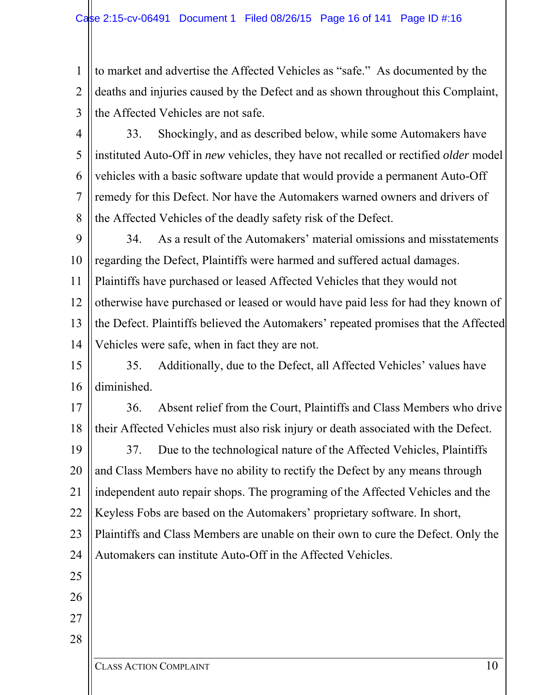1 2 3 to market and advertise the Affected Vehicles as "safe." As documented by the deaths and injuries caused by the Defect and as shown throughout this Complaint, the Affected Vehicles are not safe.

4 5 6 7 8 33. Shockingly, and as described below, while some Automakers have instituted Auto-Off in *new* vehicles, they have not recalled or rectified *older* model vehicles with a basic software update that would provide a permanent Auto-Off remedy for this Defect. Nor have the Automakers warned owners and drivers of the Affected Vehicles of the deadly safety risk of the Defect.

9 10 11 12 13 14 34. As a result of the Automakers' material omissions and misstatements regarding the Defect, Plaintiffs were harmed and suffered actual damages. Plaintiffs have purchased or leased Affected Vehicles that they would not otherwise have purchased or leased or would have paid less for had they known of the Defect. Plaintiffs believed the Automakers' repeated promises that the Affected Vehicles were safe, when in fact they are not.

15 16 35. Additionally, due to the Defect, all Affected Vehicles' values have diminished.

17

18

36. Absent relief from the Court, Plaintiffs and Class Members who drive their Affected Vehicles must also risk injury or death associated with the Defect.

19 20 21 22 23 24 37. Due to the technological nature of the Affected Vehicles, Plaintiffs and Class Members have no ability to rectify the Defect by any means through independent auto repair shops. The programing of the Affected Vehicles and the Keyless Fobs are based on the Automakers' proprietary software. In short, Plaintiffs and Class Members are unable on their own to cure the Defect. Only the Automakers can institute Auto-Off in the Affected Vehicles.

25

26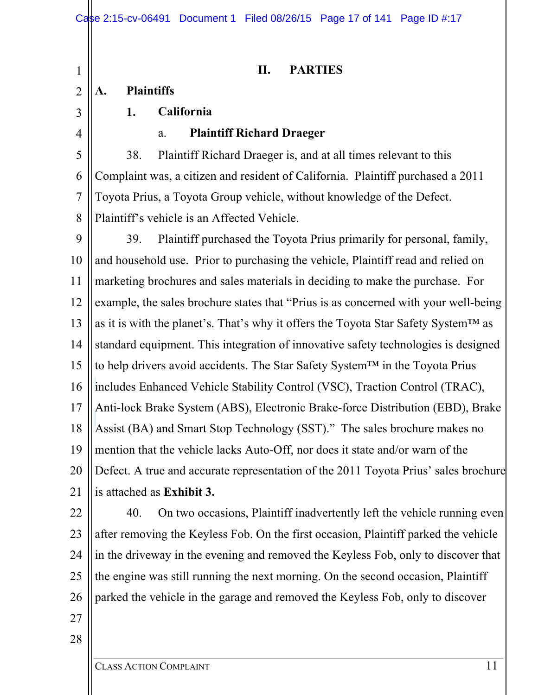#### **II. PARTIES**

# **A. Plaintiffs**

3

4

1

2

#### **1. California**

#### a. **Plaintiff Richard Draeger**

5 6 7 8 38. Plaintiff Richard Draeger is, and at all times relevant to this Complaint was, a citizen and resident of California. Plaintiff purchased a 2011 Toyota Prius, a Toyota Group vehicle, without knowledge of the Defect. Plaintiff's vehicle is an Affected Vehicle.

9 10 11 12 13 14 15 16 17 18 19 20 21 39. Plaintiff purchased the Toyota Prius primarily for personal, family, and household use. Prior to purchasing the vehicle, Plaintiff read and relied on marketing brochures and sales materials in deciding to make the purchase. For example, the sales brochure states that "Prius is as concerned with your well-being as it is with the planet's. That's why it offers the Toyota Star Safety System™ as standard equipment. This integration of innovative safety technologies is designed to help drivers avoid accidents. The Star Safety System™ in the Toyota Prius includes Enhanced Vehicle Stability Control (VSC), Traction Control (TRAC), Anti-lock Brake System (ABS), Electronic Brake-force Distribution (EBD), Brake Assist (BA) and Smart Stop Technology (SST)." The sales brochure makes no mention that the vehicle lacks Auto-Off, nor does it state and/or warn of the Defect. A true and accurate representation of the 2011 Toyota Prius' sales brochure is attached as **Exhibit 3.**

22 23 24 25 26 40. On two occasions, Plaintiff inadvertently left the vehicle running even after removing the Keyless Fob. On the first occasion, Plaintiff parked the vehicle in the driveway in the evening and removed the Keyless Fob, only to discover that the engine was still running the next morning. On the second occasion, Plaintiff parked the vehicle in the garage and removed the Keyless Fob, only to discover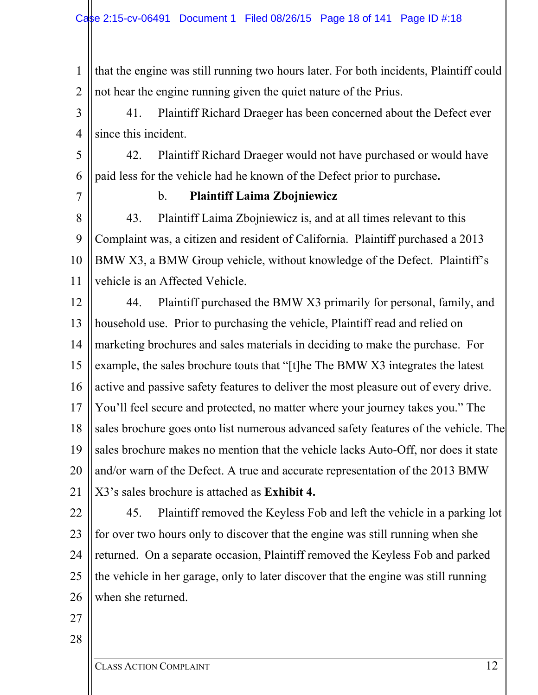1 2 that the engine was still running two hours later. For both incidents, Plaintiff could not hear the engine running given the quiet nature of the Prius.

3 4 41. Plaintiff Richard Draeger has been concerned about the Defect ever since this incident.

5 6 42. Plaintiff Richard Draeger would not have purchased or would have paid less for the vehicle had he known of the Defect prior to purchase**.**

7

#### b. **Plaintiff Laima Zbojniewicz**

8 9 10 11 43. Plaintiff Laima Zbojniewicz is, and at all times relevant to this Complaint was, a citizen and resident of California. Plaintiff purchased a 2013 BMW X3, a BMW Group vehicle, without knowledge of the Defect. Plaintiff's vehicle is an Affected Vehicle.

12 13 14 15 16 17 18 19 20 21 44. Plaintiff purchased the BMW X3 primarily for personal, family, and household use. Prior to purchasing the vehicle, Plaintiff read and relied on marketing brochures and sales materials in deciding to make the purchase. For example, the sales brochure touts that "[t]he The BMW X3 integrates the latest active and passive safety features to deliver the most pleasure out of every drive. You'll feel secure and protected, no matter where your journey takes you." The sales brochure goes onto list numerous advanced safety features of the vehicle. The sales brochure makes no mention that the vehicle lacks Auto-Off, nor does it state and/or warn of the Defect. A true and accurate representation of the 2013 BMW X3's sales brochure is attached as **Exhibit 4.**

22 23 24 25 26 45. Plaintiff removed the Keyless Fob and left the vehicle in a parking lot for over two hours only to discover that the engine was still running when she returned. On a separate occasion, Plaintiff removed the Keyless Fob and parked the vehicle in her garage, only to later discover that the engine was still running when she returned.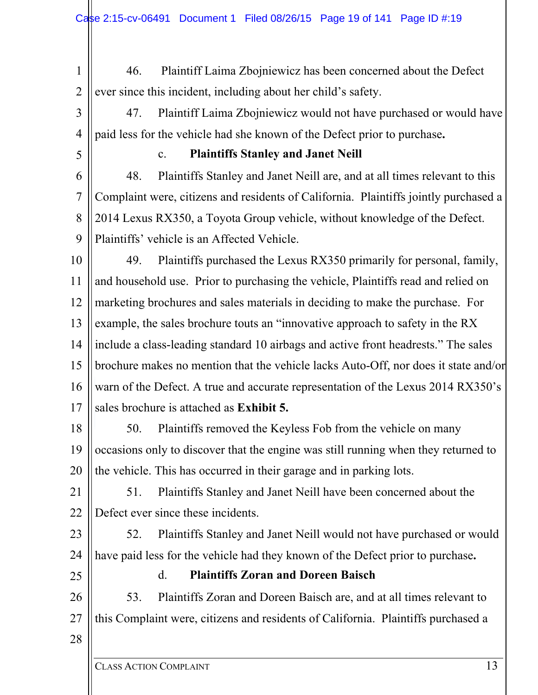- 1 2 46. Plaintiff Laima Zbojniewicz has been concerned about the Defect ever since this incident, including about her child's safety.
- 3 4 47. Plaintiff Laima Zbojniewicz would not have purchased or would have paid less for the vehicle had she known of the Defect prior to purchase**.**
- 5

# c. **Plaintiffs Stanley and Janet Neill**

6 7 8  $\mathbf Q$ 48. Plaintiffs Stanley and Janet Neill are, and at all times relevant to this Complaint were, citizens and residents of California. Plaintiffs jointly purchased a 2014 Lexus RX350, a Toyota Group vehicle, without knowledge of the Defect. Plaintiffs' vehicle is an Affected Vehicle.

10 11 12 13 14 15 16 17 49. Plaintiffs purchased the Lexus RX350 primarily for personal, family, and household use. Prior to purchasing the vehicle, Plaintiffs read and relied on marketing brochures and sales materials in deciding to make the purchase. For example, the sales brochure touts an "innovative approach to safety in the RX include a class-leading standard 10 airbags and active front headrests." The sales brochure makes no mention that the vehicle lacks Auto-Off, nor does it state and/or warn of the Defect. A true and accurate representation of the Lexus 2014 RX350's sales brochure is attached as **Exhibit 5.**

18 19 20 50. Plaintiffs removed the Keyless Fob from the vehicle on many occasions only to discover that the engine was still running when they returned to the vehicle. This has occurred in their garage and in parking lots.

21 22 51. Plaintiffs Stanley and Janet Neill have been concerned about the Defect ever since these incidents.

23 24 52. Plaintiffs Stanley and Janet Neill would not have purchased or would have paid less for the vehicle had they known of the Defect prior to purchase**.**

25

# d. **Plaintiffs Zoran and Doreen Baisch**

26 27 53. Plaintiffs Zoran and Doreen Baisch are, and at all times relevant to this Complaint were, citizens and residents of California. Plaintiffs purchased a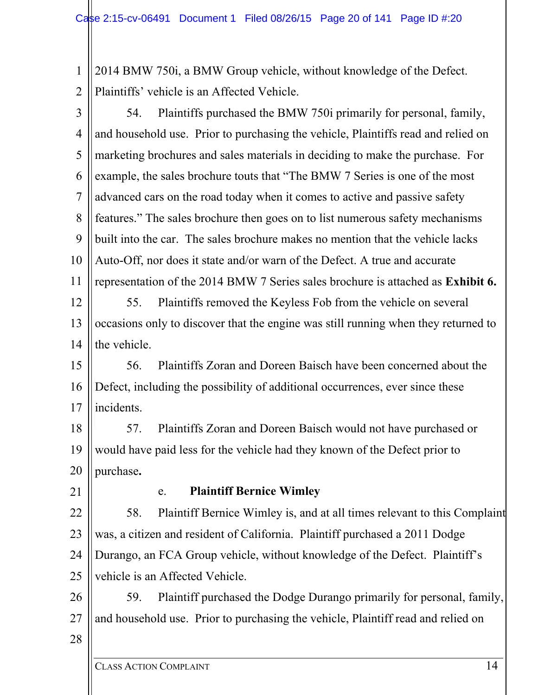1 2 2014 BMW 750i, a BMW Group vehicle, without knowledge of the Defect. Plaintiffs' vehicle is an Affected Vehicle.

3 4 5 6 7 8 9 10 11 12 13 14 54. Plaintiffs purchased the BMW 750i primarily for personal, family, and household use. Prior to purchasing the vehicle, Plaintiffs read and relied on marketing brochures and sales materials in deciding to make the purchase. For example, the sales brochure touts that "The BMW 7 Series is one of the most advanced cars on the road today when it comes to active and passive safety features." The sales brochure then goes on to list numerous safety mechanisms built into the car. The sales brochure makes no mention that the vehicle lacks Auto-Off, nor does it state and/or warn of the Defect. A true and accurate representation of the 2014 BMW 7 Series sales brochure is attached as **Exhibit 6.** 55. Plaintiffs removed the Keyless Fob from the vehicle on several occasions only to discover that the engine was still running when they returned to the vehicle.

15 16 17 56. Plaintiffs Zoran and Doreen Baisch have been concerned about the Defect, including the possibility of additional occurrences, ever since these incidents.

18 19 20 57. Plaintiffs Zoran and Doreen Baisch would not have purchased or would have paid less for the vehicle had they known of the Defect prior to purchase**.**

21

#### e. **Plaintiff Bernice Wimley**

22 23 24 25 58. Plaintiff Bernice Wimley is, and at all times relevant to this Complaint was, a citizen and resident of California. Plaintiff purchased a 2011 Dodge Durango, an FCA Group vehicle, without knowledge of the Defect. Plaintiff's vehicle is an Affected Vehicle.

26 27 59. Plaintiff purchased the Dodge Durango primarily for personal, family, and household use. Prior to purchasing the vehicle, Plaintiff read and relied on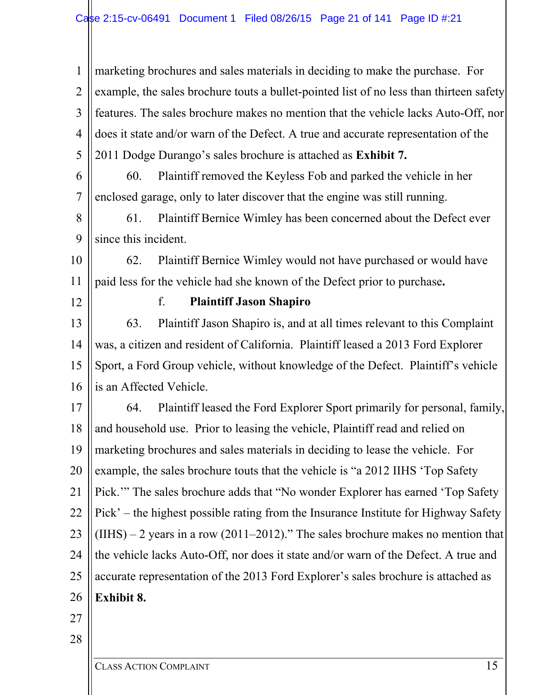1 2 3 4 5 6 7 8 marketing brochures and sales materials in deciding to make the purchase. For example, the sales brochure touts a bullet-pointed list of no less than thirteen safety features. The sales brochure makes no mention that the vehicle lacks Auto-Off, nor does it state and/or warn of the Defect. A true and accurate representation of the 2011 Dodge Durango's sales brochure is attached as **Exhibit 7.** 60. Plaintiff removed the Keyless Fob and parked the vehicle in her enclosed garage, only to later discover that the engine was still running. 61. Plaintiff Bernice Wimley has been concerned about the Defect ever since this incident.

10 11 62. Plaintiff Bernice Wimley would not have purchased or would have paid less for the vehicle had she known of the Defect prior to purchase**.**

12

9

f. **Plaintiff Jason Shapiro** 

13 14 15 16 63. Plaintiff Jason Shapiro is, and at all times relevant to this Complaint was, a citizen and resident of California. Plaintiff leased a 2013 Ford Explorer Sport, a Ford Group vehicle, without knowledge of the Defect. Plaintiff's vehicle is an Affected Vehicle.

17 18 19 20 21 22 23 24 25 26 64. Plaintiff leased the Ford Explorer Sport primarily for personal, family, and household use. Prior to leasing the vehicle, Plaintiff read and relied on marketing brochures and sales materials in deciding to lease the vehicle. For example, the sales brochure touts that the vehicle is "a 2012 IIHS 'Top Safety Pick.'" The sales brochure adds that "No wonder Explorer has earned 'Top Safety Pick' – the highest possible rating from the Insurance Institute for Highway Safety  $(IIHS) - 2$  years in a row (2011–2012)." The sales brochure makes no mention that the vehicle lacks Auto-Off, nor does it state and/or warn of the Defect. A true and accurate representation of the 2013 Ford Explorer's sales brochure is attached as **Exhibit 8.**

- 27
- 28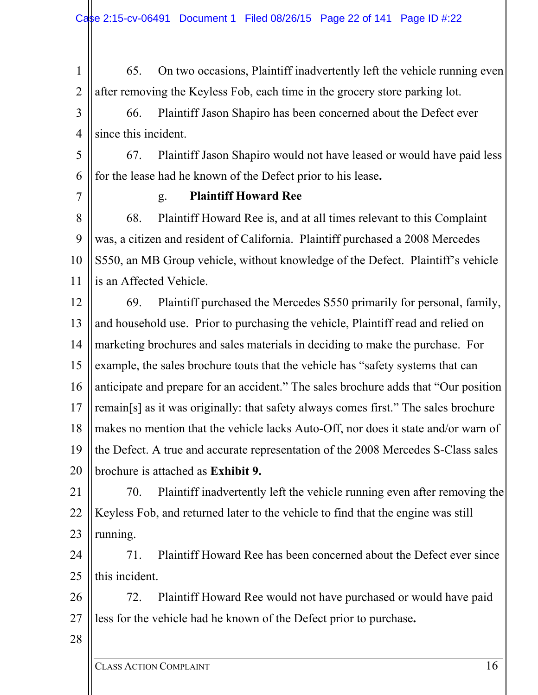1 2 65. On two occasions, Plaintiff inadvertently left the vehicle running even after removing the Keyless Fob, each time in the grocery store parking lot.

3 4 66. Plaintiff Jason Shapiro has been concerned about the Defect ever since this incident.

5 6 67. Plaintiff Jason Shapiro would not have leased or would have paid less for the lease had he known of the Defect prior to his lease**.**

7

#### g. **Plaintiff Howard Ree**

8 9 10 11 68. Plaintiff Howard Ree is, and at all times relevant to this Complaint was, a citizen and resident of California. Plaintiff purchased a 2008 Mercedes S550, an MB Group vehicle, without knowledge of the Defect. Plaintiff's vehicle is an Affected Vehicle.

12 13 14 15 16 17 18 19 20 69. Plaintiff purchased the Mercedes S550 primarily for personal, family, and household use. Prior to purchasing the vehicle, Plaintiff read and relied on marketing brochures and sales materials in deciding to make the purchase. For example, the sales brochure touts that the vehicle has "safety systems that can anticipate and prepare for an accident." The sales brochure adds that "Our position remain[s] as it was originally: that safety always comes first." The sales brochure makes no mention that the vehicle lacks Auto-Off, nor does it state and/or warn of the Defect. A true and accurate representation of the 2008 Mercedes S-Class sales brochure is attached as **Exhibit 9.**

21 22 23 70. Plaintiff inadvertently left the vehicle running even after removing the Keyless Fob, and returned later to the vehicle to find that the engine was still running.

24 25 71. Plaintiff Howard Ree has been concerned about the Defect ever since this incident.

26 27 72. Plaintiff Howard Ree would not have purchased or would have paid less for the vehicle had he known of the Defect prior to purchase**.**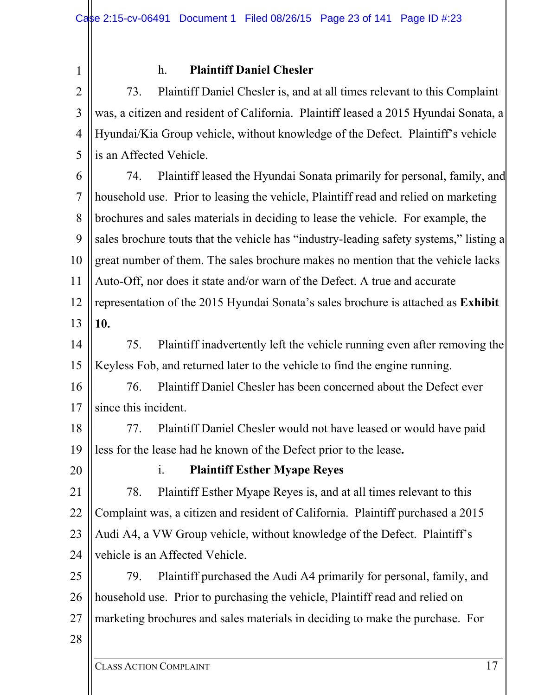1

## h. **Plaintiff Daniel Chesler**

2 3 4 5 73. Plaintiff Daniel Chesler is, and at all times relevant to this Complaint was, a citizen and resident of California. Plaintiff leased a 2015 Hyundai Sonata, a Hyundai/Kia Group vehicle, without knowledge of the Defect. Plaintiff's vehicle is an Affected Vehicle.

6

7 8 9 10 11 12 13 74. Plaintiff leased the Hyundai Sonata primarily for personal, family, and household use. Prior to leasing the vehicle, Plaintiff read and relied on marketing brochures and sales materials in deciding to lease the vehicle. For example, the sales brochure touts that the vehicle has "industry-leading safety systems," listing a great number of them. The sales brochure makes no mention that the vehicle lacks Auto-Off, nor does it state and/or warn of the Defect. A true and accurate representation of the 2015 Hyundai Sonata's sales brochure is attached as **Exhibit 10.**

14 15 75. Plaintiff inadvertently left the vehicle running even after removing the Keyless Fob, and returned later to the vehicle to find the engine running.

16 17 76. Plaintiff Daniel Chesler has been concerned about the Defect ever since this incident.

18 19 77. Plaintiff Daniel Chesler would not have leased or would have paid less for the lease had he known of the Defect prior to the lease**.**

20

## i. **Plaintiff Esther Myape Reyes**

21 22 23 24 78. Plaintiff Esther Myape Reyes is, and at all times relevant to this Complaint was, a citizen and resident of California. Plaintiff purchased a 2015 Audi A4, a VW Group vehicle, without knowledge of the Defect. Plaintiff's vehicle is an Affected Vehicle.

25 26 27 79. Plaintiff purchased the Audi A4 primarily for personal, family, and household use. Prior to purchasing the vehicle, Plaintiff read and relied on marketing brochures and sales materials in deciding to make the purchase. For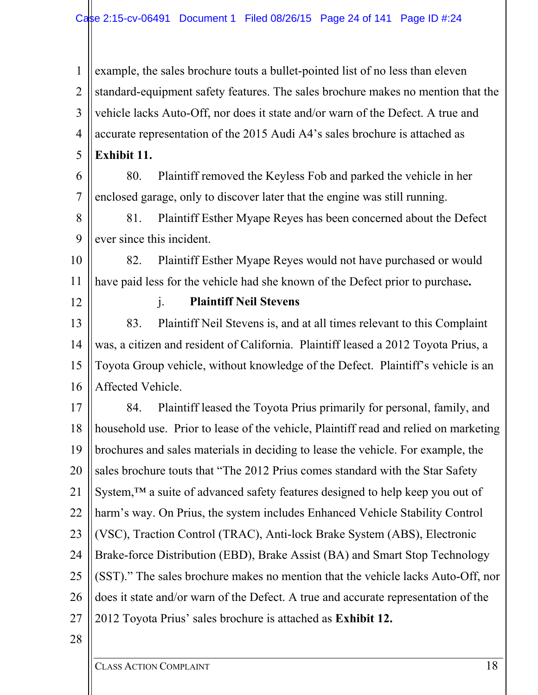1 2 3 4 5 example, the sales brochure touts a bullet-pointed list of no less than eleven standard-equipment safety features. The sales brochure makes no mention that the vehicle lacks Auto-Off, nor does it state and/or warn of the Defect. A true and accurate representation of the 2015 Audi A4's sales brochure is attached as **Exhibit 11.**

6 7 80. Plaintiff removed the Keyless Fob and parked the vehicle in her enclosed garage, only to discover later that the engine was still running.

8 9 81. Plaintiff Esther Myape Reyes has been concerned about the Defect ever since this incident.

10 11 82. Plaintiff Esther Myape Reyes would not have purchased or would have paid less for the vehicle had she known of the Defect prior to purchase**.**

12

j. **Plaintiff Neil Stevens** 

13 14 15 16 83. Plaintiff Neil Stevens is, and at all times relevant to this Complaint was, a citizen and resident of California. Plaintiff leased a 2012 Toyota Prius, a Toyota Group vehicle, without knowledge of the Defect. Plaintiff's vehicle is an Affected Vehicle.

17 18 19 20 21 22 23 24 25 26 27 84. Plaintiff leased the Toyota Prius primarily for personal, family, and household use. Prior to lease of the vehicle, Plaintiff read and relied on marketing brochures and sales materials in deciding to lease the vehicle. For example, the sales brochure touts that "The 2012 Prius comes standard with the Star Safety System,<sup>™</sup> a suite of advanced safety features designed to help keep you out of harm's way. On Prius, the system includes Enhanced Vehicle Stability Control (VSC), Traction Control (TRAC), Anti-lock Brake System (ABS), Electronic Brake-force Distribution (EBD), Brake Assist (BA) and Smart Stop Technology (SST)." The sales brochure makes no mention that the vehicle lacks Auto-Off, nor does it state and/or warn of the Defect. A true and accurate representation of the 2012 Toyota Prius' sales brochure is attached as **Exhibit 12.**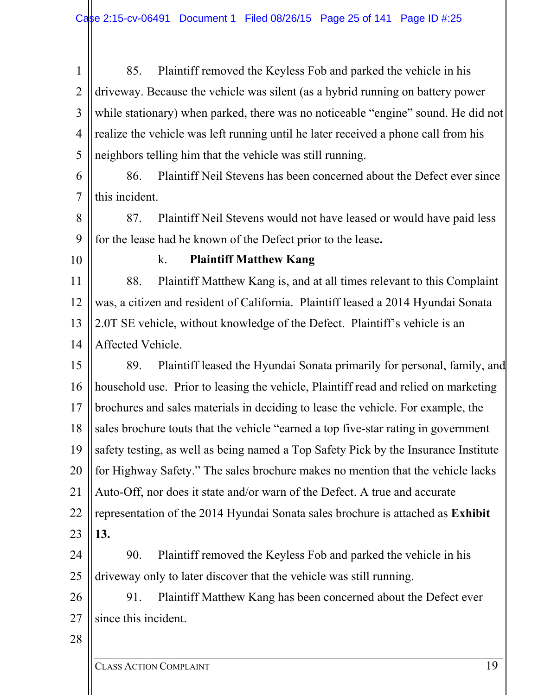1 2 3 4 5 85. Plaintiff removed the Keyless Fob and parked the vehicle in his driveway. Because the vehicle was silent (as a hybrid running on battery power while stationary) when parked, there was no noticeable "engine" sound. He did not realize the vehicle was left running until he later received a phone call from his neighbors telling him that the vehicle was still running.

6 7 86. Plaintiff Neil Stevens has been concerned about the Defect ever since this incident.

8 9 87. Plaintiff Neil Stevens would not have leased or would have paid less for the lease had he known of the Defect prior to the lease**.**

10

#### k. **Plaintiff Matthew Kang**

11 12 13 14 88. Plaintiff Matthew Kang is, and at all times relevant to this Complaint was, a citizen and resident of California. Plaintiff leased a 2014 Hyundai Sonata 2.0T SE vehicle, without knowledge of the Defect. Plaintiff's vehicle is an Affected Vehicle.

15 16 17 18 19 20 21 22 23 89. Plaintiff leased the Hyundai Sonata primarily for personal, family, and household use. Prior to leasing the vehicle, Plaintiff read and relied on marketing brochures and sales materials in deciding to lease the vehicle. For example, the sales brochure touts that the vehicle "earned a top five-star rating in government safety testing, as well as being named a Top Safety Pick by the Insurance Institute for Highway Safety." The sales brochure makes no mention that the vehicle lacks Auto-Off, nor does it state and/or warn of the Defect. A true and accurate representation of the 2014 Hyundai Sonata sales brochure is attached as **Exhibit 13.**

24 25 90. Plaintiff removed the Keyless Fob and parked the vehicle in his driveway only to later discover that the vehicle was still running.

26 27 91. Plaintiff Matthew Kang has been concerned about the Defect ever since this incident.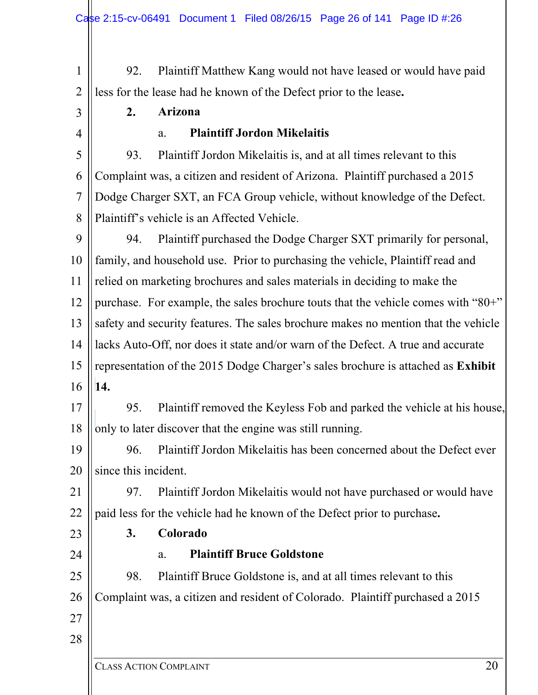1 2 92. Plaintiff Matthew Kang would not have leased or would have paid less for the lease had he known of the Defect prior to the lease**.**

3

4

## a. **Plaintiff Jordon Mikelaitis**

**2. Arizona** 

5 6 7 8 93. Plaintiff Jordon Mikelaitis is, and at all times relevant to this Complaint was, a citizen and resident of Arizona. Plaintiff purchased a 2015 Dodge Charger SXT, an FCA Group vehicle, without knowledge of the Defect. Plaintiff's vehicle is an Affected Vehicle.

9 10 11 12 13 14 15 16 94. Plaintiff purchased the Dodge Charger SXT primarily for personal, family, and household use. Prior to purchasing the vehicle, Plaintiff read and relied on marketing brochures and sales materials in deciding to make the purchase. For example, the sales brochure touts that the vehicle comes with "80+" safety and security features. The sales brochure makes no mention that the vehicle lacks Auto-Off, nor does it state and/or warn of the Defect. A true and accurate representation of the 2015 Dodge Charger's sales brochure is attached as **Exhibit 14.**

17 18 95. Plaintiff removed the Keyless Fob and parked the vehicle at his house, only to later discover that the engine was still running.

19 20 96. Plaintiff Jordon Mikelaitis has been concerned about the Defect ever since this incident.

21 22 97. Plaintiff Jordon Mikelaitis would not have purchased or would have paid less for the vehicle had he known of the Defect prior to purchase**.**

- 
- 23 24

#### **3. Colorado**

a. **Plaintiff Bruce Goldstone** 

25 26 98. Plaintiff Bruce Goldstone is, and at all times relevant to this Complaint was, a citizen and resident of Colorado. Plaintiff purchased a 2015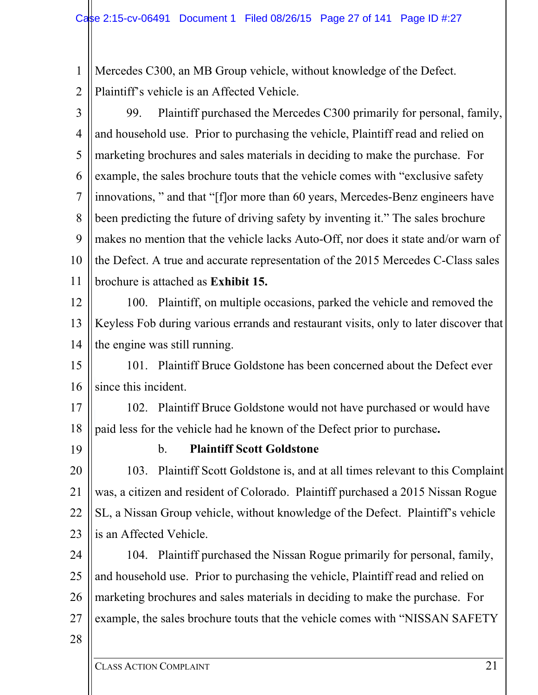1 2 Mercedes C300, an MB Group vehicle, without knowledge of the Defect. Plaintiff's vehicle is an Affected Vehicle.

3 4 5 6 7 8 9 10 11 99. Plaintiff purchased the Mercedes C300 primarily for personal, family, and household use. Prior to purchasing the vehicle, Plaintiff read and relied on marketing brochures and sales materials in deciding to make the purchase. For example, the sales brochure touts that the vehicle comes with "exclusive safety innovations, " and that "[f]or more than 60 years, Mercedes-Benz engineers have been predicting the future of driving safety by inventing it." The sales brochure makes no mention that the vehicle lacks Auto-Off, nor does it state and/or warn of the Defect. A true and accurate representation of the 2015 Mercedes C-Class sales brochure is attached as **Exhibit 15.**

12 13 14 100. Plaintiff, on multiple occasions, parked the vehicle and removed the Keyless Fob during various errands and restaurant visits, only to later discover that the engine was still running.

15 16 101. Plaintiff Bruce Goldstone has been concerned about the Defect ever since this incident.

17

18 102. Plaintiff Bruce Goldstone would not have purchased or would have paid less for the vehicle had he known of the Defect prior to purchase**.**

19

## b. **Plaintiff Scott Goldstone**

20 21 22 23 103. Plaintiff Scott Goldstone is, and at all times relevant to this Complaint was, a citizen and resident of Colorado. Plaintiff purchased a 2015 Nissan Rogue SL, a Nissan Group vehicle, without knowledge of the Defect. Plaintiff's vehicle is an Affected Vehicle.

24 25 26 27 104. Plaintiff purchased the Nissan Rogue primarily for personal, family, and household use. Prior to purchasing the vehicle, Plaintiff read and relied on marketing brochures and sales materials in deciding to make the purchase. For example, the sales brochure touts that the vehicle comes with "NISSAN SAFETY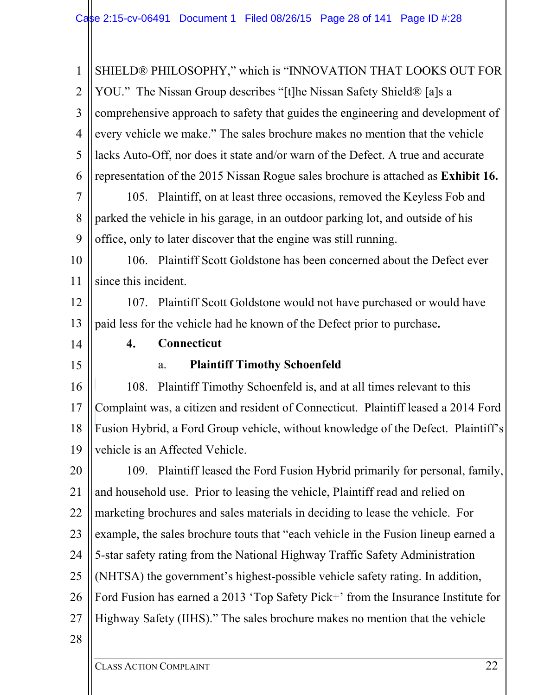| 1              | SHIELD® PHILOSOPHY," which is "INNOVATION THAT LOOKS OUT FOR                       |
|----------------|------------------------------------------------------------------------------------|
| $\overline{2}$ | YOU." The Nissan Group describes "[t]he Nissan Safety Shield® [a]s a               |
| 3              | comprehensive approach to safety that guides the engineering and development of    |
| $\overline{4}$ | every vehicle we make." The sales brochure makes no mention that the vehicle       |
| 5              | lacks Auto-Off, nor does it state and/or warn of the Defect. A true and accurate   |
| 6              | representation of the 2015 Nissan Rogue sales brochure is attached as Exhibit 16.  |
| $\overline{7}$ | 105. Plaintiff, on at least three occasions, removed the Keyless Fob and           |
| 8              | parked the vehicle in his garage, in an outdoor parking lot, and outside of his    |
| 9              | office, only to later discover that the engine was still running.                  |
| 10             | 106. Plaintiff Scott Goldstone has been concerned about the Defect ever            |
| 11             | since this incident.                                                               |
| 12             | 107. Plaintiff Scott Goldstone would not have purchased or would have              |
| 13             | paid less for the vehicle had he known of the Defect prior to purchase.            |
| 14             | 4.<br>Connecticut                                                                  |
| 15             | <b>Plaintiff Timothy Schoenfeld</b><br>a.                                          |
| 16             | 108. Plaintiff Timothy Schoenfeld is, and at all times relevant to this            |
| 17             | Complaint was, a citizen and resident of Connecticut. Plaintiff leased a 2014 Ford |
| 18             | Fusion Hybrid, a Ford Group vehicle, without knowledge of the Defect. Plaintiff's  |
| 19             | vehicle is an Affected Vehicle.                                                    |
| 20             | 109. Plaintiff leased the Ford Fusion Hybrid primarily for personal, family,       |
| 21             | and household use. Prior to leasing the vehicle, Plaintiff read and relied on      |
| 22             | marketing brochures and sales materials in deciding to lease the vehicle. For      |
| 23             | example, the sales brochure touts that "each vehicle in the Fusion lineup earned a |
| 24             | 5-star safety rating from the National Highway Traffic Safety Administration       |
| 25             | (NHTSA) the government's highest-possible vehicle safety rating. In addition,      |
| 26             | Ford Fusion has earned a 2013 'Top Safety Pick+' from the Insurance Institute for  |
| 27             | Highway Safety (IIHS)." The sales brochure makes no mention that the vehicle       |
| 28             |                                                                                    |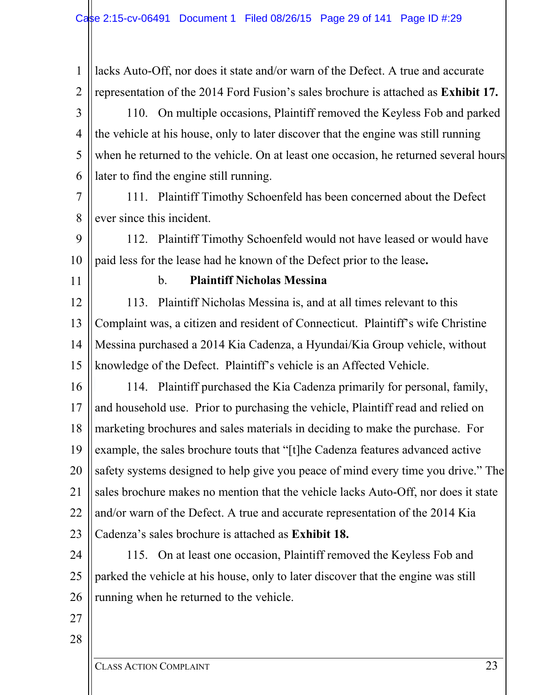1 2 lacks Auto-Off, nor does it state and/or warn of the Defect. A true and accurate representation of the 2014 Ford Fusion's sales brochure is attached as **Exhibit 17.**

3 4 5 6 110. On multiple occasions, Plaintiff removed the Keyless Fob and parked the vehicle at his house, only to later discover that the engine was still running when he returned to the vehicle. On at least one occasion, he returned several hours later to find the engine still running.

7 8 111. Plaintiff Timothy Schoenfeld has been concerned about the Defect ever since this incident.

9 10 112. Plaintiff Timothy Schoenfeld would not have leased or would have paid less for the lease had he known of the Defect prior to the lease**.**

11

#### b. **Plaintiff Nicholas Messina**

12 13 14 15 113. Plaintiff Nicholas Messina is, and at all times relevant to this Complaint was, a citizen and resident of Connecticut. Plaintiff's wife Christine Messina purchased a 2014 Kia Cadenza, a Hyundai/Kia Group vehicle, without knowledge of the Defect. Plaintiff's vehicle is an Affected Vehicle.

16 17 18 19 20 21 22 23 114. Plaintiff purchased the Kia Cadenza primarily for personal, family, and household use. Prior to purchasing the vehicle, Plaintiff read and relied on marketing brochures and sales materials in deciding to make the purchase. For example, the sales brochure touts that "[t]he Cadenza features advanced active safety systems designed to help give you peace of mind every time you drive." The sales brochure makes no mention that the vehicle lacks Auto-Off, nor does it state and/or warn of the Defect. A true and accurate representation of the 2014 Kia Cadenza's sales brochure is attached as **Exhibit 18.**

24 25 26 115. On at least one occasion, Plaintiff removed the Keyless Fob and parked the vehicle at his house, only to later discover that the engine was still running when he returned to the vehicle.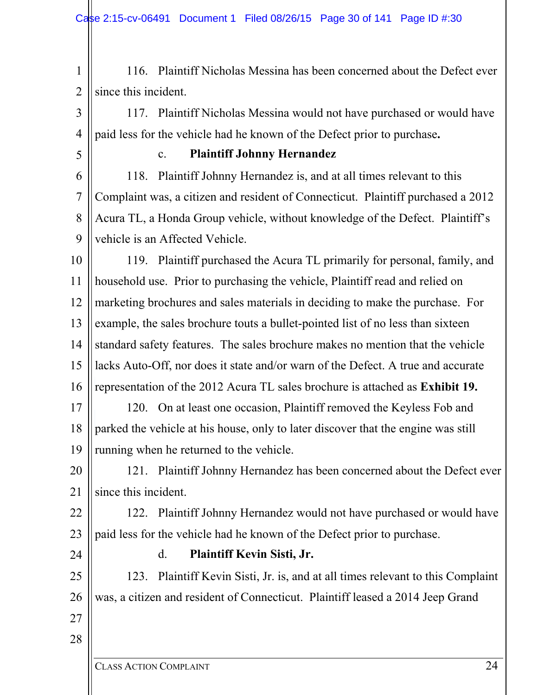1 2 116. Plaintiff Nicholas Messina has been concerned about the Defect ever since this incident.

3 4 117. Plaintiff Nicholas Messina would not have purchased or would have paid less for the vehicle had he known of the Defect prior to purchase**.**

5

## c. **Plaintiff Johnny Hernandez**

6 7 8 9 118. Plaintiff Johnny Hernandez is, and at all times relevant to this Complaint was, a citizen and resident of Connecticut. Plaintiff purchased a 2012 Acura TL, a Honda Group vehicle, without knowledge of the Defect. Plaintiff's vehicle is an Affected Vehicle.

10 11 12 13 14 15 16 17 119. Plaintiff purchased the Acura TL primarily for personal, family, and household use. Prior to purchasing the vehicle, Plaintiff read and relied on marketing brochures and sales materials in deciding to make the purchase. For example, the sales brochure touts a bullet-pointed list of no less than sixteen standard safety features. The sales brochure makes no mention that the vehicle lacks Auto-Off, nor does it state and/or warn of the Defect. A true and accurate representation of the 2012 Acura TL sales brochure is attached as **Exhibit 19.** 120. On at least one occasion, Plaintiff removed the Keyless Fob and

18 19 parked the vehicle at his house, only to later discover that the engine was still running when he returned to the vehicle.

20 21 121. Plaintiff Johnny Hernandez has been concerned about the Defect ever since this incident.

22 23 122. Plaintiff Johnny Hernandez would not have purchased or would have paid less for the vehicle had he known of the Defect prior to purchase.

24

## d. **Plaintiff Kevin Sisti, Jr.**

25 26 123. Plaintiff Kevin Sisti, Jr. is, and at all times relevant to this Complaint was, a citizen and resident of Connecticut. Plaintiff leased a 2014 Jeep Grand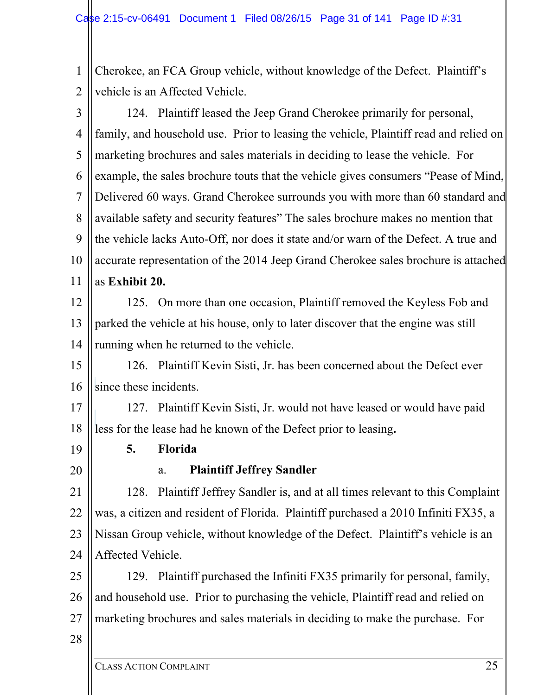1 2 Cherokee, an FCA Group vehicle, without knowledge of the Defect. Plaintiff's vehicle is an Affected Vehicle.

3 4 5 6 7 8 9 10 11 124. Plaintiff leased the Jeep Grand Cherokee primarily for personal, family, and household use. Prior to leasing the vehicle, Plaintiff read and relied on marketing brochures and sales materials in deciding to lease the vehicle. For example, the sales brochure touts that the vehicle gives consumers "Pease of Mind, Delivered 60 ways. Grand Cherokee surrounds you with more than 60 standard and available safety and security features" The sales brochure makes no mention that the vehicle lacks Auto-Off, nor does it state and/or warn of the Defect. A true and accurate representation of the 2014 Jeep Grand Cherokee sales brochure is attached as **Exhibit 20.**

12 13 14 125. On more than one occasion, Plaintiff removed the Keyless Fob and parked the vehicle at his house, only to later discover that the engine was still running when he returned to the vehicle.

15 16 126. Plaintiff Kevin Sisti, Jr. has been concerned about the Defect ever since these incidents.

17 18 127. Plaintiff Kevin Sisti, Jr. would not have leased or would have paid less for the lease had he known of the Defect prior to leasing**.**

19

**5. Florida** 

20

# a. **Plaintiff Jeffrey Sandler**

21 22 23 24 128. Plaintiff Jeffrey Sandler is, and at all times relevant to this Complaint was, a citizen and resident of Florida. Plaintiff purchased a 2010 Infiniti FX35, a Nissan Group vehicle, without knowledge of the Defect. Plaintiff's vehicle is an Affected Vehicle.

25 26 27 129. Plaintiff purchased the Infiniti FX35 primarily for personal, family, and household use. Prior to purchasing the vehicle, Plaintiff read and relied on marketing brochures and sales materials in deciding to make the purchase. For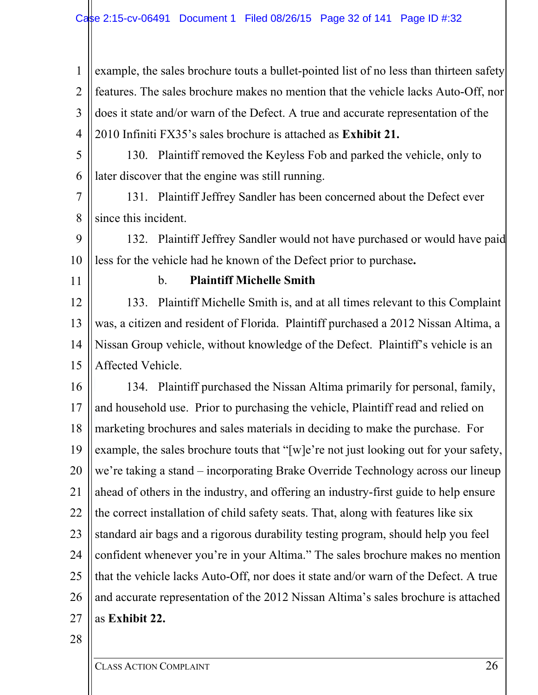1 2 3 4 example, the sales brochure touts a bullet-pointed list of no less than thirteen safety features. The sales brochure makes no mention that the vehicle lacks Auto-Off, nor does it state and/or warn of the Defect. A true and accurate representation of the 2010 Infiniti FX35's sales brochure is attached as **Exhibit 21.**

5

6 130. Plaintiff removed the Keyless Fob and parked the vehicle, only to later discover that the engine was still running.

7 8 131. Plaintiff Jeffrey Sandler has been concerned about the Defect ever since this incident.

9 10 132. Plaintiff Jeffrey Sandler would not have purchased or would have paid less for the vehicle had he known of the Defect prior to purchase**.**

11

#### b. **Plaintiff Michelle Smith**

12 13 14 15 133. Plaintiff Michelle Smith is, and at all times relevant to this Complaint was, a citizen and resident of Florida. Plaintiff purchased a 2012 Nissan Altima, a Nissan Group vehicle, without knowledge of the Defect. Plaintiff's vehicle is an Affected Vehicle.

16 17 18 19 20 21 22 23 24 25 26 27 134. Plaintiff purchased the Nissan Altima primarily for personal, family, and household use. Prior to purchasing the vehicle, Plaintiff read and relied on marketing brochures and sales materials in deciding to make the purchase. For example, the sales brochure touts that "[w]e're not just looking out for your safety, we're taking a stand – incorporating Brake Override Technology across our lineup ahead of others in the industry, and offering an industry-first guide to help ensure the correct installation of child safety seats. That, along with features like six standard air bags and a rigorous durability testing program, should help you feel confident whenever you're in your Altima." The sales brochure makes no mention that the vehicle lacks Auto-Off, nor does it state and/or warn of the Defect. A true and accurate representation of the 2012 Nissan Altima's sales brochure is attached as **Exhibit 22.**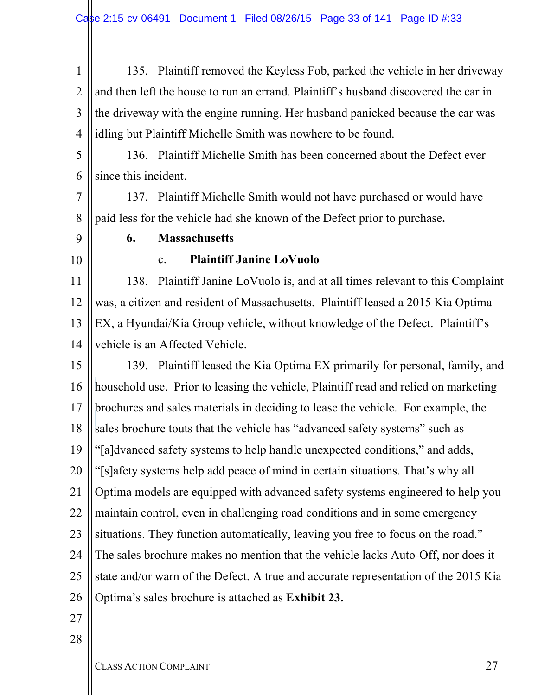1 2 3 4 135. Plaintiff removed the Keyless Fob, parked the vehicle in her driveway and then left the house to run an errand. Plaintiff's husband discovered the car in the driveway with the engine running. Her husband panicked because the car was idling but Plaintiff Michelle Smith was nowhere to be found.

5

6

136. Plaintiff Michelle Smith has been concerned about the Defect ever since this incident.

7 8 137. Plaintiff Michelle Smith would not have purchased or would have paid less for the vehicle had she known of the Defect prior to purchase**.**

- 9
- 10

# **6. Massachusetts**

# c. **Plaintiff Janine LoVuolo**

11 12 13 14 138. Plaintiff Janine LoVuolo is, and at all times relevant to this Complaint was, a citizen and resident of Massachusetts. Plaintiff leased a 2015 Kia Optima EX, a Hyundai/Kia Group vehicle, without knowledge of the Defect. Plaintiff's vehicle is an Affected Vehicle.

15 16 17 18 19 20 21 22 23 24 25 26 139. Plaintiff leased the Kia Optima EX primarily for personal, family, and household use. Prior to leasing the vehicle, Plaintiff read and relied on marketing brochures and sales materials in deciding to lease the vehicle. For example, the sales brochure touts that the vehicle has "advanced safety systems" such as "[a]dvanced safety systems to help handle unexpected conditions," and adds, "[s]afety systems help add peace of mind in certain situations. That's why all Optima models are equipped with advanced safety systems engineered to help you maintain control, even in challenging road conditions and in some emergency situations. They function automatically, leaving you free to focus on the road." The sales brochure makes no mention that the vehicle lacks Auto-Off, nor does it state and/or warn of the Defect. A true and accurate representation of the 2015 Kia Optima's sales brochure is attached as **Exhibit 23.**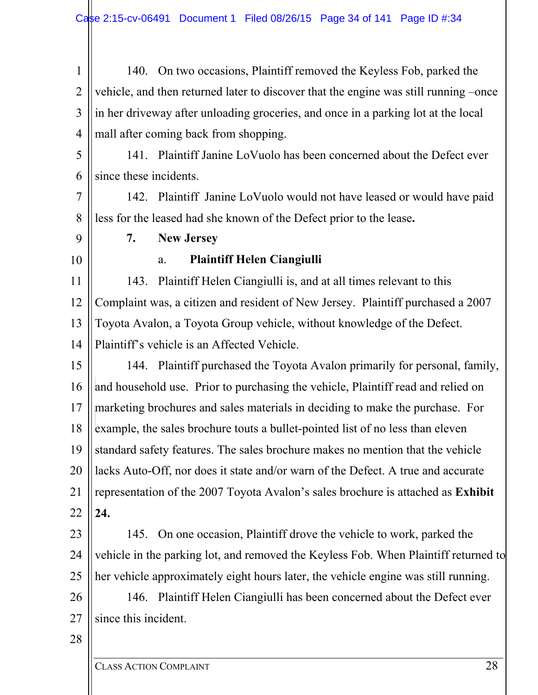1 2 3 4 140. On two occasions, Plaintiff removed the Keyless Fob, parked the vehicle, and then returned later to discover that the engine was still running –once in her driveway after unloading groceries, and once in a parking lot at the local mall after coming back from shopping.

5

6

141. Plaintiff Janine LoVuolo has been concerned about the Defect ever since these incidents.

7 8 142. Plaintiff Janine LoVuolo would not have leased or would have paid less for the leased had she known of the Defect prior to the lease**.**

- **7. New Jersey**
- 10

9

a. **Plaintiff Helen Ciangiulli** 

11 12 13 14 143. Plaintiff Helen Ciangiulli is, and at all times relevant to this Complaint was, a citizen and resident of New Jersey. Plaintiff purchased a 2007 Toyota Avalon, a Toyota Group vehicle, without knowledge of the Defect. Plaintiff's vehicle is an Affected Vehicle.

15 16 17 18 19 20 21 22 144. Plaintiff purchased the Toyota Avalon primarily for personal, family, and household use. Prior to purchasing the vehicle, Plaintiff read and relied on marketing brochures and sales materials in deciding to make the purchase. For example, the sales brochure touts a bullet-pointed list of no less than eleven standard safety features. The sales brochure makes no mention that the vehicle lacks Auto-Off, nor does it state and/or warn of the Defect. A true and accurate representation of the 2007 Toyota Avalon's sales brochure is attached as **Exhibit 24.**

23 24 25 145. On one occasion, Plaintiff drove the vehicle to work, parked the vehicle in the parking lot, and removed the Keyless Fob. When Plaintiff returned to her vehicle approximately eight hours later, the vehicle engine was still running.

- 26 27 146. Plaintiff Helen Ciangiulli has been concerned about the Defect ever since this incident.
- 28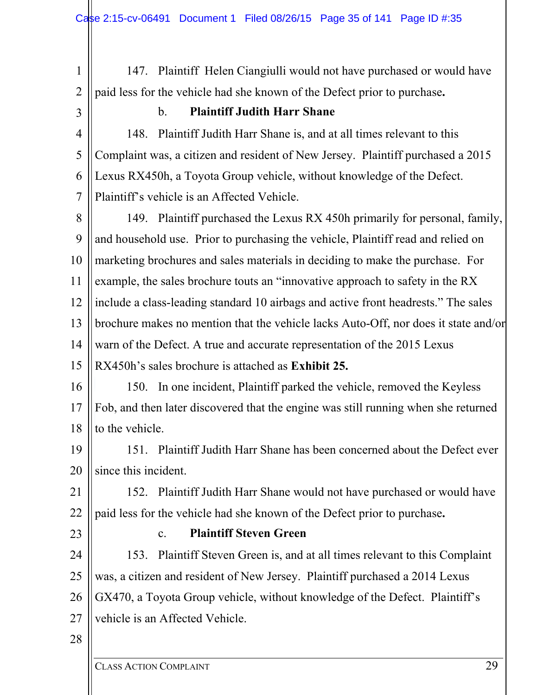- 1 2 147. Plaintiff Helen Ciangiulli would not have purchased or would have paid less for the vehicle had she known of the Defect prior to purchase**.**
- 3

# b. **Plaintiff Judith Harr Shane**

4 5 6 7 148. Plaintiff Judith Harr Shane is, and at all times relevant to this Complaint was, a citizen and resident of New Jersey. Plaintiff purchased a 2015 Lexus RX450h, a Toyota Group vehicle, without knowledge of the Defect. Plaintiff's vehicle is an Affected Vehicle.

8 9 10 11 12 13 14 15 149. Plaintiff purchased the Lexus RX 450h primarily for personal, family, and household use. Prior to purchasing the vehicle, Plaintiff read and relied on marketing brochures and sales materials in deciding to make the purchase. For example, the sales brochure touts an "innovative approach to safety in the RX include a class-leading standard 10 airbags and active front headrests." The sales brochure makes no mention that the vehicle lacks Auto-Off, nor does it state and/or warn of the Defect. A true and accurate representation of the 2015 Lexus RX450h's sales brochure is attached as **Exhibit 25.**

16 17 18 150. In one incident, Plaintiff parked the vehicle, removed the Keyless Fob, and then later discovered that the engine was still running when she returned to the vehicle.

19 20 151. Plaintiff Judith Harr Shane has been concerned about the Defect ever since this incident.

21 22 152. Plaintiff Judith Harr Shane would not have purchased or would have paid less for the vehicle had she known of the Defect prior to purchase**.**

23

# c. **Plaintiff Steven Green**

24 25 26 27 153. Plaintiff Steven Green is, and at all times relevant to this Complaint was, a citizen and resident of New Jersey. Plaintiff purchased a 2014 Lexus GX470, a Toyota Group vehicle, without knowledge of the Defect. Plaintiff's vehicle is an Affected Vehicle.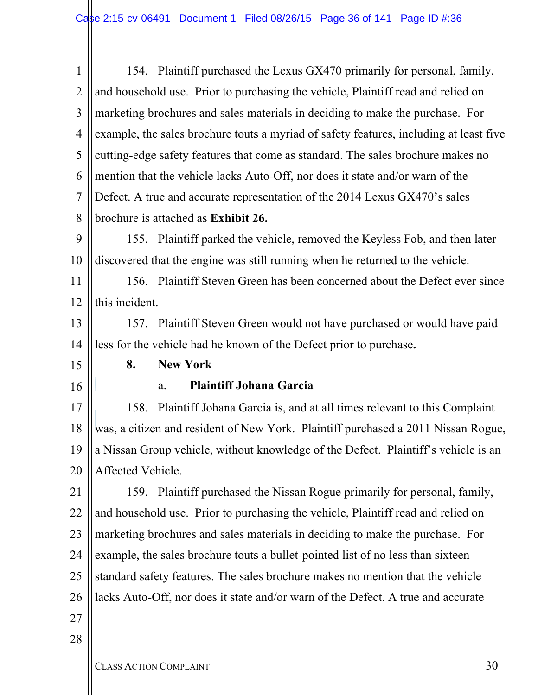1 2 3 4 5 6 7 8 9 10 11 154. Plaintiff purchased the Lexus GX470 primarily for personal, family, and household use. Prior to purchasing the vehicle, Plaintiff read and relied on marketing brochures and sales materials in deciding to make the purchase. For example, the sales brochure touts a myriad of safety features, including at least five cutting-edge safety features that come as standard. The sales brochure makes no mention that the vehicle lacks Auto-Off, nor does it state and/or warn of the Defect. A true and accurate representation of the 2014 Lexus GX470's sales brochure is attached as **Exhibit 26.** 155. Plaintiff parked the vehicle, removed the Keyless Fob, and then later discovered that the engine was still running when he returned to the vehicle. 156. Plaintiff Steven Green has been concerned about the Defect ever since

12 this incident.

13 14 157. Plaintiff Steven Green would not have purchased or would have paid less for the vehicle had he known of the Defect prior to purchase**.**

15

16

**8. New York** 

#### a. **Plaintiff Johana Garcia**

17 18 19 20 158. Plaintiff Johana Garcia is, and at all times relevant to this Complaint was, a citizen and resident of New York. Plaintiff purchased a 2011 Nissan Rogue, a Nissan Group vehicle, without knowledge of the Defect. Plaintiff's vehicle is an Affected Vehicle.

21 22 23 24 25 26 159. Plaintiff purchased the Nissan Rogue primarily for personal, family, and household use. Prior to purchasing the vehicle, Plaintiff read and relied on marketing brochures and sales materials in deciding to make the purchase. For example, the sales brochure touts a bullet-pointed list of no less than sixteen standard safety features. The sales brochure makes no mention that the vehicle lacks Auto-Off, nor does it state and/or warn of the Defect. A true and accurate

27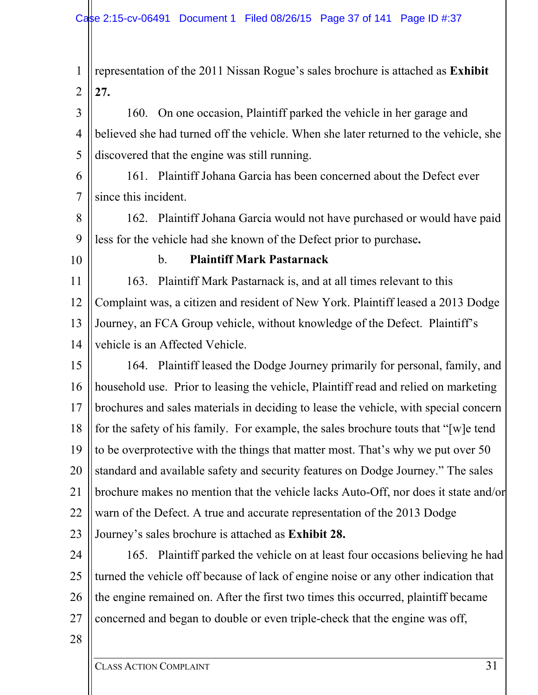1 2 representation of the 2011 Nissan Rogue's sales brochure is attached as **Exhibit 27.**

3 4 5 160. On one occasion, Plaintiff parked the vehicle in her garage and believed she had turned off the vehicle. When she later returned to the vehicle, she discovered that the engine was still running.

6 7 161. Plaintiff Johana Garcia has been concerned about the Defect ever since this incident.

8 9 162. Plaintiff Johana Garcia would not have purchased or would have paid less for the vehicle had she known of the Defect prior to purchase**.**

10

## b. **Plaintiff Mark Pastarnack**

11 12 13 14 163. Plaintiff Mark Pastarnack is, and at all times relevant to this Complaint was, a citizen and resident of New York. Plaintiff leased a 2013 Dodge Journey, an FCA Group vehicle, without knowledge of the Defect. Plaintiff's vehicle is an Affected Vehicle.

15 16 17 18 19 20 21 22 23 164. Plaintiff leased the Dodge Journey primarily for personal, family, and household use. Prior to leasing the vehicle, Plaintiff read and relied on marketing brochures and sales materials in deciding to lease the vehicle, with special concern for the safety of his family. For example, the sales brochure touts that "[w]e tend to be overprotective with the things that matter most. That's why we put over 50 standard and available safety and security features on Dodge Journey." The sales brochure makes no mention that the vehicle lacks Auto-Off, nor does it state and/or warn of the Defect. A true and accurate representation of the 2013 Dodge Journey's sales brochure is attached as **Exhibit 28.**

24 25 26 27 165. Plaintiff parked the vehicle on at least four occasions believing he had turned the vehicle off because of lack of engine noise or any other indication that the engine remained on. After the first two times this occurred, plaintiff became concerned and began to double or even triple-check that the engine was off,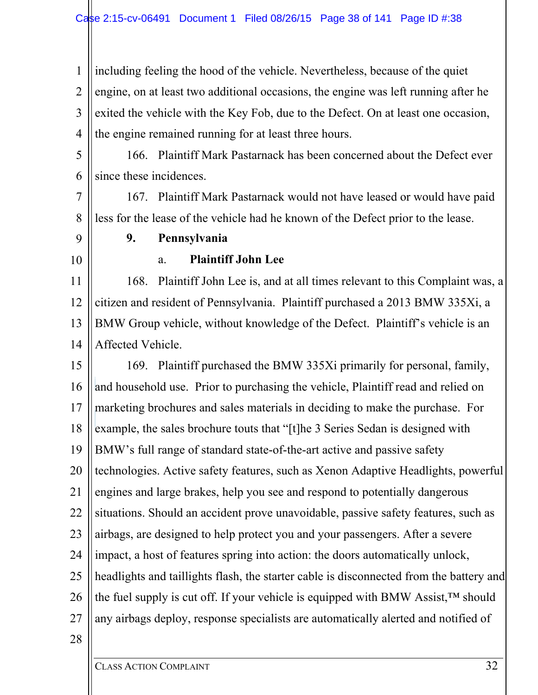1 2 3 4 including feeling the hood of the vehicle. Nevertheless, because of the quiet engine, on at least two additional occasions, the engine was left running after he exited the vehicle with the Key Fob, due to the Defect. On at least one occasion, the engine remained running for at least three hours.

5

6

166. Plaintiff Mark Pastarnack has been concerned about the Defect ever since these incidences.

7 8 167. Plaintiff Mark Pastarnack would not have leased or would have paid less for the lease of the vehicle had he known of the Defect prior to the lease.

- **9. Pennsylvania**
- 10

9

## a. **Plaintiff John Lee**

11 12 13 14 168. Plaintiff John Lee is, and at all times relevant to this Complaint was, a citizen and resident of Pennsylvania. Plaintiff purchased a 2013 BMW 335Xi, a BMW Group vehicle, without knowledge of the Defect. Plaintiff's vehicle is an Affected Vehicle.

15 16 17 18 19 20 21 22 23 24 25 26 27 169. Plaintiff purchased the BMW 335Xi primarily for personal, family, and household use. Prior to purchasing the vehicle, Plaintiff read and relied on marketing brochures and sales materials in deciding to make the purchase. For example, the sales brochure touts that "[t]he 3 Series Sedan is designed with BMW's full range of standard state-of-the-art active and passive safety technologies. Active safety features, such as Xenon Adaptive Headlights, powerful engines and large brakes, help you see and respond to potentially dangerous situations. Should an accident prove unavoidable, passive safety features, such as airbags, are designed to help protect you and your passengers. After a severe impact, a host of features spring into action: the doors automatically unlock, headlights and taillights flash, the starter cable is disconnected from the battery and the fuel supply is cut off. If your vehicle is equipped with BMW Assist,™ should any airbags deploy, response specialists are automatically alerted and notified of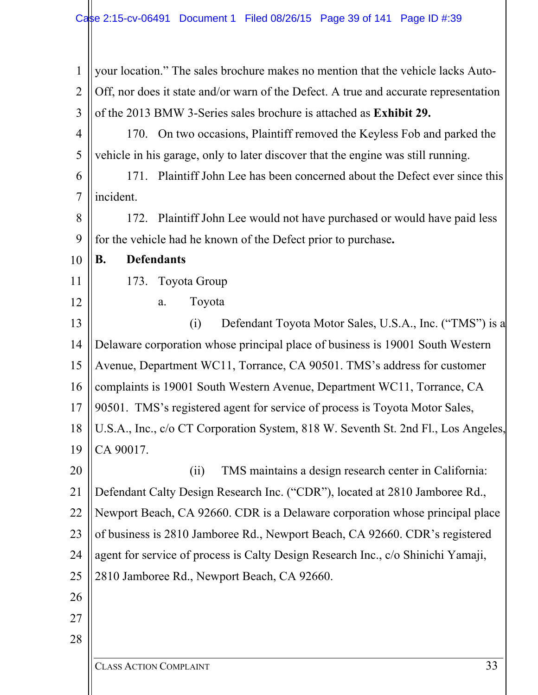| your location." The sales brochure makes no mention that the vehicle lacks Auto-     |
|--------------------------------------------------------------------------------------|
| Off, nor does it state and/or warn of the Defect. A true and accurate representation |
| of the 2013 BMW 3-Series sales brochure is attached as Exhibit 29.                   |
| 170. On two occasions, Plaintiff removed the Keyless Fob and parked the              |
| vehicle in his garage, only to later discover that the engine was still running.     |
| 171. Plaintiff John Lee has been concerned about the Defect ever since this          |
| incident.                                                                            |
| 172. Plaintiff John Lee would not have purchased or would have paid less             |
| for the vehicle had he known of the Defect prior to purchase.                        |
| <b>Defendants</b><br>В.                                                              |
| Toyota Group<br>173.                                                                 |
| Toyota<br>a.                                                                         |
| Defendant Toyota Motor Sales, U.S.A., Inc. ("TMS") is a<br>(i)                       |
| Delaware corporation whose principal place of business is 19001 South Western        |
| Avenue, Department WC11, Torrance, CA 90501. TMS's address for customer              |
| complaints is 19001 South Western Avenue, Department WC11, Torrance, CA              |
| 90501. TMS's registered agent for service of process is Toyota Motor Sales,          |
| U.S.A., Inc., c/o CT Corporation System, 818 W. Seventh St. 2nd Fl., Los Angeles,    |
| CA 90017.                                                                            |
| TMS maintains a design research center in California:<br>(ii)                        |
| Defendant Calty Design Research Inc. ("CDR"), located at 2810 Jamboree Rd.,          |
| Newport Beach, CA 92660. CDR is a Delaware corporation whose principal place         |
| of business is 2810 Jamboree Rd., Newport Beach, CA 92660. CDR's registered          |
| agent for service of process is Calty Design Research Inc., c/o Shinichi Yamaji,     |
| 2810 Jamboree Rd., Newport Beach, CA 92660.                                          |
|                                                                                      |
|                                                                                      |
|                                                                                      |
| 33<br><b>CLASS ACTION COMPLAINT</b>                                                  |
|                                                                                      |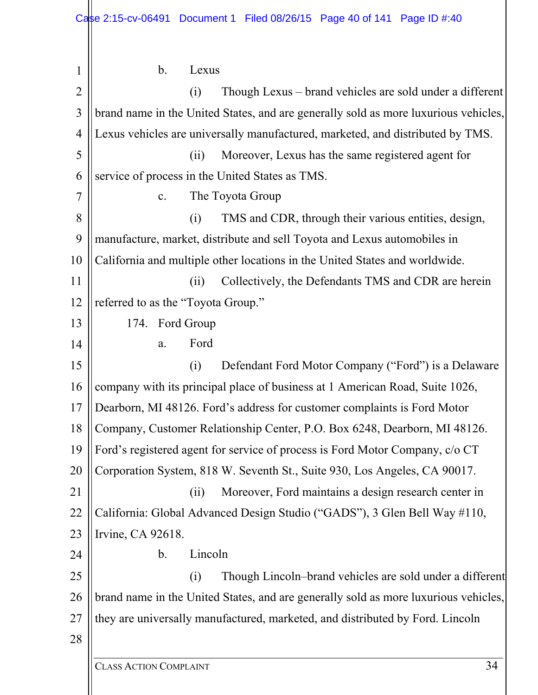| 1              | $\mathbf b$ .<br>Lexus                                                              |
|----------------|-------------------------------------------------------------------------------------|
| $\overline{2}$ | Though Lexus – brand vehicles are sold under a different<br>(i)                     |
| 3              | brand name in the United States, and are generally sold as more luxurious vehicles, |
| $\overline{4}$ | Lexus vehicles are universally manufactured, marketed, and distributed by TMS.      |
| 5              | Moreover, Lexus has the same registered agent for<br>(ii)                           |
| 6              | service of process in the United States as TMS.                                     |
| 7              | The Toyota Group<br>c.                                                              |
| 8              | TMS and CDR, through their various entities, design,<br>(i)                         |
| 9              | manufacture, market, distribute and sell Toyota and Lexus automobiles in            |
| 10             | California and multiple other locations in the United States and worldwide.         |
| 11             | Collectively, the Defendants TMS and CDR are herein<br>(ii)                         |
| 12             | referred to as the "Toyota Group."                                                  |
| 13             | 174. Ford Group                                                                     |
| 14             | Ford<br>a.                                                                          |
| 15             | Defendant Ford Motor Company ("Ford") is a Delaware<br>(i)                          |
| 16             | company with its principal place of business at 1 American Road, Suite 1026,        |
| 17             | Dearborn, MI 48126. Ford's address for customer complaints is Ford Motor            |
| 18             | Company, Customer Relationship Center, P.O. Box 6248, Dearborn, MI 48126.           |
| 19             | Ford's registered agent for service of process is Ford Motor Company, c/o CT        |
| 20             | Corporation System, 818 W. Seventh St., Suite 930, Los Angeles, CA 90017.           |
| 21             | Moreover, Ford maintains a design research center in<br>(ii)                        |
| 22             | California: Global Advanced Design Studio ("GADS"), 3 Glen Bell Way #110,           |
| 23             | Irvine, CA 92618.                                                                   |
| 24             | Lincoln<br>$\mathbf b$ .                                                            |
| 25             | Though Lincoln–brand vehicles are sold under a different<br>(i)                     |
| 26             | brand name in the United States, and are generally sold as more luxurious vehicles, |
| 27             | they are universally manufactured, marketed, and distributed by Ford. Lincoln       |
| 28             |                                                                                     |
|                | 34<br><b>CLASS ACTION COMPLAINT</b>                                                 |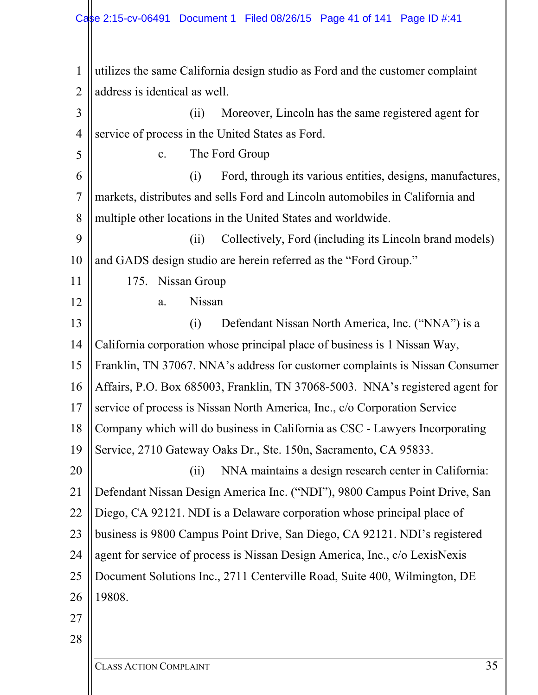1 2 3 4 5 6 7 8 9 10 11 12 13 14 15 16 17 18 19 20 21 22 23 24 25 26 27 28 utilizes the same California design studio as Ford and the customer complaint address is identical as well. (ii) Moreover, Lincoln has the same registered agent for service of process in the United States as Ford. c. The Ford Group (i) Ford, through its various entities, designs, manufactures, markets, distributes and sells Ford and Lincoln automobiles in California and multiple other locations in the United States and worldwide. (ii) Collectively, Ford (including its Lincoln brand models) and GADS design studio are herein referred as the "Ford Group." 175. Nissan Group a. Nissan (i) Defendant Nissan North America, Inc. ("NNA") is a California corporation whose principal place of business is 1 Nissan Way, Franklin, TN 37067. NNA's address for customer complaints is Nissan Consumer Affairs, P.O. Box 685003, Franklin, TN 37068-5003. NNA's registered agent for service of process is Nissan North America, Inc., c/o Corporation Service Company which will do business in California as CSC - Lawyers Incorporating Service, 2710 Gateway Oaks Dr., Ste. 150n, Sacramento, CA 95833. (ii) NNA maintains a design research center in California: Defendant Nissan Design America Inc. ("NDI"), 9800 Campus Point Drive, San Diego, CA 92121. NDI is a Delaware corporation whose principal place of business is 9800 Campus Point Drive, San Diego, CA 92121. NDI's registered agent for service of process is Nissan Design America, Inc., c/o LexisNexis Document Solutions Inc., 2711 Centerville Road, Suite 400, Wilmington, DE 19808.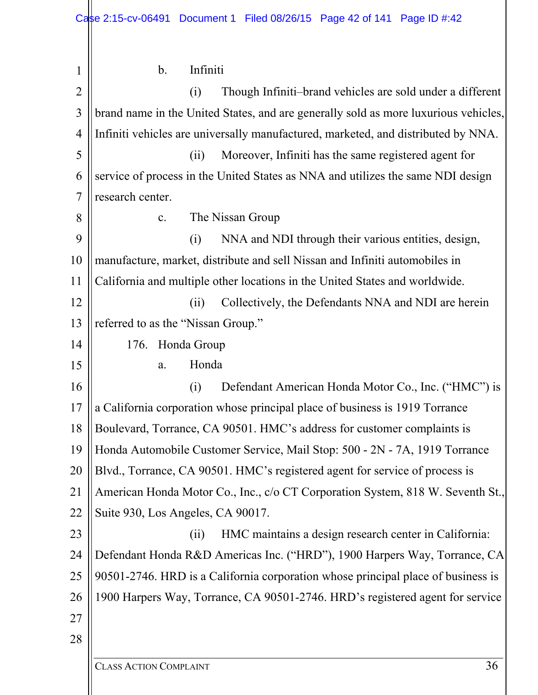| 1              | Infiniti<br>b.                                                                      |
|----------------|-------------------------------------------------------------------------------------|
| $\overline{2}$ | Though Infiniti-brand vehicles are sold under a different<br>(i)                    |
| 3              | brand name in the United States, and are generally sold as more luxurious vehicles, |
| $\overline{4}$ | Infiniti vehicles are universally manufactured, marketed, and distributed by NNA.   |
| 5              | Moreover, Infiniti has the same registered agent for<br>(ii)                        |
| 6              | service of process in the United States as NNA and utilizes the same NDI design     |
| 7              | research center.                                                                    |
| 8              | The Nissan Group<br>$\mathbf{c}$ .                                                  |
| 9              | NNA and NDI through their various entities, design,<br>(i)                          |
| 10             | manufacture, market, distribute and sell Nissan and Infiniti automobiles in         |
| 11             | California and multiple other locations in the United States and worldwide.         |
| 12             | Collectively, the Defendants NNA and NDI are herein<br>(ii)                         |
| 13             | referred to as the "Nissan Group."                                                  |
| 14             | 176. Honda Group                                                                    |
| 15             | Honda<br>a.                                                                         |
| 16             | (i)<br>Defendant American Honda Motor Co., Inc. ("HMC") is                          |
| 17             | a California corporation whose principal place of business is 1919 Torrance         |
| 18             | Boulevard, Torrance, CA 90501. HMC's address for customer complaints is             |
| 19             | Honda Automobile Customer Service, Mail Stop: 500 - 2N - 7A, 1919 Torrance          |
| 20             | Blvd., Torrance, CA 90501. HMC's registered agent for service of process is         |
| 21             | American Honda Motor Co., Inc., c/o CT Corporation System, 818 W. Seventh St.,      |
| 22             | Suite 930, Los Angeles, CA 90017.                                                   |
| 23             | HMC maintains a design research center in California:<br>(ii)                       |
| 24             | Defendant Honda R&D Americas Inc. ("HRD"), 1900 Harpers Way, Torrance, CA           |
| 25             | 90501-2746. HRD is a California corporation whose principal place of business is    |
| 26             | 1900 Harpers Way, Torrance, CA 90501-2746. HRD's registered agent for service       |
| 27             |                                                                                     |
| 28             |                                                                                     |
|                |                                                                                     |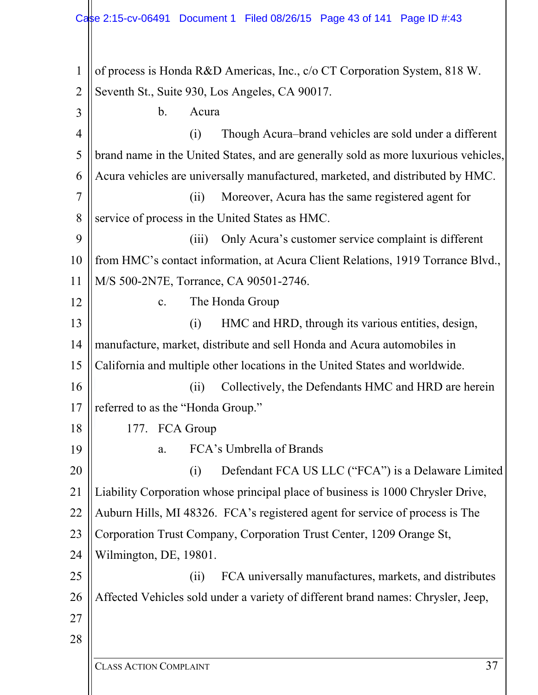1 2 3 4 5 6 7 8 9 10 11 12 13 14 15 16 17 18 19 20 21 22 23 24 25 26 27 28 of process is Honda R&D Americas, Inc., c/o CT Corporation System, 818 W. Seventh St., Suite 930, Los Angeles, CA 90017. b. Acura (i) Though Acura–brand vehicles are sold under a different brand name in the United States, and are generally sold as more luxurious vehicles, Acura vehicles are universally manufactured, marketed, and distributed by HMC. (ii) Moreover, Acura has the same registered agent for service of process in the United States as HMC. (iii) Only Acura's customer service complaint is different from HMC's contact information, at Acura Client Relations, 1919 Torrance Blvd., M/S 500-2N7E, Torrance, CA 90501-2746. c. The Honda Group (i) HMC and HRD, through its various entities, design, manufacture, market, distribute and sell Honda and Acura automobiles in California and multiple other locations in the United States and worldwide. (ii) Collectively, the Defendants HMC and HRD are herein referred to as the "Honda Group." 177. FCA Group a. FCA's Umbrella of Brands (i) Defendant FCA US LLC ("FCA") is a Delaware Limited Liability Corporation whose principal place of business is 1000 Chrysler Drive, Auburn Hills, MI 48326. FCA's registered agent for service of process is The Corporation Trust Company, Corporation Trust Center, 1209 Orange St, Wilmington, DE, 19801. (ii) FCA universally manufactures, markets, and distributes Affected Vehicles sold under a variety of different brand names: Chrysler, Jeep,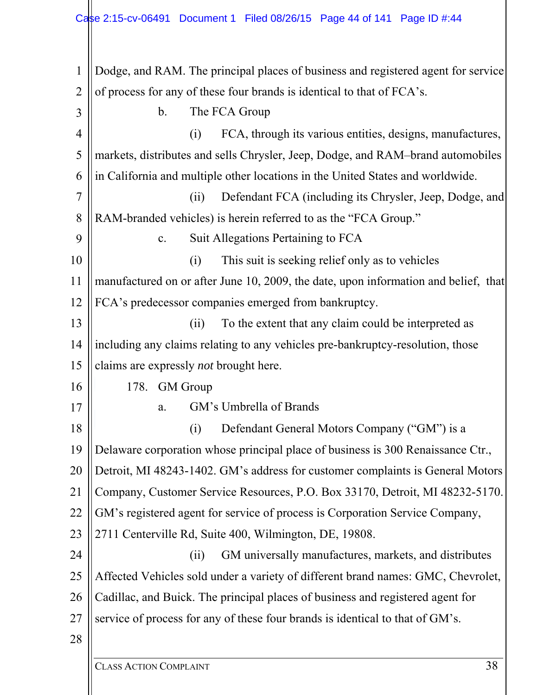1 2 3 4 5 6 7 8 9 10 11 12 13 14 15 16 17 18 19 20 21 22 23 24 25 26 27 28 Dodge, and RAM. The principal places of business and registered agent for service of process for any of these four brands is identical to that of FCA's. b. The FCA Group (i) FCA, through its various entities, designs, manufactures, markets, distributes and sells Chrysler, Jeep, Dodge, and RAM–brand automobiles in California and multiple other locations in the United States and worldwide. (ii) Defendant FCA (including its Chrysler, Jeep, Dodge, and RAM-branded vehicles) is herein referred to as the "FCA Group." c. Suit Allegations Pertaining to FCA (i) This suit is seeking relief only as to vehicles manufactured on or after June 10, 2009, the date, upon information and belief, that FCA's predecessor companies emerged from bankruptcy. (ii) To the extent that any claim could be interpreted as including any claims relating to any vehicles pre-bankruptcy-resolution, those claims are expressly *not* brought here. 178. GM Group a. GM's Umbrella of Brands (i) Defendant General Motors Company ("GM") is a Delaware corporation whose principal place of business is 300 Renaissance Ctr., Detroit, MI 48243-1402. GM's address for customer complaints is General Motors Company, Customer Service Resources, P.O. Box 33170, Detroit, MI 48232-5170. GM's registered agent for service of process is Corporation Service Company, 2711 Centerville Rd, Suite 400, Wilmington, DE, 19808. (ii) GM universally manufactures, markets, and distributes Affected Vehicles sold under a variety of different brand names: GMC, Chevrolet, Cadillac, and Buick. The principal places of business and registered agent for service of process for any of these four brands is identical to that of GM's.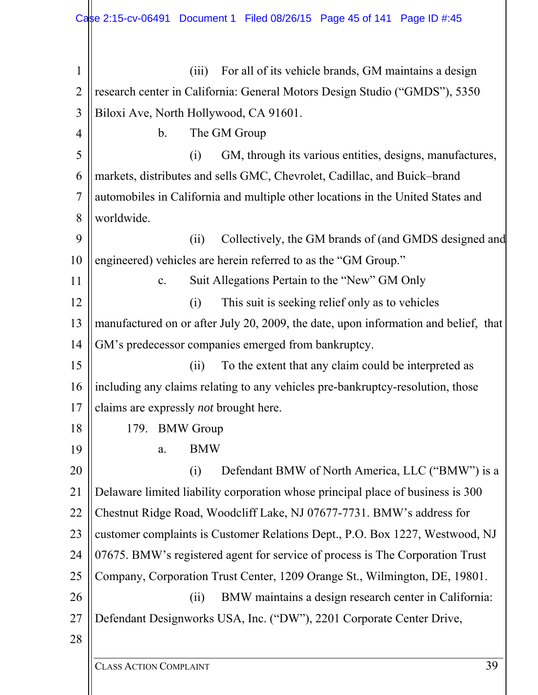| $\mathbf{1}$   | For all of its vehicle brands, GM maintains a design<br>(iii)                       |
|----------------|-------------------------------------------------------------------------------------|
| $\overline{2}$ | research center in California: General Motors Design Studio ("GMDS"), 5350          |
| 3              | Biloxi Ave, North Hollywood, CA 91601.                                              |
| 4              | The GM Group<br>b.                                                                  |
| 5              | GM, through its various entities, designs, manufactures,<br>(i)                     |
| 6              | markets, distributes and sells GMC, Chevrolet, Cadillac, and Buick-brand            |
| $\overline{7}$ | automobiles in California and multiple other locations in the United States and     |
| 8              | worldwide.                                                                          |
| 9              | Collectively, the GM brands of (and GMDS designed and<br>(ii)                       |
| 10             | engineered) vehicles are herein referred to as the "GM Group."                      |
| 11             | Suit Allegations Pertain to the "New" GM Only<br>c.                                 |
| 12             | This suit is seeking relief only as to vehicles<br>(i)                              |
| 13             | manufactured on or after July 20, 2009, the date, upon information and belief, that |
| 14             | GM's predecessor companies emerged from bankruptcy.                                 |
| 15             | To the extent that any claim could be interpreted as<br>(ii)                        |
| 16             | including any claims relating to any vehicles pre-bankruptcy-resolution, those      |
| 17             | claims are expressly <i>not</i> brought here.                                       |
| 18             | 179. BMW Group                                                                      |
| 19             | <b>BMW</b><br>a.                                                                    |
| 20             | Defendant BMW of North America, LLC ("BMW") is a<br>(i)                             |
| 21             | Delaware limited liability corporation whose principal place of business is 300     |
| 22             | Chestnut Ridge Road, Woodcliff Lake, NJ 07677-7731. BMW's address for               |
| 23             | customer complaints is Customer Relations Dept., P.O. Box 1227, Westwood, NJ        |
| 24             | 07675. BMW's registered agent for service of process is The Corporation Trust       |
| 25             | Company, Corporation Trust Center, 1209 Orange St., Wilmington, DE, 19801.          |
| 26             | BMW maintains a design research center in California:<br>(ii)                       |
| 27             | Defendant Designworks USA, Inc. ("DW"), 2201 Corporate Center Drive,                |
| 28             |                                                                                     |
|                |                                                                                     |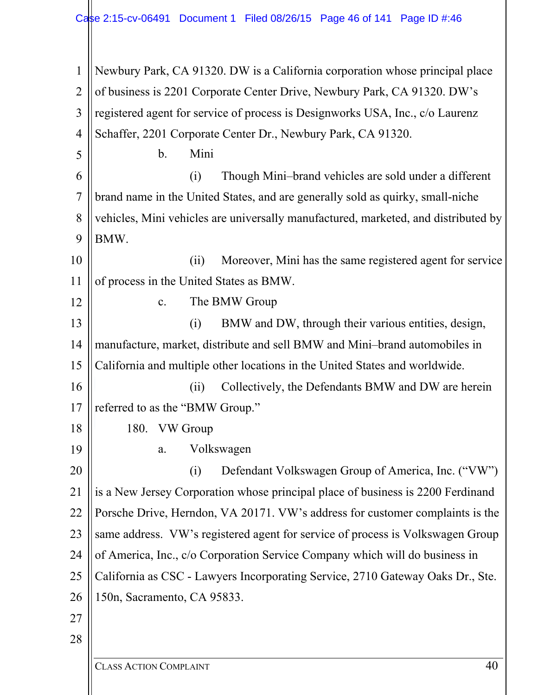1 2 3 4 5 6 7 8 9 10 11 12 13 14 15 16 17 18 19 20 21 22 23 24 25 26 27 28 Newbury Park, CA 91320. DW is a California corporation whose principal place of business is 2201 Corporate Center Drive, Newbury Park, CA 91320. DW's registered agent for service of process is Designworks USA, Inc., c/o Laurenz Schaffer, 2201 Corporate Center Dr., Newbury Park, CA 91320. b. Mini (i) Though Mini–brand vehicles are sold under a different brand name in the United States, and are generally sold as quirky, small-niche vehicles, Mini vehicles are universally manufactured, marketed, and distributed by BMW. (ii) Moreover, Mini has the same registered agent for service of process in the United States as BMW. c. The BMW Group (i) BMW and DW, through their various entities, design, manufacture, market, distribute and sell BMW and Mini–brand automobiles in California and multiple other locations in the United States and worldwide. (ii) Collectively, the Defendants BMW and DW are herein referred to as the "BMW Group." 180. VW Group a. Volkswagen (i) Defendant Volkswagen Group of America, Inc. ("VW") is a New Jersey Corporation whose principal place of business is 2200 Ferdinand Porsche Drive, Herndon, VA 20171. VW's address for customer complaints is the same address. VW's registered agent for service of process is Volkswagen Group of America, Inc., c/o Corporation Service Company which will do business in California as CSC - Lawyers Incorporating Service, 2710 Gateway Oaks Dr., Ste. 150n, Sacramento, CA 95833.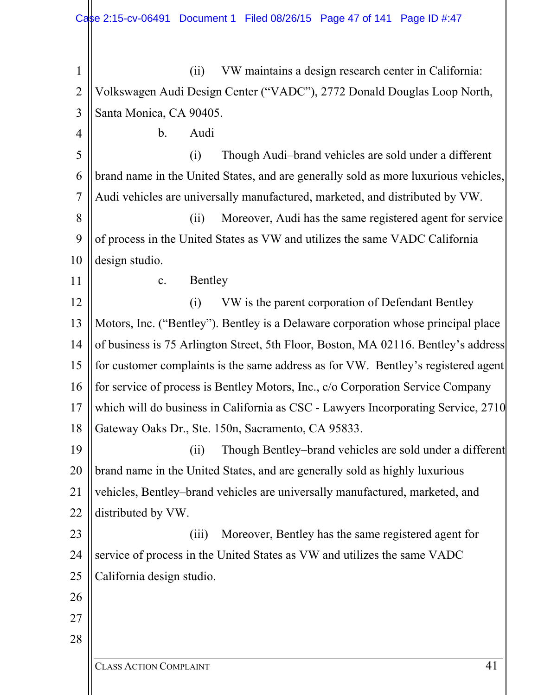| $\mathbf{1}$   | VW maintains a design research center in California:<br>(ii)                        |
|----------------|-------------------------------------------------------------------------------------|
| $\overline{2}$ | Volkswagen Audi Design Center ("VADC"), 2772 Donald Douglas Loop North,             |
| 3              | Santa Monica, CA 90405.                                                             |
| 4              | $\mathbf b$ .<br>Audi                                                               |
| 5              | Though Audi-brand vehicles are sold under a different<br>(i)                        |
| 6              | brand name in the United States, and are generally sold as more luxurious vehicles, |
| $\overline{7}$ | Audi vehicles are universally manufactured, marketed, and distributed by VW.        |
| 8              | Moreover, Audi has the same registered agent for service<br>(ii)                    |
| 9              | of process in the United States as VW and utilizes the same VADC California         |
| 10             | design studio.                                                                      |
| 11             | Bentley<br>c.                                                                       |
| 12             | VW is the parent corporation of Defendant Bentley<br>(i)                            |
| 13             | Motors, Inc. ("Bentley"). Bentley is a Delaware corporation whose principal place   |
| 14             | of business is 75 Arlington Street, 5th Floor, Boston, MA 02116. Bentley's address  |
| 15             | for customer complaints is the same address as for VW. Bentley's registered agent   |
| 16             | for service of process is Bentley Motors, Inc., c/o Corporation Service Company     |
| 17             | which will do business in California as CSC - Lawyers Incorporating Service, 2710   |
| 18             | Gateway Oaks Dr., Ste. 150n, Sacramento, CA 95833.                                  |
| 19             | Though Bentley-brand vehicles are sold under a different<br>(ii)                    |
| 20             | brand name in the United States, and are generally sold as highly luxurious         |
| 21             | vehicles, Bentley-brand vehicles are universally manufactured, marketed, and        |
| 22             | distributed by VW.                                                                  |
| 23             | Moreover, Bentley has the same registered agent for<br>(iii)                        |
| 24             | service of process in the United States as VW and utilizes the same VADC            |
| 25             | California design studio.                                                           |
| 26             |                                                                                     |
| 27             |                                                                                     |
| 28             |                                                                                     |
|                | 41<br><b>CLASS ACTION COMPLAINT</b>                                                 |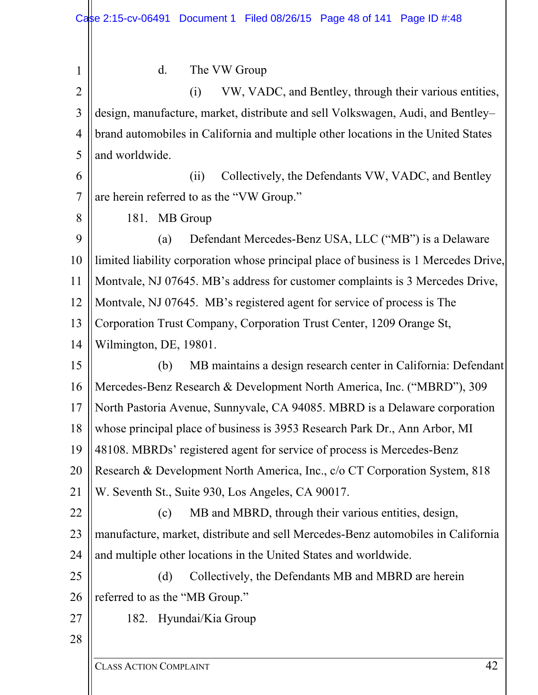| $\mathbf{1}$   | The VW Group<br>d.                                                                   |
|----------------|--------------------------------------------------------------------------------------|
| $\overline{2}$ | VW, VADC, and Bentley, through their various entities,<br>(i)                        |
| $\mathfrak{Z}$ | design, manufacture, market, distribute and sell Volkswagen, Audi, and Bentley-      |
| 4              | brand automobiles in California and multiple other locations in the United States    |
| 5              | and worldwide.                                                                       |
| 6              | Collectively, the Defendants VW, VADC, and Bentley<br>(ii)                           |
| $\overline{7}$ | are herein referred to as the "VW Group."                                            |
| 8              | 181. MB Group                                                                        |
| 9              | Defendant Mercedes-Benz USA, LLC ("MB") is a Delaware<br>(a)                         |
| 10             | limited liability corporation whose principal place of business is 1 Mercedes Drive, |
| 11             | Montvale, NJ 07645. MB's address for customer complaints is 3 Mercedes Drive,        |
| 12             | Montvale, NJ 07645. MB's registered agent for service of process is The              |
| 13             | Corporation Trust Company, Corporation Trust Center, 1209 Orange St,                 |
| 14             | Wilmington, DE, 19801.                                                               |
| 15             | MB maintains a design research center in California: Defendant<br>(b)                |
| 16             | Mercedes-Benz Research & Development North America, Inc. ("MBRD"), 309               |
| 17             | North Pastoria Avenue, Sunnyvale, CA 94085. MBRD is a Delaware corporation           |
|                |                                                                                      |
| 18             | whose principal place of business is 3953 Research Park Dr., Ann Arbor, MI           |
| 19             | 48108. MBRDs' registered agent for service of process is Mercedes-Benz               |
| 20             | Research & Development North America, Inc., c/o CT Corporation System, 818           |
| 21             | W. Seventh St., Suite 930, Los Angeles, CA 90017.                                    |
| 22             | MB and MBRD, through their various entities, design,<br>(c)                          |
| 23             | manufacture, market, distribute and sell Mercedes-Benz automobiles in California     |
| 24             | and multiple other locations in the United States and worldwide.                     |
| 25             | Collectively, the Defendants MB and MBRD are herein<br>(d)                           |
| 26             | referred to as the "MB Group."                                                       |
| 27             | 182. Hyundai/Kia Group                                                               |
| 28             |                                                                                      |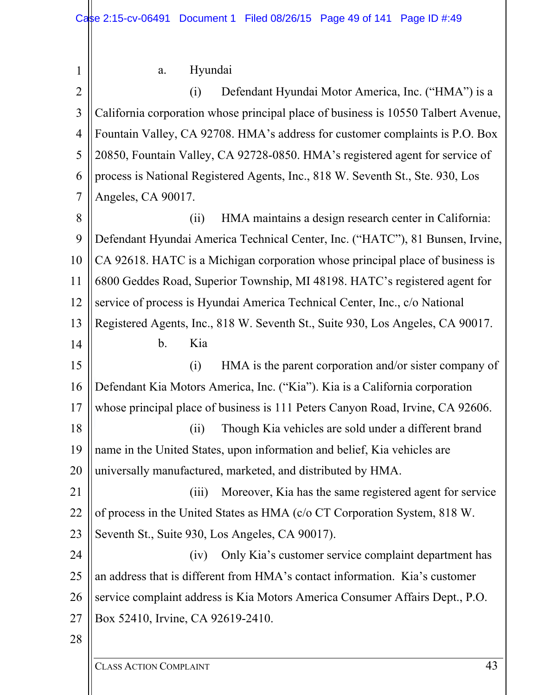| a. | Hyundai |
|----|---------|
|----|---------|

1

2 3 4 5 6 7 8 9 10 11 12 13 14 15 16 17 18 19 20 21 22 23 24 25 26 27 28 (i) Defendant Hyundai Motor America, Inc. ("HMA") is a California corporation whose principal place of business is 10550 Talbert Avenue, Fountain Valley, CA 92708. HMA's address for customer complaints is P.O. Box 20850, Fountain Valley, CA 92728-0850. HMA's registered agent for service of process is National Registered Agents, Inc., 818 W. Seventh St., Ste. 930, Los Angeles, CA 90017. (ii) HMA maintains a design research center in California: Defendant Hyundai America Technical Center, Inc. ("HATC"), 81 Bunsen, Irvine, CA 92618. HATC is a Michigan corporation whose principal place of business is 6800 Geddes Road, Superior Township, MI 48198. HATC's registered agent for service of process is Hyundai America Technical Center, Inc., c/o National Registered Agents, Inc., 818 W. Seventh St., Suite 930, Los Angeles, CA 90017. b. Kia (i) HMA is the parent corporation and/or sister company of Defendant Kia Motors America, Inc. ("Kia"). Kia is a California corporation whose principal place of business is 111 Peters Canyon Road, Irvine, CA 92606. (ii) Though Kia vehicles are sold under a different brand name in the United States, upon information and belief, Kia vehicles are universally manufactured, marketed, and distributed by HMA. (iii) Moreover, Kia has the same registered agent for service of process in the United States as HMA (c/o CT Corporation System, 818 W. Seventh St., Suite 930, Los Angeles, CA 90017). (iv) Only Kia's customer service complaint department has an address that is different from HMA's contact information. Kia's customer service complaint address is Kia Motors America Consumer Affairs Dept., P.O. Box 52410, Irvine, CA 92619-2410.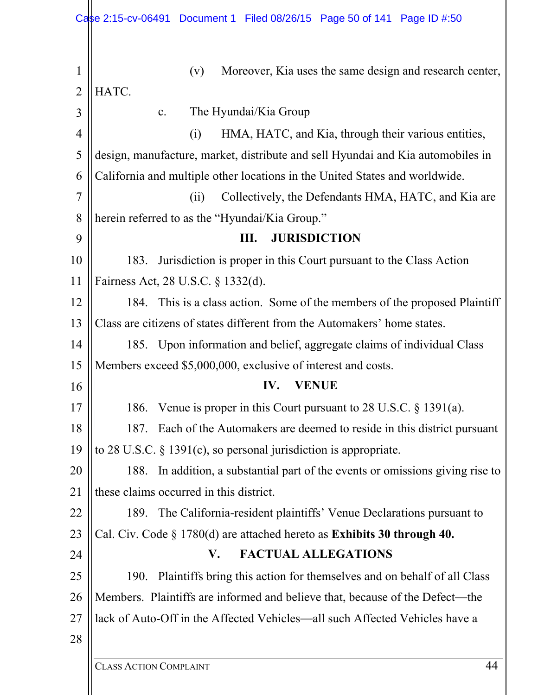|                     | Case 2:15-cv-06491 Document 1 Filed 08/26/15 Page 50 of 141 Page ID #:50          |
|---------------------|-----------------------------------------------------------------------------------|
| 1<br>$\overline{2}$ | Moreover, Kia uses the same design and research center,<br>(v)<br>HATC.           |
| 3                   | The Hyundai/Kia Group<br>$\mathbf{c}$ .                                           |
| $\overline{4}$      | HMA, HATC, and Kia, through their various entities,<br>(i)                        |
| 5                   | design, manufacture, market, distribute and sell Hyundai and Kia automobiles in   |
| 6                   | California and multiple other locations in the United States and worldwide.       |
| 7                   | Collectively, the Defendants HMA, HATC, and Kia are<br>(ii)                       |
| 8                   | herein referred to as the "Hyundai/Kia Group."                                    |
| 9                   | <b>JURISDICTION</b><br>Ш.                                                         |
| 10                  | Jurisdiction is proper in this Court pursuant to the Class Action<br>183.         |
| 11                  | Fairness Act, 28 U.S.C. § 1332(d).                                                |
| 12                  | 184. This is a class action. Some of the members of the proposed Plaintiff        |
| 13                  | Class are citizens of states different from the Automakers' home states.          |
| 14                  | 185. Upon information and belief, aggregate claims of individual Class            |
| 15                  | Members exceed \$5,000,000, exclusive of interest and costs.                      |
| 16                  | IV.<br><b>VENUE</b>                                                               |
| 17                  | 186. Venue is proper in this Court pursuant to 28 U.S.C. § 1391(a).               |
| 18                  | Each of the Automakers are deemed to reside in this district pursuant<br>187.     |
| 19                  | to 28 U.S.C. $\S$ 1391(c), so personal jurisdiction is appropriate.               |
| 20                  | In addition, a substantial part of the events or omissions giving rise to<br>188. |
| 21                  | these claims occurred in this district.                                           |
| 22                  | 189. The California-resident plaintiffs' Venue Declarations pursuant to           |
| 23                  | Cal. Civ. Code $\S 1780(d)$ are attached hereto as Exhibits 30 through 40.        |
| 24                  | <b>FACTUAL ALLEGATIONS</b><br>V.                                                  |
|                     | Plaintiffs bring this action for themselves and on behalf of all Class<br>190.    |
| 25                  |                                                                                   |
| 26                  | Members. Plaintiffs are informed and believe that, because of the Defect—the      |
| 27                  | lack of Auto-Off in the Affected Vehicles—all such Affected Vehicles have a       |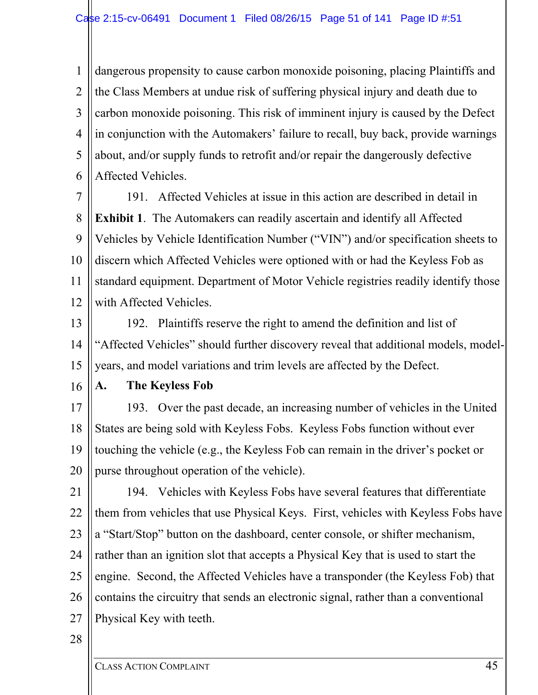1 2 3 4 5 6 dangerous propensity to cause carbon monoxide poisoning, placing Plaintiffs and the Class Members at undue risk of suffering physical injury and death due to carbon monoxide poisoning. This risk of imminent injury is caused by the Defect in conjunction with the Automakers' failure to recall, buy back, provide warnings about, and/or supply funds to retrofit and/or repair the dangerously defective Affected Vehicles.

7 8 9 10 11 12 191. Affected Vehicles at issue in this action are described in detail in **Exhibit 1**. The Automakers can readily ascertain and identify all Affected Vehicles by Vehicle Identification Number ("VIN") and/or specification sheets to discern which Affected Vehicles were optioned with or had the Keyless Fob as standard equipment. Department of Motor Vehicle registries readily identify those with Affected Vehicles.

13

14 15 192. Plaintiffs reserve the right to amend the definition and list of "Affected Vehicles" should further discovery reveal that additional models, modelyears, and model variations and trim levels are affected by the Defect.

16

## **A. The Keyless Fob**

17 18 19 20 193. Over the past decade, an increasing number of vehicles in the United States are being sold with Keyless Fobs. Keyless Fobs function without ever touching the vehicle (e.g., the Keyless Fob can remain in the driver's pocket or purse throughout operation of the vehicle).

21

22 23 24 25 26 27 194. Vehicles with Keyless Fobs have several features that differentiate them from vehicles that use Physical Keys. First, vehicles with Keyless Fobs have a "Start/Stop" button on the dashboard, center console, or shifter mechanism, rather than an ignition slot that accepts a Physical Key that is used to start the engine. Second, the Affected Vehicles have a transponder (the Keyless Fob) that contains the circuitry that sends an electronic signal, rather than a conventional Physical Key with teeth.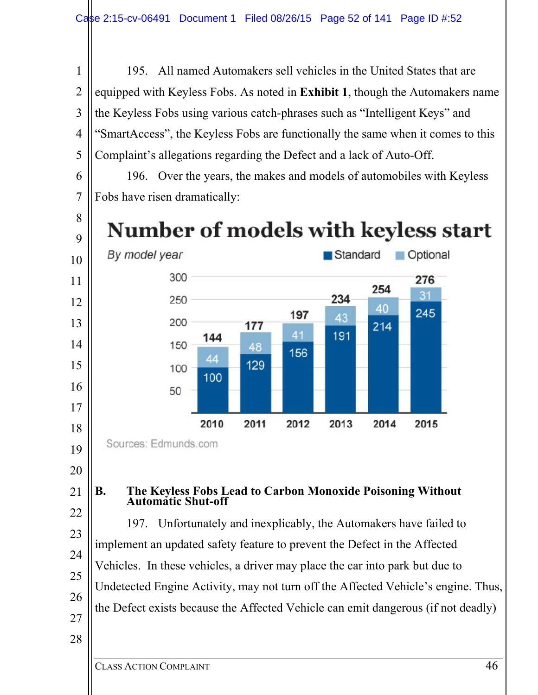195. All named Automakers sell vehicles in the United States that are equipped with Keyless Fobs. As noted in **Exhibit 1**, though the Automakers name the Keyless Fobs using various catch-phrases such as "Intelligent Keys" and "SmartAccess", the Keyless Fobs are functionally the same when it comes to this Complaint's allegations regarding the Defect and a lack of Auto-Off.

 196. Over the years, the makes and models of automobiles with Keyless Fobs have risen dramatically:

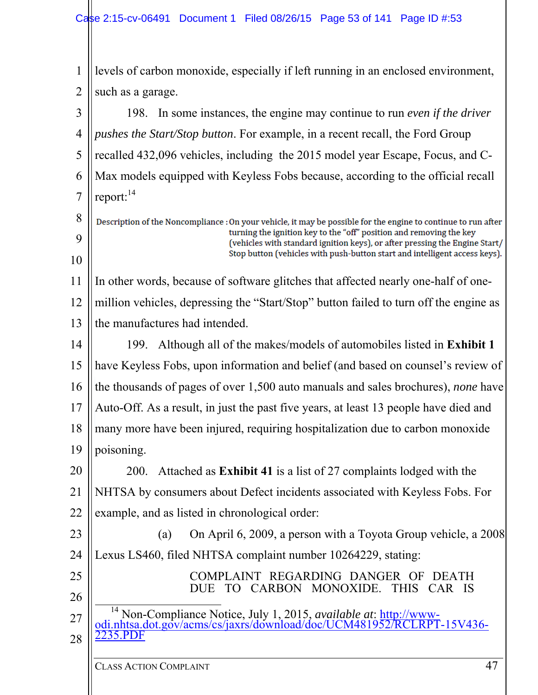| $\mathbf 1$    | levels of carbon monoxide, especially if left running in an enclosed environment,                                                                  |
|----------------|----------------------------------------------------------------------------------------------------------------------------------------------------|
| $\overline{2}$ | such as a garage.                                                                                                                                  |
| 3              | 198. In some instances, the engine may continue to run even if the driver                                                                          |
| 4              | <i>pushes the Start/Stop button.</i> For example, in a recent recall, the Ford Group                                                               |
| 5              | recalled 432,096 vehicles, including the 2015 model year Escape, Focus, and C-                                                                     |
| 6              | Max models equipped with Keyless Fobs because, according to the official recall                                                                    |
| 7              | report: <sup>14</sup>                                                                                                                              |
| 8              | Description of the Noncompliance : On your vehicle, it may be possible for the engine to continue to run after                                     |
| 9              | turning the ignition key to the "off" position and removing the key<br>(vehicles with standard ignition keys), or after pressing the Engine Start/ |
| 10             | Stop button (vehicles with push-button start and intelligent access keys).                                                                         |
| 11             | In other words, because of software glitches that affected nearly one-half of one-                                                                 |
| 12             | million vehicles, depressing the "Start/Stop" button failed to turn off the engine as                                                              |
| 13             | the manufactures had intended.                                                                                                                     |
| 14             | 199. Although all of the makes/models of automobiles listed in Exhibit 1                                                                           |
| 15             | have Keyless Fobs, upon information and belief (and based on counsel's review of                                                                   |
| 16             | the thousands of pages of over 1,500 auto manuals and sales brochures), none have                                                                  |
| 17             | Auto-Off. As a result, in just the past five years, at least 13 people have died and                                                               |
| 18             | many more have been injured, requiring hospitalization due to carbon monoxide                                                                      |
| 19             | poisoning.                                                                                                                                         |
| 20             | Attached as Exhibit 41 is a list of 27 complaints lodged with the<br><b>200.</b>                                                                   |
| 21             | NHTSA by consumers about Defect incidents associated with Keyless Fobs. For                                                                        |
| 22             | example, and as listed in chronological order:                                                                                                     |
| 23             | On April 6, 2009, a person with a Toyota Group vehicle, a 2008<br>(a)                                                                              |
| 24             | Lexus LS460, filed NHTSA complaint number 10264229, stating:                                                                                       |
| 25             | COMPLAINT REGARDING DANGER OF<br>DEATH<br>CARBON MONOXIDE.<br><b>THIS</b><br>CAR IS<br>ТО                                                          |
| 26             | 14                                                                                                                                                 |
| 27             | Non-Compliance Notice, July 1, 2015, available at: http://www-<br>odi.nhtsa.dot.gov/acms/cs/jaxrs/download/doc/UCM481952/RCLRPT-15V436-            |
| 28             | 235.PI                                                                                                                                             |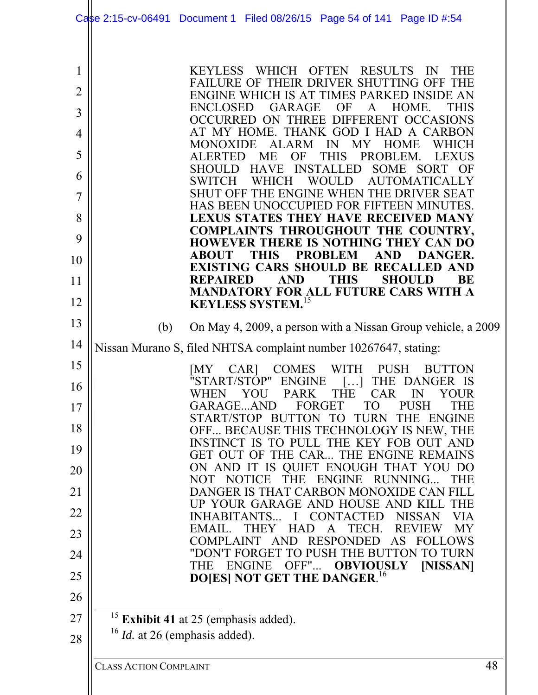|                                                                          | Case 2:15-cv-06491 Document 1 Filed 08/26/15 Page 54 of 141 Page ID #:54                                                                                                                                                                                                                                                                                                                                                                                                                                                                                                                                                                                                                                                                                                                                                                                                                                                                                                                                                                                                                                               |    |
|--------------------------------------------------------------------------|------------------------------------------------------------------------------------------------------------------------------------------------------------------------------------------------------------------------------------------------------------------------------------------------------------------------------------------------------------------------------------------------------------------------------------------------------------------------------------------------------------------------------------------------------------------------------------------------------------------------------------------------------------------------------------------------------------------------------------------------------------------------------------------------------------------------------------------------------------------------------------------------------------------------------------------------------------------------------------------------------------------------------------------------------------------------------------------------------------------------|----|
| 1<br>$\overline{2}$<br>3<br>4<br>5<br>6<br>7<br>8<br>9<br>10<br>11<br>12 | <b>KEYLESS</b><br>WHICH OFTEN<br><b>RESULTS</b><br>IN<br><b>THE</b><br>FAILURE OF THEIR DRIVER SHUTTING OFF THE<br>ENGINE WHICH IS AT TIMES PARKED INSIDE AN<br><b>GARAGE</b><br><b>THIS</b><br><b>ENCLOSED</b><br>OF<br>A<br>HOME.<br>OCCURRED ON THREE DIFFERENT OCCASIONS<br>AT MY HOME. THANK GOD I HAD A CARBON<br><b>ALARM</b><br>MY<br><b>MONOXIDE</b><br>IN<br><b>HOME</b><br><b>WHICH</b><br><b>THIS</b><br>ME<br>OF<br>PROBLEM.<br><b>ALERTED</b><br><b>LEXUS</b><br><b>INSTALLED</b><br>HAVE<br>SOME SORT OF<br><b>SHOULD</b><br><b>SWITCH</b><br>WHICH<br><b>WOULD</b><br><b>AUTOMATICALLY</b><br>SHUT OFF THE ENGINE WHEN THE DRIVER SEAT<br>HAS BEEN UNOCCUPIED FOR FIFTEEN MINUTES.<br><b>LEXUS STATES THEY HAVE RECEIVED MANY</b><br>COMPLAINTS THROUGHOUT THE COUNTRY,<br><b>HOWEVER THERE IS NOTHING THEY CAN DO</b><br><b>THIS</b><br><b>PROBLEM</b><br><b>ABOUT</b><br><b>AND</b><br><b>DANGER.</b><br>EXISTING CARS SHOULD BE RECALLED AND<br><b>THIS</b><br><b>REPAIRED</b><br><b>AND</b><br><b>SHOULD</b><br>BE<br>MANDATORY FOR ALL FUTURE CARS WITH A<br><b>KEYLESS SYSTEM.</b> <sup>15</sup> |    |
| 13<br>14                                                                 | (b)<br>On May 4, 2009, a person with a Nissan Group vehicle, a 2009                                                                                                                                                                                                                                                                                                                                                                                                                                                                                                                                                                                                                                                                                                                                                                                                                                                                                                                                                                                                                                                    |    |
| 15                                                                       | Nissan Murano S, filed NHTSA complaint number 10267647, stating:<br><b>COMES</b><br>WITH<br>PUSH<br>[MY<br>CAR]<br><b>BUTTON</b>                                                                                                                                                                                                                                                                                                                                                                                                                                                                                                                                                                                                                                                                                                                                                                                                                                                                                                                                                                                       |    |
| 16                                                                       | "START/STOP" ENGINE<br>THE DANGER IS<br>$\left  \ldots \right $                                                                                                                                                                                                                                                                                                                                                                                                                                                                                                                                                                                                                                                                                                                                                                                                                                                                                                                                                                                                                                                        |    |
| 17                                                                       | YOU PARK THE<br>WHEN<br>CAR IN YOUR<br>GARAGEAND<br>FORGET<br>TO<br><b>PUSH</b><br><b>THE</b>                                                                                                                                                                                                                                                                                                                                                                                                                                                                                                                                                                                                                                                                                                                                                                                                                                                                                                                                                                                                                          |    |
| 18                                                                       | START/STOP BUTTON TO TURN THE ENGINE<br>OFF BECAUSE THIS TECHNOLOGY IS NEW, THE                                                                                                                                                                                                                                                                                                                                                                                                                                                                                                                                                                                                                                                                                                                                                                                                                                                                                                                                                                                                                                        |    |
| 19                                                                       | INSTINCT IS TO PULL THE KEY FOB OUT AND<br>GET OUT OF THE CAR THE ENGINE REMAINS                                                                                                                                                                                                                                                                                                                                                                                                                                                                                                                                                                                                                                                                                                                                                                                                                                                                                                                                                                                                                                       |    |
| 20                                                                       | ON AND IT IS QUIET ENOUGH THAT YOU DO<br>THE ENGINE RUNNING<br>NOT NOTICE<br><b>THE</b>                                                                                                                                                                                                                                                                                                                                                                                                                                                                                                                                                                                                                                                                                                                                                                                                                                                                                                                                                                                                                                |    |
| 21                                                                       | DANGER IS THAT CARBON MONOXIDE CAN FILL                                                                                                                                                                                                                                                                                                                                                                                                                                                                                                                                                                                                                                                                                                                                                                                                                                                                                                                                                                                                                                                                                |    |
| 22                                                                       | UP YOUR GARAGE AND HOUSE AND KILL THE<br>INHABITANTS I CONTACTED<br><b>NISSAN</b><br><b>VIA</b>                                                                                                                                                                                                                                                                                                                                                                                                                                                                                                                                                                                                                                                                                                                                                                                                                                                                                                                                                                                                                        |    |
| 23                                                                       | <b>THEY</b><br><b>HAD</b><br>A<br>TECH.<br><b>REVIEW</b><br>EMAIL.<br>MY<br>COMPLAINT AND RESPONDED<br>AS FOLLOWS                                                                                                                                                                                                                                                                                                                                                                                                                                                                                                                                                                                                                                                                                                                                                                                                                                                                                                                                                                                                      |    |
| 24                                                                       | "DON'T FORGET TO PUSH THE BUTTON TO TURN<br>ENGINE OFF"<br>[NISSAN]<br>OBVIOUSLY<br><b>THE</b>                                                                                                                                                                                                                                                                                                                                                                                                                                                                                                                                                                                                                                                                                                                                                                                                                                                                                                                                                                                                                         |    |
| 25                                                                       | <b>DO[ES] NOT GET THE DANGER.<sup>16</sup></b>                                                                                                                                                                                                                                                                                                                                                                                                                                                                                                                                                                                                                                                                                                                                                                                                                                                                                                                                                                                                                                                                         |    |
| 26                                                                       |                                                                                                                                                                                                                                                                                                                                                                                                                                                                                                                                                                                                                                                                                                                                                                                                                                                                                                                                                                                                                                                                                                                        |    |
| 27                                                                       | <sup>15</sup> Exhibit 41 at 25 (emphasis added).                                                                                                                                                                                                                                                                                                                                                                                                                                                                                                                                                                                                                                                                                                                                                                                                                                                                                                                                                                                                                                                                       |    |
| 28                                                                       | $16$ <i>Id.</i> at 26 (emphasis added).                                                                                                                                                                                                                                                                                                                                                                                                                                                                                                                                                                                                                                                                                                                                                                                                                                                                                                                                                                                                                                                                                |    |
|                                                                          | <b>CLASS ACTION COMPLAINT</b>                                                                                                                                                                                                                                                                                                                                                                                                                                                                                                                                                                                                                                                                                                                                                                                                                                                                                                                                                                                                                                                                                          | 48 |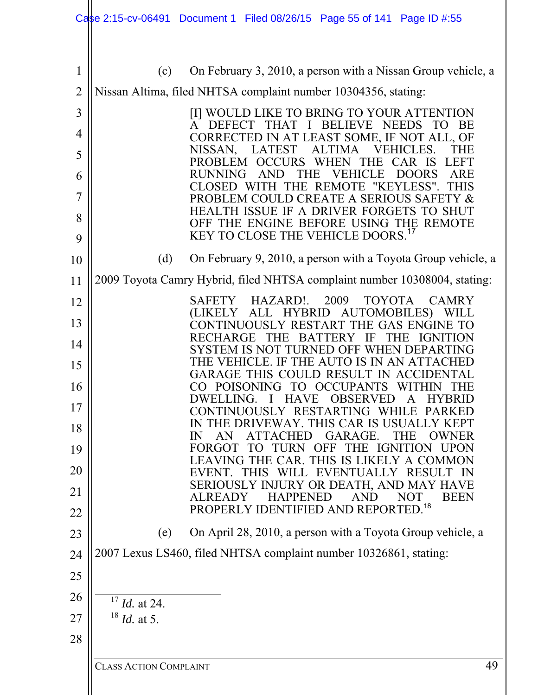|                |                          | Case 2:15-cv-06491 Document 1 Filed 08/26/15 Page 55 of 141 Page ID #:55                                                                    |
|----------------|--------------------------|---------------------------------------------------------------------------------------------------------------------------------------------|
|                |                          |                                                                                                                                             |
| 1              | (c)                      | On February 3, 2010, a person with a Nissan Group vehicle, a                                                                                |
| $\overline{2}$ |                          | Nissan Altima, filed NHTSA complaint number 10304356, stating:                                                                              |
| 3              |                          | [I] WOULD LIKE TO BRING TO YOUR ATTENTION                                                                                                   |
| 4              |                          | BE<br><b>DEFECT</b><br><b>BELIEVE</b><br><b>NEEDS</b><br>$\mathsf{A}$<br>THAT<br>$\mathbf{I}$<br>CORRECTED IN AT LEAST SOME, IF NOT ALL, OF |
| 5              |                          | <b>VEHICLES.</b><br>NISSAN,<br><b>LATEST</b><br><b>ALTIMA</b><br>THE<br><b>PROBLEM</b><br>CCURS<br><b>THE</b><br>CAR IS<br>LEFT<br>WHEN     |
| 6              |                          | <b>RUNNING</b><br>THE<br>ARE<br>Æ<br><b>DOORS</b><br>A N<br><b>REMOTE</b><br>"KEYLESS".<br><b>CLOSED</b><br>THE<br>THIS<br>WIT              |
| 7              |                          | PROBLEM COULD CREATE A SERIOUS SAFETY &<br><b>HEALTH</b><br>ISSUE IF A DRIVER FORGETS                                                       |
| 8              |                          | OFF THE ENGINE BEFORE USING THE REMOTE                                                                                                      |
| 9              |                          | KEY TO CLOSE THE VEHICLE DOORS. <sup>17</sup>                                                                                               |
| 10             | (d)                      | On February 9, 2010, a person with a Toyota Group vehicle, a                                                                                |
| 11             |                          | 2009 Toyota Camry Hybrid, filed NHTSA complaint number 10308004, stating:                                                                   |
| 12             |                          | 2009<br>HAZARD!.<br>SAFETY<br><b>TOYOTA</b><br>CAMRY<br>AUTOMOBILES)<br>ALL<br><b>HYBRID</b><br>(LIKELY                                     |
| 13             |                          | UOUSLY RESTART THE GAS ENGINE TO<br>E<br><b>BA</b><br>ìЕ                                                                                    |
| 14             |                          | <b>SYSTEM</b><br>TURNED OFF WHEN DEPA<br>THE VEHI<br>F THE AUTO IS IN AN ATTAC<br>CLE I                                                     |
| 15             |                          | 'HIS<br><b>RESUL</b><br>GARAGE<br>.I )                                                                                                      |
| 16             |                          | CO POISONING<br>TO OCCUPANTS<br><b>WITHIN</b><br>DWELLING.<br>HAVE OBSERVED<br>$\mathbf{A}$<br><b>HYBRID</b>                                |
| 17             |                          | CONTINUOUSLY RESTARTING WHILE PARKED<br>IN THE DRIVEWAY. THIS CAR IS USUALLY KEPT                                                           |
| 18<br>19       |                          | GARAGE.<br>ATTACHED<br><b>THE</b><br><b>OWNER</b><br>AN.<br>IN<br>FORGOT TO TURN OFF<br>THE IGNITION UPON                                   |
| 20             |                          | LEAVING THE CAR. THIS IS LIKELY A COMMON<br>EVENT. THIS WILL EVENTUALLY RESULT IN                                                           |
| 21             |                          | SERIOUSLY INJURY OR DEATH, AND MAY HAVE                                                                                                     |
| 22             |                          | <b>AND</b><br><b>HAPPENED</b><br><b>NOT</b><br><b>BEEN</b><br><b>ALREADY</b><br>PROPERLY IDENTIFIED AND REPORTED. <sup>18</sup>             |
| 23             | (e)                      | On April 28, 2010, a person with a Toyota Group vehicle, a                                                                                  |
| 24             |                          | 2007 Lexus LS460, filed NHTSA complaint number 10326861, stating:                                                                           |
| 25             |                          |                                                                                                                                             |
| 26             | $17$ <i>Id.</i> at 24.   |                                                                                                                                             |
| 27             | $^{18}$ <i>Id.</i> at 5. |                                                                                                                                             |
| 28             |                          |                                                                                                                                             |
|                |                          |                                                                                                                                             |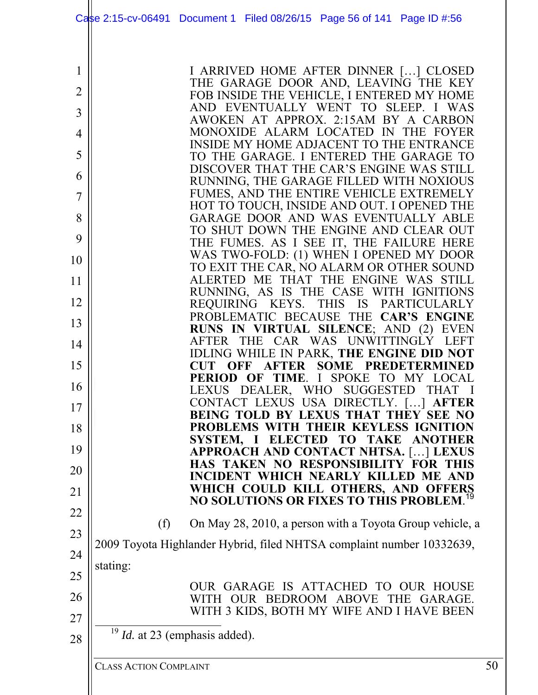|                |                               | Case 2:15-cv-06491 Document 1 Filed 08/26/15 Page 56 of 141 Page ID #:56                                           |    |
|----------------|-------------------------------|--------------------------------------------------------------------------------------------------------------------|----|
| 1              |                               | I ARRIVED HOME AFTER DINNER [] CLOSED                                                                              |    |
| $\overline{2}$ |                               | THE GARAGE DOOR AND, LEAVING THE KEY                                                                               |    |
|                |                               | FOB INSIDE THE VEHICLE, I ENTERED MY HOME<br>AND EVENTUALLY WENT TO SLEEP. I WAS                                   |    |
| 3              |                               | AWOKEN AT APPROX. 2:15AM BY A CARBON                                                                               |    |
| 4              |                               | MONOXIDE ALARM LOCATED IN THE FOYER                                                                                |    |
| 5              |                               | INSIDE MY HOME ADJACENT TO THE ENTRANCE<br>TO THE GARAGE. I ENTERED THE GARAGE TO                                  |    |
|                |                               | DISCOVER THAT THE CAR'S ENGINE WAS STILL                                                                           |    |
| 6              |                               | RUNNING, THE GARAGE FILLED WITH NOXIOUS                                                                            |    |
| 7              |                               | FUMES, AND THE ENTIRE VEHICLE EXTREMELY                                                                            |    |
| 8              |                               | HOT TO TOUCH, INSIDE AND OUT. I OPENED THE<br>GARAGE DOOR AND WAS EVENTUALLY ABLE                                  |    |
|                |                               | TO SHUT DOWN THE ENGINE AND CLEAR OUT                                                                              |    |
| 9              |                               | THE FUMES. AS I SEE IT, THE FAILURE HERE                                                                           |    |
| 10             |                               | WAS TWO-FOLD: (1) WHEN I OPENED MY DOOR                                                                            |    |
| 11             |                               | TO EXIT THE CAR, NO ALARM OR OTHER SOUND<br>ALERTED ME THAT THE ENGINE WAS STILL                                   |    |
|                |                               | RUNNING, AS IS THE CASE WITH IGNITIONS                                                                             |    |
| 12             |                               | REQUIRING KEYS. THIS IS PARTICULARLY                                                                               |    |
| 13             |                               | PROBLEMATIC BECAUSE THE CAR'S ENGINE                                                                               |    |
|                |                               | RUNS IN VIRTUAL SILENCE; AND (2) EVEN<br>AFTER THE CAR WAS UNWITTINGLY LEFT                                        |    |
| 14             |                               | IDLING WHILE IN PARK, THE ENGINE DID NOT                                                                           |    |
| 15             |                               | <b>SOME PREDETERMINED</b><br><b>CUT</b><br>OFF<br><b>AFTER</b>                                                     |    |
| 16             |                               | OF TIME. I SPOKE TO MY LOCAL<br><b>PERIOD</b><br><b>LEXUS</b><br><b>THAT</b>                                       |    |
|                |                               | DEALER,<br><b>WHO</b><br><b>SUGGESTED</b><br>CONTACT LEXUS USA DIRECTLY. []<br><b>AFTER</b>                        |    |
| 17             |                               | BEING TOLD BY LEXUS THAT THEY SEE NO                                                                               |    |
| 18             |                               | PROBLEMS WITH THEIR KEYLESS IGNITION                                                                               |    |
| 19             |                               | SYSTEM,<br><b>ELECTED</b><br><b>TAKE</b><br>TO <b>TO</b><br><b>ANOTHER</b><br>APPROACH AND CONTACT NHTSA. [] LEXUS |    |
|                |                               | <b>HAS TAKEN NO RESPONSIBILITY FOR</b>                                                                             |    |
| 20             |                               | <b>INCIDENT WHICH NEARLY KILLED</b><br>ME AND                                                                      |    |
| 21             |                               | WHICH COULD KILL OTHERS, AND OFFERS                                                                                |    |
| 22             |                               | NO SOLUTIONS OR FIXES TO THIS PROBLEM. <sup>19</sup>                                                               |    |
|                | (f)                           | On May 28, 2010, a person with a Toyota Group vehicle, a                                                           |    |
| 23             |                               |                                                                                                                    |    |
| 24             |                               | 2009 Toyota Highlander Hybrid, filed NHTSA complaint number 10332639,                                              |    |
|                | stating:                      |                                                                                                                    |    |
| 25             |                               | OUR GARAGE IS ATTACHED TO OUR HOUSE                                                                                |    |
| 26             |                               | WITH OUR BEDROOM ABOVE<br>THE GARAGE.                                                                              |    |
| 27             |                               | WITH 3 KIDS, BOTH MY WIFE AND I HAVE BEEN                                                                          |    |
|                |                               | $19$ <i>Id.</i> at 23 (emphasis added).                                                                            |    |
| 28             |                               |                                                                                                                    |    |
|                | <b>CLASS ACTION COMPLAINT</b> |                                                                                                                    | 50 |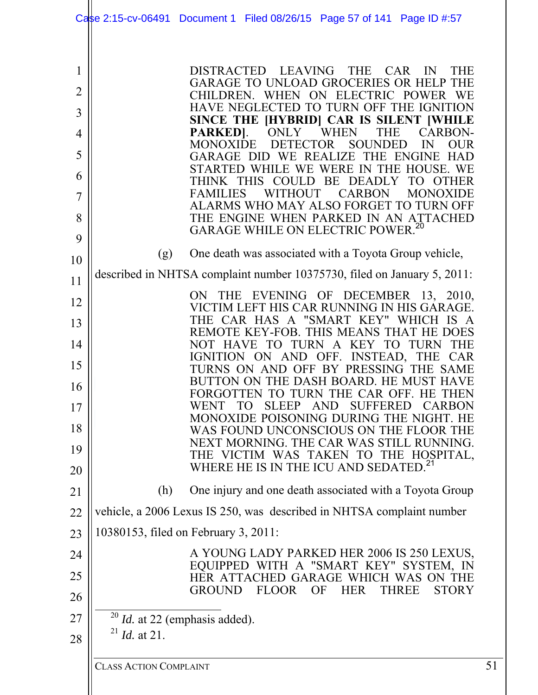|                     |                               | Case 2:15-cv-06491 Document 1 Filed 08/26/15 Page 57 of 141 Page ID #:57                                         |    |
|---------------------|-------------------------------|------------------------------------------------------------------------------------------------------------------|----|
|                     |                               |                                                                                                                  |    |
| 1<br>$\overline{2}$ |                               | DISTRACTED LEAVING THE<br>CAR<br>IN<br><b>THE</b><br>GARAGE TO UNLOAD GROCERIES OR HELP THE                      |    |
| 3                   |                               | CHILDREN. WHEN ON ELECTRIC POWER WE<br>HAVE NEGLECTED TO TURN OFF THE IGNITION                                   |    |
| 4                   |                               | SINCE THE [HYBRID] CAR IS SILENT [WHILE<br>ONLY WHEN<br><b>CARBON-</b><br>PARKED].<br><b>THE</b>                 |    |
| 5                   |                               | <b>MONOXIDE</b><br><b>DETECTOR</b><br><b>SOUNDED</b><br>IN<br><b>OUR</b><br>GARAGE DID WE REALIZE THE ENGINE HAD |    |
| 6                   |                               | STARTED WHILE WE WERE IN THE HOUSE. WE<br>THINK THIS COULD BE DEADLY<br>TO OTHER                                 |    |
| 7                   |                               | FAMILIES WITHOUT<br><b>CARBON</b><br><b>MONOXIDE</b><br>ALARMS WHO MAY ALSO FORGET TO TURN OFF                   |    |
| 8<br>9              |                               | THE ENGINE WHEN PARKED IN AN ATTACHED<br>GARAGE WHILE ON ELECTRIC POWER. <sup>20</sup>                           |    |
| 10                  | (g)                           | One death was associated with a Toyota Group vehicle,                                                            |    |
| 11                  |                               | described in NHTSA complaint number 10375730, filed on January 5, 2011:                                          |    |
| 12                  |                               | ON THE EVENING OF DECEMBER 13, 2010,<br>VICTIM LEFT HIS CAR RUNNING IN HIS GARAGE.                               |    |
| 13                  |                               | THE CAR HAS A "SMART KEY" WHICH IS A<br>REMOTE KEY-FOB. THIS MEANS THAT HE DOES                                  |    |
| 14                  |                               | NOT HAVE TO TURN A KEY TO TURN THE<br>IGNITION ON AND OFF. INSTEAD, THE CAR                                      |    |
| 15                  |                               | TURNS ON AND OFF BY PRESSING THE SAME<br>BUTTON ON THE DASH BOARD. HE MUST HAVE                                  |    |
| 16<br>17            |                               | FORGOTTEN TO TURN THE CAR OFF. HE THEN<br>SLEEP AND SUFFERED CARBON<br>TO<br><b>WENT</b>                         |    |
| 18                  |                               | MONOXIDE POISONING DURING THE NIGHT. HE<br>WAS FOUND UNCONSCIOUS ON THE FLOOR THE                                |    |
| 19                  |                               | NEXT MORNING. THE CAR WAS STILL RUNNING.<br>THE VICTIM WAS TAKEN TO THE HOSPITAL,                                |    |
| 20                  |                               | WHERE HE IS IN THE ICU AND SEDATED. <sup>21</sup>                                                                |    |
| 21                  | (h)                           | One injury and one death associated with a Toyota Group                                                          |    |
| 22                  |                               | vehicle, a 2006 Lexus IS 250, was described in NHTSA complaint number                                            |    |
| 23                  |                               | 10380153, filed on February 3, 2011:                                                                             |    |
| 24                  |                               | A YOUNG LADY PARKED HER 2006 IS 250 LEXUS,<br>EQUIPPED WITH A "SMART KEY" SYSTEM, IN                             |    |
| 25<br>26            |                               | HER ATTACHED GARAGE WHICH WAS ON THE<br>GROUND FLOOR<br>OF<br>HER<br><b>THREE</b><br><b>STORY</b>                |    |
| 27                  |                               | $^{20}$ <i>Id.</i> at 22 (emphasis added).                                                                       |    |
| 28                  | $^{21}$ <i>Id.</i> at 21.     |                                                                                                                  |    |
|                     | <b>CLASS ACTION COMPLAINT</b> |                                                                                                                  | 51 |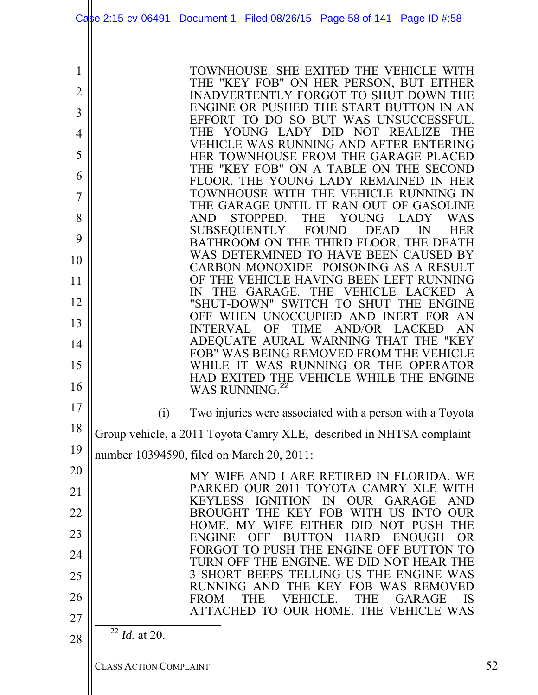|                                                                                |                               | Case 2:15-cv-06491 Document 1 Filed 08/26/15 Page 58 of 141 Page ID #:58                                                                                                                                                                                                                                                                                                                                                                                                                                                                                                                                                                                                                                                                                                                                                                                                                                                                                                                                                                                      |    |
|--------------------------------------------------------------------------------|-------------------------------|---------------------------------------------------------------------------------------------------------------------------------------------------------------------------------------------------------------------------------------------------------------------------------------------------------------------------------------------------------------------------------------------------------------------------------------------------------------------------------------------------------------------------------------------------------------------------------------------------------------------------------------------------------------------------------------------------------------------------------------------------------------------------------------------------------------------------------------------------------------------------------------------------------------------------------------------------------------------------------------------------------------------------------------------------------------|----|
| 1<br>$\overline{2}$<br>3<br>4<br>5<br>6<br>7<br>8<br>9<br>10<br>11<br>12<br>13 |                               | TOWNHOUSE. SHE EXITED THE VEHICLE WITH<br>THE "KEY FOB" ON HER PERSON, BUT EITHER<br><b>INADVERTENTLY FORGOT TO SHUT DOWN THE</b><br>ENGINE OR PUSHED THE START BUTTON IN AN<br>EFFORT TO DO SO BUT WAS UNSUCCESSFUL.<br>YOUNG<br>LADY DID NOT REALIZE<br>THE<br>VEHICLE WAS RUNNING AND AFTER ENTERING<br>HER TOWNHOUSE FROM THE GARAGE PLACED<br>THE "KEY FOB" ON A TABLE ON THE SECOND<br>FLOOR. THE YOUNG LADY REMAINED IN HER<br>TOWNHOUSE WITH THE VEHICLE RUNNING IN<br>THE GARAGE UNTIL IT RAN OUT OF GASOLINE<br><b>THE</b><br><b>YOUNG</b><br>STOPPED.<br><b>LADY</b><br><b>WAS</b><br><b>AND</b><br>SUBSEQUENTLY FOUND DEAD<br>$\mathbb{N}$<br><b>HER</b><br>BATHROOM ON THE THIRD FLOOR. THE DEATH<br>WAS DETERMINED TO HAVE BEEN CAUSED BY<br>CARBON MONOXIDE POISONING AS A RESULT<br>OF THE VEHICLE HAVING BEEN LEFT RUNNING<br>GARAGE.<br>THE VEHICLE<br>IN<br><b>THE</b><br>LACKED<br>"SHUT-DOWN" SWITCH TO SHUT THE ENGINE<br>OFF WHEN UNOCCUPIED AND INERT FOR AN<br>AN<br><b>INTERVAL</b><br>OF<br><b>TIME</b><br>AND/OR<br><b>LACKED</b> |    |
| 14<br>15<br>16                                                                 |                               | ADEQUATE AURAL WARNING THAT THE "KEY<br>FOB" WAS BEING REMOVED FROM THE VEHICLE<br>IT WAS RUNNING OR THE OPERATOR<br><b>WHILE</b><br>HAD EXITED THE VEHICLE WHILE THE ENGINE<br>WAS RUNNING. <sup>22</sup>                                                                                                                                                                                                                                                                                                                                                                                                                                                                                                                                                                                                                                                                                                                                                                                                                                                    |    |
| 17                                                                             | (i)                           | Two injuries were associated with a person with a Toyota                                                                                                                                                                                                                                                                                                                                                                                                                                                                                                                                                                                                                                                                                                                                                                                                                                                                                                                                                                                                      |    |
| 18                                                                             |                               | Group vehicle, a 2011 Toyota Camry XLE, described in NHTSA complaint                                                                                                                                                                                                                                                                                                                                                                                                                                                                                                                                                                                                                                                                                                                                                                                                                                                                                                                                                                                          |    |
| 19                                                                             |                               | number 10394590, filed on March 20, 2011:                                                                                                                                                                                                                                                                                                                                                                                                                                                                                                                                                                                                                                                                                                                                                                                                                                                                                                                                                                                                                     |    |
| 20                                                                             |                               | MY WIFE AND I ARE RETIRED IN FLORIDA. WE                                                                                                                                                                                                                                                                                                                                                                                                                                                                                                                                                                                                                                                                                                                                                                                                                                                                                                                                                                                                                      |    |
| 21                                                                             |                               | PARKED OUR 2011 TOYOTA CAMRY XLE WITH<br><b>KEYLESS</b><br>IN<br><b>OUR</b><br>GARAGE<br><b>AND</b><br><b>IGNITION</b>                                                                                                                                                                                                                                                                                                                                                                                                                                                                                                                                                                                                                                                                                                                                                                                                                                                                                                                                        |    |
| 22                                                                             |                               | <b>FOB</b><br>WITH US<br><b>OUR</b><br><b>BROUGHT</b><br>THE.<br>KEY<br><b>INTO</b><br><b>PUSH</b><br>HOME.<br>WIFE.<br>EITHER<br>THE<br>$1)$ $1)$<br>- NOT                                                                                                                                                                                                                                                                                                                                                                                                                                                                                                                                                                                                                                                                                                                                                                                                                                                                                                   |    |
| 23                                                                             |                               | <b>ENGINE</b><br>OR<br>FF<br>HAR1<br>E.<br>O PUSH THE ENGINE OFF<br><b>BUTTON TO</b><br><b>FORGOT</b>                                                                                                                                                                                                                                                                                                                                                                                                                                                                                                                                                                                                                                                                                                                                                                                                                                                                                                                                                         |    |
| 24                                                                             |                               | TURN OFF THE ENGINE. WE DID NOT HEAR THE<br>3 SHORT BEEPS TELLING US THE ENGINE<br><b>WAS</b>                                                                                                                                                                                                                                                                                                                                                                                                                                                                                                                                                                                                                                                                                                                                                                                                                                                                                                                                                                 |    |
| 25<br>26                                                                       |                               | <b>RUNNING</b><br>WAS REMOVED<br>THE KE<br>FOB-<br>$\blacksquare$                                                                                                                                                                                                                                                                                                                                                                                                                                                                                                                                                                                                                                                                                                                                                                                                                                                                                                                                                                                             |    |
| 27                                                                             |                               | <b>FROM</b><br>GARAGE<br>IS<br>THE<br>VEHICLE.<br>THE<br>ATTACHED TO OUR HOME. THE VEHICLE WAS                                                                                                                                                                                                                                                                                                                                                                                                                                                                                                                                                                                                                                                                                                                                                                                                                                                                                                                                                                |    |
| 28                                                                             | $^{22}$ <i>Id.</i> at 20.     |                                                                                                                                                                                                                                                                                                                                                                                                                                                                                                                                                                                                                                                                                                                                                                                                                                                                                                                                                                                                                                                               |    |
|                                                                                | <b>CLASS ACTION COMPLAINT</b> |                                                                                                                                                                                                                                                                                                                                                                                                                                                                                                                                                                                                                                                                                                                                                                                                                                                                                                                                                                                                                                                               | 52 |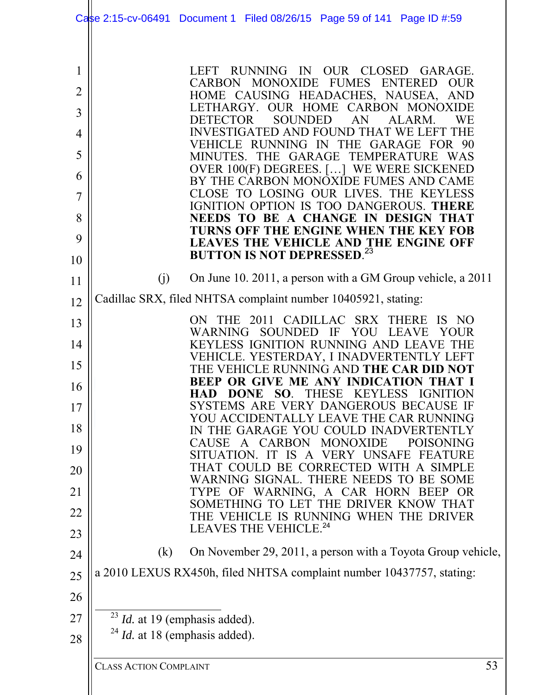|                                                                | Case 2:15-cv-06491 Document 1 Filed 08/26/15 Page 59 of 141 Page ID #:59                                                                                                                                                                                                                                                                                                                                                                                                                                                                                                                                                                                                                                                                                                                               |
|----------------------------------------------------------------|--------------------------------------------------------------------------------------------------------------------------------------------------------------------------------------------------------------------------------------------------------------------------------------------------------------------------------------------------------------------------------------------------------------------------------------------------------------------------------------------------------------------------------------------------------------------------------------------------------------------------------------------------------------------------------------------------------------------------------------------------------------------------------------------------------|
| 1<br>$\overline{2}$<br>3<br>4<br>5<br>6<br>7<br>8<br>9<br>10   | RUNNING IN OUR CLOSED GARAGE.<br>LEFT.<br>CARBON MONOXIDE FUMES ENTERED<br><b>OUR</b><br>HOME CAUSING HEADACHES, NAUSEA, AND<br>LETHARGY. OUR HOME CARBON MONOXIDE<br><b>SOUNDED</b><br>DETECTOR<br>AN<br>ALARM.<br><b>WE</b><br>INVESTIGATED AND FOUND THAT WE LEFT THE<br>VEHICLE RUNNING IN THE GARAGE FOR 90<br>MINUTES. THE GARAGE TEMPERATURE WAS<br>OVER 100(F) DEGREES. [] WE WERE SICKENED<br>BY THE CARBON MONOXIDE FUMES AND CAME<br>CLOSE TO LOSING OUR LIVES. THE KEYLESS<br>IGNITION OPTION IS TOO DANGEROUS. THERE<br>NEEDS TO BE A CHANGE IN DESIGN THAT<br>TURNS OFF THE ENGINE WHEN THE KEY FOB<br>LEAVES THE VEHICLE AND THE ENGINE OFF BUTTON IS NOT DEPRESSED. <sup>23</sup>                                                                                                      |
| 11                                                             | On June 10. 2011, a person with a GM Group vehicle, a 2011<br>(j)                                                                                                                                                                                                                                                                                                                                                                                                                                                                                                                                                                                                                                                                                                                                      |
| 12                                                             | Cadillac SRX, filed NHTSA complaint number 10405921, stating:                                                                                                                                                                                                                                                                                                                                                                                                                                                                                                                                                                                                                                                                                                                                          |
| 13<br>14<br>15<br>16<br>17<br>18<br>19<br>20<br>21<br>22<br>23 | THE 2011 CADILLAC SRX THERE<br>IS NO<br>ON<br>WARNING SOUNDED IF YOU LEAVE<br><b>YOUR</b><br>KEYLESS IGNITION RUNNING AND LEAVE THE<br>VEHICLE. YESTERDAY, I INADVERTENTLY LEFT<br>THE VEHICLE RUNNING AND THE CAR DID NOT<br>BEEP OR GIVE ME ANY INDICATION THAT I<br>HAD DONE SO. THESE KEYLESS IGNITION<br>SYSTEMS ARE VERY DANGEROUS BECAUSE IF<br>YOU ACCIDENTALLY LEAVE THE CAR RUNNING<br>IN THE GARAGE YOU COULD INADVERTENTLY<br>A CARBON MONOXIDE<br><b>CAUSE</b><br><b>POISONING</b><br>SITUATION. IT IS A VERY UNSAFE<br>FEATURE<br>THAT COULD BE CORRECTED WITH A SIMPLE<br>WARNING SIGNAL. THERE NEEDS TO BE SOME<br>OF WARNING, A CAR HORN BEEP<br>TYPE<br>- OR<br>SOMETHING TO LET THE DRIVER KNOW THAT<br>THE VEHICLE IS RUNNING WHEN THE DRIVER<br>LEAVES THE VEHICLE. <sup>24</sup> |
| 24                                                             | On November 29, 2011, a person with a Toyota Group vehicle,<br>(k)                                                                                                                                                                                                                                                                                                                                                                                                                                                                                                                                                                                                                                                                                                                                     |
| 25                                                             | a 2010 LEXUS RX450h, filed NHTSA complaint number 10437757, stating:                                                                                                                                                                                                                                                                                                                                                                                                                                                                                                                                                                                                                                                                                                                                   |
| 26                                                             |                                                                                                                                                                                                                                                                                                                                                                                                                                                                                                                                                                                                                                                                                                                                                                                                        |
| 27                                                             | $^{23}$ <i>Id.</i> at 19 (emphasis added).                                                                                                                                                                                                                                                                                                                                                                                                                                                                                                                                                                                                                                                                                                                                                             |
| 28                                                             | $^{24}$ <i>Id.</i> at 18 (emphasis added).                                                                                                                                                                                                                                                                                                                                                                                                                                                                                                                                                                                                                                                                                                                                                             |
|                                                                | 53<br><b>CLASS ACTION COMPLAINT</b>                                                                                                                                                                                                                                                                                                                                                                                                                                                                                                                                                                                                                                                                                                                                                                    |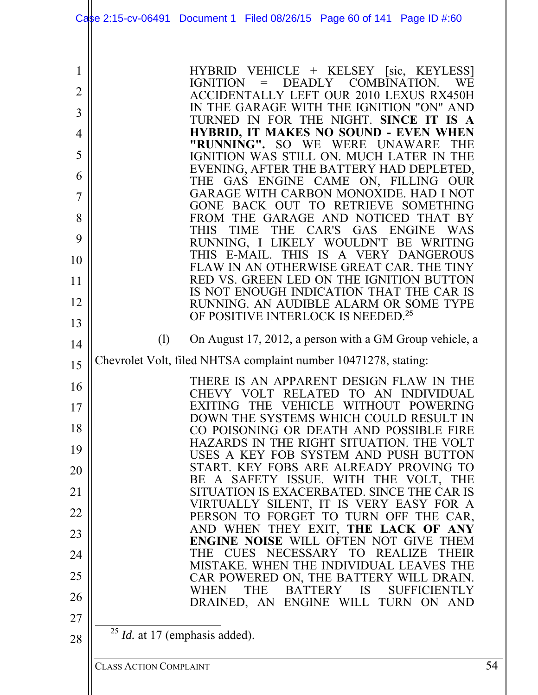|                                         | Case 2:15-cv-06491 Document 1 Filed 08/26/15 Page 60 of 141 Page ID #:60                                                                                                                                                                                                                                                                                                                                                                                                 |    |
|-----------------------------------------|--------------------------------------------------------------------------------------------------------------------------------------------------------------------------------------------------------------------------------------------------------------------------------------------------------------------------------------------------------------------------------------------------------------------------------------------------------------------------|----|
| 1<br>$\overline{2}$<br>3<br>4<br>5<br>6 | HYBRID VEHICLE + KELSEY [sic, KEYLESS]<br>= DEADLY COMBINATION.<br>IGNITION<br><b>WE</b><br><b>ACCIDENTALLY LEFT OUR 2010 LEXUS RX450H</b><br>IN THE GARAGE WITH THE IGNITION "ON" AND<br>TURNED IN FOR THE NIGHT. SINCE IT IS A<br><b>HYBRID, IT MAKES NO SOUND - EVEN WHEN</b><br>"RUNNING". SO WE WERE UNAWARE<br><b>THE</b><br>IGNITION WAS STILL ON. MUCH LATER IN THE<br>EVENING, AFTER THE BATTERY HAD DEPLETED,<br>THE GAS ENGINE CAME ON, FILLING<br><b>OUR</b> |    |
| 7                                       | GARAGE WITH CARBON MONOXIDE. HAD I NOT                                                                                                                                                                                                                                                                                                                                                                                                                                   |    |
| 8                                       | GONE BACK OUT TO RETRIEVE SOMETHING<br>FROM THE GARAGE AND NOTICED THAT BY                                                                                                                                                                                                                                                                                                                                                                                               |    |
| 9                                       | THIS TIME<br>THE CAR'S GAS ENGINE<br><b>WAS</b><br>RUNNING, I LIKELY WOULDN'T BE WRITING                                                                                                                                                                                                                                                                                                                                                                                 |    |
| 10                                      | THIS IS<br>THIS E-MAIL.<br>A VERY DANGEROUS<br>FLAW IN AN OTHERWISE GREAT CAR. THE TINY                                                                                                                                                                                                                                                                                                                                                                                  |    |
| 11                                      | RED VS. GREEN LED ON THE IGNITION BUTTON                                                                                                                                                                                                                                                                                                                                                                                                                                 |    |
| 12                                      | IS NOT ENOUGH INDICATION THAT THE CAR IS<br>RUNNING. AN AUDIBLE ALARM OR SOME TYPE                                                                                                                                                                                                                                                                                                                                                                                       |    |
| 13                                      | OF POSITIVE INTERLOCK IS NEEDED. <sup>25</sup>                                                                                                                                                                                                                                                                                                                                                                                                                           |    |
| 14                                      | (1)<br>On August 17, 2012, a person with a GM Group vehicle, a                                                                                                                                                                                                                                                                                                                                                                                                           |    |
| 15                                      | Chevrolet Volt, filed NHTSA complaint number 10471278, stating:                                                                                                                                                                                                                                                                                                                                                                                                          |    |
| 16                                      | THERE IS AN APPARENT DESIGN FLAW IN THE<br>CHEVY VOLT RELATED TO AN INDIVIDUAL                                                                                                                                                                                                                                                                                                                                                                                           |    |
| 17                                      | EXITING THE VEHICLE WITHOUT POWERING                                                                                                                                                                                                                                                                                                                                                                                                                                     |    |
| 18                                      | DOWN THE SYSTEMS WHICH COULD RESULT IN<br>CO POISONING OR DEATH AND POSSIBLE FIRE                                                                                                                                                                                                                                                                                                                                                                                        |    |
| 19                                      | HAZARDS IN THE RIGHT SITUATION. THE VOLT<br>USES A KEY FOB SYSTEM AND PUSH BUTTON                                                                                                                                                                                                                                                                                                                                                                                        |    |
| 20                                      | START. KEY FOBS ARE ALREADY PROVING TO                                                                                                                                                                                                                                                                                                                                                                                                                                   |    |
| 21                                      | BE A SAFETY ISSUE. WITH THE VOLT, THE<br>SITUATION IS EXACERBATED. SINCE THE CAR IS                                                                                                                                                                                                                                                                                                                                                                                      |    |
| 22                                      | VIRTUALLY SILENT, IT IS VERY EASY FOR A<br>PERSON TO FORGET TO TURN OFF THE CAR,                                                                                                                                                                                                                                                                                                                                                                                         |    |
| 23                                      | AND WHEN THEY EXIT, THE LACK OF ANY                                                                                                                                                                                                                                                                                                                                                                                                                                      |    |
| 24                                      | <b>ENGINE NOISE WILL OFTEN NOT GIVE THEM</b><br>THE CUES NECESSARY TO REALIZE<br><b>THEIR</b>                                                                                                                                                                                                                                                                                                                                                                            |    |
| 25                                      | MISTAKE. WHEN THE INDIVIDUAL LEAVES THE<br>CAR POWERED ON, THE BATTERY WILL DRAIN.                                                                                                                                                                                                                                                                                                                                                                                       |    |
| 26                                      | BATTERY IS<br><b>SUFFICIENTLY</b><br><b>WHEN</b><br><b>THE</b>                                                                                                                                                                                                                                                                                                                                                                                                           |    |
| 27                                      | DRAINED, AN ENGINE WILL TURN ON AND                                                                                                                                                                                                                                                                                                                                                                                                                                      |    |
| 28                                      | $^{25}$ <i>Id.</i> at 17 (emphasis added).                                                                                                                                                                                                                                                                                                                                                                                                                               |    |
|                                         |                                                                                                                                                                                                                                                                                                                                                                                                                                                                          |    |
|                                         | <b>CLASS ACTION COMPLAINT</b>                                                                                                                                                                                                                                                                                                                                                                                                                                            | 54 |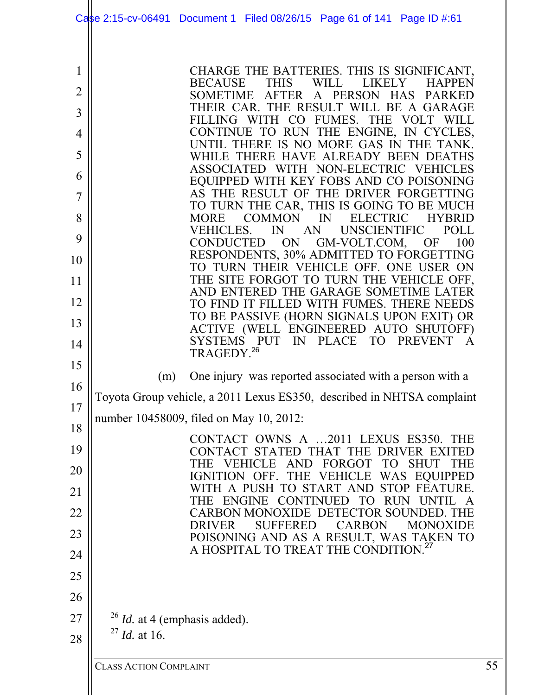|                                                                                | Case 2:15-cv-06491 Document 1 Filed 08/26/15 Page 61 of 141 Page ID #:61                                                                                                                                                                                                                                                                                                                                                                                                                                                                                                                                                                                                                                                                                                                                                                                                                                                                                                                                                             |    |
|--------------------------------------------------------------------------------|--------------------------------------------------------------------------------------------------------------------------------------------------------------------------------------------------------------------------------------------------------------------------------------------------------------------------------------------------------------------------------------------------------------------------------------------------------------------------------------------------------------------------------------------------------------------------------------------------------------------------------------------------------------------------------------------------------------------------------------------------------------------------------------------------------------------------------------------------------------------------------------------------------------------------------------------------------------------------------------------------------------------------------------|----|
| 1<br>$\overline{2}$<br>3<br>4<br>5<br>6<br>7<br>8<br>9<br>10<br>11<br>12<br>13 | CHARGE THE BATTERIES. THIS IS SIGNIFICANT,<br><b>THIS</b><br>WILL LIKELY<br>BECAUSE<br><b>HAPPEN</b><br>SOMETIME AFTER A PERSON HAS<br><b>PARKED</b><br>THEIR CAR. THE RESULT WILL BE A GARAGE<br>FILLING WITH CO FUMES. THE VOLT WILL<br>CONTINUE TO RUN THE ENGINE, IN CYCLES,<br>UNTIL THERE IS NO MORE GAS IN THE TANK.<br>WHILE THERE HAVE ALREADY BEEN DEATHS<br>ASSOCIATED WITH NON-ELECTRIC VEHICLES<br>EQUIPPED WITH KEY FOBS AND CO POISONING<br>AS THE RESULT OF THE DRIVER FORGETTING<br>TO TURN THE CAR, THIS IS GOING TO BE MUCH<br>COMMON<br>$\mathbb{N}$<br><b>ELECTRIC</b><br><b>HYBRID</b><br><b>MORE</b><br><b>UNSCIENTIFIC</b><br>VEHICLES. IN AN<br>POLL<br>CONDUCTED ON<br>GM-VOLT.COM, OF<br>100<br>RESPONDENTS, 30% ADMITTED TO FORGETTING<br>TO TURN THEIR VEHICLE OFF. ONE USER ON<br>THE SITE FORGOT TO TURN THE VEHICLE OFF,<br>AND ENTERED THE GARAGE SOMETIME LATER<br>TO FIND IT FILLED WITH FUMES. THERE NEEDS<br>TO BE PASSIVE (HORN SIGNALS UPON EXIT) OR<br>ACTIVE (WELL ENGINEERED AUTO SHUTOFF) |    |
| 14<br>15                                                                       | SYSTEMS PUT IN PLACE TO PREVENT<br>$\mathbf{A}$<br>TRAGEDY. <sup>26</sup><br>One injury was reported associated with a person with a<br>(m)                                                                                                                                                                                                                                                                                                                                                                                                                                                                                                                                                                                                                                                                                                                                                                                                                                                                                          |    |
| 16<br>17                                                                       | Toyota Group vehicle, a 2011 Lexus ES350, described in NHTSA complaint<br>number 10458009, filed on May 10, 2012:                                                                                                                                                                                                                                                                                                                                                                                                                                                                                                                                                                                                                                                                                                                                                                                                                                                                                                                    |    |
| 18<br>19                                                                       | CONTACT OWNS A 2011 LEXUS ES350. THE<br>CONTACT STATED THAT THE DRIVER EXITED                                                                                                                                                                                                                                                                                                                                                                                                                                                                                                                                                                                                                                                                                                                                                                                                                                                                                                                                                        |    |
| 20                                                                             | VEHICLE AND FORGOT<br>TO T<br><b>SHUT</b><br>THE.<br>THE<br>IGNITION OFF. THE VEHICLE<br>WAS EQUIPPED                                                                                                                                                                                                                                                                                                                                                                                                                                                                                                                                                                                                                                                                                                                                                                                                                                                                                                                                |    |
| 21                                                                             | WITH A PUSH TO START AND STOP FEATURE.<br>ENGINE CONTINUED TO<br><b>RUN</b><br>UNTIL<br>THE                                                                                                                                                                                                                                                                                                                                                                                                                                                                                                                                                                                                                                                                                                                                                                                                                                                                                                                                          |    |
| 22                                                                             | CARBON MONOXIDE DETECTOR SOUNDED. THE<br><b>SUFFERED</b><br><b>CARBON</b><br><b>MONOXIDE</b><br><b>DRIVER</b>                                                                                                                                                                                                                                                                                                                                                                                                                                                                                                                                                                                                                                                                                                                                                                                                                                                                                                                        |    |
| 23<br>24                                                                       | POISONING AND AS A RESULT, WAS TAKEN TO<br>A HOSPITAL TO TREAT THE CONDITION. <sup>27</sup>                                                                                                                                                                                                                                                                                                                                                                                                                                                                                                                                                                                                                                                                                                                                                                                                                                                                                                                                          |    |
| 25                                                                             |                                                                                                                                                                                                                                                                                                                                                                                                                                                                                                                                                                                                                                                                                                                                                                                                                                                                                                                                                                                                                                      |    |
| 26                                                                             |                                                                                                                                                                                                                                                                                                                                                                                                                                                                                                                                                                                                                                                                                                                                                                                                                                                                                                                                                                                                                                      |    |
| 27                                                                             | $^{26}$ <i>Id.</i> at 4 (emphasis added).                                                                                                                                                                                                                                                                                                                                                                                                                                                                                                                                                                                                                                                                                                                                                                                                                                                                                                                                                                                            |    |
| 28                                                                             | $^{27}$ <i>Id.</i> at 16.                                                                                                                                                                                                                                                                                                                                                                                                                                                                                                                                                                                                                                                                                                                                                                                                                                                                                                                                                                                                            |    |
|                                                                                | <b>CLASS ACTION COMPLAINT</b>                                                                                                                                                                                                                                                                                                                                                                                                                                                                                                                                                                                                                                                                                                                                                                                                                                                                                                                                                                                                        | 55 |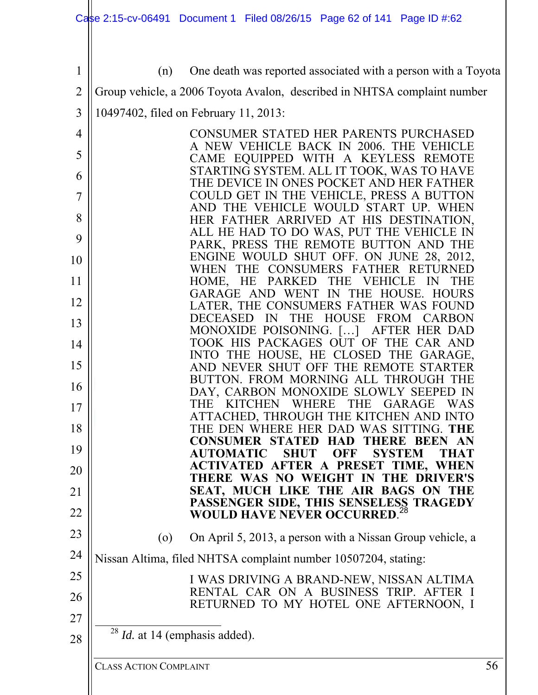1 2 3 4 5 6 7 8 9 10 11 12 13 14 15 16 17 18 19 20 21 22 23 24 25 26 27 28 (n) One death was reported associated with a person with a Toyota Group vehicle, a 2006 Toyota Avalon, described in NHTSA complaint number 10497402, filed on February 11, 2013: CONSUMER STATED HER PARENTS PURCHASED A NEW VEHICLE BACK IN 2006. THE VEHICLE CAME EQUIPPED WITH A KEYLESS REMOTE STARTING SYSTEM. ALL IT TOOK, WAS TO HAVE THE DEVICE IN ONES POCKET AND HER FATHER COULD GET IN THE VEHICLE, PRESS A BUTTON AND THE VEHICLE WOULD START UP. WHEN HER FATHER ARRIVED AT HIS DESTINATION, ALL HE HAD TO DO WAS, PUT THE VEHICLE IN PARK, PRESS THE REMOTE BUTTON AND THE ENGINE WOULD SHUT OFF. ON JUNE 28, 2012, WHEN THE CONSUMERS FATHER RETURNED HOME, HE PARKED THE VEHICLE IN THE GARAGE AND WENT IN THE HOUSE. HOURS LATER, THE CONSUMERS FATHER WAS FOUND DECEASED IN THE HOUSE FROM CARBON MONOXIDE POISONING. […] AFTER HER DAD TOOK HIS PACKAGES OUT OF THE CAR AND INTO THE HOUSE, HE CLOSED THE GARAGE, AND NEVER SHUT OFF THE REMOTE STARTER BUTTON. FROM MORNING ALL THROUGH THE DAY, CARBON MONOXIDE SLOWLY SEEPED IN THE KITCHEN WHERE THE GARAGE WAS ATTACHED, THROUGH THE KITCHEN AND INTO THE DEN WHERE HER DAD WAS SITTING. **THE CONSUMER STATED HAD THERE BEEN AN AUTOMATIC SHUT OFF SYSTEM THAT ACTIVATED AFTER A PRESET TIME, WHEN THERE WAS NO WEIGHT IN THE DRIVER'S SEAT, MUCH LIKE THE AIR BAGS ON THE PASSENGER SIDE, THIS SENSELESS TRAGEDY WOULD HAVE NEVER OCCURRED**. 28 (o) On April 5, 2013, a person with a Nissan Group vehicle, a Nissan Altima, filed NHTSA complaint number 10507204, stating: I WAS DRIVING A BRAND-NEW, NISSAN ALTIMA RENTAL CAR ON A BUSINESS TRIP. AFTER I RETURNED TO MY HOTEL ONE AFTERNOON, I <sup>28</sup> *Id.* at 14 (emphasis added).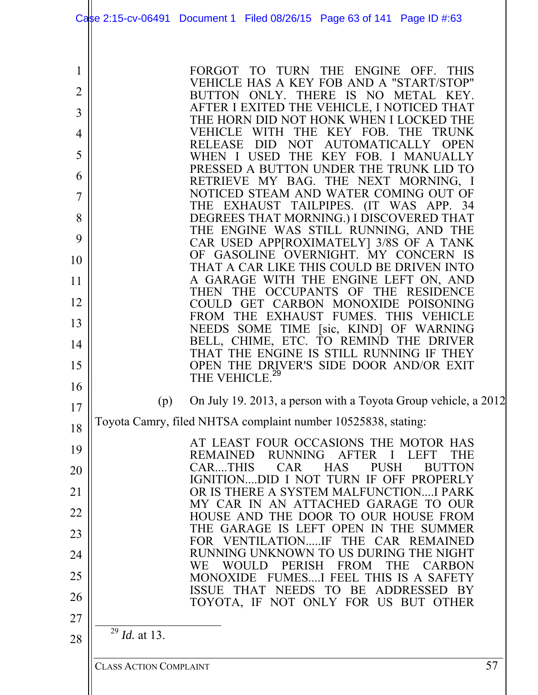|    | Case 2:15-cv-06491 Document 1 Filed 08/26/15 Page 63 of 141 Page ID #:63                   |                                     |
|----|--------------------------------------------------------------------------------------------|-------------------------------------|
| 1  | FORGOT TO TURN THE ENGINE OFF. THIS                                                        |                                     |
| 2  | VEHICLE HAS A KEY FOB AND A "START/STOP"<br>BUTTON ONLY. THERE IS NO METAL KEY.            |                                     |
| 3  | AFTER I EXITED THE VEHICLE, I NOTICED THAT                                                 |                                     |
|    | THE HORN DID NOT HONK WHEN I LOCKED THE<br>WITH THE<br><b>VEHICLE</b><br>KEY FOB.          | <b>TRUNK</b><br>THE                 |
| 4  | <b>NOT</b><br><b>RELEASE</b><br><b>DID</b>                                                 | <b>AUTOMATICALLY</b><br><b>OPEN</b> |
| 5  | WHEN I USED THE KEY FOB. I MANUALLY<br>PRESSED A BUTTON UNDER THE TRUNK LID TO             |                                     |
| 6  | RETRIEVE MY BAG. THE NEXT MORNING, I                                                       |                                     |
| 7  | NOTICED STEAM AND WATER COMING OUT OF<br>THE EXHAUST TAILPIPES. (IT WAS APP. 34            |                                     |
| 8  | DEGREES THAT MORNING.) I DISCOVERED THAT                                                   |                                     |
| 9  | THE ENGINE WAS STILL RUNNING, AND THE<br>CAR USED APP[ROXIMATELY] 3/8S OF A TANK           |                                     |
| 10 | OF GASOLINE OVERNIGHT. MY CONCERN IS                                                       |                                     |
| 11 | THAT A CAR LIKE THIS COULD BE DRIVEN INTO<br>A GARAGE WITH THE ENGINE LEFT ON, AND         |                                     |
|    | OCCUPANTS OF THE<br><b>THEN</b><br><b>THE</b>                                              | <b>RESIDENCE</b>                    |
| 12 | COULD GET CARBON MONOXIDE POISONING<br>FROM THE EXHAUST FUMES. THIS VEHICLE                |                                     |
| 13 | NEEDS SOME TIME [sic, KIND] OF WARNING                                                     |                                     |
| 14 | BELL, CHIME, ETC. TO REMIND THE DRIVER<br>THAT THE ENGINE IS STILL RUNNING IF THEY         |                                     |
| 15 | OPEN THE DRIVER'S SIDE DOOR AND/OR EXIT                                                    |                                     |
| 16 | THE VEHICLE. <sup>29</sup>                                                                 |                                     |
| 17 | On July 19. 2013, a person with a Toyota Group vehicle, a 2012<br>(p)                      |                                     |
| 18 | Toyota Camry, filed NHTSA complaint number 10525838, stating:                              |                                     |
| 19 | AT LEAST FOUR OCCASIONS THE MOTOR HAS<br><b>RUNNING</b><br><b>REMAINED</b><br><b>AFTER</b> | THE<br>T.EFT                        |
| 20 | <b>CAR</b><br>CARTHIS<br><b>HAS</b>                                                        | <b>PUSH</b><br><b>BUTTON</b>        |
| 21 | IGNITIONDID I NOT TURN IF OFF PROPERLY<br>OR IS THERE A SYSTEM MALFUNCTIONI PARK           |                                     |
| 22 | MY CAR IN AN ATTACHED GARAGE TO OUR                                                        |                                     |
| 23 | HOUSE AND THE DOOR TO OUR HOUSE FROM<br>THE GARAGE IS LEFT OPEN IN THE SUMMER              |                                     |
|    | FOR VENTILATIONIF THE CAR REMAINED<br>RUNNING UNKNOWN TO US DURING THE NIGHT               |                                     |
| 24 | <b>PERISH</b><br><b>FROM</b><br>WЕ<br><b>WOULD</b>                                         | <b>THE</b><br><b>CARBON</b>         |
| 25 | MONOXIDE FUMESI FEEL THIS IS A SAFETY<br>ISSUE THAT NEEDS TO BE ADDRESSED BY               |                                     |
| 26 | TOYOTA, IF NOT ONLY FOR US BUT OTHER                                                       |                                     |
| 27 |                                                                                            |                                     |
| 28 | $^{29}$ <i>Id.</i> at 13.                                                                  |                                     |
|    | <b>CLASS ACTION COMPLAINT</b>                                                              | 57                                  |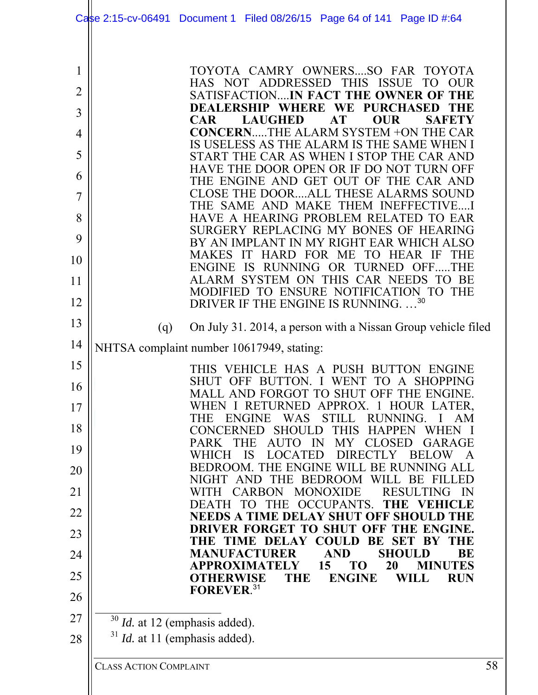| TOYOTA CAMRY OWNERSSO FAR TOYOTA<br>HAS NOT ADDRESSED THIS ISSUE TO OUR                                                                                        |
|----------------------------------------------------------------------------------------------------------------------------------------------------------------|
| SATISFACTIONIN FACT THE OWNER OF THE<br>DEALERSHIP WHERE WE PURCHASED<br><b>THE</b>                                                                            |
| <b>LAUGHED</b><br><b>AT</b><br><b>CAR</b><br>OUR<br><b>SAFETY</b>                                                                                              |
| <b>CONCERNTHE ALARM SYSTEM +ON THE CAR</b><br>IS USELESS AS THE ALARM IS THE SAME WHEN I                                                                       |
| START THE CAR AS WHEN I STOP THE CAR AND<br>HAVE THE DOOR OPEN OR IF DO NOT TURN OFF                                                                           |
| THE ENGINE AND GET OUT OF THE CAR AND<br><b>CLOSE THE DOORALL THESE ALARMS SOUND</b>                                                                           |
| THE SAME AND MAKE THEM INEFFECTIVEI                                                                                                                            |
| HAVE A HEARING PROBLEM RELATED TO EAR<br>SURGERY REPLACING MY BONES OF HEARING                                                                                 |
| BY AN IMPLANT IN MY RIGHT EAR WHICH ALSO<br>MAKES IT HARD FOR ME TO HEAR IF<br>THE                                                                             |
| ENGINE IS RUNNING OR TURNED OFFTHE                                                                                                                             |
| ALARM SYSTEM ON THIS CAR NEEDS TO BE<br>MODIFIED TO ENSURE NOTIFICATION TO THE                                                                                 |
| DRIVER IF THE ENGINE IS RUNNING30                                                                                                                              |
| On July 31. 2014, a person with a Nissan Group vehicle filed<br>(q)                                                                                            |
| NHTSA complaint number 10617949, stating:                                                                                                                      |
| THIS VEHICLE HAS A PUSH BUTTON ENGINE<br>SHUT OFF BUTTON. I WENT TO<br><b>SHOPPING</b><br>$\mathbf{A}$                                                         |
| MALL AND FORGOT TO SHUT OFF THE ENGINE                                                                                                                         |
| WHEN I RETURNED APPROX. 1 HOUR LATER,<br><b>WAS</b><br><b>STILL</b><br><b>ENGINE</b><br>RUNNING.<br>THE                                                        |
| <b>SHOULD</b><br><b>HAPPEN</b><br><b>CONCERNED</b><br><b>THIS</b><br><b>WHEN</b><br><b>IN</b><br><b>CLOSED</b><br>GARAGE<br><b>PARK</b><br>THE<br>AUTO.<br>MY. |
| WHICH<br>LOCATED<br>DIRECTLY<br><b>BELOW</b><br>IS<br>BEDROOM. THE ENGINE WILL BE RUNNING ALL                                                                  |
| NIGHT AND<br>THE BEDROOM WILL BE<br><b>FILLED</b>                                                                                                              |
| <b>MONOXIDE</b><br><b>RESULTING</b><br>CARBON<br>WITH<br>THE OCCUPANTS.<br><b>DEATH</b><br>THE<br><b>NEHICLE</b><br>TO <sub>1</sub>                            |
| NEEDS A TIME DELAY SHUT OFF SHOU<br>D THE<br>DRIVER FORGET TO SHUT OFF<br>THE ENGINE.                                                                          |
| THE TIME DELAY COULD BE SET BY<br><b>THE</b>                                                                                                                   |
| <b>MANUFACTURER</b><br><b>AND</b><br><b>SHOULD</b><br>BE<br>20<br>15<br><b>TO</b><br><b>MINUTES</b><br>APPROXIMATELY                                           |
| <b>ENGINE</b><br><b>OTHERWISE</b><br>THE<br>WILL<br><b>RUN</b><br>FOREVER. <sup>31</sup>                                                                       |
| $30$ <i>Id.</i> at 12 (emphasis added).                                                                                                                        |
| $31$ <i>Id.</i> at 11 (emphasis added).                                                                                                                        |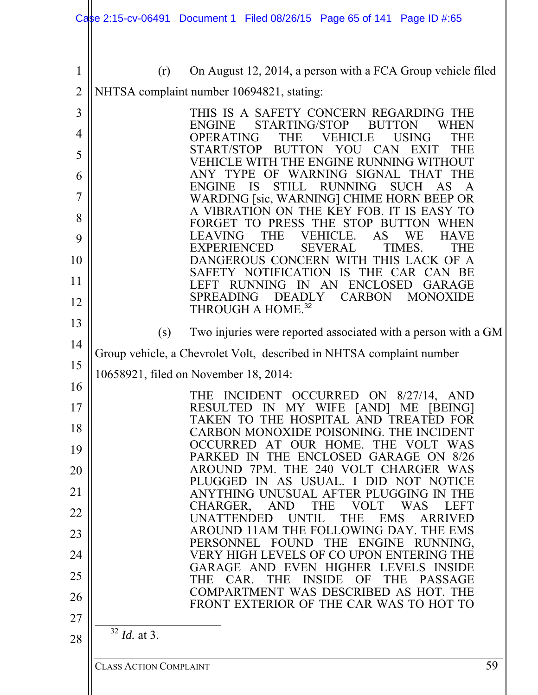|                                                   | Case 2:15-cv-06491 Document 1 Filed 08/26/15 Page 65 of 141 Page ID #:65                                                                                                                                                                                                                                                                                                                                                                                                                                                                                      |    |
|---------------------------------------------------|---------------------------------------------------------------------------------------------------------------------------------------------------------------------------------------------------------------------------------------------------------------------------------------------------------------------------------------------------------------------------------------------------------------------------------------------------------------------------------------------------------------------------------------------------------------|----|
| $\mathbf 1$<br>$\overline{2}$<br>3<br>4<br>5<br>6 | On August 12, 2014, a person with a FCA Group vehicle filed<br>(r)<br>NHTSA complaint number 10694821, stating:<br>THIS IS A SAFETY CONCERN REGARDING THE<br>STARTING/STOP<br><b>ENGINE</b><br>WHEN<br><b>BUTTON</b><br>OPERATING<br><b>USING</b><br>THE<br>VEHICLE<br>THE<br>START/STOP<br><b>BUTTON</b><br><b>CAN</b><br>YOU<br>EXIT<br>THE<br>VEHICLE WITH THE ENGINE RUNNING WITHOUT<br>WARNING SIGNAL<br>ANY.<br><b>TYPE</b><br>OF<br><b>THAT</b><br>THE<br><b>IS</b><br><b>SUCH</b><br><b>ENGINE</b><br><b>STILL</b><br><b>RUNNING</b><br>AS<br>A       |    |
| 7<br>8<br>9<br>10<br>11<br>12<br>13               | WARDING [sic, WARNING] CHIME HORN BEEP OR<br>A VIBRATION ON THE KEY FOB. IT IS EASY TO<br>FORGET TO PRESS THE STOP BUTTON<br>WHEN<br>THE<br>VEHICLE.<br>AS<br>WE<br><b>HAVE</b><br>LEAVING<br><b>EXPERIENCED</b><br><b>SEVERAL</b><br>TIMES.<br>THE<br>THIS LACK OF A<br>DANGEROUS CONCERN WITH<br><b>IS</b><br><b>THE</b><br><b>SAFETY</b><br><b>NOTIFICATION</b><br>CAR CAN BE<br><b>ENCLOSED</b><br>AN<br>GARAGE<br>LEFT<br><b>RUNNING</b><br>IN<br><b>CARBON</b><br><b>MONOXIDE</b><br><b>SPREADING</b><br><b>DEADLY</b><br>THROUGH A HOME. <sup>32</sup> |    |
| 14<br>15<br>16                                    | Two injuries were reported associated with a person with a GM<br>(s)<br>Group vehicle, a Chevrolet Volt, described in NHTSA complaint number<br>10658921, filed on November 18, 2014:                                                                                                                                                                                                                                                                                                                                                                         |    |
| 17<br>18<br>19                                    | THE INCIDENT OCCURRED ON 8/27/14, AND<br>RESULTED IN MY WIFE [AND] ME [BEING]<br>TAKEN TO THE HOSPITAL AND TREATED FOR<br>CARBON MONOXIDE POISONING. THE INCIDENT<br>OCCURRED AT OUR HOME. THE VOLT WAS<br>PARKED IN THE ENCLOSED GARAGE ON 8/26<br>AROUND 7PM, THE 240 VOLT CHARGER WAS                                                                                                                                                                                                                                                                      |    |
| 20<br>21<br>22<br>23                              | PLUGGED IN AS USUAL. I DID NOT NOTICE<br>ANYTHING UNUSUAL AFTER PLUGGING IN THE<br>CHARGER, AND<br><b>THE</b><br><b>VOLT</b><br>WAS<br><b>LEFT</b><br>UNATTENDED UNTIL<br>THE EMS<br>ARRIVED<br>AROUND 11AM THE FOLLOWING DAY. THE EMS<br>PERSONNEL FOUND THE ENGINE RUNNING,                                                                                                                                                                                                                                                                                 |    |
| 24<br>25<br>26<br>27                              | VERY HIGH LEVELS OF CO UPON ENTERING THE<br>GARAGE AND EVEN HIGHER LEVELS INSIDE<br>THE INSIDE OF<br><b>THE</b><br><b>PASSAGE</b><br>THE CAR.<br>COMPARTMENT WAS DESCRIBED AS HOT. THE<br>FRONT EXTERIOR OF THE CAR WAS TO HOT TO                                                                                                                                                                                                                                                                                                                             |    |
| 28                                                | $32$ <i>Id.</i> at 3.<br><b>CLASS ACTION COMPLAINT</b>                                                                                                                                                                                                                                                                                                                                                                                                                                                                                                        | 59 |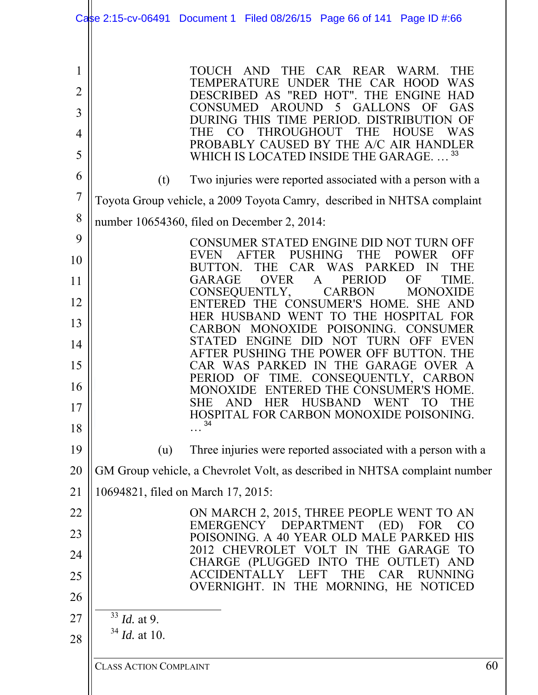|                     | Case 2:15-cv-06491 Document 1 Filed 08/26/15 Page 66 of 141 Page ID #:66                                                                                              |
|---------------------|-----------------------------------------------------------------------------------------------------------------------------------------------------------------------|
| 1<br>$\overline{2}$ | <b>AND</b><br>CAR REAR WARM.<br><b>THE</b><br><b>TOUCH</b><br><b>THE</b><br>TEMPERATURE UNDER THE CAR HOOD<br><b>WAS</b>                                              |
| 3                   | DESCRIBED AS "RED HOT". THE<br><b>HAD</b><br>ENGINE<br>5<br><b>AROUND</b><br><b>GAS</b><br><b>CONSUMED</b><br><b>GALLONS</b><br>OF                                    |
| 4                   | DURING THIS TIME PERIOD. DISTRIBUTION OF<br>WAS<br>THE<br><b>THROUGHOUT</b><br><b>THE</b><br><b>HOUSE</b><br>CO                                                       |
| 5                   | PROBABLY CAUSED BY THE A/C AIR HANDLER<br>33<br>WHICH IS LOCATED INSIDE THE GARAGE                                                                                    |
| 6                   | Two injuries were reported associated with a person with a<br>(t)                                                                                                     |
| 7                   | Toyota Group vehicle, a 2009 Toyota Camry, described in NHTSA complaint                                                                                               |
| 8                   | number 10654360, filed on December 2, 2014:                                                                                                                           |
| 9                   | CONSUMER STATED ENGINE DID NOT TURN OFF                                                                                                                               |
| 10                  | <b>PUSHING</b><br><b>AFTER</b><br>THE<br><b>OFF</b><br><b>EVEN</b><br><b>POWER</b><br>CAR WAS PARKED<br>BUTTON.<br><b>THE</b><br>$\mathbb{N}$<br><b>THE</b>           |
| 11                  | OF<br><b>GARAGE</b><br><b>OVER</b><br><b>PERIOD</b><br>$\mathbf{A}$<br>TIME.<br>CONSEQUENTLY,<br><b>MONOXIDE</b><br><b>CARBON</b>                                     |
| 12                  | ENTERED THE CONSUMER'S HOME.<br>SHE AND<br>HER HUSBAND WENT<br>TO THE HOSPITAL FOR                                                                                    |
| 13                  | POISONING.<br><b>CONSUMER</b><br><b>CARBON</b><br><b>MONOXIDE</b>                                                                                                     |
| 14                  | <b>NOT</b><br><b>STATED</b><br><b>ENGINE</b><br><b>TURN</b><br>1)11<br>OFF<br>EVEN<br>AFTER PUSHING THE POWER OFF BUTTON. THE                                         |
| 15                  | IN THE GARAGE<br>CAR WAS PARKED<br>OVER A<br>CONSEQUENTLY, CARBON<br>TIME.<br>PERIOD OF                                                                               |
| 16                  | ENTERED THE CONSUMER'S HOME.<br>MONOXIDE<br><b>HUSBAND</b><br><b>AND</b><br><b>HER</b><br><b>WENT</b><br>SHE<br>TО<br>THE                                             |
| 17                  | HOSPITAL FOR CARBON MONOXIDE POISONING.<br>34                                                                                                                         |
| 18                  |                                                                                                                                                                       |
| 19                  | Three injuries were reported associated with a person with a<br>(u)                                                                                                   |
| 20                  | GM Group vehicle, a Chevrolet Volt, as described in NHTSA complaint number                                                                                            |
| 21                  | 10694821, filed on March 17, 2015:                                                                                                                                    |
| 22                  | ON MARCH 2, 2015, THREE PEOPLE WENT TO AN<br>EMERGENCY DEPARTMENT<br>(ED)<br>FOR<br><b>CO</b>                                                                         |
| 23                  | POISONING. A 40 YEAR OLD MALE PARKED HIS<br>2012 CHEVROLET VOLT IN THE GARAGE<br><b>TO</b>                                                                            |
| 24<br>25<br>26      | CHARGE (PLUGGED INTO THE OUTLET) AND<br><b>ACCIDENTAI</b><br><b>CAR</b><br><b>RUNNING</b><br>THE<br>$\mathbf{Y}$<br>T.EFT<br>THE MORNING, HE NOTICED<br>OVERNIGHT. IN |
| 27                  | 33<br><i>Id.</i> at 9.                                                                                                                                                |
| 28                  | $34$ <i>Id.</i> at 10.                                                                                                                                                |
|                     | 60<br><b>CLASS ACTION COMPLAINT</b>                                                                                                                                   |
|                     |                                                                                                                                                                       |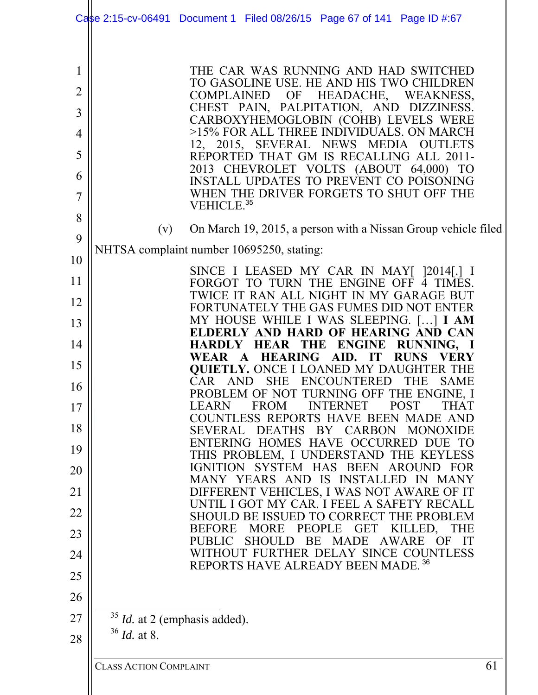|                                      | Case 2:15-cv-06491 Document 1 Filed 08/26/15 Page 67 of 141 Page ID #:67                                                                                                                                                                                                                                                                                                                                                                                                                                    |
|--------------------------------------|-------------------------------------------------------------------------------------------------------------------------------------------------------------------------------------------------------------------------------------------------------------------------------------------------------------------------------------------------------------------------------------------------------------------------------------------------------------------------------------------------------------|
| 1<br>2<br>3<br>4<br>5<br>6<br>7<br>8 | THE CAR WAS RUNNING AND HAD SWITCHED<br>TO GASOLINE USE. HE AND HIS TWO CHILDREN<br>COMPLAINED<br>OF HEADACHE, WEAKNESS,<br>CHEST PAIN, PALPITATION, AND DIZZINESS.<br>CARBOXYHEMOGLOBIN (COHB) LEVELS WERE<br>>15% FOR ALL THREE INDIVIDUALS. ON MARCH<br>12, 2015, SEVERAL NEWS MEDIA OUTLETS<br>REPORTED THAT GM IS RECALLING ALL 2011-<br>2013 CHEVROLET VOLTS (ABOUT 64,000) TO<br><b>INSTALL UPDATES TO PREVENT CO POISONING</b><br>WHEN THE DRIVER FORGETS TO SHUT OFF THE<br>VEHICLE. <sup>35</sup> |
| 9                                    | On March 19, 2015, a person with a Nissan Group vehicle filed<br>(v)                                                                                                                                                                                                                                                                                                                                                                                                                                        |
| 10                                   | NHTSA complaint number 10695250, stating:                                                                                                                                                                                                                                                                                                                                                                                                                                                                   |
| 11                                   | SINCE I LEASED MY CAR IN MAY [ ]2014[.] I<br>FORGOT TO TURN THE ENGINE OFF 4 TIMES.                                                                                                                                                                                                                                                                                                                                                                                                                         |
| 12                                   | TWICE IT RAN ALL NIGHT IN MY GARAGE BUT<br>FORTUNATELY THE GAS FUMES DID NOT ENTER                                                                                                                                                                                                                                                                                                                                                                                                                          |
| 13                                   | MY HOUSE WHILE I WAS SLEEPING. [] I AM<br>ELDERLY AND HARD OF HEARING AND CAN                                                                                                                                                                                                                                                                                                                                                                                                                               |
| 14                                   | HARDLY HEAR THE ENGINE RUNNING, I<br>WEAR A HEARING AID. IT RUNS VERY                                                                                                                                                                                                                                                                                                                                                                                                                                       |
| 15                                   | <b>QUIETLY.</b> ONCE I LOANED MY DAUGHTER THE<br>CAR<br><b>ENCOUNTERED</b><br><b>THE</b><br><b>AND</b><br><b>SHE</b><br><b>SAME</b>                                                                                                                                                                                                                                                                                                                                                                         |
| 16<br>17                             | PROBLEM OF NOT TURNING OFF THE ENGINE, I<br><b>INTERNET</b><br><b>LEARN</b><br><b>FROM</b><br><b>POST</b><br><b>THAT</b>                                                                                                                                                                                                                                                                                                                                                                                    |
| 18                                   | COUNTLESS REPORTS HAVE BEEN MADE AND<br>SEVERAL DEATHS BY CARBON MONOXIDE                                                                                                                                                                                                                                                                                                                                                                                                                                   |
| 19                                   | ENTERING HOMES HAVE OCCURRED DUE TO<br>THIS PROBLEM, I UNDERSTAND THE KEYLESS                                                                                                                                                                                                                                                                                                                                                                                                                               |
| 20                                   | IGNITION SYSTEM HAS BEEN AROUND FOR<br>MANY YEARS AND IS INSTALLED IN MANY                                                                                                                                                                                                                                                                                                                                                                                                                                  |
| 21                                   | DIFFERENT VEHICLES, I WAS NOT AWARE OF IT                                                                                                                                                                                                                                                                                                                                                                                                                                                                   |
| 22                                   | UNTIL I GOT MY CAR. I FEEL A SAFETY RECALL<br>SHOULD BE ISSUED TO CORRECT THE PROBLEM                                                                                                                                                                                                                                                                                                                                                                                                                       |
| 23                                   | MORE PEOPLE<br>GET<br>KILLED,<br><b>THE</b><br><b>BEFORE</b><br>SHOULD BE MADE AWARE<br>PUBLIC<br>OF IT                                                                                                                                                                                                                                                                                                                                                                                                     |
| 24                                   | WITHOUT FURTHER DELAY SINCE COUNTLESS                                                                                                                                                                                                                                                                                                                                                                                                                                                                       |
| 25                                   | REPORTS HAVE ALREADY BEEN MADE. 36                                                                                                                                                                                                                                                                                                                                                                                                                                                                          |
| 26                                   |                                                                                                                                                                                                                                                                                                                                                                                                                                                                                                             |
| 27<br>28                             | $35$ <i>Id.</i> at 2 (emphasis added).<br>$36$ <i>Id.</i> at 8.                                                                                                                                                                                                                                                                                                                                                                                                                                             |
|                                      | 61<br><b>CLASS ACTION COMPLAINT</b>                                                                                                                                                                                                                                                                                                                                                                                                                                                                         |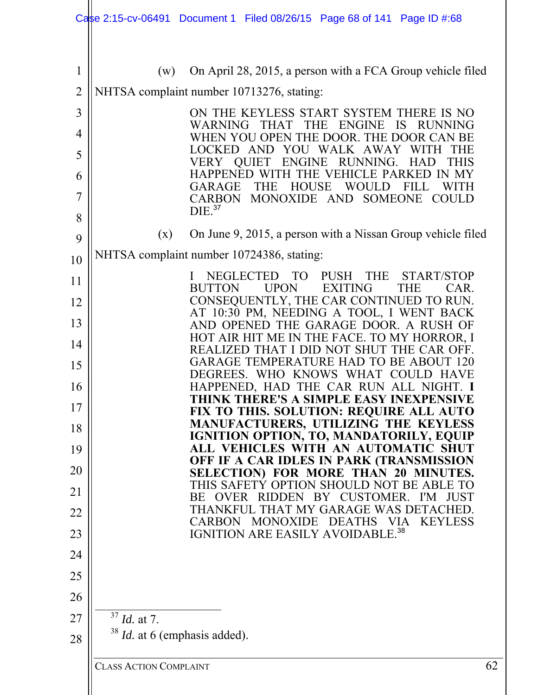|                | Case 2:15-cv-06491 Document 1 Filed 08/26/15 Page 68 of 141 Page ID #:68 |                                                                                           |                                             |                                  |    |
|----------------|--------------------------------------------------------------------------|-------------------------------------------------------------------------------------------|---------------------------------------------|----------------------------------|----|
| $\mathbf 1$    | (w)                                                                      | On April 28, 2015, a person with a FCA Group vehicle filed                                |                                             |                                  |    |
| $\overline{2}$ | NHTSA complaint number 10713276, stating:                                |                                                                                           |                                             |                                  |    |
| 3              |                                                                          | ON THE KEYLESS START SYSTEM THERE IS NO                                                   |                                             |                                  |    |
| 4              |                                                                          | WARNING<br><b>THAT</b><br>WHEN YOU OPEN THE DOOR. THE DOOR CAN BE                         | <b>THE</b><br><b>ENGINE</b>                 | <b>IS</b><br><b>RUNNING</b>      |    |
| 5              | <b>VERY</b>                                                              | <b>LOCKED</b><br>AND<br>YOU<br><b>ENGINE</b><br><b>OUIET</b>                              | WALK AWAY<br>RUNNING.                       | WITH<br><b>HAD</b><br>THIS       |    |
| 6              |                                                                          | <b>HAPPENED</b>                                                                           | Æ.<br>ЕF                                    | PARKED                           |    |
| 7              |                                                                          | <b>HOUSE</b><br>GARAGE<br>THE<br><b>CARBON</b>                                            | WOULD<br>MONOXIDE AND SOMEONE               | FILL<br>WITH<br><b>COULD</b>     |    |
| 8              | DIE. <sup>37</sup>                                                       |                                                                                           |                                             |                                  |    |
| 9              | (x)                                                                      | On June 9, 2015, a person with a Nissan Group vehicle filed                               |                                             |                                  |    |
| 10             | NHTSA complaint number 10724386, stating:                                |                                                                                           |                                             |                                  |    |
| 11             |                                                                          | <b>TO</b><br><b>NEGLECTED</b><br><b>UPON</b><br><b>BUTTON</b>                             | <b>THE</b><br><b>PUSH</b><br><b>EXITING</b> | START/STOP<br><b>THE</b><br>CAR. |    |
| 12             |                                                                          | CONSEQUENTLY, THE CAR CONTINUED TO RUN.                                                   |                                             |                                  |    |
| 13             |                                                                          | AT 10:30 PM, NEEDING A TOOL, I WENT BACK<br>AND OPENED THE GARAGE DOOR. A RUSH OF         |                                             |                                  |    |
| 14             |                                                                          | HOT AIR HIT ME IN THE FACE. TO MY HORROR, I<br>REALIZED THAT I DID NOT SHUT THE CAR OFF.  |                                             |                                  |    |
| 15             |                                                                          | GARAGE TEMPERATURE HAD TO BE ABOUT 120                                                    |                                             |                                  |    |
| 16             |                                                                          | DEGREES. WHO KNOWS WHAT COULD<br>HAPPENED, HAD THE CAR RUN ALL NIGHT. I                   |                                             |                                  |    |
| 17             |                                                                          | THINK THERE'S A SIMPLE EASY INEXPENSIVE<br><b>FIX TO THIS. SOLUTION: REQUIRE ALL AUTO</b> |                                             |                                  |    |
| 18             |                                                                          | MANUFACTURERS, UTILIZING THE KEYLESS                                                      |                                             |                                  |    |
| 19             |                                                                          | IGNITION OPTION, TO, MANDATORILY, EQUIP<br>ALL VEHICLES WITH AN AUTOMATIC SHUT            |                                             |                                  |    |
| 20             |                                                                          | OFF IF A CAR IDLES IN PARK (TRANSMISSION<br>SELECTION) FOR MORE THAN 20 MINUTES.          |                                             |                                  |    |
| 21             |                                                                          | THIS SAFETY OPTION SHOULD NOT BE ABLE TO<br>BE OVER RIDDEN BY CUSTOMER.                   |                                             | I'M JUST                         |    |
| 22             |                                                                          | THANKFUL THAT MY GARAGE WAS DETACHED.                                                     |                                             |                                  |    |
| 23             |                                                                          | CARBON MONOXIDE DEATHS VIA<br>IGNITION ARE EASILY AVOIDABLE. <sup>38</sup>                |                                             | <b>KEYLESS</b>                   |    |
| 24             |                                                                          |                                                                                           |                                             |                                  |    |
| 25             |                                                                          |                                                                                           |                                             |                                  |    |
| 26             |                                                                          |                                                                                           |                                             |                                  |    |
| 27             | $37$ <i>Id.</i> at 7.                                                    |                                                                                           |                                             |                                  |    |
| 28             | $38$ <i>Id.</i> at 6 (emphasis added).                                   |                                                                                           |                                             |                                  |    |
|                | <b>CLASS ACTION COMPLAINT</b>                                            |                                                                                           |                                             |                                  | 62 |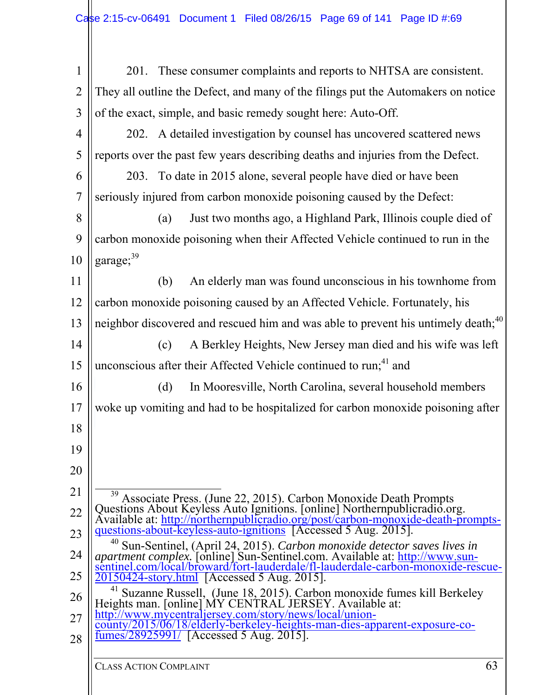| 1              | 201. These consumer complaints and reports to NHTSA are consistent.                                                                                                                                                             |  |  |
|----------------|---------------------------------------------------------------------------------------------------------------------------------------------------------------------------------------------------------------------------------|--|--|
| $\overline{2}$ | They all outline the Defect, and many of the filings put the Automakers on notice                                                                                                                                               |  |  |
| 3              | of the exact, simple, and basic remedy sought here: Auto-Off.                                                                                                                                                                   |  |  |
| $\overline{4}$ | 202. A detailed investigation by counsel has uncovered scattered news                                                                                                                                                           |  |  |
| 5              | reports over the past few years describing deaths and injuries from the Defect.                                                                                                                                                 |  |  |
| 6              | 203. To date in 2015 alone, several people have died or have been                                                                                                                                                               |  |  |
| 7              | seriously injured from carbon monoxide poisoning caused by the Defect:                                                                                                                                                          |  |  |
| 8              | Just two months ago, a Highland Park, Illinois couple died of<br>(a)                                                                                                                                                            |  |  |
| 9              | carbon monoxide poisoning when their Affected Vehicle continued to run in the                                                                                                                                                   |  |  |
| 10             | garage; <sup>39</sup>                                                                                                                                                                                                           |  |  |
| 11             | An elderly man was found unconscious in his townhome from<br>(b)                                                                                                                                                                |  |  |
| 12             | carbon monoxide poisoning caused by an Affected Vehicle. Fortunately, his                                                                                                                                                       |  |  |
| 13             | neighbor discovered and rescued him and was able to prevent his untimely death; <sup>40</sup>                                                                                                                                   |  |  |
| 14             | A Berkley Heights, New Jersey man died and his wife was left<br>(c)                                                                                                                                                             |  |  |
| 15             | unconscious after their Affected Vehicle continued to run; <sup>41</sup> and                                                                                                                                                    |  |  |
| 16             | In Mooresville, North Carolina, several household members<br>(d)                                                                                                                                                                |  |  |
| 17             | woke up vomiting and had to be hospitalized for carbon monoxide poisoning after                                                                                                                                                 |  |  |
| 18             |                                                                                                                                                                                                                                 |  |  |
| 19             |                                                                                                                                                                                                                                 |  |  |
| 20             |                                                                                                                                                                                                                                 |  |  |
| 21             | Associate Press. (June 22, 2015). Carbon Monoxide Death Prompts                                                                                                                                                                 |  |  |
| 22             | Questions About Keyless Auto Ignitions. [online] Northernpublicradio.org.<br>Available at: http://northernpublicradio.org/post/carbon-monoxide-death-prompts-<br>questions-about-keyless-auto-ignitions [Accessed 5 Aug. 2015]. |  |  |
| 23             | 40<br>Sun-Sentinel, (April 24, 2015). Carbon monoxide detector saves lives in                                                                                                                                                   |  |  |
| 24             | <i>apartment complex.</i> [online] Sun-Sentinel.com. Available at: http://www.sun-<br>sentinel.com/local/broward/fort-lauderdale/fl-lauderdale-carbon-monoxide-rescue-                                                          |  |  |
| 25             | $\sqrt{20150424}$ -story.html [Accessed 5 Aug. 2015].<br>41                                                                                                                                                                     |  |  |
| 26             | <sup>41</sup> Suzanne Russell, (June 18, 2015). Carbon monoxide fumes kill Berkeley Heights man. [online] MY CENTRAL JERSEY. Available at:                                                                                      |  |  |
| 27             | http://www.mycentraljersey.com/story/news/local/union-<br>county/2015/06/18/elderly-berkeley-heights-man-dies-apparent-exposure-co-                                                                                             |  |  |
| 28             | fumes/28925991/ [Accessed 5 Aug. 2015].                                                                                                                                                                                         |  |  |
|                |                                                                                                                                                                                                                                 |  |  |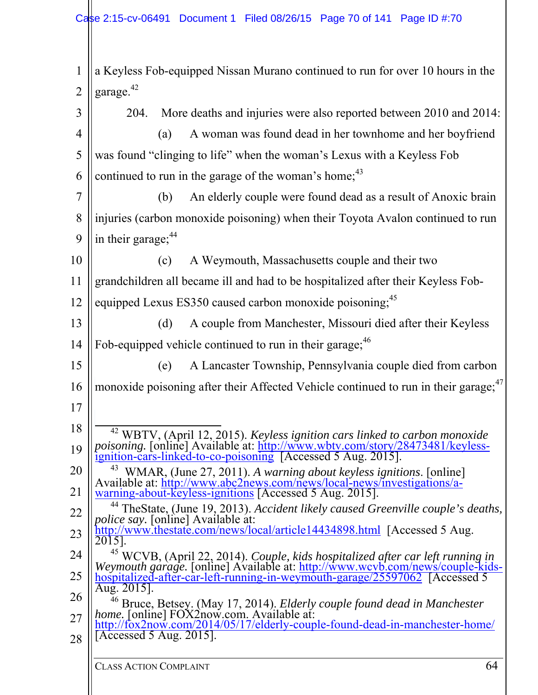a Keyless Fob-equipped Nissan Murano continued to run for over 10 hours in the garage.<sup>42</sup> 204. More deaths and injuries were also reported between 2010 and 2014: (a) A woman was found dead in her townhome and her boyfriend was found "clinging to life" when the woman's Lexus with a Keyless Fob continued to run in the garage of the woman's home;(b) An elderly couple were found dead as a result of Anoxic brain injuries (carbon monoxide poisoning) when their Toyota Avalon continued to run in their garage;(c) A Weymouth, Massachusetts couple and their two grandchildren all became ill and had to be hospitalized after their Keyless Fobequipped Lexus ES350 caused carbon monoxide poisoning;<sup>45</sup> (d) A couple from Manchester, Missouri died after their Keyless Fob-equipped vehicle continued to run in their garage; (e) A Lancaster Township, Pennsylvania couple died from carbon monoxide poisoning after their Affected Vehicle continued to run in their garage;<sup>47</sup> <sup>42</sup> WBTV, (April 12, 2015). *Keyless ignition cars linked to carbon monoxide* poisoning. [online] Available at: http://www.wbtv.com/story/28473481/keyless- ignition-cars-linked-to-co-poisoning [Accessed 5 Aug. 2015]. 43 WMAR, (June 27, 2011). *A warning about keyless ignitions*. [online] Available at: http://www.abc2news.com/news/local-news/investigations/a- warning-about-keyless-ignitions [Accessed 5 Aug. 2015]. <sup>44</sup> TheState, (June 19, 2013). *Accident likely caused Greenville couple's deaths, police say.* [online] Available at: http://www.thestate.com/news/local/article14434898.html [Accessed 5 Aug. 2015]. <sup>45</sup> WCVB, (April 22, 2014). *Couple, kids hospitalized after car left running in*<br>Weymouth garage. [online] Available at: <u>http://www.wcvb.com/news/couple-kids-</u><br>hospitalized-after-car-left-running-in-weymouth-garage/2559 <sup>46</sup> Bruce, Betsey. (May 17, 2014). *Elderly couple found dead in Manchester home.* [online] FOX2now.com. Available at: http://fox2now.com/2014/05/17/elderly-couple-found-dead-in-manchester-home/ [Accessed 5 Aug. 2015].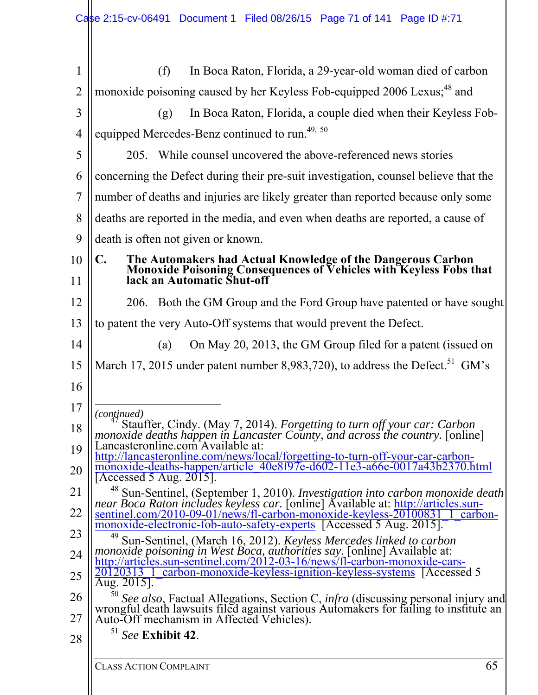| 1              | In Boca Raton, Florida, a 29-year-old woman died of carbon<br>(f)                                                                                                                                                                  |
|----------------|------------------------------------------------------------------------------------------------------------------------------------------------------------------------------------------------------------------------------------|
| $\overline{2}$ | monoxide poisoning caused by her Keyless Fob-equipped 2006 Lexus; <sup>48</sup> and                                                                                                                                                |
| 3              | In Boca Raton, Florida, a couple died when their Keyless Fob-<br>(g)                                                                                                                                                               |
| 4              | equipped Mercedes-Benz continued to run. <sup>49, 50</sup>                                                                                                                                                                         |
| 5              | 205. While counsel uncovered the above-referenced news stories                                                                                                                                                                     |
| 6              | concerning the Defect during their pre-suit investigation, counsel believe that the                                                                                                                                                |
| 7              | number of deaths and injuries are likely greater than reported because only some                                                                                                                                                   |
| 8              | deaths are reported in the media, and even when deaths are reported, a cause of                                                                                                                                                    |
| 9              | death is often not given or known.                                                                                                                                                                                                 |
| 10             | $\mathbf{C}$ .                                                                                                                                                                                                                     |
| 11             | The Automakers had Actual Knowledge of the Dangerous Carbon<br>Monoxide Poisoning Consequences of Vehicles with Keyless Fobs that<br>lack an Automatic Shut-off                                                                    |
| 12             | 206. Both the GM Group and the Ford Group have patented or have sought                                                                                                                                                             |
| 13             | to patent the very Auto-Off systems that would prevent the Defect.                                                                                                                                                                 |
| 14             | On May 20, 2013, the GM Group filed for a patent (issued on<br>(a)                                                                                                                                                                 |
| 15             | March 17, 2015 under patent number 8,983,720), to address the Defect. <sup>51</sup> GM's                                                                                                                                           |
| 16             |                                                                                                                                                                                                                                    |
| 17             | (continued)                                                                                                                                                                                                                        |
| 18             | <sup>47</sup> Stauffer, Cindy. (May 7, 2014). <i>Forgetting to turn off your car: Carbon monoxide deaths happen in Lancaster County, and across the country.</i> [online]                                                          |
| 19             | Lancasteronline.com Available at:<br>http://lancasteronline.com/news/local/forgetting-to-turn-off-your-car-carbon-                                                                                                                 |
| 20             | monoxide-deaths-happen/article 40e8f97e-d602-11e3-a66e-0017a43b2370.html<br>[Accessed 5 Aug. $2015$ ].                                                                                                                             |
| 21             | Sun-Sentinel, (September 1, 2010). Investigation into carbon monoxide death                                                                                                                                                        |
| 22             | near Boca Raton includes keyless car. [online] Available at: http://articles.sun-<br>sentinel.com/2010-09-01/news/fl-carbon-monoxide-keyless-20100831_1_carbon-                                                                    |
| 23             | monoxide-electronic-fob-auto-safety-experts [Accessed 5 Aug. 2015].<br>49<br>Sun-Sentinel, (March 16, 2012). Keyless Mercedes linked to carbon                                                                                     |
| 24             | monoxide poisoning in West Boca, authorities say. [online] Available at:<br>http://articles.sun-sentinel.com/2012-03-16/news/fl-carbon-monoxide-cars-                                                                              |
| 25             | 20120313 1 carbon-monoxide-keyless-ignition-keyless-systems [Accessed 5]<br>Aug. $2015$ .                                                                                                                                          |
| 26<br>27       | <sup>50</sup> See also, Factual Allegations, Section C, infra (discussing personal injury and<br>wrongful death lawsuits filed against various Automakers for failing to institute an<br>Auto-Off mechanism in Affected Vehicles). |
| 28             | $51$ See Exhibit 42.                                                                                                                                                                                                               |
|                |                                                                                                                                                                                                                                    |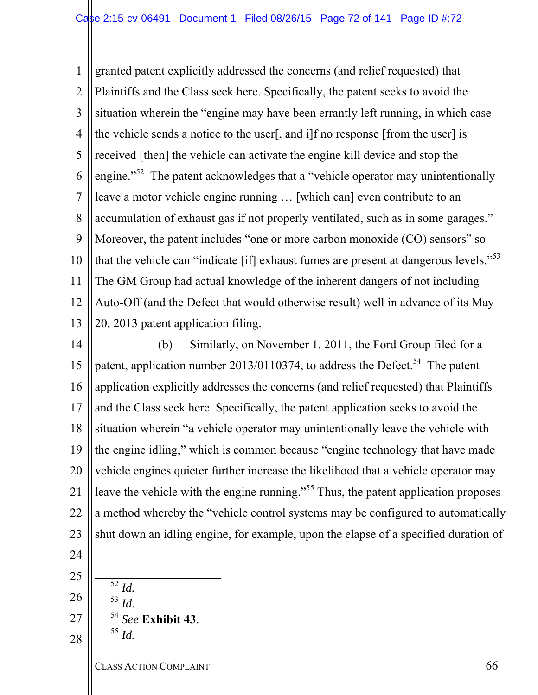1 2 3 4 5 6 7 8 9 10 11 12 13 granted patent explicitly addressed the concerns (and relief requested) that Plaintiffs and the Class seek here. Specifically, the patent seeks to avoid the situation wherein the "engine may have been errantly left running, in which case the vehicle sends a notice to the user[, and i]f no response [from the user] is received [then] the vehicle can activate the engine kill device and stop the engine."<sup>52</sup> The patent acknowledges that a "vehicle operator may unintentionally leave a motor vehicle engine running … [which can] even contribute to an accumulation of exhaust gas if not properly ventilated, such as in some garages." Moreover, the patent includes "one or more carbon monoxide (CO) sensors" so that the vehicle can "indicate [if] exhaust fumes are present at dangerous levels."<sup>53</sup> The GM Group had actual knowledge of the inherent dangers of not including Auto-Off (and the Defect that would otherwise result) well in advance of its May 20, 2013 patent application filing.

14 15 16 17 18 19 20 21 22 23 (b) Similarly, on November 1, 2011, the Ford Group filed for a patent, application number 2013/0110374, to address the Defect.<sup>54</sup> The patent application explicitly addresses the concerns (and relief requested) that Plaintiffs and the Class seek here. Specifically, the patent application seeks to avoid the situation wherein "a vehicle operator may unintentionally leave the vehicle with the engine idling," which is common because "engine technology that have made vehicle engines quieter further increase the likelihood that a vehicle operator may leave the vehicle with the engine running."<sup>55</sup> Thus, the patent application proposes a method whereby the "vehicle control systems may be configured to automatically shut down an idling engine, for example, upon the elapse of a specified duration of

- 24
- 25
- 26
- 
- 27
- 28

<sup>54</sup> *See* **Exhibit 43**. 55 *Id.* 

 $\overline{\frac{52}{}}$ *Id.* <sup>53</sup> *Id.*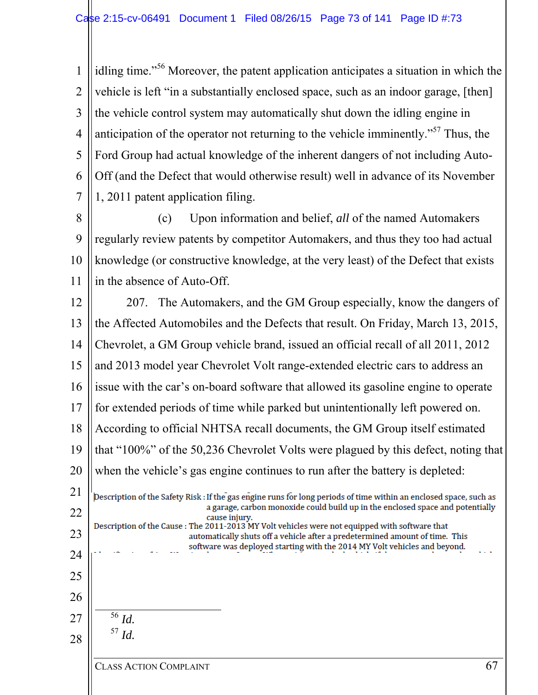1 2 3 4 5 6 7 idling time."56 Moreover, the patent application anticipates a situation in which the vehicle is left "in a substantially enclosed space, such as an indoor garage, [then] the vehicle control system may automatically shut down the idling engine in anticipation of the operator not returning to the vehicle imminently."57 Thus, the Ford Group had actual knowledge of the inherent dangers of not including Auto-Off (and the Defect that would otherwise result) well in advance of its November 1, 2011 patent application filing.

8 9 10 11 (c) Upon information and belief, *all* of the named Automakers regularly review patents by competitor Automakers, and thus they too had actual knowledge (or constructive knowledge, at the very least) of the Defect that exists in the absence of Auto-Off.

207. The Automakers, and the GM Group especially, know the dangers of 12 13 the Affected Automobiles and the Defects that result. On Friday, March 13, 2015, 14 Chevrolet, a GM Group vehicle brand, issued an official recall of all 2011, 2012 15 and 2013 model year Chevrolet Volt range-extended electric cars to address an 16 issue with the car's on-board software that allowed its gasoline engine to operate for extended periods of time while parked but unintentionally left powered on. 17 18 According to official NHTSA recall documents, the GM Group itself estimated that "100%" of the 50,236 Chevrolet Volts were plagued by this defect, noting that 19 20 when the vehicle's gas engine continues to run after the battery is depleted: 21 Description of the Safety Risk : If the gas engine runs for long periods of time within an enclosed space, such as a garage, carbon monoxide could build up in the enclosed space and potentially 22 cause injury.

#### Description of the Cause : The 2011-2013 MY Volt vehicles were not equipped with software that automatically shuts off a vehicle after a predetermined amount of time. This software was deployed starting with the 2014 MY Volt vehicles and beyond.

25 26 27

23

24

28

 56 *Id.*  $^{57}$  *Id.*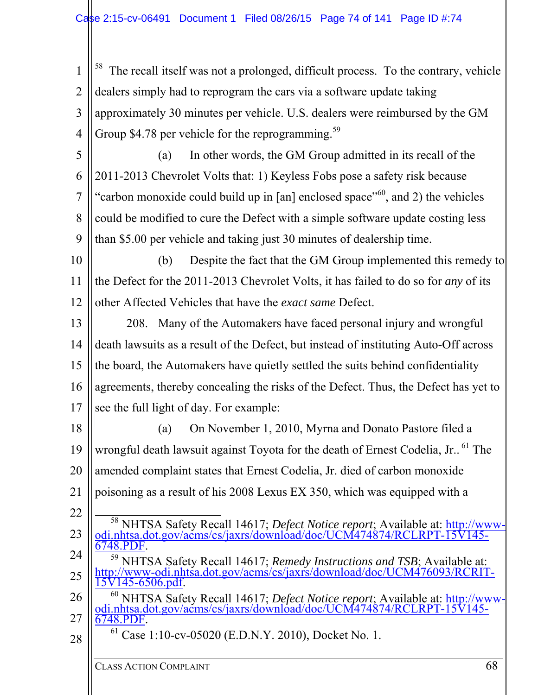1 2 3 4 The recall itself was not a prolonged, difficult process. To the contrary, vehicle dealers simply had to reprogram the cars via a software update taking approximately 30 minutes per vehicle. U.S. dealers were reimbursed by the GM Group \$4.78 per vehicle for the reprogramming.<sup>59</sup>

5

6 7 8 9 (a) In other words, the GM Group admitted in its recall of the 2011-2013 Chevrolet Volts that: 1) Keyless Fobs pose a safety risk because "carbon monoxide could build up in [an] enclosed space"<sup>60</sup>, and 2) the vehicles could be modified to cure the Defect with a simple software update costing less than \$5.00 per vehicle and taking just 30 minutes of dealership time.

10 11 12 (b) Despite the fact that the GM Group implemented this remedy to the Defect for the 2011-2013 Chevrolet Volts, it has failed to do so for *any* of its other Affected Vehicles that have the *exact same* Defect.

13 14 15 16 17 208. Many of the Automakers have faced personal injury and wrongful death lawsuits as a result of the Defect, but instead of instituting Auto-Off across the board, the Automakers have quietly settled the suits behind confidentiality agreements, thereby concealing the risks of the Defect. Thus, the Defect has yet to see the full light of day. For example:

18 19 20 21 22 (a) On November 1, 2010, Myrna and Donato Pastore filed a wrongful death lawsuit against Toyota for the death of Ernest Codelia, Jr..<sup>61</sup> The amended complaint states that Ernest Codelia, Jr. died of carbon monoxide poisoning as a result of his 2008 Lexus EX 350, which was equipped with a

- 23 <sup>58</sup> NHTSA Safety Recall 14617; *Defect Notice report*; Available at: http://www-<br>odi.nhtsa.dot.gov/acms/cs/jaxrs/download/doc/UCM474874/RCLRPT-15V145-<br>6748.PDF.
- 24 25 <sup>59</sup> NHTSA Safety Recall 14617; *Remedy Instructions and TSB*; Available at: http://www-odi.nhtsa.dot.gov/acms/cs/jaxrs/download/doc/UCM476093/RCRIT-
- 26 27 15V145-6506.pdf. 60 NHTSA Safety Recall 14617; *Defect Notice report*; Available at: http://www- odi.nhtsa.dot.gov/acms/cs/jaxrs/download/doc/UCM474874/RCLRPT-15V145-
- 28

 $61$  Case 1:10-cv-05020 (E.D.N.Y. 2010), Docket No. 1.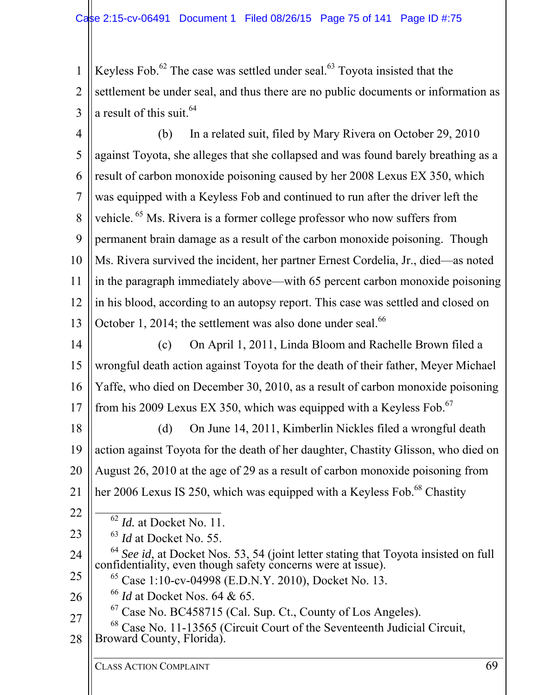1 2 3 Keyless Fob. $62$  The case was settled under seal. $63$  Toyota insisted that the settlement be under seal, and thus there are no public documents or information as a result of this suit.<sup>64</sup>

4 5 6 7 8 9 10 11 12 13 (b) In a related suit, filed by Mary Rivera on October 29, 2010 against Toyota, she alleges that she collapsed and was found barely breathing as a result of carbon monoxide poisoning caused by her 2008 Lexus EX 350, which was equipped with a Keyless Fob and continued to run after the driver left the vehicle. <sup>65</sup> Ms. Rivera is a former college professor who now suffers from permanent brain damage as a result of the carbon monoxide poisoning. Though Ms. Rivera survived the incident, her partner Ernest Cordelia, Jr., died—as noted in the paragraph immediately above—with 65 percent carbon monoxide poisoning in his blood, according to an autopsy report. This case was settled and closed on October 1, 2014; the settlement was also done under seal. $66$ 

14 15 16 17 (c) On April 1, 2011, Linda Bloom and Rachelle Brown filed a wrongful death action against Toyota for the death of their father, Meyer Michael Yaffe, who died on December 30, 2010, as a result of carbon monoxide poisoning from his 2009 Lexus EX 350, which was equipped with a Keyless Fob.<sup>67</sup>

18 19 20 21 (d) On June 14, 2011, Kimberlin Nickles filed a wrongful death action against Toyota for the death of her daughter, Chastity Glisson, who died on August 26, 2010 at the age of 29 as a result of carbon monoxide poisoning from her 2006 Lexus IS 250, which was equipped with a Keyless Fob.<sup>68</sup> Chastity

22

23

62 *Id.* at Docket No. 11.

<sup>63</sup> *Id* at Docket No. 55.

24 25 <sup>64</sup> *See id*, at Docket Nos. 53, 54 (joint letter stating that Toyota insisted on full confidentiality, even though safety concerns were at issue).

65 Case 1:10-cv-04998 (E.D.N.Y. 2010), Docket No. 13.

26 <sup>66</sup> *Id* at Docket Nos. 64 & 65.

 $67$  Case No. BC458715 (Cal. Sup. Ct., County of Los Angeles).

27 28  $^{68}$  Case No. 11-13565 (Circuit Court of the Seventeenth Judicial Circuit, Broward County, Florida).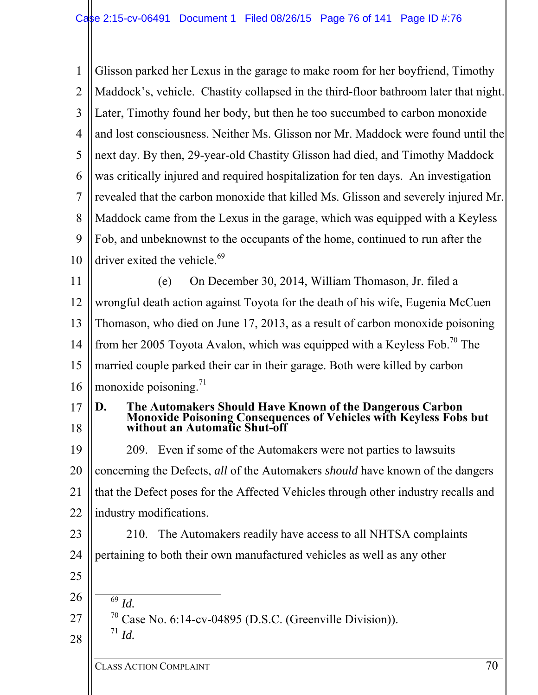1 2 3 4 5 6 7 8 9 10 11 12 13 14 15 16 17 18 19 20 21 22 23 24 25 26 27 28 Glisson parked her Lexus in the garage to make room for her boyfriend, Timothy Maddock's, vehicle. Chastity collapsed in the third-floor bathroom later that night. Later, Timothy found her body, but then he too succumbed to carbon monoxide and lost consciousness. Neither Ms. Glisson nor Mr. Maddock were found until the next day. By then, 29-year-old Chastity Glisson had died, and Timothy Maddock was critically injured and required hospitalization for ten days. An investigation revealed that the carbon monoxide that killed Ms. Glisson and severely injured Mr. Maddock came from the Lexus in the garage, which was equipped with a Keyless Fob, and unbeknownst to the occupants of the home, continued to run after the driver exited the vehicle. $69$ (e) On December 30, 2014, William Thomason, Jr. filed a wrongful death action against Toyota for the death of his wife, Eugenia McCuen Thomason, who died on June 17, 2013, as a result of carbon monoxide poisoning from her 2005 Toyota Avalon, which was equipped with a Keyless Fob.<sup>70</sup> The married couple parked their car in their garage. Both were killed by carbon monoxide poisoning.<sup>71</sup> **D. The Automakers Should Have Known of the Dangerous Carbon Monoxide Poisoning Consequences of Vehicles with Keyless Fobs but without an Automatic Shut-off**  209. Even if some of the Automakers were not parties to lawsuits concerning the Defects, *all* of the Automakers *should* have known of the dangers that the Defect poses for the Affected Vehicles through other industry recalls and industry modifications. 210. The Automakers readily have access to all NHTSA complaints pertaining to both their own manufactured vehicles as well as any other  $\overline{69}$  *Id.*  $^{70}$  Case No. 6:14-cv-04895 (D.S.C. (Greenville Division)).  $^{71}$  *Id*.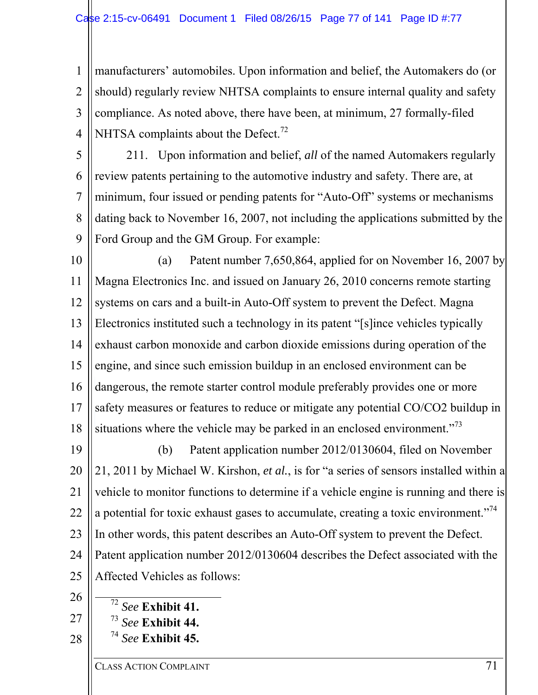1 2 3 4 manufacturers' automobiles. Upon information and belief, the Automakers do (or should) regularly review NHTSA complaints to ensure internal quality and safety compliance. As noted above, there have been, at minimum, 27 formally-filed NHTSA complaints about the Defect.<sup>72</sup>

5 6 7 8 9 211. Upon information and belief, *all* of the named Automakers regularly review patents pertaining to the automotive industry and safety. There are, at minimum, four issued or pending patents for "Auto-Off" systems or mechanisms dating back to November 16, 2007, not including the applications submitted by the Ford Group and the GM Group. For example:

10 11 12 13 14 15 16 17 18 (a) Patent number 7,650,864, applied for on November 16, 2007 by Magna Electronics Inc. and issued on January 26, 2010 concerns remote starting systems on cars and a built-in Auto-Off system to prevent the Defect. Magna Electronics instituted such a technology in its patent "[s]ince vehicles typically exhaust carbon monoxide and carbon dioxide emissions during operation of the engine, and since such emission buildup in an enclosed environment can be dangerous, the remote starter control module preferably provides one or more safety measures or features to reduce or mitigate any potential CO/CO2 buildup in situations where the vehicle may be parked in an enclosed environment. $1^{73}$ 

19 20 21 22 23 24 25 (b) Patent application number 2012/0130604, filed on November 21, 2011 by Michael W. Kirshon, *et al.*, is for "a series of sensors installed within a vehicle to monitor functions to determine if a vehicle engine is running and there is a potential for toxic exhaust gases to accumulate, creating a toxic environment."<sup>74</sup> In other words, this patent describes an Auto-Off system to prevent the Defect. Patent application number 2012/0130604 describes the Defect associated with the Affected Vehicles as follows:

26

27

28

 72 *See* **Exhibit 41.** <sup>73</sup> *See* **Exhibit 44.**  <sup>74</sup> *See* **Exhibit 45.** 

CLASS ACTION COMPLAINT 71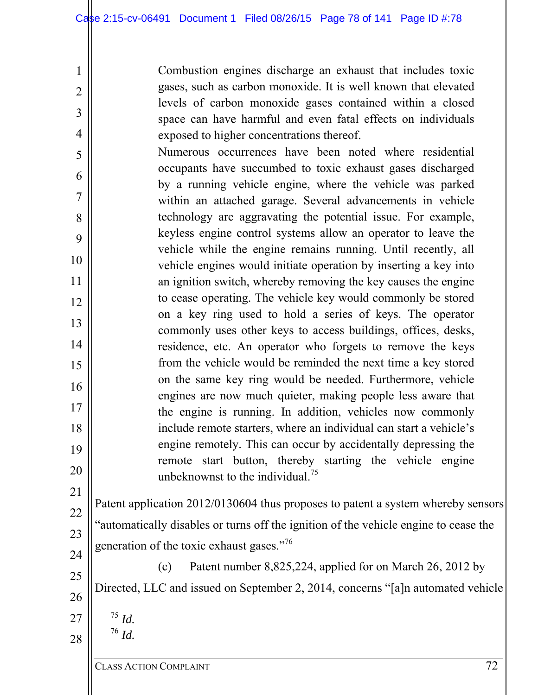Combustion engines discharge an exhaust that includes toxic gases, such as carbon monoxide. It is well known that elevated levels of carbon monoxide gases contained within a closed space can have harmful and even fatal effects on individuals exposed to higher concentrations thereof.

5 6 7 8 9 10 11 12 13 14 15 16 17 18 19 20 Numerous occurrences have been noted where residential occupants have succumbed to toxic exhaust gases discharged by a running vehicle engine, where the vehicle was parked within an attached garage. Several advancements in vehicle technology are aggravating the potential issue. For example, keyless engine control systems allow an operator to leave the vehicle while the engine remains running. Until recently, all vehicle engines would initiate operation by inserting a key into an ignition switch, whereby removing the key causes the engine to cease operating. The vehicle key would commonly be stored on a key ring used to hold a series of keys. The operator commonly uses other keys to access buildings, offices, desks, residence, etc. An operator who forgets to remove the keys from the vehicle would be reminded the next time a key stored on the same key ring would be needed. Furthermore, vehicle engines are now much quieter, making people less aware that the engine is running. In addition, vehicles now commonly include remote starters, where an individual can start a vehicle's engine remotely. This can occur by accidentally depressing the remote start button, thereby starting the vehicle engine unbeknownst to the individual.<sup>75</sup>

21 22 23 24 Patent application 2012/0130604 thus proposes to patent a system whereby sensors "automatically disables or turns off the ignition of the vehicle engine to cease the generation of the toxic exhaust gases."<sup>76</sup>

25 26 (c) Patent number 8,825,224, applied for on March 26, 2012 by Directed, LLC and issued on September 2, 2014, concerns "[a]n automated vehicle

 $\overline{75}$  *Id.* <sup>76</sup> *Id.*

27

28

1

2

3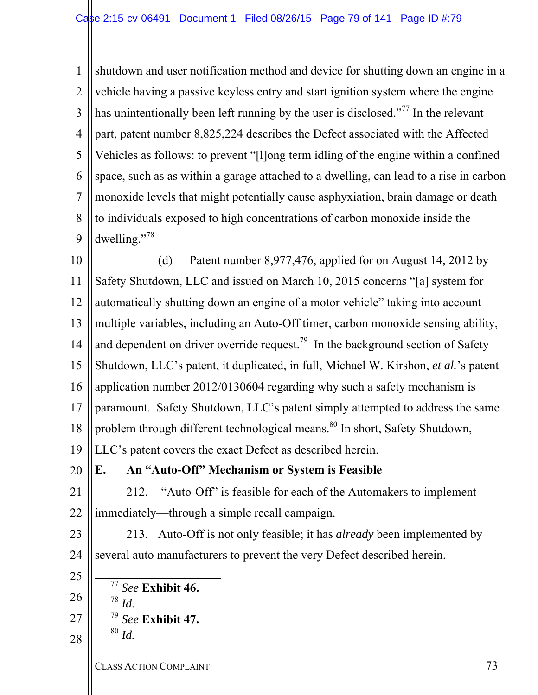1 2 3 4 5 6 7 8 9 shutdown and user notification method and device for shutting down an engine in a vehicle having a passive keyless entry and start ignition system where the engine has unintentionally been left running by the user is disclosed."<sup>77</sup> In the relevant part, patent number 8,825,224 describes the Defect associated with the Affected Vehicles as follows: to prevent "[l]ong term idling of the engine within a confined space, such as as within a garage attached to a dwelling, can lead to a rise in carbon monoxide levels that might potentially cause asphyxiation, brain damage or death to individuals exposed to high concentrations of carbon monoxide inside the dwelling."<sup>78</sup>

10 11 12 13 14 15 16 17 18 19 (d) Patent number 8,977,476, applied for on August 14, 2012 by Safety Shutdown, LLC and issued on March 10, 2015 concerns "[a] system for automatically shutting down an engine of a motor vehicle" taking into account multiple variables, including an Auto-Off timer, carbon monoxide sensing ability, and dependent on driver override request.<sup>79</sup> In the background section of Safety Shutdown, LLC's patent, it duplicated, in full, Michael W. Kirshon, *et al.*'s patent application number 2012/0130604 regarding why such a safety mechanism is paramount. Safety Shutdown, LLC's patent simply attempted to address the same problem through different technological means.<sup>80</sup> In short, Safety Shutdown, LLC's patent covers the exact Defect as described herein.

**E. An "Auto-Off" Mechanism or System is Feasible** 

21 22 212. "Auto-Off" is feasible for each of the Automakers to implement immediately—through a simple recall campaign.

23 24 213. Auto-Off is not only feasible; it has *already* been implemented by several auto manufacturers to prevent the very Defect described herein.

20

25

26

27

 <sup>77</sup> *See* **Exhibit 46.**  <sup>78</sup> *Id.*  <sup>79</sup> *See* **Exhibit 47.**  $80$  *Id.*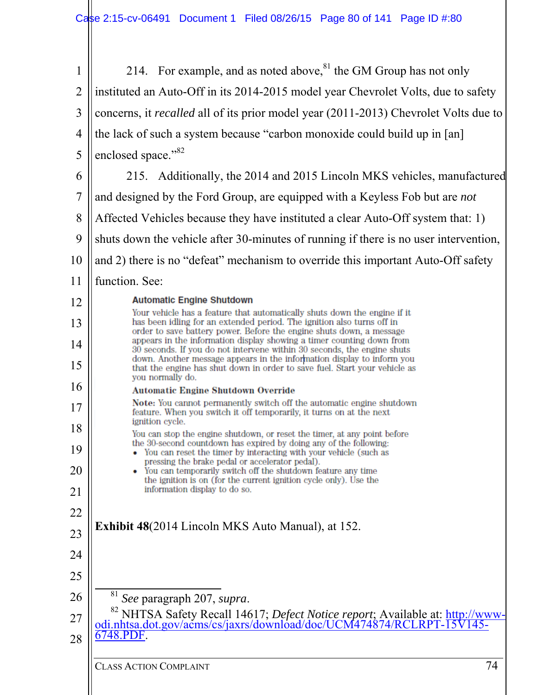| $\mathbf{1}$   | 214. For example, and as noted above, <sup>81</sup> the GM Group has not only                                                                                                              |
|----------------|--------------------------------------------------------------------------------------------------------------------------------------------------------------------------------------------|
| $\overline{2}$ | instituted an Auto-Off in its 2014-2015 model year Chevrolet Volts, due to safety                                                                                                          |
| 3              | concerns, it <i>recalled</i> all of its prior model year (2011-2013) Chevrolet Volts due to                                                                                                |
| $\overline{4}$ | the lack of such a system because "carbon monoxide could build up in [an]                                                                                                                  |
| 5              | enclosed space." <sup>82</sup>                                                                                                                                                             |
| 6              | 215. Additionally, the 2014 and 2015 Lincoln MKS vehicles, manufactured                                                                                                                    |
| 7              | and designed by the Ford Group, are equipped with a Keyless Fob but are <i>not</i>                                                                                                         |
| 8              | Affected Vehicles because they have instituted a clear Auto-Off system that: 1)                                                                                                            |
| 9              | shuts down the vehicle after 30-minutes of running if there is no user intervention,                                                                                                       |
| 10             | and 2) there is no "defeat" mechanism to override this important Auto-Off safety                                                                                                           |
| 11             | function. See:                                                                                                                                                                             |
| 12             | <b>Automatic Engine Shutdown</b><br>Your vehicle has a feature that automatically shuts down the engine if it                                                                              |
| 13             | has been idling for an extended period. The ignition also turns off in<br>order to save battery power. Before the engine shuts down, a message                                             |
| 14             | appears in the information display showing a timer counting down from<br>30 seconds. If you do not intervene within 30 seconds, the engine shuts                                           |
| 15             | down. Another message appears in the information display to inform you<br>that the engine has shut down in order to save fuel. Start your vehicle as<br>you normally do.                   |
| 16             | <b>Automatic Engine Shutdown Override</b>                                                                                                                                                  |
| 17             | Note: You cannot permanently switch off the automatic engine shutdown<br>feature. When you switch it off temporarily, it turns on at the next<br>ignition cycle.                           |
| 18             | You can stop the engine shutdown, or reset the timer, at any point before                                                                                                                  |
| 19             | the 30-second countdown has expired by doing any of the following:<br>You can reset the timer by interacting with your vehicle (such as<br>pressing the brake pedal or accelerator pedal). |
| 20             | You can temporarily switch off the shutdown feature any time<br>the ignition is on (for the current ignition cycle only). Use the                                                          |
| 21             | information display to do so.                                                                                                                                                              |
| 22             | <b>Exhibit 48</b> (2014 Lincoln MKS Auto Manual), at 152.                                                                                                                                  |
| 23             |                                                                                                                                                                                            |
| 24             |                                                                                                                                                                                            |
| 25             |                                                                                                                                                                                            |
| 26             | <sup>81</sup> See paragraph 207, supra.<br><sup>82</sup> NHTSA Safety Recall 14617; Defect Notice report; Available at: http://www-                                                        |
| 27             | odi.nhtsa.dot.gov/acms/cs/jaxrs/download/doc/UCM474874/RCLRPT-15V145-                                                                                                                      |
| 28             | 6748.PDF.                                                                                                                                                                                  |
|                | 74<br><b>CLASS ACTION COMPLAINT</b>                                                                                                                                                        |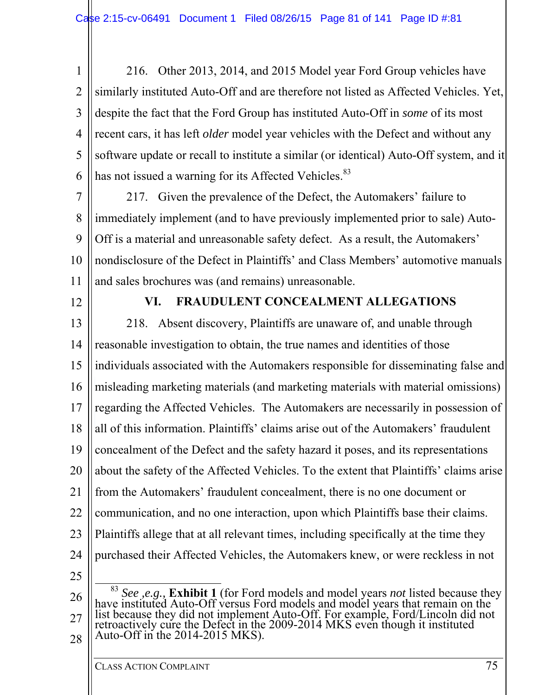1 2 3 4 5 6 216. Other 2013, 2014, and 2015 Model year Ford Group vehicles have similarly instituted Auto-Off and are therefore not listed as Affected Vehicles. Yet, despite the fact that the Ford Group has instituted Auto-Off in *some* of its most recent cars, it has left *older* model year vehicles with the Defect and without any software update or recall to institute a similar (or identical) Auto-Off system, and it has not issued a warning for its Affected Vehicles.<sup>83</sup>

7 8 9 10 11 217. Given the prevalence of the Defect, the Automakers' failure to immediately implement (and to have previously implemented prior to sale) Auto-Off is a material and unreasonable safety defect. As a result, the Automakers' nondisclosure of the Defect in Plaintiffs' and Class Members' automotive manuals and sales brochures was (and remains) unreasonable.

12

## **VI. FRAUDULENT CONCEALMENT ALLEGATIONS**

13 14 15 16 17 18 19 20 21 22 23 24 25 218. Absent discovery, Plaintiffs are unaware of, and unable through reasonable investigation to obtain, the true names and identities of those individuals associated with the Automakers responsible for disseminating false and misleading marketing materials (and marketing materials with material omissions) regarding the Affected Vehicles. The Automakers are necessarily in possession of all of this information. Plaintiffs' claims arise out of the Automakers' fraudulent concealment of the Defect and the safety hazard it poses, and its representations about the safety of the Affected Vehicles. To the extent that Plaintiffs' claims arise from the Automakers' fraudulent concealment, there is no one document or communication, and no one interaction, upon which Plaintiffs base their claims. Plaintiffs allege that at all relevant times, including specifically at the time they purchased their Affected Vehicles, the Automakers knew, or were reckless in not

<sup>26</sup> 27 28 <sup>83</sup> *See ,e.g.,* **Exhibit 1** (for Ford models and model years *not* listed because they have instituted Auto-Off versus Ford models and model years that remain on the list because they did not implement Auto-Off. For example, Ford/Lincoln did not retroactively cure the Defect in the 2009-2014 MKS even though it instituted Auto-Off in the 2014-2015 MKS).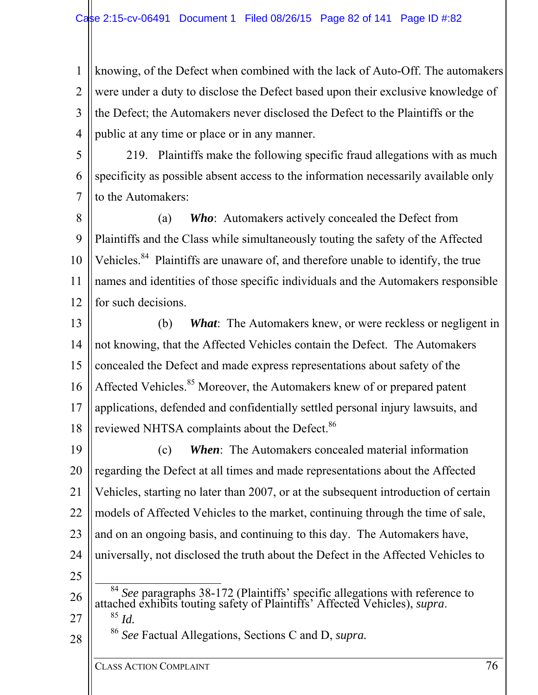1 2 3 4 knowing, of the Defect when combined with the lack of Auto-Off. The automakers were under a duty to disclose the Defect based upon their exclusive knowledge of the Defect; the Automakers never disclosed the Defect to the Plaintiffs or the public at any time or place or in any manner.

5 6 7 219. Plaintiffs make the following specific fraud allegations with as much specificity as possible absent access to the information necessarily available only to the Automakers:

8 9 10 11 12 (a) *Who*: Automakers actively concealed the Defect from Plaintiffs and the Class while simultaneously touting the safety of the Affected Vehicles.<sup>84</sup> Plaintiffs are unaware of, and therefore unable to identify, the true names and identities of those specific individuals and the Automakers responsible for such decisions.

13 14 15 16 17 18 (b) *What*: The Automakers knew, or were reckless or negligent in not knowing, that the Affected Vehicles contain the Defect. The Automakers concealed the Defect and made express representations about safety of the Affected Vehicles.<sup>85</sup> Moreover, the Automakers knew of or prepared patent applications, defended and confidentially settled personal injury lawsuits, and reviewed NHTSA complaints about the Defect.<sup>86</sup>

19 20 21 22 23 24 25 (c) *When*: The Automakers concealed material information regarding the Defect at all times and made representations about the Affected Vehicles, starting no later than 2007, or at the subsequent introduction of certain models of Affected Vehicles to the market, continuing through the time of sale, and on an ongoing basis, and continuing to this day. The Automakers have, universally, not disclosed the truth about the Defect in the Affected Vehicles to <sup>84</sup> *See* paragraphs 38-172 (Plaintiffs' specific allegations with reference to

<sup>26</sup> 27 attached exhibits touting safety of Plaintiffs' Affected Vehicles), *supra*. 85 *Id.*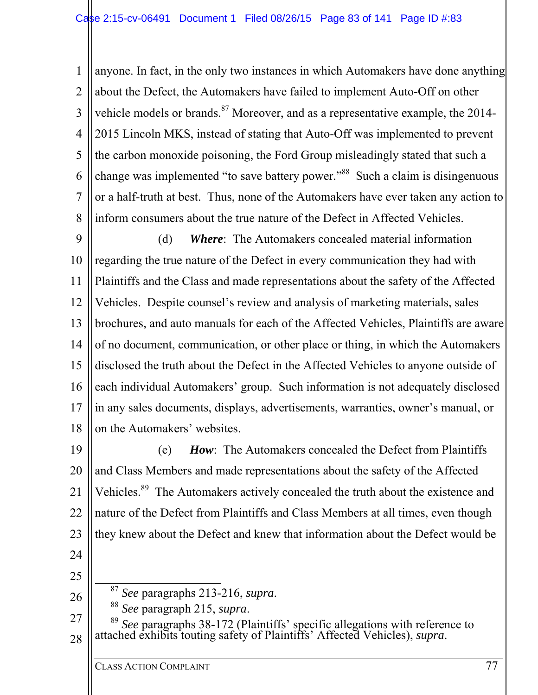1 2 3 4 5 6 7 8 anyone. In fact, in the only two instances in which Automakers have done anything about the Defect, the Automakers have failed to implement Auto-Off on other vehicle models or brands.<sup>87</sup> Moreover, and as a representative example, the 2014-2015 Lincoln MKS, instead of stating that Auto-Off was implemented to prevent the carbon monoxide poisoning, the Ford Group misleadingly stated that such a change was implemented "to save battery power."<sup>88</sup> Such a claim is disingenuous or a half-truth at best. Thus, none of the Automakers have ever taken any action to inform consumers about the true nature of the Defect in Affected Vehicles.

9 10 11 12 13 14 15 16 17 18 (d) *Where*: The Automakers concealed material information regarding the true nature of the Defect in every communication they had with Plaintiffs and the Class and made representations about the safety of the Affected Vehicles. Despite counsel's review and analysis of marketing materials, sales brochures, and auto manuals for each of the Affected Vehicles, Plaintiffs are aware of no document, communication, or other place or thing, in which the Automakers disclosed the truth about the Defect in the Affected Vehicles to anyone outside of each individual Automakers' group. Such information is not adequately disclosed in any sales documents, displays, advertisements, warranties, owner's manual, or on the Automakers' websites.

19 20 21 22 23 (e) *How*: The Automakers concealed the Defect from Plaintiffs and Class Members and made representations about the safety of the Affected Vehicles.<sup>89</sup> The Automakers actively concealed the truth about the existence and nature of the Defect from Plaintiffs and Class Members at all times, even though they knew about the Defect and knew that information about the Defect would be

- 24
- 25

26

27 28 <sup>87</sup> *See* paragraphs 213-216, *supra*.<br><sup>88</sup> *See* paragraph 215, *supra*.<br><sup>89</sup> *See* paragraphs 38-172 (Plaintiffs' specific allegations with reference to attached exhibits touting safety of Plaintiffs' Affected Vehicles), *supra*.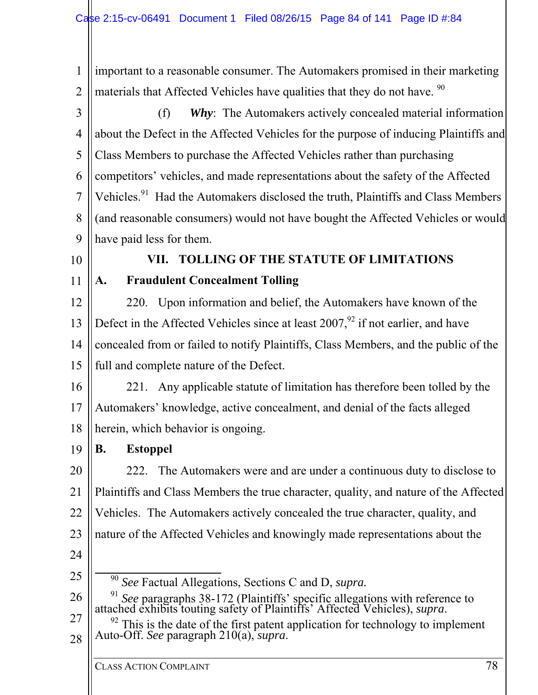1 2 important to a reasonable consumer. The Automakers promised in their marketing materials that Affected Vehicles have qualities that they do not have. <sup>90</sup>

3 4 5 6 7 8 9 (f) *Why*: The Automakers actively concealed material information about the Defect in the Affected Vehicles for the purpose of inducing Plaintiffs and Class Members to purchase the Affected Vehicles rather than purchasing competitors' vehicles, and made representations about the safety of the Affected Vehicles.<sup>91</sup> Had the Automakers disclosed the truth, Plaintiffs and Class Members (and reasonable consumers) would not have bought the Affected Vehicles or would have paid less for them.

10

11

# **VII. TOLLING OF THE STATUTE OF LIMITATIONS A. Fraudulent Concealment Tolling**

12 13 14 15 220. Upon information and belief, the Automakers have known of the Defect in the Affected Vehicles since at least  $2007<sup>92</sup>$  if not earlier, and have concealed from or failed to notify Plaintiffs, Class Members, and the public of the full and complete nature of the Defect.

- 16 17 18 221. Any applicable statute of limitation has therefore been tolled by the Automakers' knowledge, active concealment, and denial of the facts alleged herein, which behavior is ongoing.
- 19 **B. Estoppel**

20 21 22 23 222. The Automakers were and are under a continuous duty to disclose to Plaintiffs and Class Members the true character, quality, and nature of the Affected Vehicles. The Automakers actively concealed the true character, quality, and nature of the Affected Vehicles and knowingly made representations about the

24

25

90 *See* Factual Allegations, Sections C and D, *supra.*

- 26 <sup>91</sup> *See* paragraphs 38-172 (Plaintiffs' specific allegations with reference to attached exhibits touting safety of Plaintiffs' Affected Vehicles), *supra*.
- 27 28 <sup>92</sup> This is the date of the first patent application for technology to implement Auto-Off. *See* paragraph 210(a), *supra*.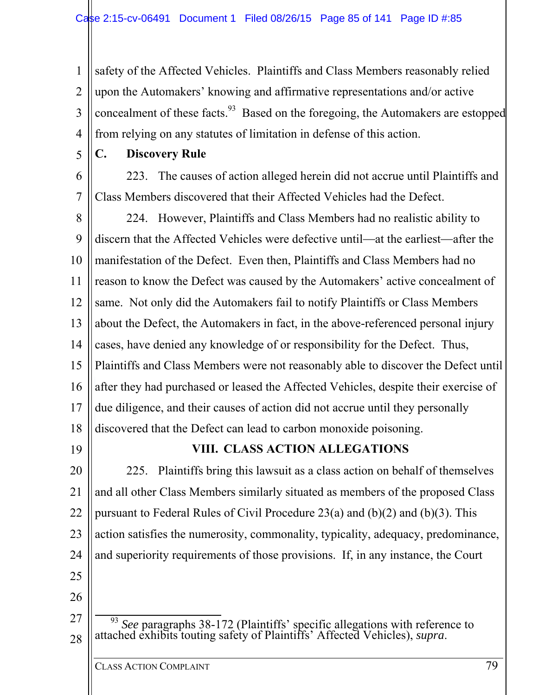1 2 3 4 safety of the Affected Vehicles. Plaintiffs and Class Members reasonably relied upon the Automakers' knowing and affirmative representations and/or active concealment of these facts.<sup>93</sup> Based on the foregoing, the Automakers are estopped from relying on any statutes of limitation in defense of this action.

5

## **C. Discovery Rule**

6 7 223. The causes of action alleged herein did not accrue until Plaintiffs and Class Members discovered that their Affected Vehicles had the Defect.

8 9 10 11 12 13 14 15 16 17 18 224. However, Plaintiffs and Class Members had no realistic ability to discern that the Affected Vehicles were defective until—at the earliest—after the manifestation of the Defect. Even then, Plaintiffs and Class Members had no reason to know the Defect was caused by the Automakers' active concealment of same. Not only did the Automakers fail to notify Plaintiffs or Class Members about the Defect, the Automakers in fact, in the above-referenced personal injury cases, have denied any knowledge of or responsibility for the Defect. Thus, Plaintiffs and Class Members were not reasonably able to discover the Defect until after they had purchased or leased the Affected Vehicles, despite their exercise of due diligence, and their causes of action did not accrue until they personally discovered that the Defect can lead to carbon monoxide poisoning.

19

## **VIII. CLASS ACTION ALLEGATIONS**

20 21 22 23 24 25 225. Plaintiffs bring this lawsuit as a class action on behalf of themselves and all other Class Members similarly situated as members of the proposed Class pursuant to Federal Rules of Civil Procedure 23(a) and (b)(2) and (b)(3). This action satisfies the numerosity, commonality, typicality, adequacy, predominance, and superiority requirements of those provisions. If, in any instance, the Court

- 26
- 27
- 28 <sup>93</sup> *See* paragraphs 38-172 (Plaintiffs' specific allegations with reference to attached exhibits touting safety of Plaintiffs' Affected Vehicles), *supra*.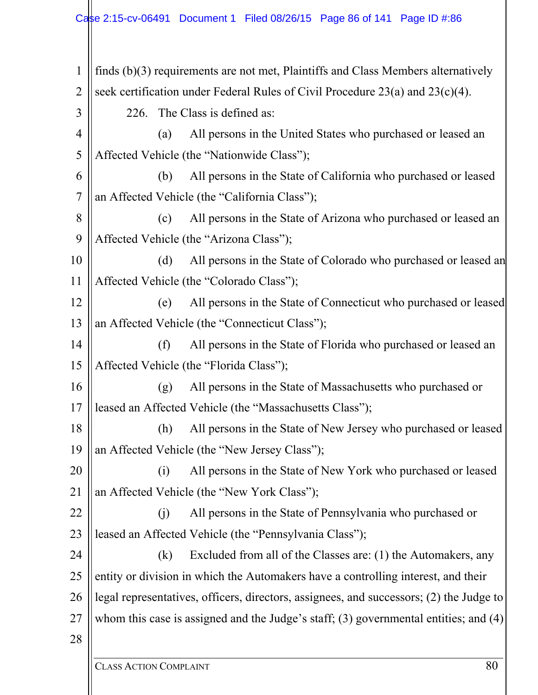1 2 3 4 5 6 7 8 9 10 11 12 13 14 15 16 17 18 19 20 21 22 23 24 25 26 27 28 finds (b)(3) requirements are not met, Plaintiffs and Class Members alternatively seek certification under Federal Rules of Civil Procedure 23(a) and 23(c)(4). 226. The Class is defined as: (a) All persons in the United States who purchased or leased an Affected Vehicle (the "Nationwide Class"); (b) All persons in the State of California who purchased or leased an Affected Vehicle (the "California Class"); (c) All persons in the State of Arizona who purchased or leased an Affected Vehicle (the "Arizona Class"); (d) All persons in the State of Colorado who purchased or leased an Affected Vehicle (the "Colorado Class"); (e) All persons in the State of Connecticut who purchased or leased an Affected Vehicle (the "Connecticut Class"); (f) All persons in the State of Florida who purchased or leased an Affected Vehicle (the "Florida Class"); (g) All persons in the State of Massachusetts who purchased or leased an Affected Vehicle (the "Massachusetts Class"); (h) All persons in the State of New Jersey who purchased or leased an Affected Vehicle (the "New Jersey Class"); (i) All persons in the State of New York who purchased or leased an Affected Vehicle (the "New York Class"); (j) All persons in the State of Pennsylvania who purchased or leased an Affected Vehicle (the "Pennsylvania Class"); (k) Excluded from all of the Classes are: (1) the Automakers, any entity or division in which the Automakers have a controlling interest, and their legal representatives, officers, directors, assignees, and successors; (2) the Judge to whom this case is assigned and the Judge's staff; (3) governmental entities; and (4)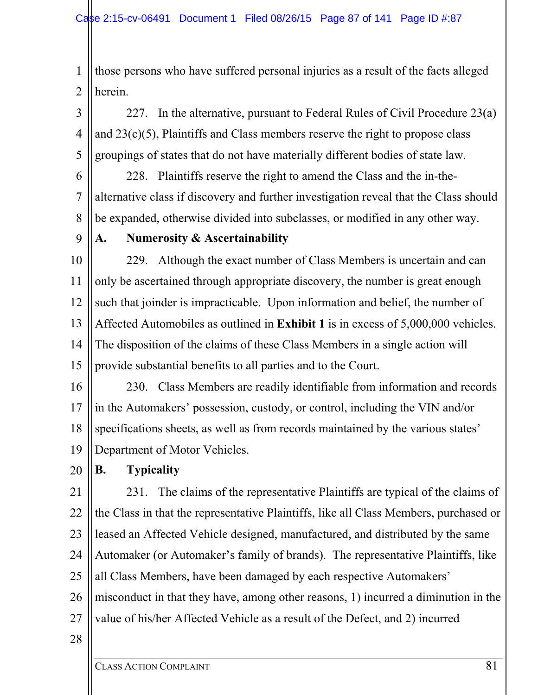1 2 those persons who have suffered personal injuries as a result of the facts alleged herein.

3 4 5 227. In the alternative, pursuant to Federal Rules of Civil Procedure 23(a) and  $23(c)(5)$ , Plaintiffs and Class members reserve the right to propose class groupings of states that do not have materially different bodies of state law.

6 7 8 228. Plaintiffs reserve the right to amend the Class and the in-thealternative class if discovery and further investigation reveal that the Class should be expanded, otherwise divided into subclasses, or modified in any other way.

9

### **A. Numerosity & Ascertainability**

10 11 12 13 14 15 229. Although the exact number of Class Members is uncertain and can only be ascertained through appropriate discovery, the number is great enough such that joinder is impracticable. Upon information and belief, the number of Affected Automobiles as outlined in **Exhibit 1** is in excess of 5,000,000 vehicles. The disposition of the claims of these Class Members in a single action will provide substantial benefits to all parties and to the Court.

16 17 18 19 230. Class Members are readily identifiable from information and records in the Automakers' possession, custody, or control, including the VIN and/or specifications sheets, as well as from records maintained by the various states' Department of Motor Vehicles.

20 **B. Typicality** 

21 22 23 24 25 26 27 231. The claims of the representative Plaintiffs are typical of the claims of the Class in that the representative Plaintiffs, like all Class Members, purchased or leased an Affected Vehicle designed, manufactured, and distributed by the same Automaker (or Automaker's family of brands). The representative Plaintiffs, like all Class Members, have been damaged by each respective Automakers' misconduct in that they have, among other reasons, 1) incurred a diminution in the value of his/her Affected Vehicle as a result of the Defect, and 2) incurred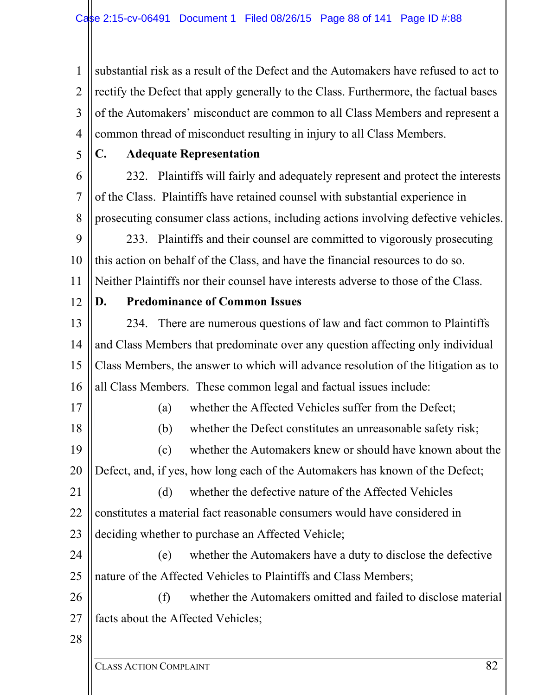1 2 3 4 substantial risk as a result of the Defect and the Automakers have refused to act to rectify the Defect that apply generally to the Class. Furthermore, the factual bases of the Automakers' misconduct are common to all Class Members and represent a common thread of misconduct resulting in injury to all Class Members.

5

#### **C. Adequate Representation**

6 7 8 232. Plaintiffs will fairly and adequately represent and protect the interests of the Class. Plaintiffs have retained counsel with substantial experience in prosecuting consumer class actions, including actions involving defective vehicles.

9 10 11 233. Plaintiffs and their counsel are committed to vigorously prosecuting this action on behalf of the Class, and have the financial resources to do so. Neither Plaintiffs nor their counsel have interests adverse to those of the Class.

12

### **D. Predominance of Common Issues**

13 14 15 16 234. There are numerous questions of law and fact common to Plaintiffs and Class Members that predominate over any question affecting only individual Class Members, the answer to which will advance resolution of the litigation as to all Class Members. These common legal and factual issues include:

17

18

(a) whether the Affected Vehicles suffer from the Defect;

(b) whether the Defect constitutes an unreasonable safety risk;

19 20 (c) whether the Automakers knew or should have known about the Defect, and, if yes, how long each of the Automakers has known of the Defect;

21 22 23 (d) whether the defective nature of the Affected Vehicles constitutes a material fact reasonable consumers would have considered in deciding whether to purchase an Affected Vehicle;

24 25 (e) whether the Automakers have a duty to disclose the defective nature of the Affected Vehicles to Plaintiffs and Class Members;

26 27 (f) whether the Automakers omitted and failed to disclose material facts about the Affected Vehicles;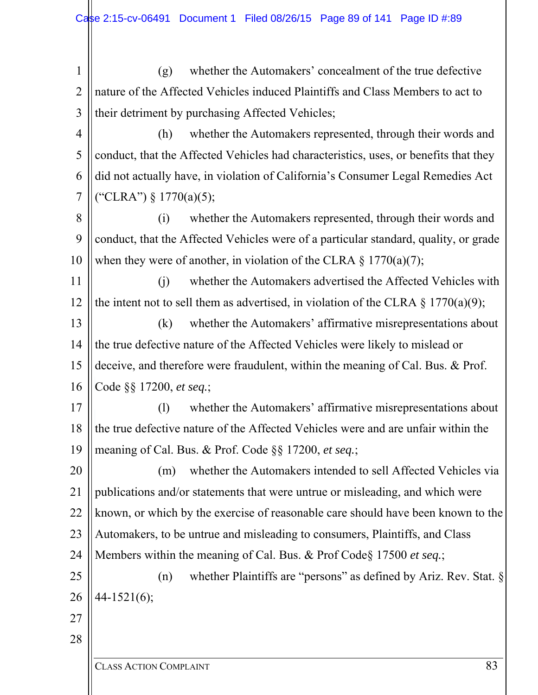1 2 3 (g) whether the Automakers' concealment of the true defective nature of the Affected Vehicles induced Plaintiffs and Class Members to act to their detriment by purchasing Affected Vehicles;

4 5 6 7 (h) whether the Automakers represented, through their words and conduct, that the Affected Vehicles had characteristics, uses, or benefits that they did not actually have, in violation of California's Consumer Legal Remedies Act ("CLRA") § 1770(a)(5);

8 9 10 (i) whether the Automakers represented, through their words and conduct, that the Affected Vehicles were of a particular standard, quality, or grade when they were of another, in violation of the CLRA  $\S$  1770(a)(7);

11 12 (j) whether the Automakers advertised the Affected Vehicles with the intent not to sell them as advertised, in violation of the CLRA  $\S$  1770(a)(9);

13 14 15 16 (k) whether the Automakers' affirmative misrepresentations about the true defective nature of the Affected Vehicles were likely to mislead or deceive, and therefore were fraudulent, within the meaning of Cal. Bus. & Prof. Code §§ 17200, *et seq.*;

17 18 19 (l) whether the Automakers' affirmative misrepresentations about the true defective nature of the Affected Vehicles were and are unfair within the meaning of Cal. Bus. & Prof. Code §§ 17200, *et seq.*;

20 21 22 23 24 (m) whether the Automakers intended to sell Affected Vehicles via publications and/or statements that were untrue or misleading, and which were known, or which by the exercise of reasonable care should have been known to the Automakers, to be untrue and misleading to consumers, Plaintiffs, and Class Members within the meaning of Cal. Bus. & Prof Code§ 17500 *et seq.*;

25 26 (n) whether Plaintiffs are "persons" as defined by Ariz. Rev. Stat. § 44-1521(6);

27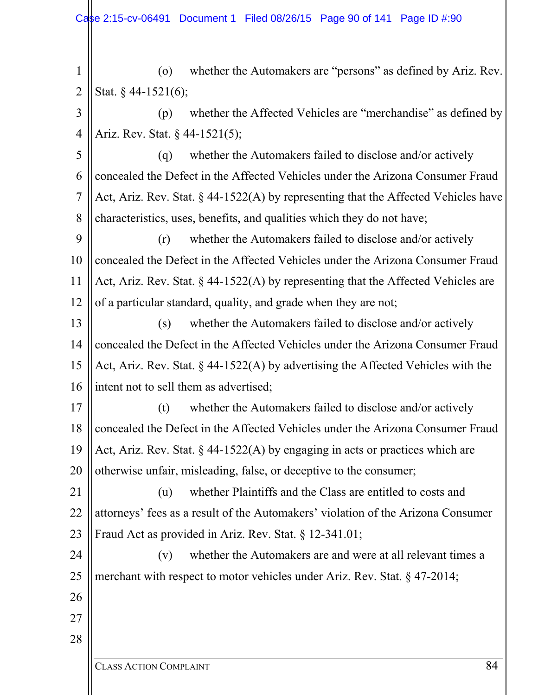1 2 (o) whether the Automakers are "persons" as defined by Ariz. Rev. Stat. § 44-1521(6);

3

4

(p) whether the Affected Vehicles are "merchandise" as defined by Ariz. Rev. Stat. § 44-1521(5);

5 6 7 8 (q) whether the Automakers failed to disclose and/or actively concealed the Defect in the Affected Vehicles under the Arizona Consumer Fraud Act, Ariz. Rev. Stat. § 44-1522(A) by representing that the Affected Vehicles have characteristics, uses, benefits, and qualities which they do not have;

9 10 11 12 (r) whether the Automakers failed to disclose and/or actively concealed the Defect in the Affected Vehicles under the Arizona Consumer Fraud Act, Ariz. Rev. Stat. § 44-1522(A) by representing that the Affected Vehicles are of a particular standard, quality, and grade when they are not;

13 14 15 16 (s) whether the Automakers failed to disclose and/or actively concealed the Defect in the Affected Vehicles under the Arizona Consumer Fraud Act, Ariz. Rev. Stat. § 44-1522(A) by advertising the Affected Vehicles with the intent not to sell them as advertised;

17 18 19 20 (t) whether the Automakers failed to disclose and/or actively concealed the Defect in the Affected Vehicles under the Arizona Consumer Fraud Act, Ariz. Rev. Stat. § 44-1522(A) by engaging in acts or practices which are otherwise unfair, misleading, false, or deceptive to the consumer;

21 22 23 (u) whether Plaintiffs and the Class are entitled to costs and attorneys' fees as a result of the Automakers' violation of the Arizona Consumer Fraud Act as provided in Ariz. Rev. Stat. § 12-341.01;

24 25 (v) whether the Automakers are and were at all relevant times a merchant with respect to motor vehicles under Ariz. Rev. Stat. § 47-2014;

- 26
- 27 28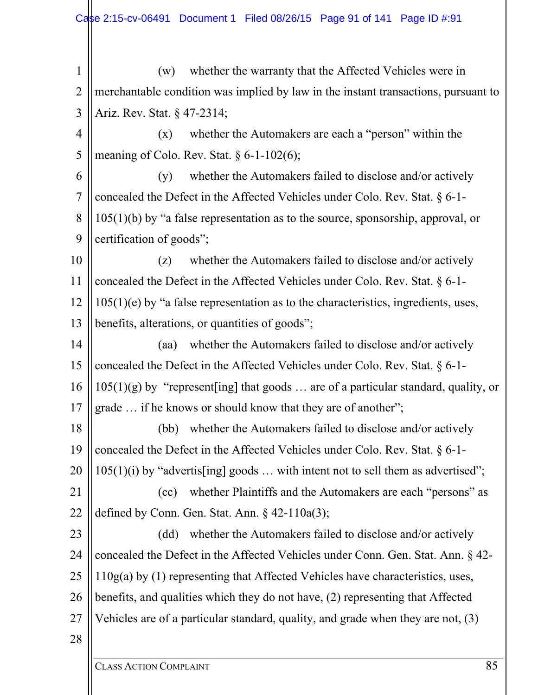1 2 3 (w) whether the warranty that the Affected Vehicles were in merchantable condition was implied by law in the instant transactions, pursuant to Ariz. Rev. Stat. § 47-2314;

4 5 (x) whether the Automakers are each a "person" within the meaning of Colo. Rev. Stat.  $\delta$  6-1-102(6);

6 7 8 9 (y) whether the Automakers failed to disclose and/or actively concealed the Defect in the Affected Vehicles under Colo. Rev. Stat. § 6-1- 105(1)(b) by "a false representation as to the source, sponsorship, approval, or certification of goods";

10 11 12 13 (z) whether the Automakers failed to disclose and/or actively concealed the Defect in the Affected Vehicles under Colo. Rev. Stat. § 6-1-  $105(1)(e)$  by "a false representation as to the characteristics, ingredients, uses, benefits, alterations, or quantities of goods";

14 15 16 17 (aa) whether the Automakers failed to disclose and/or actively concealed the Defect in the Affected Vehicles under Colo. Rev. Stat. § 6-1-  $105(1)(g)$  by "represent [ing] that goods ... are of a particular standard, quality, or grade … if he knows or should know that they are of another";

18 19 20 (bb) whether the Automakers failed to disclose and/or actively concealed the Defect in the Affected Vehicles under Colo. Rev. Stat. § 6-1-  $105(1)(i)$  by "advertis[ing] goods ... with intent not to sell them as advertised";

21 22 (cc) whether Plaintiffs and the Automakers are each "persons" as defined by Conn. Gen. Stat. Ann. § 42-110a(3);

23 24 25 26 27 (dd) whether the Automakers failed to disclose and/or actively concealed the Defect in the Affected Vehicles under Conn. Gen. Stat. Ann. § 42- 110g(a) by (1) representing that Affected Vehicles have characteristics, uses, benefits, and qualities which they do not have, (2) representing that Affected Vehicles are of a particular standard, quality, and grade when they are not, (3)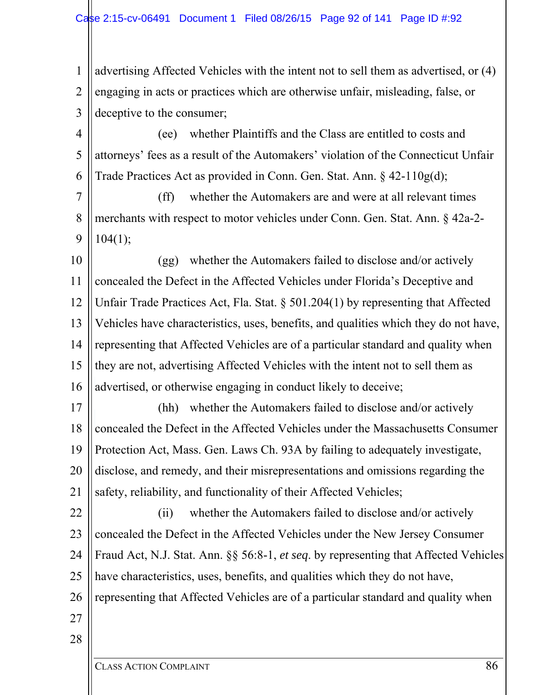1 2 3 advertising Affected Vehicles with the intent not to sell them as advertised, or (4) engaging in acts or practices which are otherwise unfair, misleading, false, or deceptive to the consumer;

4 5 6 (ee) whether Plaintiffs and the Class are entitled to costs and attorneys' fees as a result of the Automakers' violation of the Connecticut Unfair Trade Practices Act as provided in Conn. Gen. Stat. Ann. § 42-110g(d);

7 8 9 (ff) whether the Automakers are and were at all relevant times merchants with respect to motor vehicles under Conn. Gen. Stat. Ann. § 42a-2- 104(1);

10 11 12 13 14 15 16 (gg) whether the Automakers failed to disclose and/or actively concealed the Defect in the Affected Vehicles under Florida's Deceptive and Unfair Trade Practices Act, Fla. Stat. § 501.204(1) by representing that Affected Vehicles have characteristics, uses, benefits, and qualities which they do not have, representing that Affected Vehicles are of a particular standard and quality when they are not, advertising Affected Vehicles with the intent not to sell them as advertised, or otherwise engaging in conduct likely to deceive;

17 18 19 20 21 (hh) whether the Automakers failed to disclose and/or actively concealed the Defect in the Affected Vehicles under the Massachusetts Consumer Protection Act, Mass. Gen. Laws Ch. 93A by failing to adequately investigate, disclose, and remedy, and their misrepresentations and omissions regarding the safety, reliability, and functionality of their Affected Vehicles;

22 23 24 25 26 (ii) whether the Automakers failed to disclose and/or actively concealed the Defect in the Affected Vehicles under the New Jersey Consumer Fraud Act, N.J. Stat. Ann. §§ 56:8-1, *et seq*. by representing that Affected Vehicles have characteristics, uses, benefits, and qualities which they do not have, representing that Affected Vehicles are of a particular standard and quality when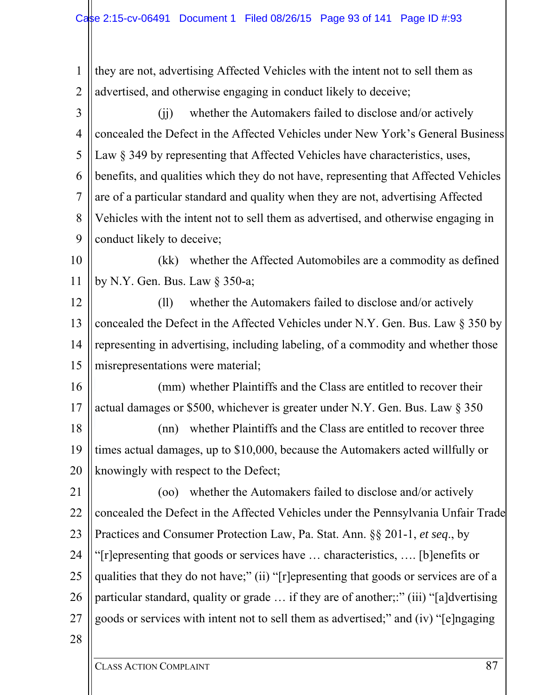1 2 3 4 5 6 7 8 9 10 11 12 13 14 15 16 17 18 19 20 21 22 23 24 25 26 27 28 they are not, advertising Affected Vehicles with the intent not to sell them as advertised, and otherwise engaging in conduct likely to deceive; (jj) whether the Automakers failed to disclose and/or actively concealed the Defect in the Affected Vehicles under New York's General Business Law  $\S$  349 by representing that Affected Vehicles have characteristics, uses, benefits, and qualities which they do not have, representing that Affected Vehicles are of a particular standard and quality when they are not, advertising Affected Vehicles with the intent not to sell them as advertised, and otherwise engaging in conduct likely to deceive; (kk) whether the Affected Automobiles are a commodity as defined by N.Y. Gen. Bus. Law § 350-a; (ll) whether the Automakers failed to disclose and/or actively concealed the Defect in the Affected Vehicles under N.Y. Gen. Bus. Law § 350 by representing in advertising, including labeling, of a commodity and whether those misrepresentations were material; (mm) whether Plaintiffs and the Class are entitled to recover their actual damages or \$500, whichever is greater under N.Y. Gen. Bus. Law § 350 (nn) whether Plaintiffs and the Class are entitled to recover three times actual damages, up to \$10,000, because the Automakers acted willfully or knowingly with respect to the Defect; (oo) whether the Automakers failed to disclose and/or actively concealed the Defect in the Affected Vehicles under the Pennsylvania Unfair Trade Practices and Consumer Protection Law, Pa. Stat. Ann. §§ 201-1, *et seq*., by "[r]epresenting that goods or services have … characteristics, …. [b]enefits or qualities that they do not have;" (ii) "[r]epresenting that goods or services are of a particular standard, quality or grade … if they are of another;:" (iii) "[a]dvertising goods or services with intent not to sell them as advertised;" and (iv) "[e]ngaging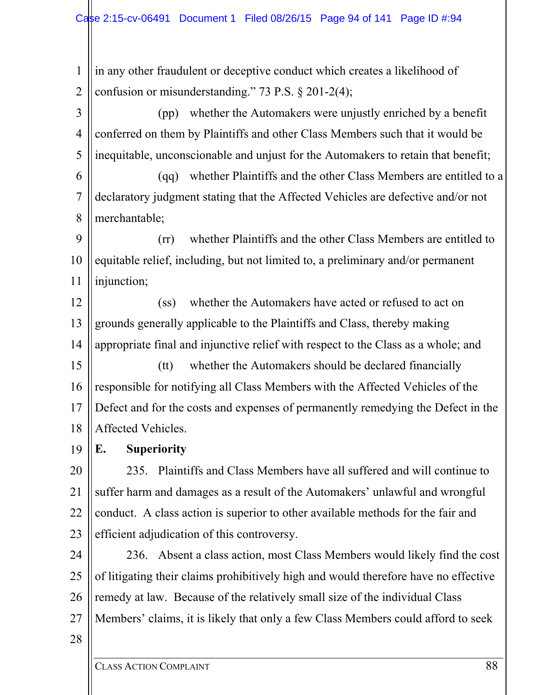1 2 in any other fraudulent or deceptive conduct which creates a likelihood of confusion or misunderstanding." 73 P.S. § 201-2(4);

3 4 5 (pp) whether the Automakers were unjustly enriched by a benefit conferred on them by Plaintiffs and other Class Members such that it would be inequitable, unconscionable and unjust for the Automakers to retain that benefit;

6 7 8 (qq) whether Plaintiffs and the other Class Members are entitled to a declaratory judgment stating that the Affected Vehicles are defective and/or not merchantable;

9 10 11 (rr) whether Plaintiffs and the other Class Members are entitled to equitable relief, including, but not limited to, a preliminary and/or permanent injunction;

12 13 14 (ss) whether the Automakers have acted or refused to act on grounds generally applicable to the Plaintiffs and Class, thereby making appropriate final and injunctive relief with respect to the Class as a whole; and

15 16 17 18 (tt) whether the Automakers should be declared financially responsible for notifying all Class Members with the Affected Vehicles of the Defect and for the costs and expenses of permanently remedying the Defect in the Affected Vehicles.

19 **E. Superiority** 

20 21 22 23 235. Plaintiffs and Class Members have all suffered and will continue to suffer harm and damages as a result of the Automakers' unlawful and wrongful conduct. A class action is superior to other available methods for the fair and efficient adjudication of this controversy.

24 25 26 27 236. Absent a class action, most Class Members would likely find the cost of litigating their claims prohibitively high and would therefore have no effective remedy at law. Because of the relatively small size of the individual Class Members' claims, it is likely that only a few Class Members could afford to seek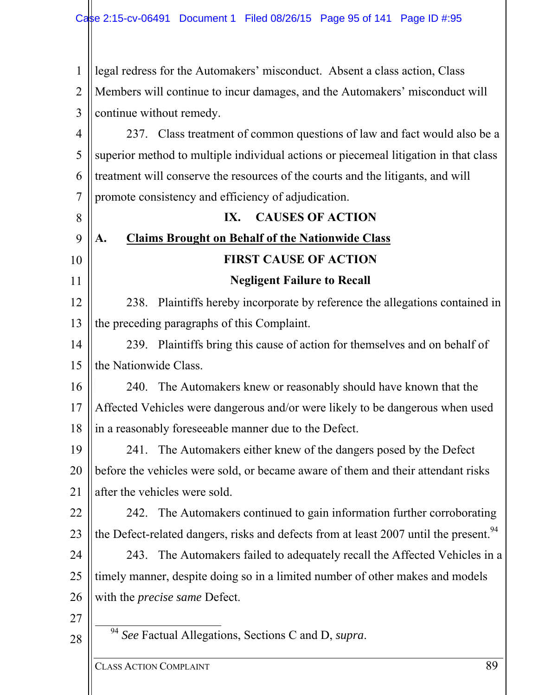| $\mathbf{1}$   | legal redress for the Automakers' misconduct. Absent a class action, Class                        |
|----------------|---------------------------------------------------------------------------------------------------|
| $\overline{2}$ | Members will continue to incur damages, and the Automakers' misconduct will                       |
| 3              | continue without remedy.                                                                          |
| 4              | 237. Class treatment of common questions of law and fact would also be a                          |
| 5              | superior method to multiple individual actions or piecemeal litigation in that class              |
| 6              | treatment will conserve the resources of the courts and the litigants, and will                   |
| 7              | promote consistency and efficiency of adjudication.                                               |
| 8              | <b>CAUSES OF ACTION</b><br>IX.                                                                    |
| 9              | <b>Claims Brought on Behalf of the Nationwide Class</b><br>A.                                     |
| 10             | <b>FIRST CAUSE OF ACTION</b>                                                                      |
| 11             | <b>Negligent Failure to Recall</b>                                                                |
| 12             | Plaintiffs hereby incorporate by reference the allegations contained in<br>238.                   |
| 13             | the preceding paragraphs of this Complaint.                                                       |
| 14             | 239. Plaintiffs bring this cause of action for themselves and on behalf of                        |
| 15             | the Nationwide Class.                                                                             |
| 16             | 240. The Automakers knew or reasonably should have known that the                                 |
| 17             | Affected Vehicles were dangerous and/or were likely to be dangerous when used                     |
| 18             | in a reasonably foreseeable manner due to the Defect.                                             |
| 19             | 241. The Automakers either knew of the dangers posed by the Defect                                |
| 20             | before the vehicles were sold, or became aware of them and their attendant risks                  |
| 21             | after the vehicles were sold.                                                                     |
| 22             | 242. The Automakers continued to gain information further corroborating                           |
| 23             | the Defect-related dangers, risks and defects from at least 2007 until the present. <sup>94</sup> |
| 24             | 243. The Automakers failed to adequately recall the Affected Vehicles in a                        |
| 25             | timely manner, despite doing so in a limited number of other makes and models                     |
| 26             | with the <i>precise same</i> Defect.                                                              |
| 27             |                                                                                                   |
| 28             | <sup>94</sup> See Factual Allegations, Sections C and D, supra.                                   |
|                | 89<br><b>CLASS ACTION COMPLAINT</b>                                                               |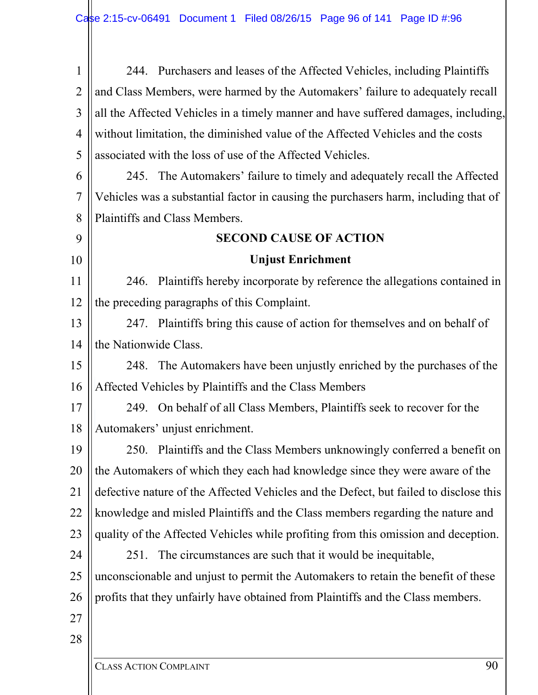| 1              | 244. Purchasers and leases of the Affected Vehicles, including Plaintiffs             |
|----------------|---------------------------------------------------------------------------------------|
| $\overline{2}$ | and Class Members, were harmed by the Automakers' failure to adequately recall        |
| 3              | all the Affected Vehicles in a timely manner and have suffered damages, including,    |
| 4              | without limitation, the diminished value of the Affected Vehicles and the costs       |
| 5              | associated with the loss of use of the Affected Vehicles.                             |
| 6              | 245. The Automakers' failure to timely and adequately recall the Affected             |
| 7              | Vehicles was a substantial factor in causing the purchasers harm, including that of   |
| 8              | Plaintiffs and Class Members.                                                         |
| 9              | <b>SECOND CAUSE OF ACTION</b>                                                         |
| 10             | <b>Unjust Enrichment</b>                                                              |
| 11             | 246. Plaintiffs hereby incorporate by reference the allegations contained in          |
| 12             | the preceding paragraphs of this Complaint.                                           |
| 13             | 247. Plaintiffs bring this cause of action for themselves and on behalf of            |
| 14             | the Nationwide Class.                                                                 |
| 15             | 248. The Automakers have been unjustly enriched by the purchases of the               |
| 16             | Affected Vehicles by Plaintiffs and the Class Members                                 |
| 17             | 249. On behalf of all Class Members, Plaintiffs seek to recover for the               |
| 18             | Automakers' unjust enrichment.                                                        |
| 19             | 250. Plaintiffs and the Class Members unknowingly conferred a benefit on              |
| 20             | the Automakers of which they each had knowledge since they were aware of the          |
| 21             | defective nature of the Affected Vehicles and the Defect, but failed to disclose this |
| 22             | knowledge and misled Plaintiffs and the Class members regarding the nature and        |
| 23             | quality of the Affected Vehicles while profiting from this omission and deception.    |
| 24             | The circumstances are such that it would be inequitable,<br>251.                      |
| 25             | unconscionable and unjust to permit the Automakers to retain the benefit of these     |
| 26             | profits that they unfairly have obtained from Plaintiffs and the Class members.       |
| 27             |                                                                                       |
| 28             |                                                                                       |
|                |                                                                                       |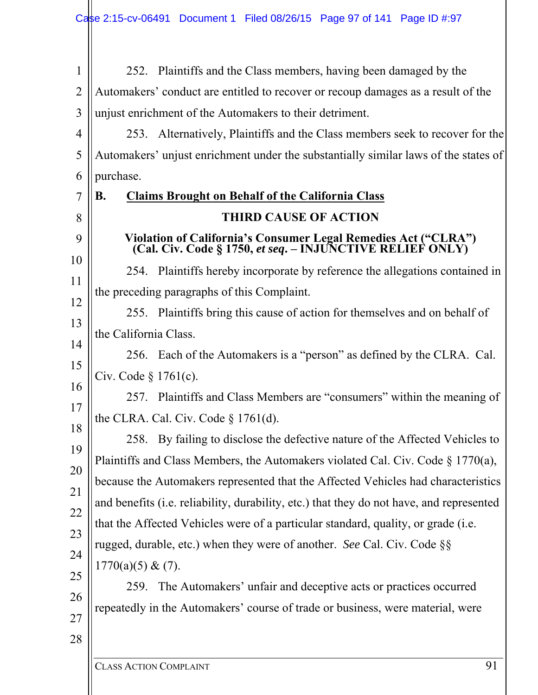| $\mathbf{1}$   | 252. Plaintiffs and the Class members, having been damaged by the                                                           |
|----------------|-----------------------------------------------------------------------------------------------------------------------------|
| $\overline{2}$ | Automakers' conduct are entitled to recover or recoup damages as a result of the                                            |
| 3              | unjust enrichment of the Automakers to their detriment.                                                                     |
| 4              | 253. Alternatively, Plaintiffs and the Class members seek to recover for the                                                |
| 5              | Automakers' unjust enrichment under the substantially similar laws of the states of                                         |
| 6              | purchase.                                                                                                                   |
| 7              | <b>Claims Brought on Behalf of the California Class</b><br>В.                                                               |
| 8              | <b>THIRD CAUSE OF ACTION</b>                                                                                                |
| 9              | Violation of California's Consumer Legal Remedies Act ("CLRA")<br>(Cal. Civ. Code § 1750, et seq. - INJUNCTIVE RELIEF ONLY) |
| 10             | 254. Plaintiffs hereby incorporate by reference the allegations contained in                                                |
| 11             | the preceding paragraphs of this Complaint.                                                                                 |
| 12<br>13       | 255. Plaintiffs bring this cause of action for themselves and on behalf of                                                  |
| 14             | the California Class.                                                                                                       |
| 15             | 256. Each of the Automakers is a "person" as defined by the CLRA. Cal.                                                      |
| 16             | Civ. Code $\S 1761(c)$ .                                                                                                    |
| 17             | 257. Plaintiffs and Class Members are "consumers" within the meaning of                                                     |
| 18             | the CLRA. Cal. Civ. Code $\S 1761(d)$ .                                                                                     |
| 19             | 258. By failing to disclose the defective nature of the Affected Vehicles to                                                |
| 20             | Plaintiffs and Class Members, the Automakers violated Cal. Civ. Code $\S 1770(a)$ ,                                         |
| 21             | because the Automakers represented that the Affected Vehicles had characteristics                                           |
| 22             | and benefits (i.e. reliability, durability, etc.) that they do not have, and represented                                    |
| 23             | that the Affected Vehicles were of a particular standard, quality, or grade (i.e.                                           |
| 24             | rugged, durable, etc.) when they were of another. See Cal. Civ. Code §§                                                     |
| 25             | 1770(a)(5) & (7).                                                                                                           |
| 26             | The Automakers' unfair and deceptive acts or practices occurred<br>259.                                                     |
| 27             | repeatedly in the Automakers' course of trade or business, were material, were                                              |
| 28             |                                                                                                                             |
|                |                                                                                                                             |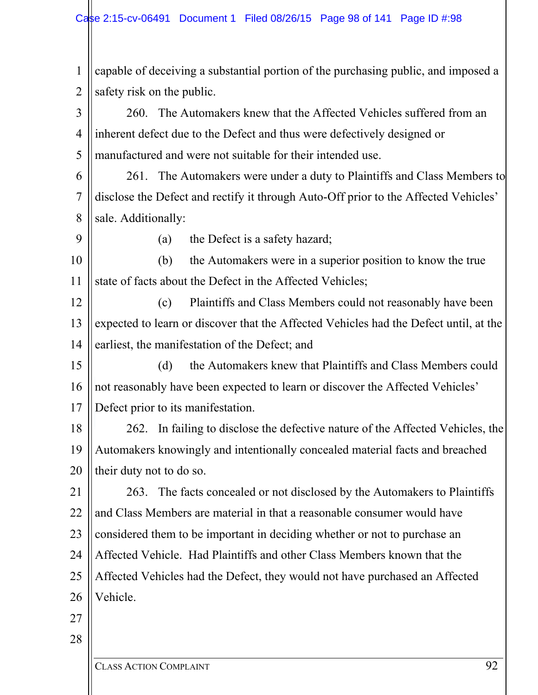| $\mathbf{1}$   | capable of deceiving a substantial portion of the purchasing public, and imposed a    |
|----------------|---------------------------------------------------------------------------------------|
| $\overline{2}$ | safety risk on the public.                                                            |
| 3              | 260. The Automakers knew that the Affected Vehicles suffered from an                  |
| $\overline{4}$ | inherent defect due to the Defect and thus were defectively designed or               |
| 5              | manufactured and were not suitable for their intended use.                            |
| 6              | 261. The Automakers were under a duty to Plaintiffs and Class Members to              |
| $\overline{7}$ | disclose the Defect and rectify it through Auto-Off prior to the Affected Vehicles'   |
| 8              | sale. Additionally:                                                                   |
| 9              | the Defect is a safety hazard;<br>(a)                                                 |
| 10             | the Automakers were in a superior position to know the true<br>(b)                    |
| 11             | state of facts about the Defect in the Affected Vehicles;                             |
| 12             | Plaintiffs and Class Members could not reasonably have been<br>(c)                    |
| 13             | expected to learn or discover that the Affected Vehicles had the Defect until, at the |
| 14             | earliest, the manifestation of the Defect; and                                        |
| 15             | the Automakers knew that Plaintiffs and Class Members could<br>(d)                    |
| 16             | not reasonably have been expected to learn or discover the Affected Vehicles'         |
| 17             | Defect prior to its manifestation.                                                    |
| 18             | 262. In failing to disclose the defective nature of the Affected Vehicles, the        |
| 19             | Automakers knowingly and intentionally concealed material facts and breached          |
| 20             | their duty not to do so.                                                              |
| 21             | 263. The facts concealed or not disclosed by the Automakers to Plaintiffs             |
| 22             | and Class Members are material in that a reasonable consumer would have               |
| 23             | considered them to be important in deciding whether or not to purchase an             |
| 24             | Affected Vehicle. Had Plaintiffs and other Class Members known that the               |
| 25             | Affected Vehicles had the Defect, they would not have purchased an Affected           |
| 26             | Vehicle.                                                                              |
| 27             |                                                                                       |
| 28             |                                                                                       |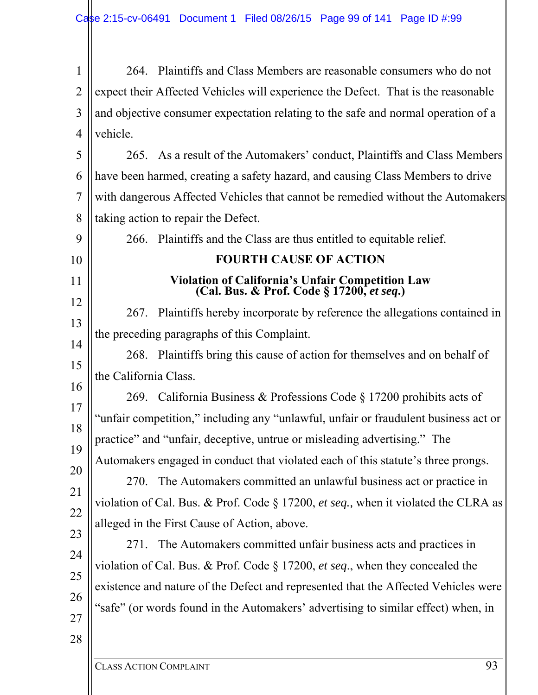| $\vert 1 \vert$ 264. Plaintiffs and Class Members are reasonable consumers who do not           |
|-------------------------------------------------------------------------------------------------|
| 2 $\parallel$ expect their Affected Vehicles will experience the Defect. That is the reasonable |
| $3$    and objective consumer expectation relating to the safe and normal operation of a        |
|                                                                                                 |
|                                                                                                 |

5 6 7 8 265. As a result of the Automakers' conduct, Plaintiffs and Class Members have been harmed, creating a safety hazard, and causing Class Members to drive with dangerous Affected Vehicles that cannot be remedied without the Automakers taking action to repair the Defect.

| 9        | 266. Plaintiffs and the Class are thus entitled to equitable relief.                          |
|----------|-----------------------------------------------------------------------------------------------|
| 10       | <b>FOURTH CAUSE OF ACTION</b>                                                                 |
| 11       | Violation of California's Unfair Competition Law<br>(Cal. Bus. & Prof. Code § 17200, et seq.) |
| 12       | 267. Plaintiffs hereby incorporate by reference the allegations contained in                  |
| 13       | the preceding paragraphs of this Complaint.                                                   |
| 14<br>15 | 268. Plaintiffs bring this cause of action for themselves and on behalf of                    |
| 16       | the California Class.                                                                         |
| 17       | 269. California Business & Professions Code § 17200 prohibits acts of                         |
| 18       | "unfair competition," including any "unlawful, unfair or fraudulent business act or           |
| 19       | practice" and "unfair, deceptive, untrue or misleading advertising." The                      |
| 20       | Automakers engaged in conduct that violated each of this statute's three prongs.              |
| 21       | The Automakers committed an unlawful business act or practice in<br>270.                      |
| 22       | violation of Cal. Bus. & Prof. Code § 17200, et seq., when it violated the CLRA as            |
| 23       | alleged in the First Cause of Action, above.                                                  |
| 24       | The Automakers committed unfair business acts and practices in<br>271.                        |
| 25       | violation of Cal. Bus. & Prof. Code $\S 17200$ , et seq., when they concealed the             |
| 26       | existence and nature of the Defect and represented that the Affected Vehicles were            |
| 27       | "safe" (or words found in the Automakers' advertising to similar effect) when, in             |
| 28       |                                                                                               |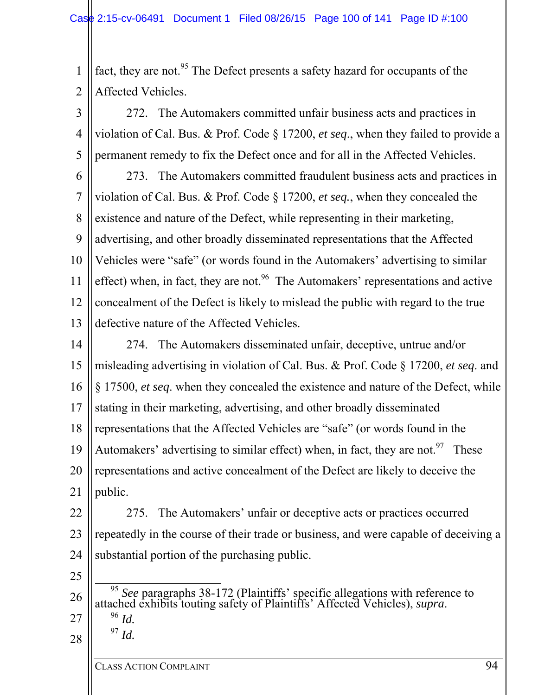1 2 fact, they are not.<sup>95</sup> The Defect presents a safety hazard for occupants of the Affected Vehicles.

3 4 5 272. The Automakers committed unfair business acts and practices in violation of Cal. Bus. & Prof. Code § 17200, *et seq*., when they failed to provide a permanent remedy to fix the Defect once and for all in the Affected Vehicles.

6 7 8 9 10 11 12 13 273. The Automakers committed fraudulent business acts and practices in violation of Cal. Bus. & Prof. Code § 17200, *et seq.*, when they concealed the existence and nature of the Defect, while representing in their marketing, advertising, and other broadly disseminated representations that the Affected Vehicles were "safe" (or words found in the Automakers' advertising to similar effect) when, in fact, they are not.<sup>96</sup> The Automakers' representations and active concealment of the Defect is likely to mislead the public with regard to the true defective nature of the Affected Vehicles.

14 15 16 17 18 19 20 21 274. The Automakers disseminated unfair, deceptive, untrue and/or misleading advertising in violation of Cal. Bus. & Prof. Code § 17200, *et seq*. and § 17500, *et seq*. when they concealed the existence and nature of the Defect, while stating in their marketing, advertising, and other broadly disseminated representations that the Affected Vehicles are "safe" (or words found in the Automakers' advertising to similar effect) when, in fact, they are not.<sup>97</sup> These representations and active concealment of the Defect are likely to deceive the public.

22 23 24 275. The Automakers' unfair or deceptive acts or practices occurred repeatedly in the course of their trade or business, and were capable of deceiving a substantial portion of the purchasing public.

- 25
- 26 27 <sup>95</sup> *See* paragraphs 38-172 (Plaintiffs' specific allegations with reference to attached exhibits touting safety of Plaintiffs' Affected Vehicles), *supra*. 96 *Id.*   $^{97}$  *Id*.
- 28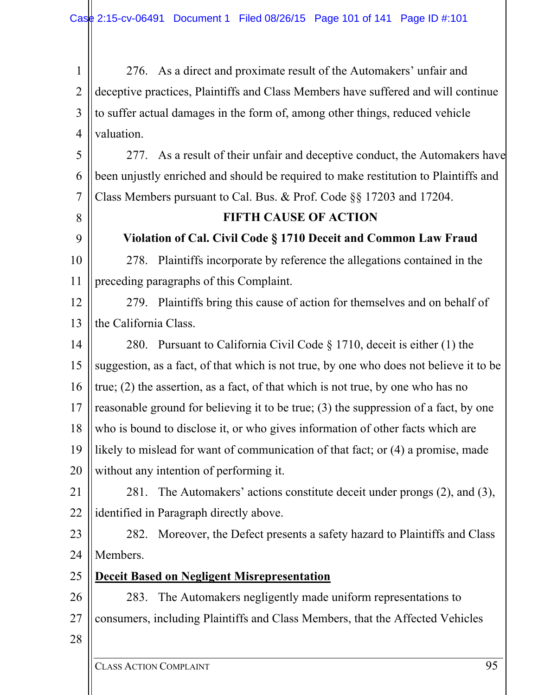1 2 3 4 276. As a direct and proximate result of the Automakers' unfair and deceptive practices, Plaintiffs and Class Members have suffered and will continue to suffer actual damages in the form of, among other things, reduced vehicle valuation.

5 6 7 277. As a result of their unfair and deceptive conduct, the Automakers have been unjustly enriched and should be required to make restitution to Plaintiffs and Class Members pursuant to Cal. Bus. & Prof. Code §§ 17203 and 17204.

# **FIFTH CAUSE OF ACTION Violation of Cal. Civil Code § 1710 Deceit and Common Law Fraud**

10 11 278. Plaintiffs incorporate by reference the allegations contained in the preceding paragraphs of this Complaint.



14 15 16 17 18 19 20 280. Pursuant to California Civil Code § 1710, deceit is either (1) the suggestion, as a fact, of that which is not true, by one who does not believe it to be true; (2) the assertion, as a fact, of that which is not true, by one who has no reasonable ground for believing it to be true; (3) the suppression of a fact, by one who is bound to disclose it, or who gives information of other facts which are likely to mislead for want of communication of that fact; or  $(4)$  a promise, made without any intention of performing it.

- 21 22 281. The Automakers' actions constitute deceit under prongs (2), and (3), identified in Paragraph directly above.
- 23 24 282. Moreover, the Defect presents a safety hazard to Plaintiffs and Class Members.
- 25 **Deceit Based on Negligent Misrepresentation**

26 27 283. The Automakers negligently made uniform representations to consumers, including Plaintiffs and Class Members, that the Affected Vehicles

28

8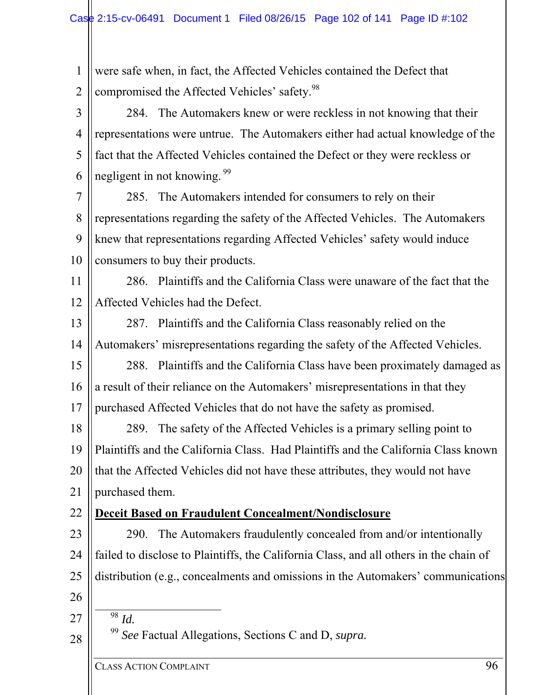1 2 3 4 5 6 7 8 9 10 11 12 13 14 15 16 17 18 19 20 21 22 23 24 25 26 27 28 were safe when, in fact, the Affected Vehicles contained the Defect that compromised the Affected Vehicles' safety.<sup>98</sup> 284. The Automakers knew or were reckless in not knowing that their representations were untrue. The Automakers either had actual knowledge of the fact that the Affected Vehicles contained the Defect or they were reckless or negligent in not knowing.<sup>99</sup> 285. The Automakers intended for consumers to rely on their representations regarding the safety of the Affected Vehicles. The Automakers knew that representations regarding Affected Vehicles' safety would induce consumers to buy their products. 286. Plaintiffs and the California Class were unaware of the fact that the Affected Vehicles had the Defect. 287. Plaintiffs and the California Class reasonably relied on the Automakers' misrepresentations regarding the safety of the Affected Vehicles. 288. Plaintiffs and the California Class have been proximately damaged as a result of their reliance on the Automakers' misrepresentations in that they purchased Affected Vehicles that do not have the safety as promised. 289. The safety of the Affected Vehicles is a primary selling point to Plaintiffs and the California Class. Had Plaintiffs and the California Class known that the Affected Vehicles did not have these attributes, they would not have purchased them. **Deceit Based on Fraudulent Concealment/Nondisclosure**  290. The Automakers fraudulently concealed from and/or intentionally failed to disclose to Plaintiffs, the California Class, and all others in the chain of distribution (e.g., concealments and omissions in the Automakers' communications  $\overline{\frac{98}{}}$  *Id.* <sup>99</sup> *See* Factual Allegations, Sections C and D, *supra.*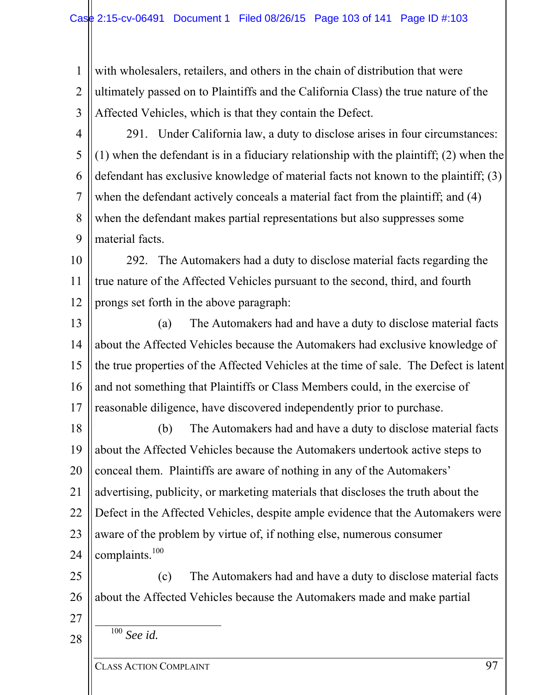1 2 3 with wholesalers, retailers, and others in the chain of distribution that were ultimately passed on to Plaintiffs and the California Class) the true nature of the Affected Vehicles, which is that they contain the Defect.

- 4 5 6 7 8 9 291. Under California law, a duty to disclose arises in four circumstances: (1) when the defendant is in a fiduciary relationship with the plaintiff; (2) when the defendant has exclusive knowledge of material facts not known to the plaintiff; (3) when the defendant actively conceals a material fact from the plaintiff; and (4) when the defendant makes partial representations but also suppresses some material facts.
- 10 11 12 292. The Automakers had a duty to disclose material facts regarding the true nature of the Affected Vehicles pursuant to the second, third, and fourth prongs set forth in the above paragraph:
- 13 14 15 16 17 (a) The Automakers had and have a duty to disclose material facts about the Affected Vehicles because the Automakers had exclusive knowledge of the true properties of the Affected Vehicles at the time of sale. The Defect is latent and not something that Plaintiffs or Class Members could, in the exercise of reasonable diligence, have discovered independently prior to purchase.
- 18 19 20 21 22 23 24 (b) The Automakers had and have a duty to disclose material facts about the Affected Vehicles because the Automakers undertook active steps to conceal them. Plaintiffs are aware of nothing in any of the Automakers' advertising, publicity, or marketing materials that discloses the truth about the Defect in the Affected Vehicles, despite ample evidence that the Automakers were aware of the problem by virtue of, if nothing else, numerous consumer complaints.<sup>100</sup>
- 25 26 (c) The Automakers had and have a duty to disclose material facts about the Affected Vehicles because the Automakers made and make partial
- 27

28

100 *See id.*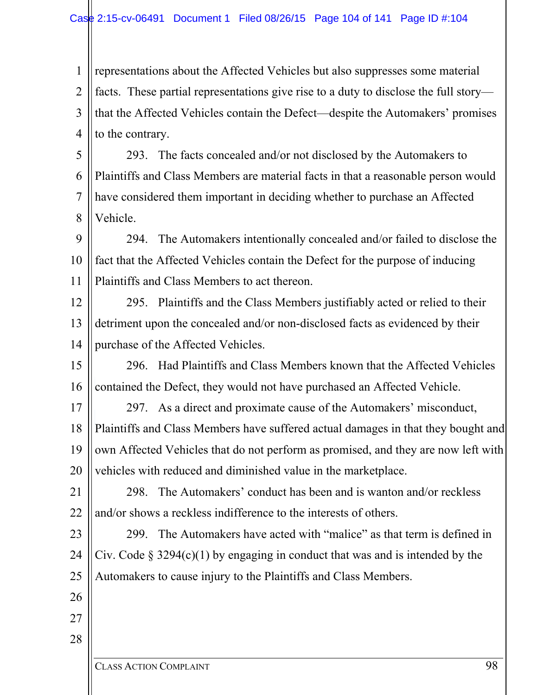1 2 3 4 representations about the Affected Vehicles but also suppresses some material facts. These partial representations give rise to a duty to disclose the full story that the Affected Vehicles contain the Defect—despite the Automakers' promises to the contrary.

5 6 7 8 293. The facts concealed and/or not disclosed by the Automakers to Plaintiffs and Class Members are material facts in that a reasonable person would have considered them important in deciding whether to purchase an Affected Vehicle.

9 10 11 294. The Automakers intentionally concealed and/or failed to disclose the fact that the Affected Vehicles contain the Defect for the purpose of inducing Plaintiffs and Class Members to act thereon.

- 12 13 14 295. Plaintiffs and the Class Members justifiably acted or relied to their detriment upon the concealed and/or non-disclosed facts as evidenced by their purchase of the Affected Vehicles.
- 15 16 296. Had Plaintiffs and Class Members known that the Affected Vehicles contained the Defect, they would not have purchased an Affected Vehicle.
- 17 18 19 20 297. As a direct and proximate cause of the Automakers' misconduct, Plaintiffs and Class Members have suffered actual damages in that they bought and own Affected Vehicles that do not perform as promised, and they are now left with vehicles with reduced and diminished value in the marketplace.
- 21 22 298. The Automakers' conduct has been and is wanton and/or reckless and/or shows a reckless indifference to the interests of others.
- 23 24 25 299. The Automakers have acted with "malice" as that term is defined in Civ. Code  $\S 3294(c)(1)$  by engaging in conduct that was and is intended by the Automakers to cause injury to the Plaintiffs and Class Members.

26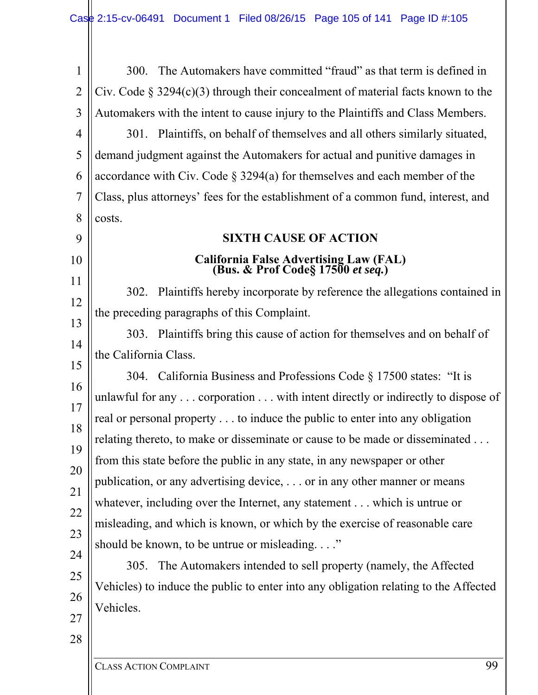1 2 3 4 5 6 7 8 9 10 11 12 13 14 15 16 17 18 19 20 21 22 23 24 25 26 27 28 300. The Automakers have committed "fraud" as that term is defined in Civ. Code  $\S 3294(c)(3)$  through their concealment of material facts known to the Automakers with the intent to cause injury to the Plaintiffs and Class Members. 301. Plaintiffs, on behalf of themselves and all others similarly situated, demand judgment against the Automakers for actual and punitive damages in accordance with Civ. Code § 3294(a) for themselves and each member of the Class, plus attorneys' fees for the establishment of a common fund, interest, and costs. **SIXTH CAUSE OF ACTION California False Advertising Law (FAL) (Bus. & Prof Code§ 17500** *et seq.***)**  302. Plaintiffs hereby incorporate by reference the allegations contained in the preceding paragraphs of this Complaint. 303. Plaintiffs bring this cause of action for themselves and on behalf of the California Class. 304. California Business and Professions Code § 17500 states: "It is unlawful for any . . . corporation . . . with intent directly or indirectly to dispose of real or personal property . . . to induce the public to enter into any obligation relating thereto, to make or disseminate or cause to be made or disseminated . . . from this state before the public in any state, in any newspaper or other publication, or any advertising device, . . . or in any other manner or means whatever, including over the Internet, any statement . . . which is untrue or misleading, and which is known, or which by the exercise of reasonable care should be known, to be untrue or misleading. . . ." 305. The Automakers intended to sell property (namely, the Affected Vehicles) to induce the public to enter into any obligation relating to the Affected Vehicles.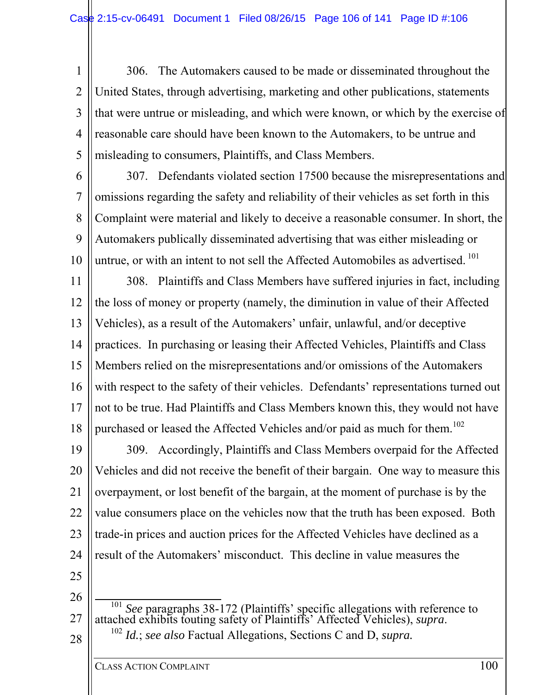1 2 3 4 5 306. The Automakers caused to be made or disseminated throughout the United States, through advertising, marketing and other publications, statements that were untrue or misleading, and which were known, or which by the exercise of reasonable care should have been known to the Automakers, to be untrue and misleading to consumers, Plaintiffs, and Class Members.

6

7 8 9 10 307. Defendants violated section 17500 because the misrepresentations and omissions regarding the safety and reliability of their vehicles as set forth in this Complaint were material and likely to deceive a reasonable consumer. In short, the Automakers publically disseminated advertising that was either misleading or untrue, or with an intent to not sell the Affected Automobiles as advertised.<sup>101</sup>

11 12 13 14 15 16 17 18 308. Plaintiffs and Class Members have suffered injuries in fact, including the loss of money or property (namely, the diminution in value of their Affected Vehicles), as a result of the Automakers' unfair, unlawful, and/or deceptive practices. In purchasing or leasing their Affected Vehicles, Plaintiffs and Class Members relied on the misrepresentations and/or omissions of the Automakers with respect to the safety of their vehicles. Defendants' representations turned out not to be true. Had Plaintiffs and Class Members known this, they would not have purchased or leased the Affected Vehicles and/or paid as much for them.<sup>102</sup>

19 20 21 22 23 24 309. Accordingly, Plaintiffs and Class Members overpaid for the Affected Vehicles and did not receive the benefit of their bargain. One way to measure this overpayment, or lost benefit of the bargain, at the moment of purchase is by the value consumers place on the vehicles now that the truth has been exposed. Both trade-in prices and auction prices for the Affected Vehicles have declined as a result of the Automakers' misconduct. This decline in value measures the

25

26 27 28 <sup>101</sup> *See* paragraphs 38-172 (Plaintiffs' specific allegations with reference to attached exhibits touting safety of Plaintiffs' Affected Vehicles), *supra*. 102 *Id.*; *see also* Factual Allegations, Sections C and D, *supra.*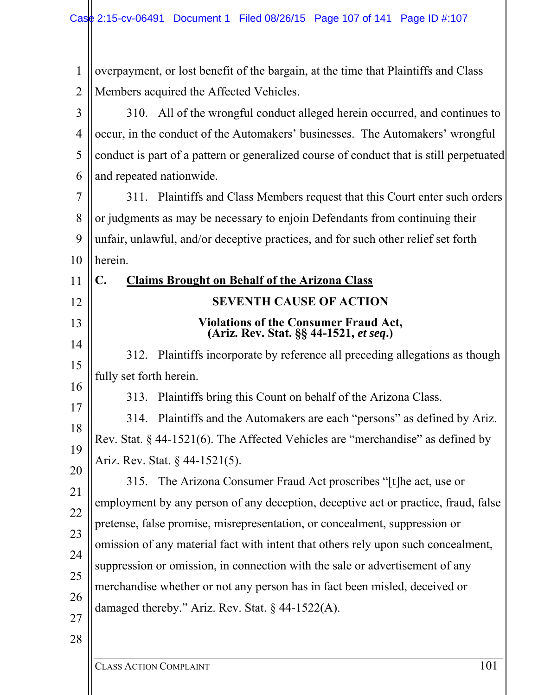| 1              | overpayment, or lost benefit of the bargain, at the time that Plaintiffs and Class      |
|----------------|-----------------------------------------------------------------------------------------|
| $\overline{2}$ | Members acquired the Affected Vehicles.                                                 |
| 3              | 310. All of the wrongful conduct alleged herein occurred, and continues to              |
| $\overline{4}$ | occur, in the conduct of the Automakers' businesses. The Automakers' wrongful           |
| 5              | conduct is part of a pattern or generalized course of conduct that is still perpetuated |
| 6              | and repeated nationwide.                                                                |
| 7              | 311. Plaintiffs and Class Members request that this Court enter such orders             |
| 8              | or judgments as may be necessary to enjoin Defendants from continuing their             |
| 9              | unfair, unlawful, and/or deceptive practices, and for such other relief set forth       |
| 10             | herein.                                                                                 |
| 11             | C.<br><b>Claims Brought on Behalf of the Arizona Class</b>                              |
| 12             | <b>SEVENTH CAUSE OF ACTION</b>                                                          |
| 13             | Violations of the Consumer Fraud Act,<br>(Ariz. Rev. Stat. §§ 44-1521, et seq.)         |
| 14             | 312. Plaintiffs incorporate by reference all preceding allegations as though            |
| 15             | fully set forth herein.                                                                 |
| 16             | Plaintiffs bring this Count on behalf of the Arizona Class.<br>313.                     |
| 17             | 314. Plaintiffs and the Automakers are each "persons" as defined by Ariz.               |
| 18             | Rev. Stat. $\S$ 44-1521(6). The Affected Vehicles are "merchandise" as defined by       |
| 19             | Ariz. Rev. Stat. § 44-1521(5).                                                          |
| 20             | The Arizona Consumer Fraud Act proscribes "[t]he act, use or<br>315.                    |
| 21             | employment by any person of any deception, deceptive act or practice, fraud, false      |
| 22             | pretense, false promise, misrepresentation, or concealment, suppression or              |
| 23             | omission of any material fact with intent that others rely upon such concealment,       |
| 24             | suppression or omission, in connection with the sale or advertisement of any            |
| 25<br>26       | merchandise whether or not any person has in fact been misled, deceived or              |
| $27\,$         | damaged thereby." Ariz. Rev. Stat. $\S$ 44-1522(A).                                     |
|                |                                                                                         |
| 28             |                                                                                         |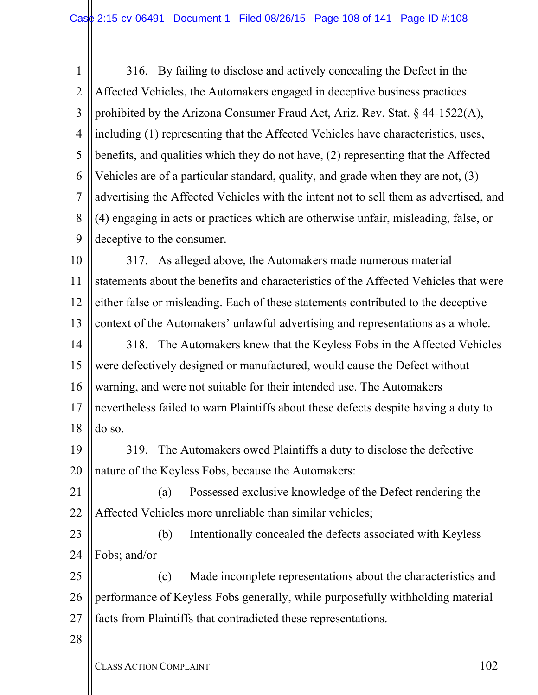1 2 3 4 5 6 7 8 9 316. By failing to disclose and actively concealing the Defect in the Affected Vehicles, the Automakers engaged in deceptive business practices prohibited by the Arizona Consumer Fraud Act, Ariz. Rev. Stat. § 44-1522(A), including (1) representing that the Affected Vehicles have characteristics, uses, benefits, and qualities which they do not have, (2) representing that the Affected Vehicles are of a particular standard, quality, and grade when they are not, (3) advertising the Affected Vehicles with the intent not to sell them as advertised, and (4) engaging in acts or practices which are otherwise unfair, misleading, false, or deceptive to the consumer.

10 11 12 13 14 317. As alleged above, the Automakers made numerous material statements about the benefits and characteristics of the Affected Vehicles that were either false or misleading. Each of these statements contributed to the deceptive context of the Automakers' unlawful advertising and representations as a whole. 318. The Automakers knew that the Keyless Fobs in the Affected Vehicles

15 16 17 18 were defectively designed or manufactured, would cause the Defect without warning, and were not suitable for their intended use. The Automakers nevertheless failed to warn Plaintiffs about these defects despite having a duty to do so.

19 20 319. The Automakers owed Plaintiffs a duty to disclose the defective nature of the Keyless Fobs, because the Automakers:

21 22 (a) Possessed exclusive knowledge of the Defect rendering the Affected Vehicles more unreliable than similar vehicles;

23 24 (b) Intentionally concealed the defects associated with Keyless Fobs; and/or

25 26 27 (c) Made incomplete representations about the characteristics and performance of Keyless Fobs generally, while purposefully withholding material facts from Plaintiffs that contradicted these representations.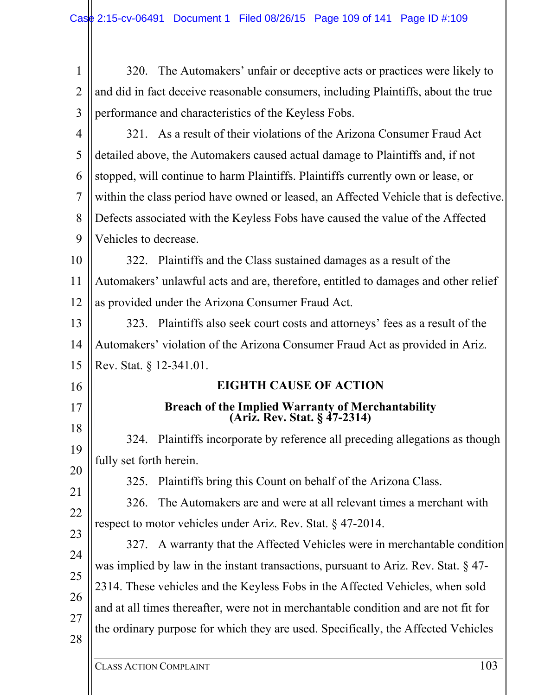| 1              | 320. The Automakers' unfair or deceptive acts or practices were likely to             |
|----------------|---------------------------------------------------------------------------------------|
| $\overline{2}$ | and did in fact deceive reasonable consumers, including Plaintiffs, about the true    |
| 3              | performance and characteristics of the Keyless Fobs.                                  |
| 4              | 321. As a result of their violations of the Arizona Consumer Fraud Act                |
| 5              | detailed above, the Automakers caused actual damage to Plaintiffs and, if not         |
| 6              | stopped, will continue to harm Plaintiffs. Plaintiffs currently own or lease, or      |
| 7              | within the class period have owned or leased, an Affected Vehicle that is defective.  |
| 8              | Defects associated with the Keyless Fobs have caused the value of the Affected        |
| 9              | Vehicles to decrease.                                                                 |
|                | 322. Plaintiffs and the Class sustained damages as a result of the                    |
|                | Automakers' unlawful acts and are, therefore, entitled to damages and other relief    |
|                | as provided under the Arizona Consumer Fraud Act.                                     |
|                | 323. Plaintiffs also seek court costs and attorneys' fees as a result of the          |
|                | Automakers' violation of the Arizona Consumer Fraud Act as provided in Ariz.          |
|                | Rev. Stat. § 12-341.01.                                                               |
|                | <b>EIGHTH CAUSE OF ACTION</b>                                                         |
|                | Breach of the Implied Warranty of Merchantability<br>(Ariz. Rev. Stat. § 47-2314)     |
|                | 324. Plaintiffs incorporate by reference all preceding allegations as though          |
|                | fully set forth herein.                                                               |
|                | Plaintiffs bring this Count on behalf of the Arizona Class.<br>325.                   |
|                | The Automakers are and were at all relevant times a merchant with<br>326.             |
|                | respect to motor vehicles under Ariz. Rev. Stat. $\S$ 47-2014.                        |
|                | 327. A warranty that the Affected Vehicles were in merchantable condition             |
|                | was implied by law in the instant transactions, pursuant to Ariz. Rev. Stat. $\S$ 47- |
|                | 2314. These vehicles and the Keyless Fobs in the Affected Vehicles, when sold         |
|                | and at all times thereafter, were not in merchantable condition and are not fit for   |
|                | the ordinary purpose for which they are used. Specifically, the Affected Vehicles     |
|                | 102                                                                                   |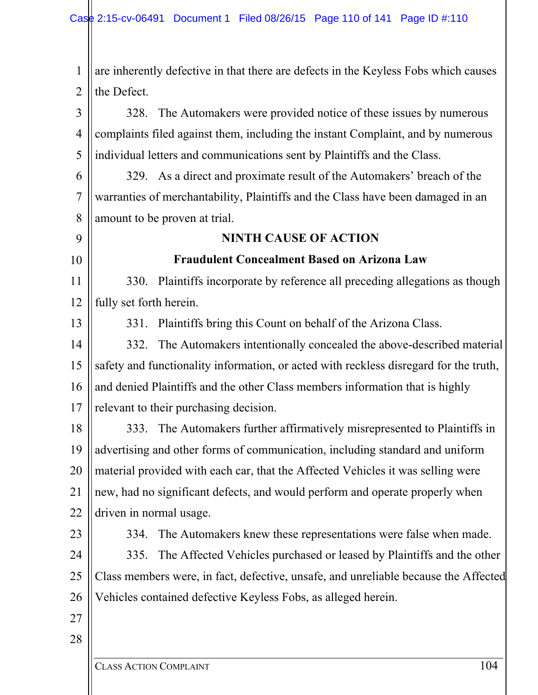CLASS ACTION COMPLAINT 104 1 2 3 4 5 6 7 8 9 10 11 12 13 14 15 16 17 18 19 20 21 22 23 24 25 26 27 28 are inherently defective in that there are defects in the Keyless Fobs which causes the Defect. 328. The Automakers were provided notice of these issues by numerous complaints filed against them, including the instant Complaint, and by numerous individual letters and communications sent by Plaintiffs and the Class. 329. As a direct and proximate result of the Automakers' breach of the warranties of merchantability, Plaintiffs and the Class have been damaged in an amount to be proven at trial. **NINTH CAUSE OF ACTION Fraudulent Concealment Based on Arizona Law**  330. Plaintiffs incorporate by reference all preceding allegations as though fully set forth herein. 331. Plaintiffs bring this Count on behalf of the Arizona Class. 332. The Automakers intentionally concealed the above-described material safety and functionality information, or acted with reckless disregard for the truth, and denied Plaintiffs and the other Class members information that is highly relevant to their purchasing decision. 333. The Automakers further affirmatively misrepresented to Plaintiffs in advertising and other forms of communication, including standard and uniform material provided with each car, that the Affected Vehicles it was selling were new, had no significant defects, and would perform and operate properly when driven in normal usage. 334. The Automakers knew these representations were false when made. 335. The Affected Vehicles purchased or leased by Plaintiffs and the other Class members were, in fact, defective, unsafe, and unreliable because the Affected Vehicles contained defective Keyless Fobs, as alleged herein.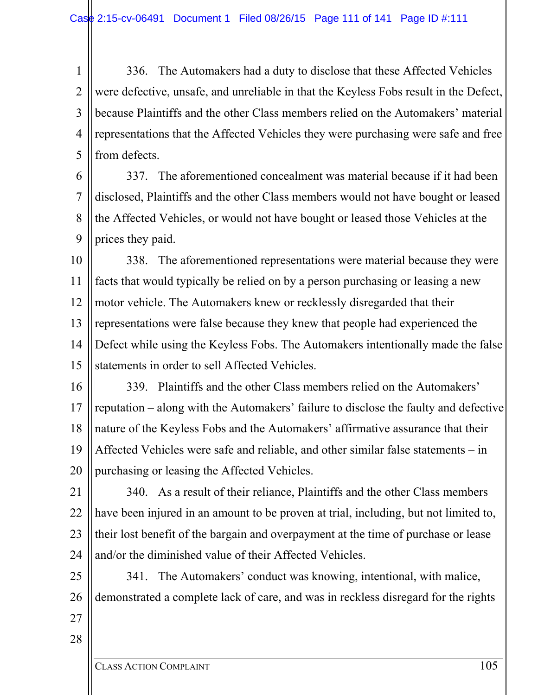1 2 3 4 5 336. The Automakers had a duty to disclose that these Affected Vehicles were defective, unsafe, and unreliable in that the Keyless Fobs result in the Defect, because Plaintiffs and the other Class members relied on the Automakers' material representations that the Affected Vehicles they were purchasing were safe and free from defects.

6 7 8 9 337. The aforementioned concealment was material because if it had been disclosed, Plaintiffs and the other Class members would not have bought or leased the Affected Vehicles, or would not have bought or leased those Vehicles at the prices they paid.

10 11 12 13 14 15 338. The aforementioned representations were material because they were facts that would typically be relied on by a person purchasing or leasing a new motor vehicle. The Automakers knew or recklessly disregarded that their representations were false because they knew that people had experienced the Defect while using the Keyless Fobs. The Automakers intentionally made the false statements in order to sell Affected Vehicles.

16 17 18 19 20 339. Plaintiffs and the other Class members relied on the Automakers' reputation – along with the Automakers' failure to disclose the faulty and defective nature of the Keyless Fobs and the Automakers' affirmative assurance that their Affected Vehicles were safe and reliable, and other similar false statements – in purchasing or leasing the Affected Vehicles.

21 22 23 24 340. As a result of their reliance, Plaintiffs and the other Class members have been injured in an amount to be proven at trial, including, but not limited to, their lost benefit of the bargain and overpayment at the time of purchase or lease and/or the diminished value of their Affected Vehicles.

25 26 341. The Automakers' conduct was knowing, intentional, with malice, demonstrated a complete lack of care, and was in reckless disregard for the rights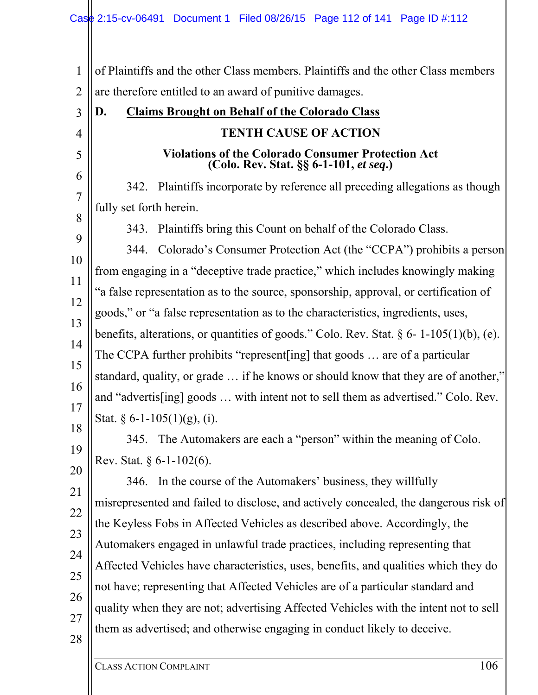1 2 3 4 5 6 7 8 9 10 11 12 13 14 15 16 17 18 19 20 21 22 23 24 25 26 27 28 of Plaintiffs and the other Class members. Plaintiffs and the other Class members are therefore entitled to an award of punitive damages. **D. Claims Brought on Behalf of the Colorado Class TENTH CAUSE OF ACTION Violations of the Colorado Consumer Protection Act (Colo. Rev. Stat. §§ 6-1-101,** *et seq***.)**  342. Plaintiffs incorporate by reference all preceding allegations as though fully set forth herein. 343. Plaintiffs bring this Count on behalf of the Colorado Class. 344. Colorado's Consumer Protection Act (the "CCPA") prohibits a person from engaging in a "deceptive trade practice," which includes knowingly making "a false representation as to the source, sponsorship, approval, or certification of goods," or "a false representation as to the characteristics, ingredients, uses, benefits, alterations, or quantities of goods." Colo. Rev. Stat.  $\S 6$ - 1-105(1)(b), (e). The CCPA further prohibits "represent[ing] that goods … are of a particular standard, quality, or grade … if he knows or should know that they are of another," and "advertis[ing] goods … with intent not to sell them as advertised." Colo. Rev. Stat.  $\S 6$ -1-105(1)(g), (i). 345. The Automakers are each a "person" within the meaning of Colo. Rev. Stat. § 6-1-102(6). 346. In the course of the Automakers' business, they willfully misrepresented and failed to disclose, and actively concealed, the dangerous risk of the Keyless Fobs in Affected Vehicles as described above. Accordingly, the Automakers engaged in unlawful trade practices, including representing that Affected Vehicles have characteristics, uses, benefits, and qualities which they do not have; representing that Affected Vehicles are of a particular standard and quality when they are not; advertising Affected Vehicles with the intent not to sell them as advertised; and otherwise engaging in conduct likely to deceive.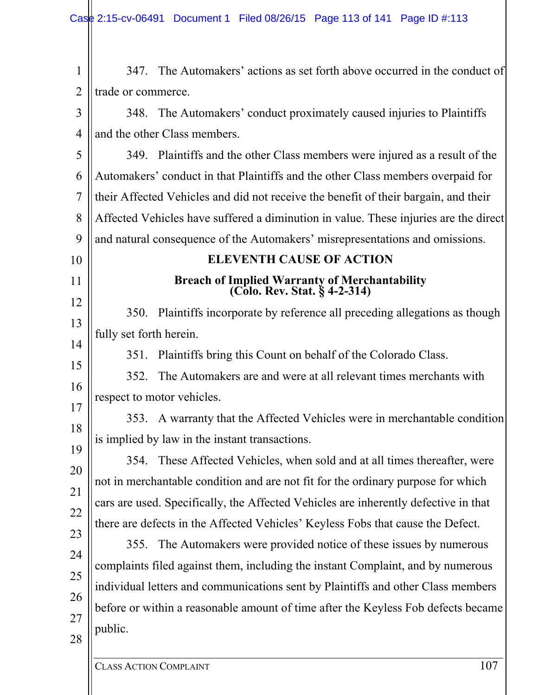| $\mathbf{1}$                                   | 347. The Automakers' actions as set forth above occurred in the conduct of           |
|------------------------------------------------|--------------------------------------------------------------------------------------|
| trade or commerce.                             |                                                                                      |
|                                                | 348. The Automakers' conduct proximately caused injuries to Plaintiffs               |
| and the other Class members.                   |                                                                                      |
|                                                | 349. Plaintiffs and the other Class members were injured as a result of the          |
|                                                | Automakers' conduct in that Plaintiffs and the other Class members overpaid for      |
|                                                | their Affected Vehicles and did not receive the benefit of their bargain, and their  |
|                                                | Affected Vehicles have suffered a diminution in value. These injuries are the direct |
|                                                | and natural consequence of the Automakers' misrepresentations and omissions.         |
|                                                | <b>ELEVENTH CAUSE OF ACTION</b>                                                      |
|                                                | <b>Breach of Implied Warranty of Merchantability</b><br>(Colo. Rev. Stat. § 4-2-314) |
|                                                | 350. Plaintiffs incorporate by reference all preceding allegations as though         |
| fully set forth herein.                        |                                                                                      |
| 351.                                           | Plaintiffs bring this Count on behalf of the Colorado Class.                         |
| 352.                                           | The Automakers are and were at all relevant times merchants with                     |
| respect to motor vehicles.                     |                                                                                      |
| 353.                                           | A warranty that the Affected Vehicles were in merchantable condition                 |
| is implied by law in the instant transactions. |                                                                                      |
|                                                | 354. These Affected Vehicles, when sold and at all times thereafter, were            |
|                                                | not in merchantable condition and are not fit for the ordinary purpose for which     |
|                                                | cars are used. Specifically, the Affected Vehicles are inherently defective in that  |
|                                                | there are defects in the Affected Vehicles' Keyless Fobs that cause the Defect.      |
| 355.                                           | The Automakers were provided notice of these issues by numerous                      |
|                                                | complaints filed against them, including the instant Complaint, and by numerous      |
|                                                | individual letters and communications sent by Plaintiffs and other Class members     |
|                                                | before or within a reasonable amount of time after the Keyless Fob defects became    |
| public.                                        |                                                                                      |
|                                                |                                                                                      |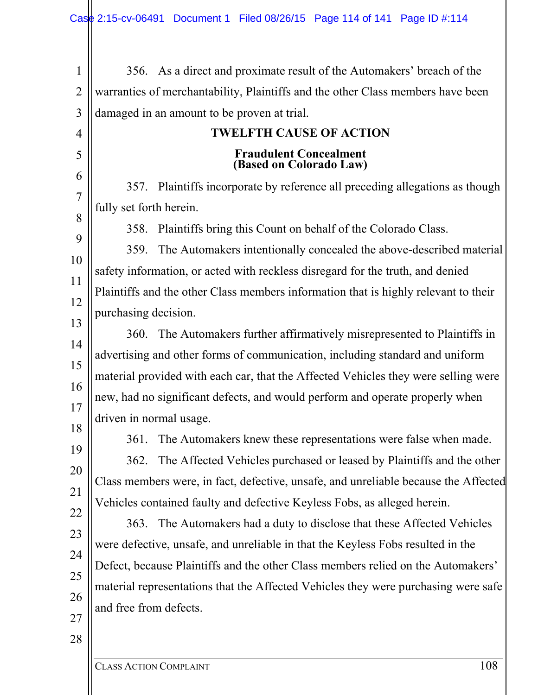| 356. As a direct and proximate result of the Automakers' breach of the              |
|-------------------------------------------------------------------------------------|
| warranties of merchantability, Plaintiffs and the other Class members have been     |
| damaged in an amount to be proven at trial.                                         |
| <b>TWELFTH CAUSE OF ACTION</b>                                                      |
| <b>Fraudulent Concealment</b><br>(Based on Colorado Law)                            |
| 357. Plaintiffs incorporate by reference all preceding allegations as though        |
| fully set forth herein.                                                             |
| Plaintiffs bring this Count on behalf of the Colorado Class.<br>358.                |
| The Automakers intentionally concealed the above-described material<br>359.         |
| safety information, or acted with reckless disregard for the truth, and denied      |
| Plaintiffs and the other Class members information that is highly relevant to their |
| purchasing decision.                                                                |
| 360. The Automakers further affirmatively misrepresented to Plaintiffs in           |
| advertising and other forms of communication, including standard and uniform        |
| material provided with each car, that the Affected Vehicles they were selling were  |
| new, had no significant defects, and would perform and operate properly when        |
| driven in normal usage.                                                             |
| The Automakers knew these representations were false when made.<br>361.             |
| 362. The Affected Vehicles purchased or leased by Plaintiffs and the other          |
| Class members were, in fact, defective, unsafe, and unreliable because the Affected |
| Vehicles contained faulty and defective Keyless Fobs, as alleged herein.            |
| 363. The Automakers had a duty to disclose that these Affected Vehicles             |
| were defective, unsafe, and unreliable in that the Keyless Fobs resulted in the     |
| Defect, because Plaintiffs and the other Class members relied on the Automakers'    |
| material representations that the Affected Vehicles they were purchasing were safe  |
| and free from defects.                                                              |
|                                                                                     |
|                                                                                     |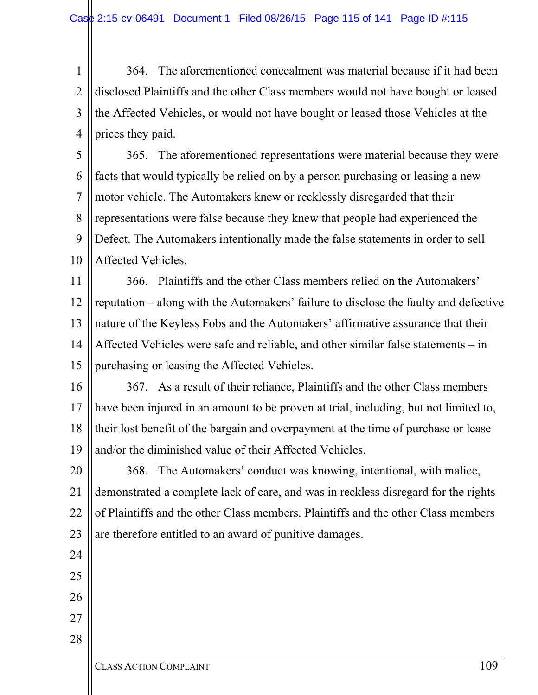1 2 3 4 364. The aforementioned concealment was material because if it had been disclosed Plaintiffs and the other Class members would not have bought or leased the Affected Vehicles, or would not have bought or leased those Vehicles at the prices they paid.

5 6 7 8 9 10 365. The aforementioned representations were material because they were facts that would typically be relied on by a person purchasing or leasing a new motor vehicle. The Automakers knew or recklessly disregarded that their representations were false because they knew that people had experienced the Defect. The Automakers intentionally made the false statements in order to sell Affected Vehicles.

11 12 13 14 15 366. Plaintiffs and the other Class members relied on the Automakers' reputation – along with the Automakers' failure to disclose the faulty and defective nature of the Keyless Fobs and the Automakers' affirmative assurance that their Affected Vehicles were safe and reliable, and other similar false statements – in purchasing or leasing the Affected Vehicles.

16 17 18 19 367. As a result of their reliance, Plaintiffs and the other Class members have been injured in an amount to be proven at trial, including, but not limited to, their lost benefit of the bargain and overpayment at the time of purchase or lease and/or the diminished value of their Affected Vehicles.

20 21 22 23 368. The Automakers' conduct was knowing, intentional, with malice, demonstrated a complete lack of care, and was in reckless disregard for the rights of Plaintiffs and the other Class members. Plaintiffs and the other Class members are therefore entitled to an award of punitive damages.

24

25 26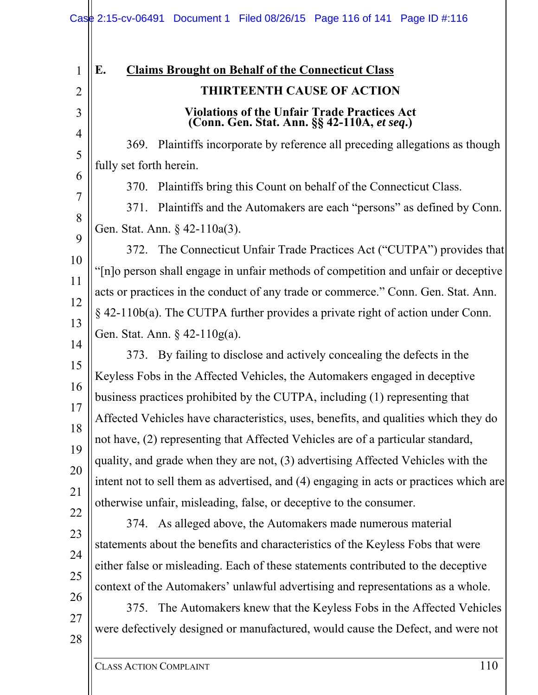| 1                                                                                           | E.<br><b>Claims Brought on Behalf of the Connecticut Class</b>                                                                                                                                                                                                                                                                                                                                                                                                                                                                                                                                                                                                                                                                                                                                                                                                                                                                                                                                                                                                                                                                                                                                   |
|---------------------------------------------------------------------------------------------|--------------------------------------------------------------------------------------------------------------------------------------------------------------------------------------------------------------------------------------------------------------------------------------------------------------------------------------------------------------------------------------------------------------------------------------------------------------------------------------------------------------------------------------------------------------------------------------------------------------------------------------------------------------------------------------------------------------------------------------------------------------------------------------------------------------------------------------------------------------------------------------------------------------------------------------------------------------------------------------------------------------------------------------------------------------------------------------------------------------------------------------------------------------------------------------------------|
| $\overline{2}$                                                                              | <b>THIRTEENTH CAUSE OF ACTION</b>                                                                                                                                                                                                                                                                                                                                                                                                                                                                                                                                                                                                                                                                                                                                                                                                                                                                                                                                                                                                                                                                                                                                                                |
| 3                                                                                           | <b>Violations of the Unfair Trade Practices Act</b><br>(Conn. Gen. Stat. Ann. §§ 42-110A, et seq.)                                                                                                                                                                                                                                                                                                                                                                                                                                                                                                                                                                                                                                                                                                                                                                                                                                                                                                                                                                                                                                                                                               |
| 4<br>5<br>6                                                                                 | 369. Plaintiffs incorporate by reference all preceding allegations as though<br>fully set forth herein.                                                                                                                                                                                                                                                                                                                                                                                                                                                                                                                                                                                                                                                                                                                                                                                                                                                                                                                                                                                                                                                                                          |
| 7<br>8                                                                                      | Plaintiffs bring this Count on behalf of the Connecticut Class.<br>370.<br>Plaintiffs and the Automakers are each "persons" as defined by Conn.<br>371.<br>Gen. Stat. Ann. § 42-110a(3).                                                                                                                                                                                                                                                                                                                                                                                                                                                                                                                                                                                                                                                                                                                                                                                                                                                                                                                                                                                                         |
| 9<br>10<br>11<br>12<br>13<br>14<br>15<br>16<br>17<br>18<br>19<br>20<br>21<br>22<br>23<br>24 | 372. The Connecticut Unfair Trade Practices Act ("CUTPA") provides that<br>"[n]o person shall engage in unfair methods of competition and unfair or deceptive<br>acts or practices in the conduct of any trade or commerce." Conn. Gen. Stat. Ann.<br>$\S$ 42-110b(a). The CUTPA further provides a private right of action under Conn.<br>Gen. Stat. Ann. § 42-110g(a).<br>373. By failing to disclose and actively concealing the defects in the<br>Keyless Fobs in the Affected Vehicles, the Automakers engaged in deceptive<br>business practices prohibited by the CUTPA, including (1) representing that<br>Affected Vehicles have characteristics, uses, benefits, and qualities which they do<br>not have, (2) representing that Affected Vehicles are of a particular standard,<br>quality, and grade when they are not, (3) advertising Affected Vehicles with the<br>intent not to sell them as advertised, and (4) engaging in acts or practices which are<br>otherwise unfair, misleading, false, or deceptive to the consumer.<br>374. As alleged above, the Automakers made numerous material<br>statements about the benefits and characteristics of the Keyless Fobs that were |
| 25<br>26<br>27<br>28                                                                        | either false or misleading. Each of these statements contributed to the deceptive<br>context of the Automakers' unlawful advertising and representations as a whole.<br>375. The Automakers knew that the Keyless Fobs in the Affected Vehicles<br>were defectively designed or manufactured, would cause the Defect, and were not                                                                                                                                                                                                                                                                                                                                                                                                                                                                                                                                                                                                                                                                                                                                                                                                                                                               |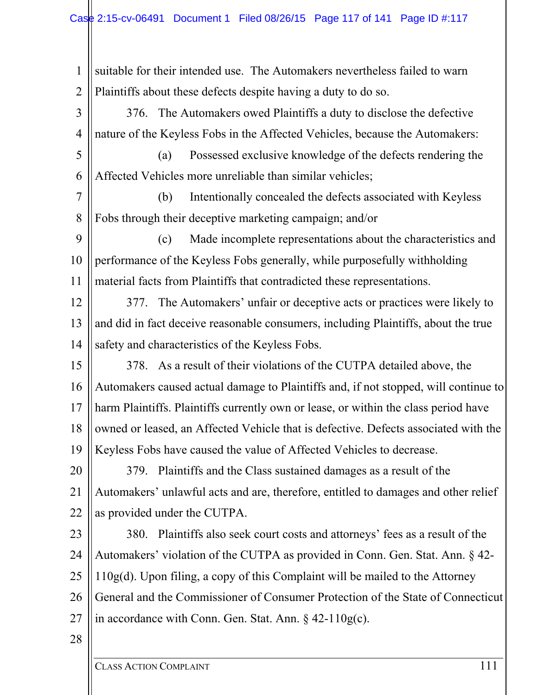1 2 suitable for their intended use. The Automakers nevertheless failed to warn Plaintiffs about these defects despite having a duty to do so.

3 4 376. The Automakers owed Plaintiffs a duty to disclose the defective nature of the Keyless Fobs in the Affected Vehicles, because the Automakers:

5 6 (a) Possessed exclusive knowledge of the defects rendering the Affected Vehicles more unreliable than similar vehicles;

7 8 (b) Intentionally concealed the defects associated with Keyless Fobs through their deceptive marketing campaign; and/or

9 10 11 (c) Made incomplete representations about the characteristics and performance of the Keyless Fobs generally, while purposefully withholding material facts from Plaintiffs that contradicted these representations.

12 13 14 377. The Automakers' unfair or deceptive acts or practices were likely to and did in fact deceive reasonable consumers, including Plaintiffs, about the true safety and characteristics of the Keyless Fobs.

15 16 17 18 19 378. As a result of their violations of the CUTPA detailed above, the Automakers caused actual damage to Plaintiffs and, if not stopped, will continue to harm Plaintiffs. Plaintiffs currently own or lease, or within the class period have owned or leased, an Affected Vehicle that is defective. Defects associated with the Keyless Fobs have caused the value of Affected Vehicles to decrease.

20 21 22 379. Plaintiffs and the Class sustained damages as a result of the Automakers' unlawful acts and are, therefore, entitled to damages and other relief as provided under the CUTPA.

23 24 25 26 27 380. Plaintiffs also seek court costs and attorneys' fees as a result of the Automakers' violation of the CUTPA as provided in Conn. Gen. Stat. Ann. § 42- 110g(d). Upon filing, a copy of this Complaint will be mailed to the Attorney General and the Commissioner of Consumer Protection of the State of Connecticut in accordance with Conn. Gen. Stat. Ann. § 42-110g(c).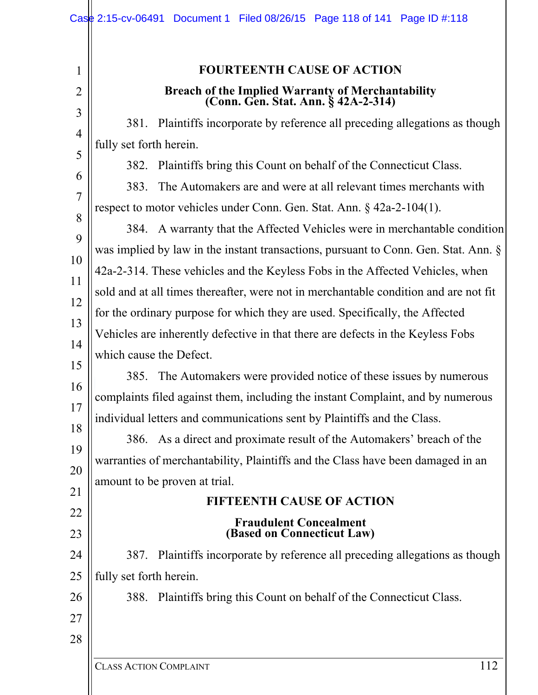| $\mathbf{1}$ | <b>FOURTEENTH CAUSE OF ACTION</b>                                                        |
|--------------|------------------------------------------------------------------------------------------|
|              | Breach of the Implied Warranty of Merchantability<br>(Conn. Gen. Stat. Ann. § 42A-2-314) |
|              | 381. Plaintiffs incorporate by reference all preceding allegations as though             |
|              | fully set forth herein.                                                                  |
|              | Plaintiffs bring this Count on behalf of the Connecticut Class.<br>382.                  |
|              | The Automakers are and were at all relevant times merchants with<br>383.                 |
|              | respect to motor vehicles under Conn. Gen. Stat. Ann. $\S$ 42a-2-104(1).                 |
|              | 384. A warranty that the Affected Vehicles were in merchantable condition                |
|              | was implied by law in the instant transactions, pursuant to Conn. Gen. Stat. Ann. §      |
|              | 42a-2-314. These vehicles and the Keyless Fobs in the Affected Vehicles, when            |
|              | sold and at all times thereafter, were not in merchantable condition and are not fit     |
|              | for the ordinary purpose for which they are used. Specifically, the Affected             |
|              | Vehicles are inherently defective in that there are defects in the Keyless Fobs          |
|              | which cause the Defect.                                                                  |
|              | 385. The Automakers were provided notice of these issues by numerous                     |
|              | complaints filed against them, including the instant Complaint, and by numerous          |
|              | individual letters and communications sent by Plaintiffs and the Class.                  |
|              | 386. As a direct and proximate result of the Automakers' breach of the                   |
|              | warranties of merchantability, Plaintiffs and the Class have been damaged in an          |
|              | amount to be proven at trial.                                                            |
|              | <b>FIFTEENTH CAUSE OF ACTION</b>                                                         |
|              | <b>Fraudulent Concealment</b>                                                            |
|              | (Based on Connecticut Law)                                                               |
|              | 387. Plaintiffs incorporate by reference all preceding allegations as though             |
|              | fully set forth herein.                                                                  |
|              | 388. Plaintiffs bring this Count on behalf of the Connecticut Class.                     |
|              |                                                                                          |
|              |                                                                                          |
|              |                                                                                          |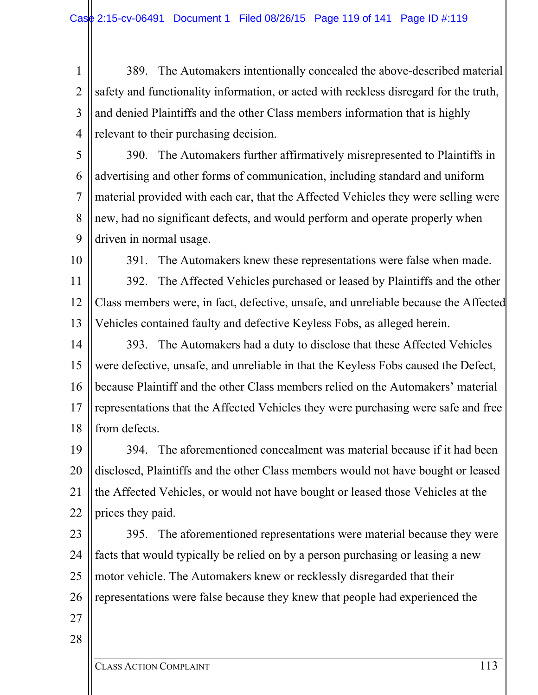1 2 3 4 389. The Automakers intentionally concealed the above-described material safety and functionality information, or acted with reckless disregard for the truth, and denied Plaintiffs and the other Class members information that is highly relevant to their purchasing decision.

5 6 7 8 9 390. The Automakers further affirmatively misrepresented to Plaintiffs in advertising and other forms of communication, including standard and uniform material provided with each car, that the Affected Vehicles they were selling were new, had no significant defects, and would perform and operate properly when driven in normal usage.

10

391. The Automakers knew these representations were false when made.

11 12 13 392. The Affected Vehicles purchased or leased by Plaintiffs and the other Class members were, in fact, defective, unsafe, and unreliable because the Affected Vehicles contained faulty and defective Keyless Fobs, as alleged herein.

14 15 16 17 18 393. The Automakers had a duty to disclose that these Affected Vehicles were defective, unsafe, and unreliable in that the Keyless Fobs caused the Defect, because Plaintiff and the other Class members relied on the Automakers' material representations that the Affected Vehicles they were purchasing were safe and free from defects.

19 20 21 22 394. The aforementioned concealment was material because if it had been disclosed, Plaintiffs and the other Class members would not have bought or leased the Affected Vehicles, or would not have bought or leased those Vehicles at the prices they paid.

23 24 25 26 395. The aforementioned representations were material because they were facts that would typically be relied on by a person purchasing or leasing a new motor vehicle. The Automakers knew or recklessly disregarded that their representations were false because they knew that people had experienced the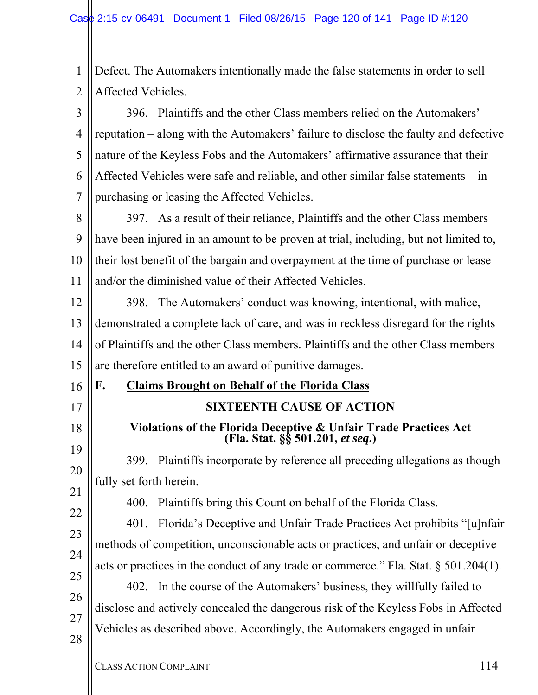1 2 Defect. The Automakers intentionally made the false statements in order to sell Affected Vehicles.

3 4 5 6 7 396. Plaintiffs and the other Class members relied on the Automakers' reputation – along with the Automakers' failure to disclose the faulty and defective nature of the Keyless Fobs and the Automakers' affirmative assurance that their Affected Vehicles were safe and reliable, and other similar false statements – in purchasing or leasing the Affected Vehicles.

8 9 10 11 397. As a result of their reliance, Plaintiffs and the other Class members have been injured in an amount to be proven at trial, including, but not limited to, their lost benefit of the bargain and overpayment at the time of purchase or lease and/or the diminished value of their Affected Vehicles.

12 13 14 15 398. The Automakers' conduct was knowing, intentional, with malice, demonstrated a complete lack of care, and was in reckless disregard for the rights of Plaintiffs and the other Class members. Plaintiffs and the other Class members are therefore entitled to an award of punitive damages.

**F. Claims Brought on Behalf of the Florida Class** 

### **SIXTEENTH CAUSE OF ACTION**

**Violations of the Florida Deceptive & Unfair Trade Practices Act (Fla. Stat. §§ 501.201,** *et seq***.)** 

19 20 399. Plaintiffs incorporate by reference all preceding allegations as though fully set forth herein.

400. Plaintiffs bring this Count on behalf of the Florida Class.

22 23 24 25 401. Florida's Deceptive and Unfair Trade Practices Act prohibits "[u]nfair methods of competition, unconscionable acts or practices, and unfair or deceptive acts or practices in the conduct of any trade or commerce." Fla. Stat. § 501.204(1).

26 27 28 402. In the course of the Automakers' business, they willfully failed to disclose and actively concealed the dangerous risk of the Keyless Fobs in Affected Vehicles as described above. Accordingly, the Automakers engaged in unfair

16

17

18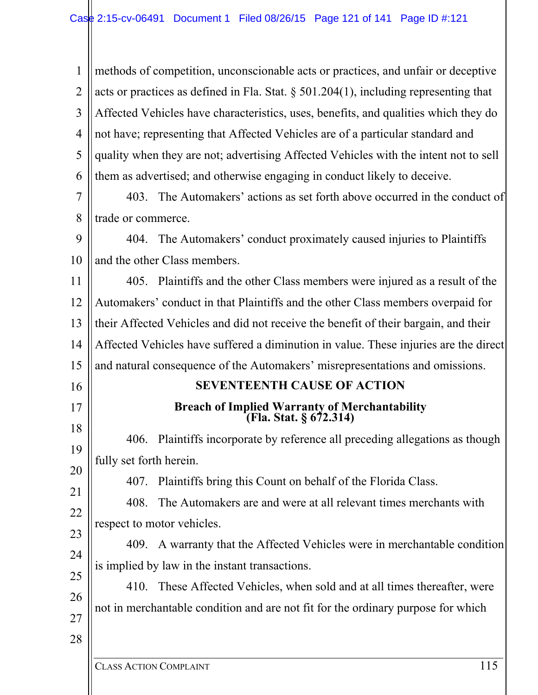1 2 3 4 5 6 methods of competition, unconscionable acts or practices, and unfair or deceptive acts or practices as defined in Fla. Stat.  $\S$  501.204(1), including representing that Affected Vehicles have characteristics, uses, benefits, and qualities which they do not have; representing that Affected Vehicles are of a particular standard and quality when they are not; advertising Affected Vehicles with the intent not to sell them as advertised; and otherwise engaging in conduct likely to deceive.

7 8 403. The Automakers' actions as set forth above occurred in the conduct of trade or commerce.

9 10 404. The Automakers' conduct proximately caused injuries to Plaintiffs and the other Class members.

11 12 13 14 15 405. Plaintiffs and the other Class members were injured as a result of the Automakers' conduct in that Plaintiffs and the other Class members overpaid for their Affected Vehicles and did not receive the benefit of their bargain, and their Affected Vehicles have suffered a diminution in value. These injuries are the direct and natural consequence of the Automakers' misrepresentations and omissions.

#### **SEVENTEENTH CAUSE OF ACTION**

# **Breach of Implied Warranty of Merchantability (Fla. Stat. § 672.314)**

18 19 20 406. Plaintiffs incorporate by reference all preceding allegations as though fully set forth herein.

407. Plaintiffs bring this Count on behalf of the Florida Class.

21 22 408. The Automakers are and were at all relevant times merchants with respect to motor vehicles.

23 24 409. A warranty that the Affected Vehicles were in merchantable condition is implied by law in the instant transactions.

25 26 27 410. These Affected Vehicles, when sold and at all times thereafter, were not in merchantable condition and are not fit for the ordinary purpose for which

28

16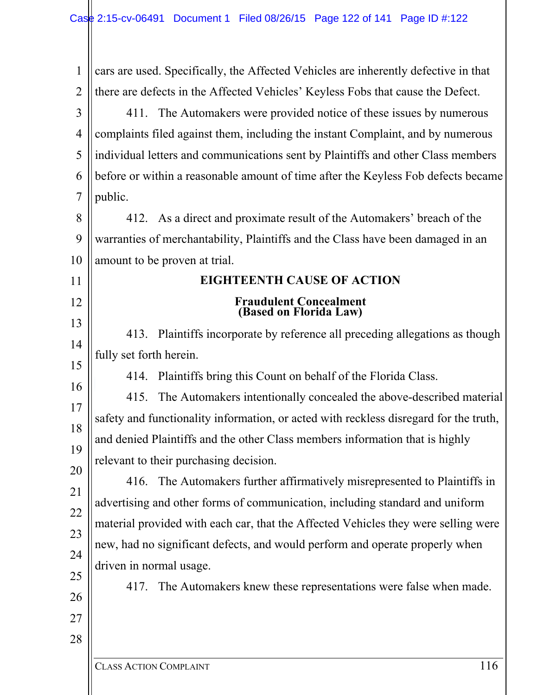| 1              | cars are used. Specifically, the Affected Vehicles are inherently defective in that   |  |
|----------------|---------------------------------------------------------------------------------------|--|
| $\overline{2}$ | there are defects in the Affected Vehicles' Keyless Fobs that cause the Defect.       |  |
| 3              | 411. The Automakers were provided notice of these issues by numerous                  |  |
| $\overline{4}$ | complaints filed against them, including the instant Complaint, and by numerous       |  |
| 5              | individual letters and communications sent by Plaintiffs and other Class members      |  |
| 6              | before or within a reasonable amount of time after the Keyless Fob defects became     |  |
| 7              | public.                                                                               |  |
| 8              | 412. As a direct and proximate result of the Automakers' breach of the                |  |
| 9              | warranties of merchantability, Plaintiffs and the Class have been damaged in an       |  |
| 10             | amount to be proven at trial.                                                         |  |
| 11             | <b>EIGHTEENTH CAUSE OF ACTION</b>                                                     |  |
| 12             | <b>Fraudulent Concealment</b><br>(Based on Florida Law)                               |  |
| 13             | Plaintiffs incorporate by reference all preceding allegations as though<br>413.       |  |
| 14             | fully set forth herein.                                                               |  |
| 15             | Plaintiffs bring this Count on behalf of the Florida Class.<br>414.                   |  |
| 16             | The Automakers intentionally concealed the above-described material<br>415.           |  |
| 17             | safety and functionality information, or acted with reckless disregard for the truth, |  |
| 18             | and denied Plaintiffs and the other Class members information that is highly          |  |
| 19             | relevant to their purchasing decision.                                                |  |
| 20             | The Automakers further affirmatively misrepresented to Plaintiffs in<br>416.          |  |
| 21             | advertising and other forms of communication, including standard and uniform          |  |
| 22             | material provided with each car, that the Affected Vehicles they were selling were    |  |
| 23             | new, had no significant defects, and would perform and operate properly when          |  |
| 24             | driven in normal usage.                                                               |  |
| 25             | The Automakers knew these representations were false when made.<br>417.               |  |
| 26             |                                                                                       |  |
| 27             |                                                                                       |  |
| 28             |                                                                                       |  |
|                |                                                                                       |  |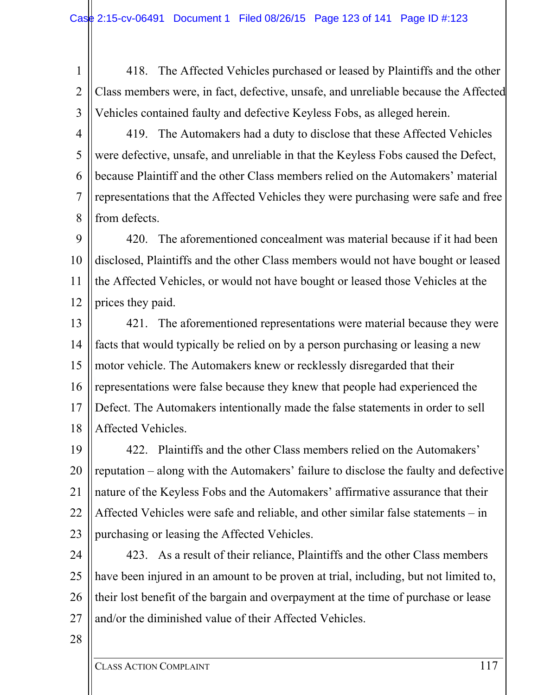1 2 3 418. The Affected Vehicles purchased or leased by Plaintiffs and the other Class members were, in fact, defective, unsafe, and unreliable because the Affected Vehicles contained faulty and defective Keyless Fobs, as alleged herein.

4 5 6 7 8 419. The Automakers had a duty to disclose that these Affected Vehicles were defective, unsafe, and unreliable in that the Keyless Fobs caused the Defect, because Plaintiff and the other Class members relied on the Automakers' material representations that the Affected Vehicles they were purchasing were safe and free from defects.

9 10 11 12 420. The aforementioned concealment was material because if it had been disclosed, Plaintiffs and the other Class members would not have bought or leased the Affected Vehicles, or would not have bought or leased those Vehicles at the prices they paid.

13 14 15 16 17 18 421. The aforementioned representations were material because they were facts that would typically be relied on by a person purchasing or leasing a new motor vehicle. The Automakers knew or recklessly disregarded that their representations were false because they knew that people had experienced the Defect. The Automakers intentionally made the false statements in order to sell Affected Vehicles.

19 20 21 22 23 422. Plaintiffs and the other Class members relied on the Automakers' reputation – along with the Automakers' failure to disclose the faulty and defective nature of the Keyless Fobs and the Automakers' affirmative assurance that their Affected Vehicles were safe and reliable, and other similar false statements – in purchasing or leasing the Affected Vehicles.

24 25 26 27 423. As a result of their reliance, Plaintiffs and the other Class members have been injured in an amount to be proven at trial, including, but not limited to, their lost benefit of the bargain and overpayment at the time of purchase or lease and/or the diminished value of their Affected Vehicles.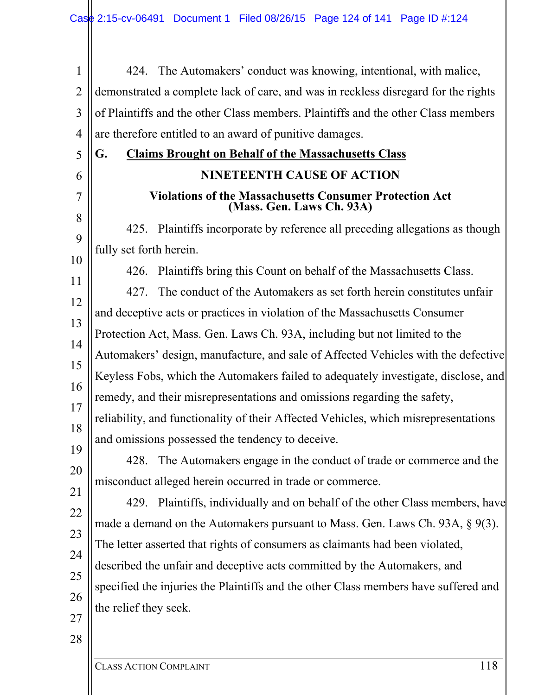1 2 3 4 5 6 7 8 9 10 11 12 13 14 15 16 17 18 19 20 21 22 23 24 25 26 27 28 424. The Automakers' conduct was knowing, intentional, with malice, demonstrated a complete lack of care, and was in reckless disregard for the rights of Plaintiffs and the other Class members. Plaintiffs and the other Class members are therefore entitled to an award of punitive damages. **G. Claims Brought on Behalf of the Massachusetts Class NINETEENTH CAUSE OF ACTION Violations of the Massachusetts Consumer Protection Act (Mass. Gen. Laws Ch. 93A)**  425. Plaintiffs incorporate by reference all preceding allegations as though fully set forth herein. 426. Plaintiffs bring this Count on behalf of the Massachusetts Class. 427. The conduct of the Automakers as set forth herein constitutes unfair and deceptive acts or practices in violation of the Massachusetts Consumer Protection Act, Mass. Gen. Laws Ch. 93A, including but not limited to the Automakers' design, manufacture, and sale of Affected Vehicles with the defective Keyless Fobs, which the Automakers failed to adequately investigate, disclose, and remedy, and their misrepresentations and omissions regarding the safety, reliability, and functionality of their Affected Vehicles, which misrepresentations and omissions possessed the tendency to deceive. 428. The Automakers engage in the conduct of trade or commerce and the misconduct alleged herein occurred in trade or commerce. 429. Plaintiffs, individually and on behalf of the other Class members, have made a demand on the Automakers pursuant to Mass. Gen. Laws Ch. 93A, § 9(3). The letter asserted that rights of consumers as claimants had been violated, described the unfair and deceptive acts committed by the Automakers, and specified the injuries the Plaintiffs and the other Class members have suffered and the relief they seek.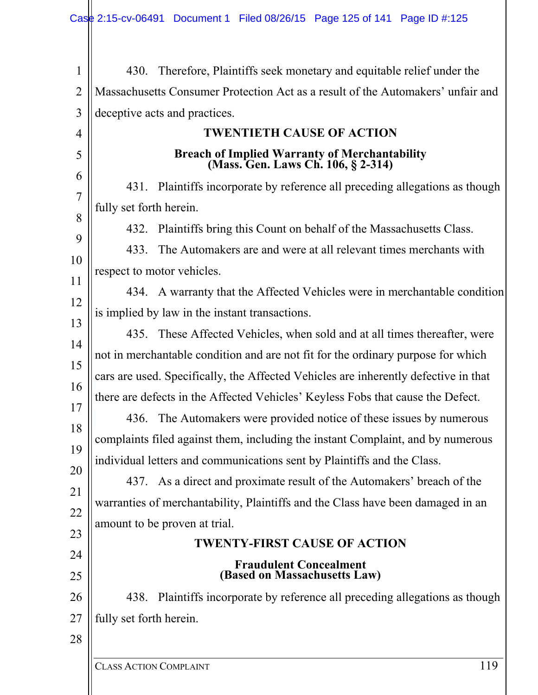1 2 3 4 5 6 7 8 9 10 11 12 13 14 15 16 17 18 19 20 21 22 23 24 25 26 27 28 430. Therefore, Plaintiffs seek monetary and equitable relief under the Massachusetts Consumer Protection Act as a result of the Automakers' unfair and deceptive acts and practices. **TWENTIETH CAUSE OF ACTION Breach of Implied Warranty of Merchantability (Mass. Gen. Laws Ch. 106, § 2-314)**  431. Plaintiffs incorporate by reference all preceding allegations as though fully set forth herein. 432. Plaintiffs bring this Count on behalf of the Massachusetts Class. 433. The Automakers are and were at all relevant times merchants with respect to motor vehicles. 434. A warranty that the Affected Vehicles were in merchantable condition is implied by law in the instant transactions. 435. These Affected Vehicles, when sold and at all times thereafter, were not in merchantable condition and are not fit for the ordinary purpose for which cars are used. Specifically, the Affected Vehicles are inherently defective in that there are defects in the Affected Vehicles' Keyless Fobs that cause the Defect. 436. The Automakers were provided notice of these issues by numerous complaints filed against them, including the instant Complaint, and by numerous individual letters and communications sent by Plaintiffs and the Class. 437. As a direct and proximate result of the Automakers' breach of the warranties of merchantability, Plaintiffs and the Class have been damaged in an amount to be proven at trial. **TWENTY-FIRST CAUSE OF ACTION Fraudulent Concealment (Based on Massachusetts Law)**  438. Plaintiffs incorporate by reference all preceding allegations as though fully set forth herein.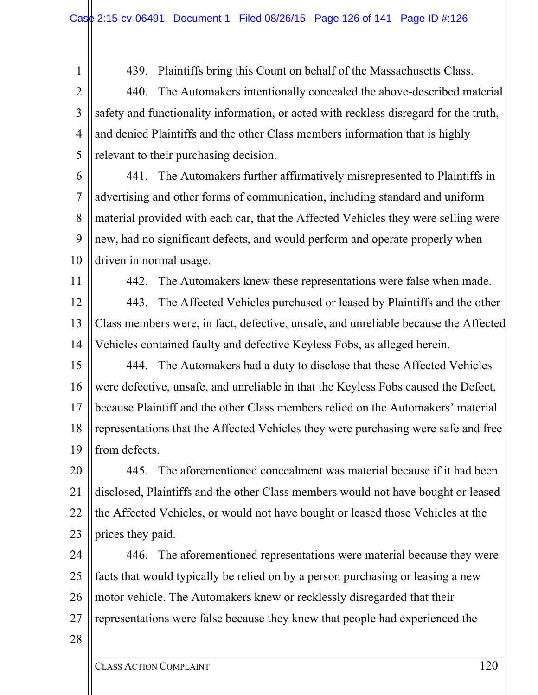1

11

439. Plaintiffs bring this Count on behalf of the Massachusetts Class.

2 3 4 5 440. The Automakers intentionally concealed the above-described material safety and functionality information, or acted with reckless disregard for the truth, and denied Plaintiffs and the other Class members information that is highly relevant to their purchasing decision.

6 7 8 9 10 441. The Automakers further affirmatively misrepresented to Plaintiffs in advertising and other forms of communication, including standard and uniform material provided with each car, that the Affected Vehicles they were selling were new, had no significant defects, and would perform and operate properly when driven in normal usage.

442. The Automakers knew these representations were false when made.

12 13 14 443. The Affected Vehicles purchased or leased by Plaintiffs and the other Class members were, in fact, defective, unsafe, and unreliable because the Affected Vehicles contained faulty and defective Keyless Fobs, as alleged herein.

15 16 17 18 19 444. The Automakers had a duty to disclose that these Affected Vehicles were defective, unsafe, and unreliable in that the Keyless Fobs caused the Defect, because Plaintiff and the other Class members relied on the Automakers' material representations that the Affected Vehicles they were purchasing were safe and free from defects.

20 21 22 23 445. The aforementioned concealment was material because if it had been disclosed, Plaintiffs and the other Class members would not have bought or leased the Affected Vehicles, or would not have bought or leased those Vehicles at the prices they paid.

24 25 26 27 446. The aforementioned representations were material because they were facts that would typically be relied on by a person purchasing or leasing a new motor vehicle. The Automakers knew or recklessly disregarded that their representations were false because they knew that people had experienced the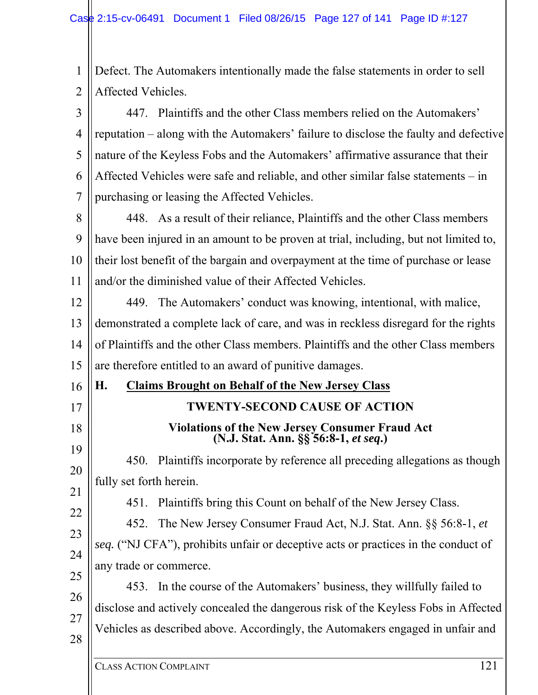1 2 Defect. The Automakers intentionally made the false statements in order to sell Affected Vehicles.

3 4 5 6 7 447. Plaintiffs and the other Class members relied on the Automakers' reputation – along with the Automakers' failure to disclose the faulty and defective nature of the Keyless Fobs and the Automakers' affirmative assurance that their Affected Vehicles were safe and reliable, and other similar false statements – in purchasing or leasing the Affected Vehicles.

8 9 10 11 448. As a result of their reliance, Plaintiffs and the other Class members have been injured in an amount to be proven at trial, including, but not limited to, their lost benefit of the bargain and overpayment at the time of purchase or lease and/or the diminished value of their Affected Vehicles.

12 13 14 15 449. The Automakers' conduct was knowing, intentional, with malice, demonstrated a complete lack of care, and was in reckless disregard for the rights of Plaintiffs and the other Class members. Plaintiffs and the other Class members are therefore entitled to an award of punitive damages.

### **H. Claims Brought on Behalf of the New Jersey Class**

17

18

16

### **TWENTY-SECOND CAUSE OF ACTION**

## **Violations of the New Jersey Consumer Fraud Act (N.J. Stat. Ann. §§ 56:8-1,** *et seq***.)**

19 20 21 450. Plaintiffs incorporate by reference all preceding allegations as though fully set forth herein.

451. Plaintiffs bring this Count on behalf of the New Jersey Class.

22 23 24 25 452. The New Jersey Consumer Fraud Act, N.J. Stat. Ann. §§ 56:8-1, *et seq.* ("NJ CFA"), prohibits unfair or deceptive acts or practices in the conduct of any trade or commerce.

26 27 28 453. In the course of the Automakers' business, they willfully failed to disclose and actively concealed the dangerous risk of the Keyless Fobs in Affected Vehicles as described above. Accordingly, the Automakers engaged in unfair and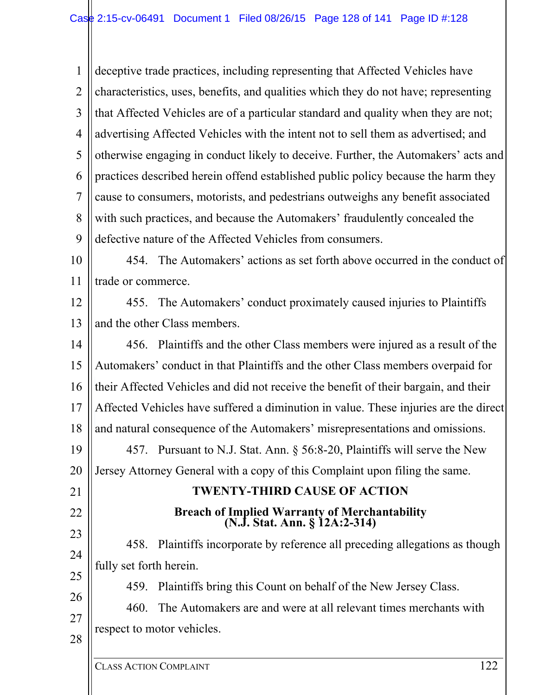1 2 3 4 5 6 7 8  $\mathbf Q$ deceptive trade practices, including representing that Affected Vehicles have characteristics, uses, benefits, and qualities which they do not have; representing that Affected Vehicles are of a particular standard and quality when they are not; advertising Affected Vehicles with the intent not to sell them as advertised; and otherwise engaging in conduct likely to deceive. Further, the Automakers' acts and practices described herein offend established public policy because the harm they cause to consumers, motorists, and pedestrians outweighs any benefit associated with such practices, and because the Automakers' fraudulently concealed the defective nature of the Affected Vehicles from consumers.

10 11 454. The Automakers' actions as set forth above occurred in the conduct of trade or commerce.

12 13 455. The Automakers' conduct proximately caused injuries to Plaintiffs and the other Class members.

14 15 16 17 18 19 20 21 22 23 24 25 456. Plaintiffs and the other Class members were injured as a result of the Automakers' conduct in that Plaintiffs and the other Class members overpaid for their Affected Vehicles and did not receive the benefit of their bargain, and their Affected Vehicles have suffered a diminution in value. These injuries are the direct and natural consequence of the Automakers' misrepresentations and omissions. 457. Pursuant to N.J. Stat. Ann. § 56:8-20, Plaintiffs will serve the New Jersey Attorney General with a copy of this Complaint upon filing the same. **TWENTY-THIRD CAUSE OF ACTION Breach of Implied Warranty of Merchantability (N.J. Stat. Ann. § 12A:2-314)**  458. Plaintiffs incorporate by reference all preceding allegations as though fully set forth herein. 459. Plaintiffs bring this Count on behalf of the New Jersey Class.

26 27 28 460. The Automakers are and were at all relevant times merchants with respect to motor vehicles.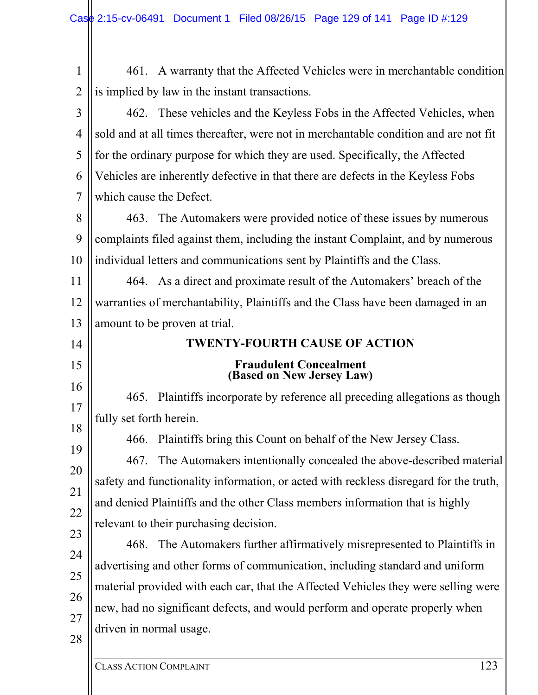| $\mathbf{1}$   | 461. A warranty that the Affected Vehicles were in merchantable condition             |
|----------------|---------------------------------------------------------------------------------------|
| $\overline{2}$ | is implied by law in the instant transactions.                                        |
| 3              | 462. These vehicles and the Keyless Fobs in the Affected Vehicles, when               |
| 4              | sold and at all times thereafter, were not in merchantable condition and are not fit  |
| 5              | for the ordinary purpose for which they are used. Specifically, the Affected          |
| 6              | Vehicles are inherently defective in that there are defects in the Keyless Fobs       |
| 7              | which cause the Defect.                                                               |
| 8              | The Automakers were provided notice of these issues by numerous<br>463.               |
| 9              | complaints filed against them, including the instant Complaint, and by numerous       |
| 10             | individual letters and communications sent by Plaintiffs and the Class.               |
| 11             | 464. As a direct and proximate result of the Automakers' breach of the                |
| 12             | warranties of merchantability, Plaintiffs and the Class have been damaged in an       |
| 13             | amount to be proven at trial.                                                         |
| 14             | <b>TWENTY-FOURTH CAUSE OF ACTION</b>                                                  |
| 15             | <b>Fraudulent Concealment</b><br>(Based on New Jersey Law)                            |
| 16             | Plaintiffs incorporate by reference all preceding allegations as though<br>465.       |
| 17             | fully set forth herein.                                                               |
| 18             | Plaintiffs bring this Count on behalf of the New Jersey Class.<br>466.                |
| 19             | The Automakers intentionally concealed the above-described material<br>467.           |
| 20<br>21       | safety and functionality information, or acted with reckless disregard for the truth, |
| 22             | and denied Plaintiffs and the other Class members information that is highly          |
| 23             | relevant to their purchasing decision.                                                |
| 24             | The Automakers further affirmatively misrepresented to Plaintiffs in<br>468.          |
| 25             | advertising and other forms of communication, including standard and uniform          |
| 26             | material provided with each car, that the Affected Vehicles they were selling were    |
| 27             | new, had no significant defects, and would perform and operate properly when          |
| 28             | driven in normal usage.                                                               |
|                |                                                                                       |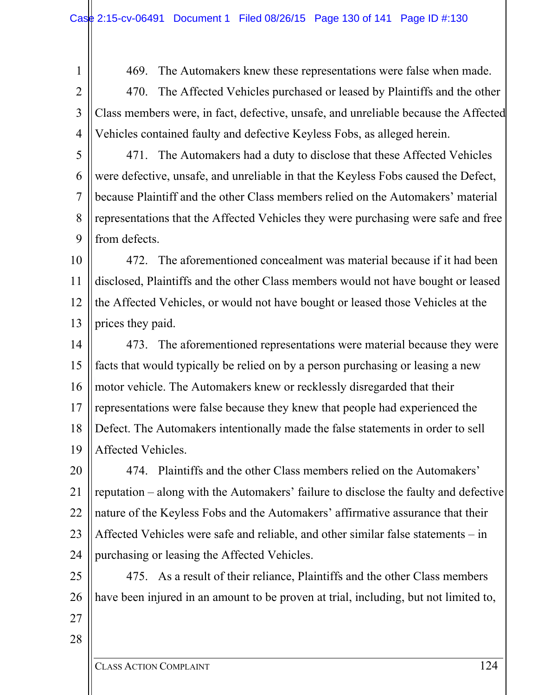1 2 469. The Automakers knew these representations were false when made.

3 4 470. The Affected Vehicles purchased or leased by Plaintiffs and the other Class members were, in fact, defective, unsafe, and unreliable because the Affected Vehicles contained faulty and defective Keyless Fobs, as alleged herein.

5 6 7 8 9 471. The Automakers had a duty to disclose that these Affected Vehicles were defective, unsafe, and unreliable in that the Keyless Fobs caused the Defect, because Plaintiff and the other Class members relied on the Automakers' material representations that the Affected Vehicles they were purchasing were safe and free from defects.

10 11 12 13 472. The aforementioned concealment was material because if it had been disclosed, Plaintiffs and the other Class members would not have bought or leased the Affected Vehicles, or would not have bought or leased those Vehicles at the prices they paid.

14 15 16 17 18 19 473. The aforementioned representations were material because they were facts that would typically be relied on by a person purchasing or leasing a new motor vehicle. The Automakers knew or recklessly disregarded that their representations were false because they knew that people had experienced the Defect. The Automakers intentionally made the false statements in order to sell Affected Vehicles.

20 21 22 23 24 474. Plaintiffs and the other Class members relied on the Automakers' reputation – along with the Automakers' failure to disclose the faulty and defective nature of the Keyless Fobs and the Automakers' affirmative assurance that their Affected Vehicles were safe and reliable, and other similar false statements – in purchasing or leasing the Affected Vehicles.

25 26 475. As a result of their reliance, Plaintiffs and the other Class members have been injured in an amount to be proven at trial, including, but not limited to,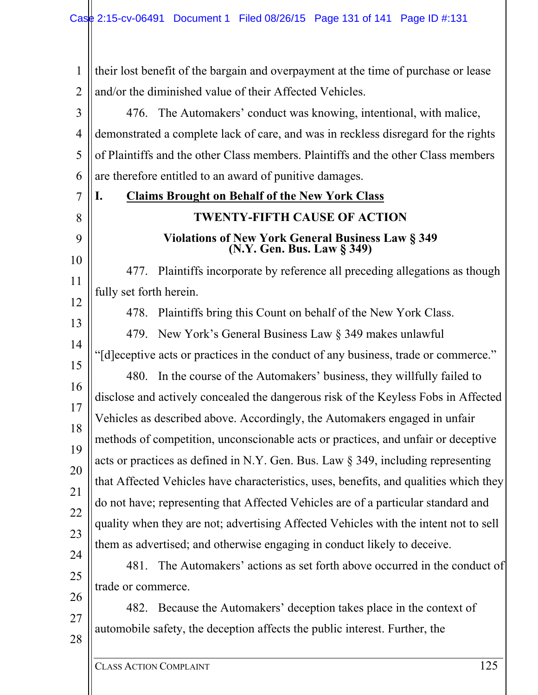CLASS ACTION COMPLAINT 125 1 2 3 4 5 6 7 8 9 10 11 12 13 14 15 16 17 18 19 20 21 22 23 24 25 26 27 28 their lost benefit of the bargain and overpayment at the time of purchase or lease and/or the diminished value of their Affected Vehicles. 476. The Automakers' conduct was knowing, intentional, with malice, demonstrated a complete lack of care, and was in reckless disregard for the rights of Plaintiffs and the other Class members. Plaintiffs and the other Class members are therefore entitled to an award of punitive damages. **I. Claims Brought on Behalf of the New York Class TWENTY-FIFTH CAUSE OF ACTION Violations of New York General Business Law § 349 (N.Y. Gen. Bus. Law § 349)**  477. Plaintiffs incorporate by reference all preceding allegations as though fully set forth herein. 478. Plaintiffs bring this Count on behalf of the New York Class. 479. New York's General Business Law § 349 makes unlawful "[d]eceptive acts or practices in the conduct of any business, trade or commerce." 480. In the course of the Automakers' business, they willfully failed to disclose and actively concealed the dangerous risk of the Keyless Fobs in Affected Vehicles as described above. Accordingly, the Automakers engaged in unfair methods of competition, unconscionable acts or practices, and unfair or deceptive acts or practices as defined in N.Y. Gen. Bus. Law § 349, including representing that Affected Vehicles have characteristics, uses, benefits, and qualities which they do not have; representing that Affected Vehicles are of a particular standard and quality when they are not; advertising Affected Vehicles with the intent not to sell them as advertised; and otherwise engaging in conduct likely to deceive. 481. The Automakers' actions as set forth above occurred in the conduct of trade or commerce. 482. Because the Automakers' deception takes place in the context of automobile safety, the deception affects the public interest. Further, the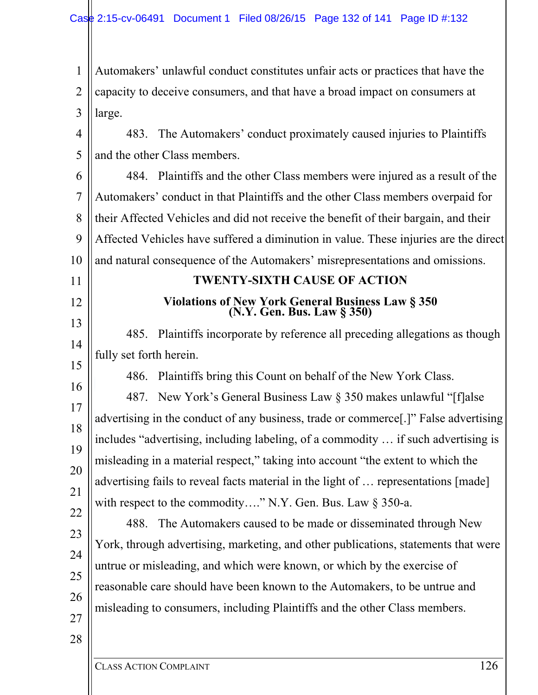1 2 3 Automakers' unlawful conduct constitutes unfair acts or practices that have the capacity to deceive consumers, and that have a broad impact on consumers at large.

4 5 483. The Automakers' conduct proximately caused injuries to Plaintiffs and the other Class members.

6 7 8 9 10 484. Plaintiffs and the other Class members were injured as a result of the Automakers' conduct in that Plaintiffs and the other Class members overpaid for their Affected Vehicles and did not receive the benefit of their bargain, and their Affected Vehicles have suffered a diminution in value. These injuries are the direct and natural consequence of the Automakers' misrepresentations and omissions.

## **TWENTY-SIXTH CAUSE OF ACTION**

## **Violations of New York General Business Law § 350 (N.Y. Gen. Bus. Law § 350)**

13 14 15 485. Plaintiffs incorporate by reference all preceding allegations as though fully set forth herein.

486. Plaintiffs bring this Count on behalf of the New York Class.

16 17 18 19 20 22 487. New York's General Business Law § 350 makes unlawful "[f]alse advertising in the conduct of any business, trade or commerce[.]" False advertising includes "advertising, including labeling, of a commodity … if such advertising is misleading in a material respect," taking into account "the extent to which the advertising fails to reveal facts material in the light of … representations [made] with respect to the commodity...." N.Y. Gen. Bus. Law § 350-a.

488. The Automakers caused to be made or disseminated through New York, through advertising, marketing, and other publications, statements that were untrue or misleading, and which were known, or which by the exercise of reasonable care should have been known to the Automakers, to be untrue and misleading to consumers, including Plaintiffs and the other Class members.

27 28

21

23

24

25

26

11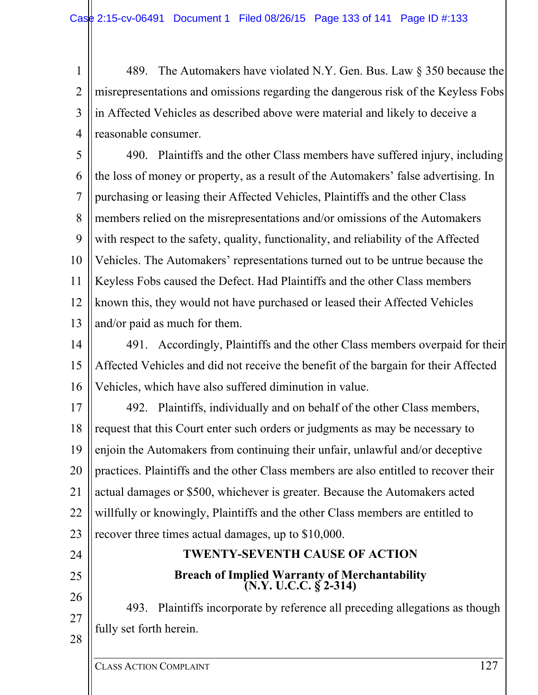1 2 3 4 489. The Automakers have violated N.Y. Gen. Bus. Law § 350 because the misrepresentations and omissions regarding the dangerous risk of the Keyless Fobs in Affected Vehicles as described above were material and likely to deceive a reasonable consumer.

5 6 7 8 9 10 11 12 13 490. Plaintiffs and the other Class members have suffered injury, including the loss of money or property, as a result of the Automakers' false advertising. In purchasing or leasing their Affected Vehicles, Plaintiffs and the other Class members relied on the misrepresentations and/or omissions of the Automakers with respect to the safety, quality, functionality, and reliability of the Affected Vehicles. The Automakers' representations turned out to be untrue because the Keyless Fobs caused the Defect. Had Plaintiffs and the other Class members known this, they would not have purchased or leased their Affected Vehicles and/or paid as much for them.

14 15 16 491. Accordingly, Plaintiffs and the other Class members overpaid for their Affected Vehicles and did not receive the benefit of the bargain for their Affected Vehicles, which have also suffered diminution in value.

17 18 19 20 21 22 23 492. Plaintiffs, individually and on behalf of the other Class members, request that this Court enter such orders or judgments as may be necessary to enjoin the Automakers from continuing their unfair, unlawful and/or deceptive practices. Plaintiffs and the other Class members are also entitled to recover their actual damages or \$500, whichever is greater. Because the Automakers acted willfully or knowingly, Plaintiffs and the other Class members are entitled to recover three times actual damages, up to \$10,000.

## **TWENTY-SEVENTH CAUSE OF ACTION Breach of Implied Warranty of Merchantability (N.Y. U.C.C. § 2-314)**

493. Plaintiffs incorporate by reference all preceding allegations as though fully set forth herein.

24

25

26

27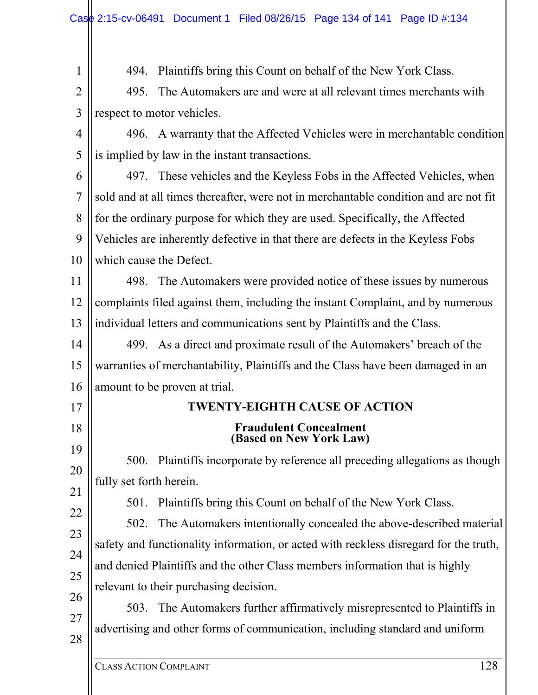CLASS ACTION COMPLAINT 128 1 2 3 4 5 6 7 8 9 10 11 12 13 14 15 16 17 18 19 20 21 22 23 24 25 26 27 28 494. Plaintiffs bring this Count on behalf of the New York Class. 495. The Automakers are and were at all relevant times merchants with respect to motor vehicles. 496. A warranty that the Affected Vehicles were in merchantable condition is implied by law in the instant transactions. 497. These vehicles and the Keyless Fobs in the Affected Vehicles, when sold and at all times thereafter, were not in merchantable condition and are not fit for the ordinary purpose for which they are used. Specifically, the Affected Vehicles are inherently defective in that there are defects in the Keyless Fobs which cause the Defect. 498. The Automakers were provided notice of these issues by numerous complaints filed against them, including the instant Complaint, and by numerous individual letters and communications sent by Plaintiffs and the Class. 499. As a direct and proximate result of the Automakers' breach of the warranties of merchantability, Plaintiffs and the Class have been damaged in an amount to be proven at trial. **TWENTY-EIGHTH CAUSE OF ACTION Fraudulent Concealment (Based on New York Law)**  500. Plaintiffs incorporate by reference all preceding allegations as though fully set forth herein. 501. Plaintiffs bring this Count on behalf of the New York Class. 502. The Automakers intentionally concealed the above-described material safety and functionality information, or acted with reckless disregard for the truth, and denied Plaintiffs and the other Class members information that is highly relevant to their purchasing decision. 503. The Automakers further affirmatively misrepresented to Plaintiffs in advertising and other forms of communication, including standard and uniform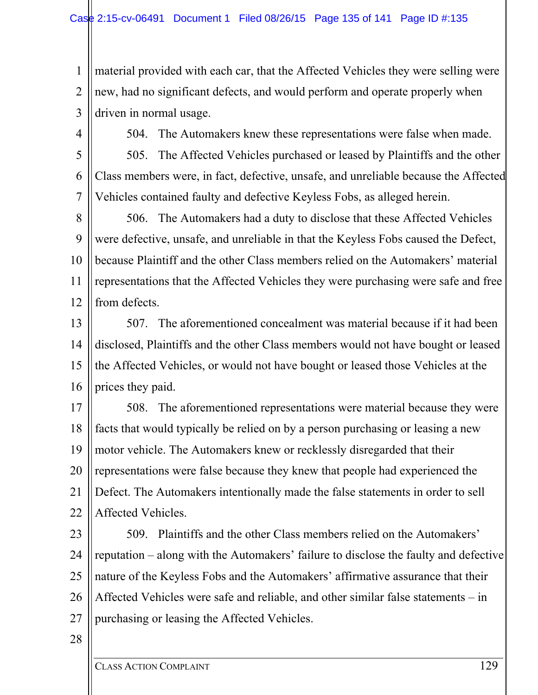1 2 3 material provided with each car, that the Affected Vehicles they were selling were new, had no significant defects, and would perform and operate properly when driven in normal usage.

4

504. The Automakers knew these representations were false when made.

5 6 7 505. The Affected Vehicles purchased or leased by Plaintiffs and the other Class members were, in fact, defective, unsafe, and unreliable because the Affected Vehicles contained faulty and defective Keyless Fobs, as alleged herein.

8 9 10 11 12 506. The Automakers had a duty to disclose that these Affected Vehicles were defective, unsafe, and unreliable in that the Keyless Fobs caused the Defect, because Plaintiff and the other Class members relied on the Automakers' material representations that the Affected Vehicles they were purchasing were safe and free from defects.

13 14 15 16 507. The aforementioned concealment was material because if it had been disclosed, Plaintiffs and the other Class members would not have bought or leased the Affected Vehicles, or would not have bought or leased those Vehicles at the prices they paid.

17 18 19 20 21 22 508. The aforementioned representations were material because they were facts that would typically be relied on by a person purchasing or leasing a new motor vehicle. The Automakers knew or recklessly disregarded that their representations were false because they knew that people had experienced the Defect. The Automakers intentionally made the false statements in order to sell Affected Vehicles.

23 24 25 26 27 509. Plaintiffs and the other Class members relied on the Automakers' reputation – along with the Automakers' failure to disclose the faulty and defective nature of the Keyless Fobs and the Automakers' affirmative assurance that their Affected Vehicles were safe and reliable, and other similar false statements – in purchasing or leasing the Affected Vehicles.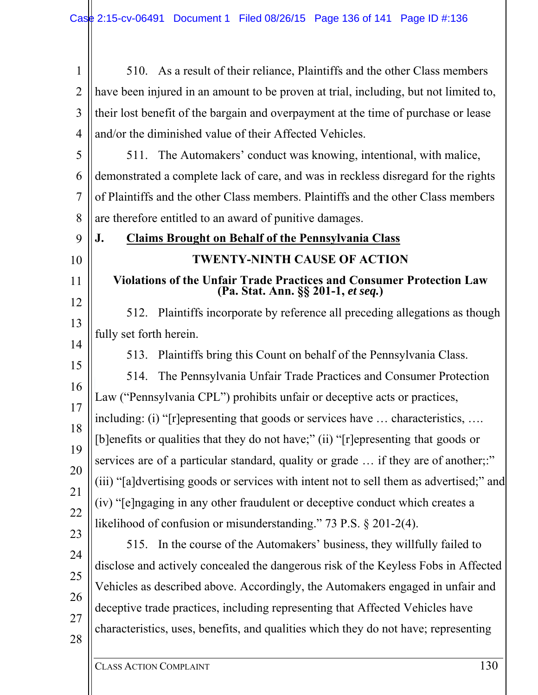| $\mathbf{1}$   | 510. As a result of their reliance, Plaintiffs and the other Class members                                        |
|----------------|-------------------------------------------------------------------------------------------------------------------|
| $\overline{2}$ | have been injured in an amount to be proven at trial, including, but not limited to,                              |
| 3              | their lost benefit of the bargain and overpayment at the time of purchase or lease                                |
| $\overline{4}$ | and/or the diminished value of their Affected Vehicles.                                                           |
| 5              | 511. The Automakers' conduct was knowing, intentional, with malice,                                               |
| 6              | demonstrated a complete lack of care, and was in reckless disregard for the rights                                |
| 7              | of Plaintiffs and the other Class members. Plaintiffs and the other Class members                                 |
| 8              | are therefore entitled to an award of punitive damages.                                                           |
| 9              | <b>Claims Brought on Behalf of the Pennsylvania Class</b><br>J.                                                   |
| 10             | <b>TWENTY-NINTH CAUSE OF ACTION</b>                                                                               |
| 11             | <b>Violations of the Unfair Trade Practices and Consumer Protection Law</b><br>(Pa. Stat. Ann. §§ 201-1, et seq.) |
| 12<br>13       | Plaintiffs incorporate by reference all preceding allegations as though<br>512.                                   |
| 14             | fully set forth herein.                                                                                           |
| 15             | Plaintiffs bring this Count on behalf of the Pennsylvania Class.<br>513.                                          |
| 16             | The Pennsylvania Unfair Trade Practices and Consumer Protection<br>514.                                           |
| 17             | Law ("Pennsylvania CPL") prohibits unfair or deceptive acts or practices,                                         |
| 18             | including: (i) "[r]epresenting that goods or services have  characteristics,                                      |
| 19             | [b]enefits or qualities that they do not have;" (ii) "[r]epresenting that goods or                                |
| 20             | services are of a particular standard, quality or grade  if they are of another;:"                                |
| 21             | (iii) "[a]dvertising goods or services with intent not to sell them as advertised;" and                           |
| 22             | (iv) "[e]ngaging in any other fraudulent or deceptive conduct which creates a                                     |
| 23             | likelihood of confusion or misunderstanding." 73 P.S. § 201-2(4).                                                 |
| 24             | In the course of the Automakers' business, they willfully failed to<br>515.                                       |
| 25             | disclose and actively concealed the dangerous risk of the Keyless Fobs in Affected                                |
| 26             | Vehicles as described above. Accordingly, the Automakers engaged in unfair and                                    |
| 27             | deceptive trade practices, including representing that Affected Vehicles have                                     |
| 28             | characteristics, uses, benefits, and qualities which they do not have; representing                               |
|                |                                                                                                                   |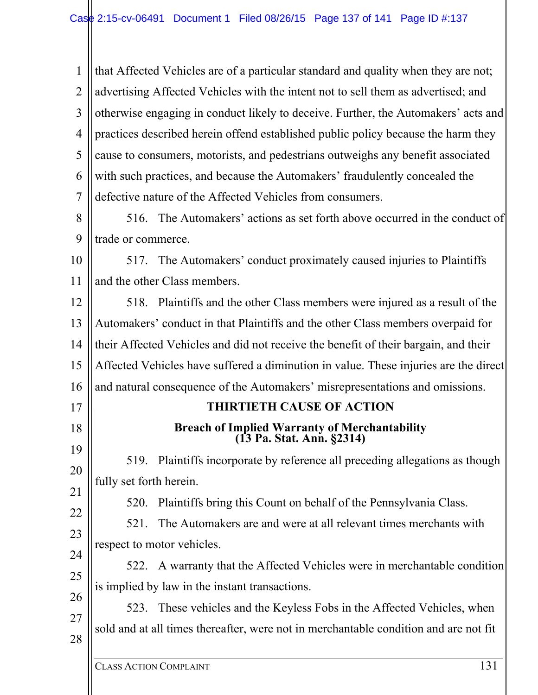1 2 3 4 5 6 7 that Affected Vehicles are of a particular standard and quality when they are not; advertising Affected Vehicles with the intent not to sell them as advertised; and otherwise engaging in conduct likely to deceive. Further, the Automakers' acts and practices described herein offend established public policy because the harm they cause to consumers, motorists, and pedestrians outweighs any benefit associated with such practices, and because the Automakers' fraudulently concealed the defective nature of the Affected Vehicles from consumers.

8  $\mathbf Q$ 516. The Automakers' actions as set forth above occurred in the conduct of trade or commerce.

10 11 517. The Automakers' conduct proximately caused injuries to Plaintiffs and the other Class members.

12 13 14 15 16 518. Plaintiffs and the other Class members were injured as a result of the Automakers' conduct in that Plaintiffs and the other Class members overpaid for their Affected Vehicles and did not receive the benefit of their bargain, and their Affected Vehicles have suffered a diminution in value. These injuries are the direct and natural consequence of the Automakers' misrepresentations and omissions.

### **THIRTIETH CAUSE OF ACTION**

## **Breach of Implied Warranty of Merchantability (13 Pa. Stat. Ann. §2314)**

19 20 21 519. Plaintiffs incorporate by reference all preceding allegations as though fully set forth herein.

520. Plaintiffs bring this Count on behalf of the Pennsylvania Class.

22 23 521. The Automakers are and were at all relevant times merchants with respect to motor vehicles.

24 25 26 522. A warranty that the Affected Vehicles were in merchantable condition is implied by law in the instant transactions.

27 28 523. These vehicles and the Keyless Fobs in the Affected Vehicles, when sold and at all times thereafter, were not in merchantable condition and are not fit

17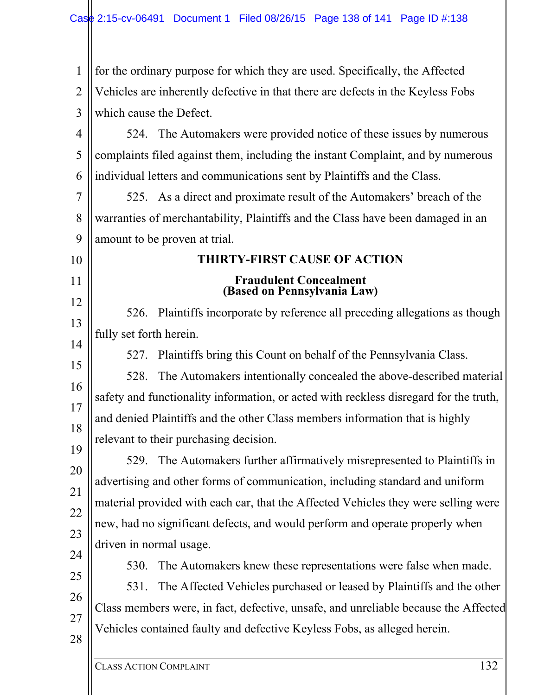1 2 3 4 5 6 7 8  $\mathbf Q$ 10 11 12 13 14 15 16 17 18 19 20 21 22 23 24 25 26 27 28 for the ordinary purpose for which they are used. Specifically, the Affected Vehicles are inherently defective in that there are defects in the Keyless Fobs which cause the Defect. 524. The Automakers were provided notice of these issues by numerous complaints filed against them, including the instant Complaint, and by numerous individual letters and communications sent by Plaintiffs and the Class. 525. As a direct and proximate result of the Automakers' breach of the warranties of merchantability, Plaintiffs and the Class have been damaged in an amount to be proven at trial. **THIRTY-FIRST CAUSE OF ACTION Fraudulent Concealment (Based on Pennsylvania Law)**  526. Plaintiffs incorporate by reference all preceding allegations as though fully set forth herein. 527. Plaintiffs bring this Count on behalf of the Pennsylvania Class. 528. The Automakers intentionally concealed the above-described material safety and functionality information, or acted with reckless disregard for the truth, and denied Plaintiffs and the other Class members information that is highly relevant to their purchasing decision. 529. The Automakers further affirmatively misrepresented to Plaintiffs in advertising and other forms of communication, including standard and uniform material provided with each car, that the Affected Vehicles they were selling were new, had no significant defects, and would perform and operate properly when driven in normal usage. 530. The Automakers knew these representations were false when made. 531. The Affected Vehicles purchased or leased by Plaintiffs and the other Class members were, in fact, defective, unsafe, and unreliable because the Affected Vehicles contained faulty and defective Keyless Fobs, as alleged herein.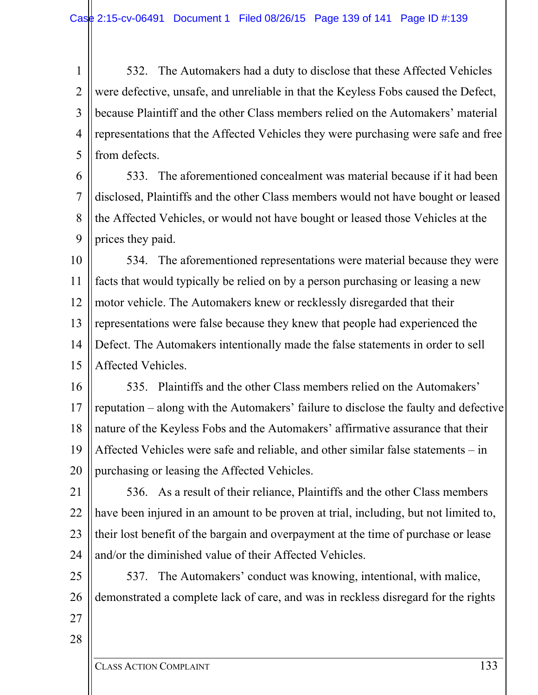1 2 3 4 5 532. The Automakers had a duty to disclose that these Affected Vehicles were defective, unsafe, and unreliable in that the Keyless Fobs caused the Defect, because Plaintiff and the other Class members relied on the Automakers' material representations that the Affected Vehicles they were purchasing were safe and free from defects.

6 7 8 9 533. The aforementioned concealment was material because if it had been disclosed, Plaintiffs and the other Class members would not have bought or leased the Affected Vehicles, or would not have bought or leased those Vehicles at the prices they paid.

10 11 12 13 14 15 534. The aforementioned representations were material because they were facts that would typically be relied on by a person purchasing or leasing a new motor vehicle. The Automakers knew or recklessly disregarded that their representations were false because they knew that people had experienced the Defect. The Automakers intentionally made the false statements in order to sell Affected Vehicles.

16 17 18 19 20 535. Plaintiffs and the other Class members relied on the Automakers' reputation – along with the Automakers' failure to disclose the faulty and defective nature of the Keyless Fobs and the Automakers' affirmative assurance that their Affected Vehicles were safe and reliable, and other similar false statements – in purchasing or leasing the Affected Vehicles.

21 22 23 24 536. As a result of their reliance, Plaintiffs and the other Class members have been injured in an amount to be proven at trial, including, but not limited to, their lost benefit of the bargain and overpayment at the time of purchase or lease and/or the diminished value of their Affected Vehicles.

25 26 537. The Automakers' conduct was knowing, intentional, with malice, demonstrated a complete lack of care, and was in reckless disregard for the rights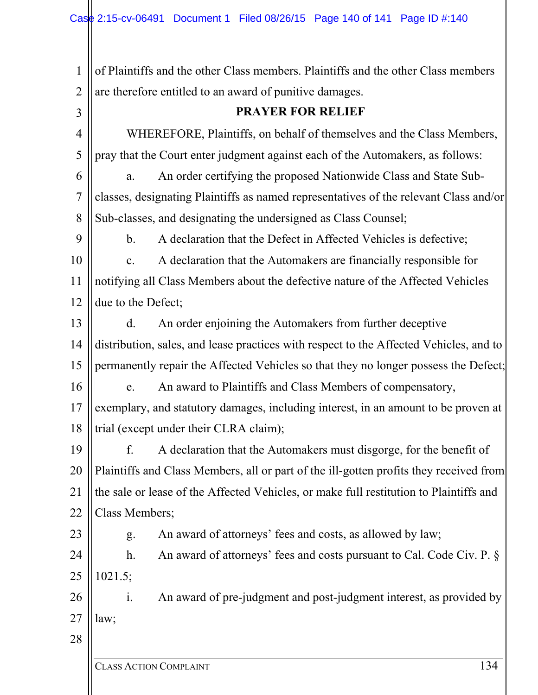CLASS ACTION COMPLAINT 134 1 2 3 4 5 6 7 8 9 10 11 12 13 14 15 16 17 18 19 20 21 22 23 24 25 26 27 28 of Plaintiffs and the other Class members. Plaintiffs and the other Class members are therefore entitled to an award of punitive damages. **PRAYER FOR RELIEF**  WHEREFORE, Plaintiffs, on behalf of themselves and the Class Members, pray that the Court enter judgment against each of the Automakers, as follows: a. An order certifying the proposed Nationwide Class and State Subclasses, designating Plaintiffs as named representatives of the relevant Class and/or Sub-classes, and designating the undersigned as Class Counsel; b. A declaration that the Defect in Affected Vehicles is defective; c. A declaration that the Automakers are financially responsible for notifying all Class Members about the defective nature of the Affected Vehicles due to the Defect; d. An order enjoining the Automakers from further deceptive distribution, sales, and lease practices with respect to the Affected Vehicles, and to permanently repair the Affected Vehicles so that they no longer possess the Defect; e. An award to Plaintiffs and Class Members of compensatory, exemplary, and statutory damages, including interest, in an amount to be proven at trial (except under their CLRA claim); f. A declaration that the Automakers must disgorge, for the benefit of Plaintiffs and Class Members, all or part of the ill-gotten profits they received from the sale or lease of the Affected Vehicles, or make full restitution to Plaintiffs and Class Members; g. An award of attorneys' fees and costs, as allowed by law; h. An award of attorneys' fees and costs pursuant to Cal. Code Civ. P. § 1021.5; i. An award of pre-judgment and post-judgment interest, as provided by law;